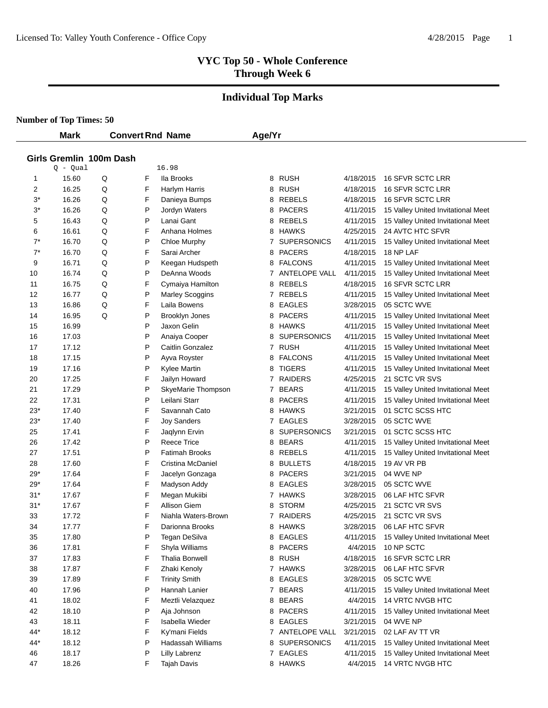# **Individual Top Marks**

|            | <b>Mark</b>             |        |        | <b>Convert Rnd Name</b>      | Age/Yr |                                     |                        |                                                        |
|------------|-------------------------|--------|--------|------------------------------|--------|-------------------------------------|------------------------|--------------------------------------------------------|
|            |                         |        |        |                              |        |                                     |                        |                                                        |
|            | Girls Gremlin 100m Dash |        |        |                              |        |                                     |                        |                                                        |
|            | $Q - Qual$              |        |        | 16.98<br>lla Brooks          |        | <b>RUSH</b>                         | 4/18/2015              |                                                        |
| 1          | 15.60                   | Q      | F      |                              | 8      | <b>RUSH</b>                         | 4/18/2015              | 16 SFVR SCTC LRR                                       |
| 2          | 16.25                   | Q      | F<br>F | Harlym Harris                | 8      | <b>REBELS</b>                       |                        | 16 SFVR SCTC LRR                                       |
| $3^*$      | 16.26                   | Q      |        | Danieya Bumps                | 8      |                                     | 4/18/2015              | 16 SFVR SCTC LRR                                       |
| $3^*$      | 16.26                   | Q      | P<br>P | Jordyn Waters<br>Lanai Gant  | 8      | <b>PACERS</b>                       | 4/11/2015              | 15 Valley United Invitational Meet                     |
| 5          | 16.43                   | Q      |        |                              | 8      | <b>REBELS</b>                       | 4/11/2015              | 15 Valley United Invitational Meet<br>24 AVTC HTC SFVR |
| 6<br>$7^*$ | 16.61<br>16.70          | Q      | F<br>P | Anhana Holmes                | 8      | <b>HAWKS</b>                        | 4/25/2015              |                                                        |
| $7^*$      | 16.70                   | Q      | F      | Chloe Murphy<br>Sarai Archer | 7      | <b>SUPERSONICS</b><br><b>PACERS</b> | 4/11/2015<br>4/18/2015 | 15 Valley United Invitational Meet<br>18 NP LAF        |
| 9          | 16.71                   | Q      | P      |                              | 8      | <b>FALCONS</b>                      | 4/11/2015              |                                                        |
|            | 16.74                   | Q      | P      | Keegan Hudspeth              | 8      |                                     |                        | 15 Valley United Invitational Meet                     |
| 10         | 16.75                   | Q      | F      | DeAnna Woods                 |        | 7 ANTELOPE VALL<br><b>REBELS</b>    | 4/11/2015<br>4/18/2015 | 15 Valley United Invitational Meet<br>16 SFVR SCTC LRR |
| 11<br>12   | 16.77                   | Q      | P      | Cymaiya Hamilton             | 8      | REBELS                              |                        |                                                        |
|            |                         | Q      | F      | <b>Marley Scoggins</b>       | 7      |                                     | 4/11/2015              | 15 Valley United Invitational Meet                     |
| 13         | 16.86                   | Q<br>Q |        | Laila Bowens                 | 8      | EAGLES                              | 3/28/2015              | 05 SCTC WVE                                            |
| 14         | 16.95                   |        | P      | <b>Brooklyn Jones</b>        | 8      | <b>PACERS</b>                       | 4/11/2015              | 15 Valley United Invitational Meet                     |
| 15         | 16.99                   |        | P      | Jaxon Gelin                  | 8      | <b>HAWKS</b>                        | 4/11/2015              | 15 Valley United Invitational Meet                     |
| 16         | 17.03                   |        | P      | Anaiya Cooper                | 8      | <b>SUPERSONICS</b>                  | 4/11/2015              | 15 Valley United Invitational Meet                     |
| 17         | 17.12                   |        | P      | Caitlin Gonzalez             |        | 7 RUSH                              | 4/11/2015              | 15 Valley United Invitational Meet                     |
| 18         | 17.15                   |        | P      | Ayva Royster                 | 8      | <b>FALCONS</b>                      | 4/11/2015              | 15 Valley United Invitational Meet                     |
| 19         | 17.16                   |        | P      | Kylee Martin                 | 8      | <b>TIGERS</b>                       | 4/11/2015              | 15 Valley United Invitational Meet                     |
| 20         | 17.25                   |        | F      | Jailyn Howard                | 7      | <b>RAIDERS</b>                      | 4/25/2015              | 21 SCTC VR SVS                                         |
| 21         | 17.29                   |        | P      | SkyeMarie Thompson           | 7      | <b>BEARS</b>                        | 4/11/2015              | 15 Valley United Invitational Meet                     |
| 22         | 17.31                   |        | P      | Leilani Starr                | 8      | <b>PACERS</b>                       | 4/11/2015              | 15 Valley United Invitational Meet                     |
| $23*$      | 17.40                   |        | F      | Savannah Cato                | 8      | <b>HAWKS</b>                        | 3/21/2015              | 01 SCTC SCSS HTC                                       |
| $23*$      | 17.40                   |        | F      | <b>Joy Sanders</b>           | 7      | <b>EAGLES</b>                       | 3/28/2015              | 05 SCTC WVE                                            |
| 25         | 17.41                   |        | F      | Jaqlynn Ervin                | 8      | <b>SUPERSONICS</b>                  | 3/21/2015              | 01 SCTC SCSS HTC                                       |
| 26         | 17.42                   |        | P      | <b>Reece Trice</b>           | 8      | <b>BEARS</b>                        | 4/11/2015              | 15 Valley United Invitational Meet                     |
| 27         | 17.51                   |        | P      | <b>Fatimah Brooks</b>        | 8      | <b>REBELS</b>                       | 4/11/2015              | 15 Valley United Invitational Meet                     |
| 28         | 17.60                   |        | F      | Cristina McDaniel            | 8      | <b>BULLETS</b>                      | 4/18/2015              | 19 AV VR PB                                            |
| 29*        | 17.64                   |        | F      | Jacelyn Gonzaga              | 8      | <b>PACERS</b>                       | 3/21/2015              | 04 WVE NP                                              |
| 29*        | 17.64                   |        | F      | Madyson Addy                 | 8      | <b>EAGLES</b>                       | 3/28/2015              | 05 SCTC WVE                                            |
| 31*        | 17.67                   |        | F      | Megan Mukiibi                |        | 7 HAWKS                             | 3/28/2015              | 06 LAF HTC SFVR                                        |
| $31*$      | 17.67                   |        | F      | Allison Giem                 | 8      | <b>STORM</b>                        | 4/25/2015              | 21 SCTC VR SVS                                         |
| 33         | 17.72                   |        | F      | Niahla Waters-Brown          | 7      | <b>RAIDERS</b>                      | 4/25/2015              | 21 SCTC VR SVS                                         |
| 34         | 17.77                   |        | F      | Darionna Brooks              | 8      | <b>HAWKS</b>                        | 3/28/2015              | 06 LAF HTC SFVR                                        |
| 35         | 17.80                   |        | P      | Tegan DeSilva                |        | 8 EAGLES                            | 4/11/2015              | 15 Valley United Invitational Meet                     |
| 36         | 17.81                   |        | F      | Shyla Williams               | 8      | <b>PACERS</b>                       | 4/4/2015               | 10 NP SCTC                                             |
| 37         | 17.83                   |        | F      | <b>Thalia Bonwell</b>        |        | 8 RUSH                              | 4/18/2015              | 16 SFVR SCTC LRR                                       |
| 38         | 17.87                   |        | F      | Zhaki Kenoly                 |        | 7 HAWKS                             | 3/28/2015              | 06 LAF HTC SFVR                                        |
| 39         | 17.89                   |        | F      | <b>Trinity Smith</b>         |        | 8 EAGLES                            | 3/28/2015              | 05 SCTC WVE                                            |
| 40         | 17.96                   |        | P      | Hannah Lanier                |        | 7 BEARS                             | 4/11/2015              | 15 Valley United Invitational Meet                     |
| 41         | 18.02                   |        | F      | Meztli Velazquez             |        | 8 BEARS                             | 4/4/2015               | <b>14 VRTC NVGB HTC</b>                                |
| 42         | 18.10                   |        | P      | Aja Johnson                  | 8      | <b>PACERS</b>                       | 4/11/2015              | 15 Valley United Invitational Meet                     |
| 43         | 18.11                   |        | F      | Isabella Wieder              | 8      | <b>EAGLES</b>                       | 3/21/2015              | 04 WVE NP                                              |
| 44*        | 18.12                   |        | F      | Ky'mani Fields               |        | 7 ANTELOPE VALL                     | 3/21/2015              | 02 LAF AV TT VR                                        |
| 44*        | 18.12                   |        | P      | Hadassah Williams            | 8      | <b>SUPERSONICS</b>                  | 4/11/2015              | 15 Valley United Invitational Meet                     |
| 46         | 18.17                   |        | P      | <b>Lilly Labrenz</b>         |        | 7 EAGLES                            | 4/11/2015              | 15 Valley United Invitational Meet                     |
| 47         | 18.26                   |        | F      | <b>Tajah Davis</b>           |        | 8 HAWKS                             | 4/4/2015               | 14 VRTC NVGB HTC                                       |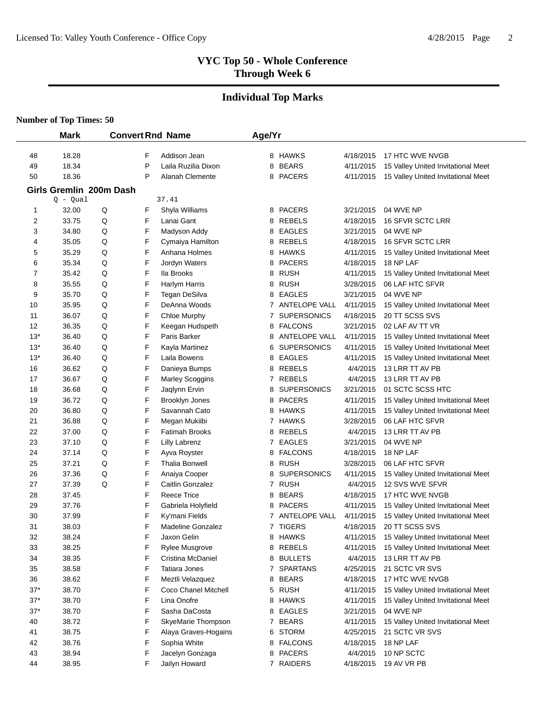#### **Individual Top Marks**

|          | <b>Mark</b>             |        |        | <b>Convert Rnd Name</b>               | Age/Yr |                                 |                        |                                    |
|----------|-------------------------|--------|--------|---------------------------------------|--------|---------------------------------|------------------------|------------------------------------|
| 48       | 18.28                   |        | F      | Addison Jean                          |        | 8 HAWKS                         | 4/18/2015              | 17 HTC WVE NVGB                    |
| 49       | 18.34                   |        | P      | Laila Ruzilia Dixon                   | 8      | <b>BEARS</b>                    | 4/11/2015              | 15 Valley United Invitational Meet |
| 50       | 18.36                   |        | P      | <b>Alanah Clemente</b>                | 8      | <b>PACERS</b>                   | 4/11/2015              | 15 Valley United Invitational Meet |
|          | Girls Gremlin 200m Dash |        |        |                                       |        |                                 |                        |                                    |
|          | $Q - Qual$              |        |        | 37.41                                 |        |                                 |                        |                                    |
| 1        | 32.00                   | Q      | F      | Shyla Williams                        | 8      | <b>PACERS</b>                   | 3/21/2015              | 04 WVE NP                          |
| 2        | 33.75                   | Q      | F      | Lanai Gant                            | 8      | <b>REBELS</b>                   | 4/18/2015              | <b>16 SFVR SCTC LRR</b>            |
| 3        | 34.80                   | Q      | F      | Madyson Addy                          | 8      | <b>EAGLES</b>                   | 3/21/2015              | 04 WVE NP                          |
| 4        | 35.05                   | Q      | F      | Cymaiya Hamilton                      | 8      | <b>REBELS</b>                   | 4/18/2015              | 16 SFVR SCTC LRR                   |
| 5        | 35.29                   | Q      | F      | Anhana Holmes                         | 8      | <b>HAWKS</b>                    | 4/11/2015              | 15 Valley United Invitational Meet |
| 6        | 35.34                   | Q      | F      | Jordyn Waters                         | 8      | <b>PACERS</b>                   | 4/18/2015              | 18 NP LAF                          |
| 7        | 35.42                   | Q      | F      | Ila Brooks                            | 8      | <b>RUSH</b>                     | 4/11/2015              | 15 Valley United Invitational Meet |
| 8        | 35.55                   | Q      | F      | Harlym Harris                         | 8      | <b>RUSH</b>                     | 3/28/2015              | 06 LAF HTC SFVR                    |
| 9        | 35.70                   | Q      | F      | Tegan DeSilva                         | 8      | <b>EAGLES</b>                   | 3/21/2015              | 04 WVE NP                          |
| 10       | 35.95                   | Q      | F      | DeAnna Woods                          | 7      | ANTELOPE VALL                   | 4/11/2015              | 15 Valley United Invitational Meet |
| 11       | 36.07                   | Q      | F      | Chloe Murphy                          | 7      | <b>SUPERSONICS</b>              | 4/18/2015              | 20 TT SCSS SVS                     |
| 12       | 36.35                   | Q      | F      | Keegan Hudspeth                       | 8      | <b>FALCONS</b>                  | 3/21/2015              | 02 LAF AV TT VR                    |
| $13*$    | 36.40                   | Q      | F      | Paris Barker                          | 8      | <b>ANTELOPE VALL</b>            | 4/11/2015              | 15 Valley United Invitational Meet |
| $13*$    | 36.40                   | Q      | F      | Kayla Martinez                        | 6      | <b>SUPERSONICS</b>              | 4/11/2015              | 15 Valley United Invitational Meet |
| $13*$    | 36.40                   | Q      | F      | Laila Bowens                          | 8      | <b>EAGLES</b>                   | 4/11/2015              | 15 Valley United Invitational Meet |
| 16       | 36.62                   | Q      | F      | Danieya Bumps                         | 8      | <b>REBELS</b>                   | 4/4/2015               | 13 LRR TT AV PB                    |
| 17       | 36.67                   | Q      | F      | <b>Marley Scoggins</b>                | 7      | <b>REBELS</b>                   | 4/4/2015               | 13 LRR TT AV PB                    |
| 18       | 36.68                   | Q      | F      | Jaqlynn Ervin                         | 8      | <b>SUPERSONICS</b>              | 3/21/2015              | 01 SCTC SCSS HTC                   |
| 19       | 36.72                   | Q      | F      | <b>Brooklyn Jones</b>                 | 8      | <b>PACERS</b>                   | 4/11/2015              | 15 Valley United Invitational Meet |
| 20       | 36.80                   | Q      | F      | Savannah Cato                         | 8      | <b>HAWKS</b>                    | 4/11/2015              | 15 Valley United Invitational Meet |
| 21       | 36.88                   | Q      | F      | Megan Mukiibi                         | 7      | <b>HAWKS</b>                    | 3/28/2015              | 06 LAF HTC SFVR                    |
| 22       | 37.00                   | Q      | F      | <b>Fatimah Brooks</b>                 | 8      | <b>REBELS</b>                   | 4/4/2015               | 13 LRR TT AV PB                    |
| 23<br>24 | 37.10<br>37.14          | Q<br>Q | F<br>F | <b>Lilly Labrenz</b>                  | 7      | <b>EAGLES</b><br><b>FALCONS</b> | 3/21/2015              | 04 WVE NP                          |
| 25       | 37.21                   | Q      | F      | Ayva Royster<br><b>Thalia Bonwell</b> | 8      | <b>RUSH</b>                     | 4/18/2015<br>3/28/2015 | 18 NP LAF<br>06 LAF HTC SFVR       |
| 26       | 37.36                   | Q      | F      | Anaiya Cooper                         | 8<br>8 | <b>SUPERSONICS</b>              | 4/11/2015              | 15 Valley United Invitational Meet |
| 27       | 37.39                   | Q      | F      | Caitlin Gonzalez                      | 7      | <b>RUSH</b>                     | 4/4/2015               | 12 SVS WVE SFVR                    |
| 28       | 37.45                   |        | F      | <b>Reece Trice</b>                    | 8      | <b>BEARS</b>                    | 4/18/2015              | 17 HTC WVE NVGB                    |
| 29       | 37.76                   |        | F      | Gabriela Holyfield                    | 8      | <b>PACERS</b>                   | 4/11/2015              | 15 Valley United Invitational Meet |
| 30       | 37.99                   |        | F      | Ky'mani Fields                        | 7      | <b>ANTELOPE VALL</b>            | 4/11/2015              | 15 Valley United Invitational Meet |
| 31       | 38.03                   |        | F      | <b>Madeline Gonzalez</b>              |        | 7 TIGERS                        | 4/18/2015              | 20 TT SCSS SVS                     |
| 32       | 38.24                   |        | F      | Jaxon Gelin                           |        | 8 HAWKS                         | 4/11/2015              | 15 Valley United Invitational Meet |
| 33       | 38.25                   |        | F      | Rylee Musgrove                        | 8      | <b>REBELS</b>                   | 4/11/2015              | 15 Valley United Invitational Meet |
| 34       | 38.35                   |        | F      | Cristina McDaniel                     | 8      | <b>BULLETS</b>                  | 4/4/2015               | 13 LRR TT AV PB                    |
| 35       | 38.58                   |        | F      | Tatiara Jones                         | 7      | <b>SPARTANS</b>                 | 4/25/2015              | 21 SCTC VR SVS                     |
| 36       | 38.62                   |        | F      | Meztli Velazquez                      | 8      | <b>BEARS</b>                    | 4/18/2015              | 17 HTC WVE NVGB                    |
| $37*$    | 38.70                   |        | F      | Coco Chanel Mitchell                  | 5      | <b>RUSH</b>                     | 4/11/2015              | 15 Valley United Invitational Meet |
| $37*$    | 38.70                   |        | F      | Lina Onofre                           | 8      | <b>HAWKS</b>                    | 4/11/2015              | 15 Valley United Invitational Meet |
| $37*$    | 38.70                   |        | F      | Sasha DaCosta                         | 8      | <b>EAGLES</b>                   | 3/21/2015              | 04 WVE NP                          |
| 40       | 38.72                   |        | F      | SkyeMarie Thompson                    |        | 7 BEARS                         | 4/11/2015              | 15 Valley United Invitational Meet |
| 41       | 38.75                   |        | F      | Alaya Graves-Hogains                  | 6      | <b>STORM</b>                    | 4/25/2015              | 21 SCTC VR SVS                     |
| 42       | 38.76                   |        | F      | Sophia White                          | 8      | <b>FALCONS</b>                  | 4/18/2015              | 18 NP LAF                          |
| 43       | 38.94                   |        | F      | Jacelyn Gonzaga                       | 8      | PACERS                          | 4/4/2015               | 10 NP SCTC                         |
| 44       | 38.95                   |        | F      | Jailyn Howard                         |        | 7 RAIDERS                       | 4/18/2015              | 19 AV VR PB                        |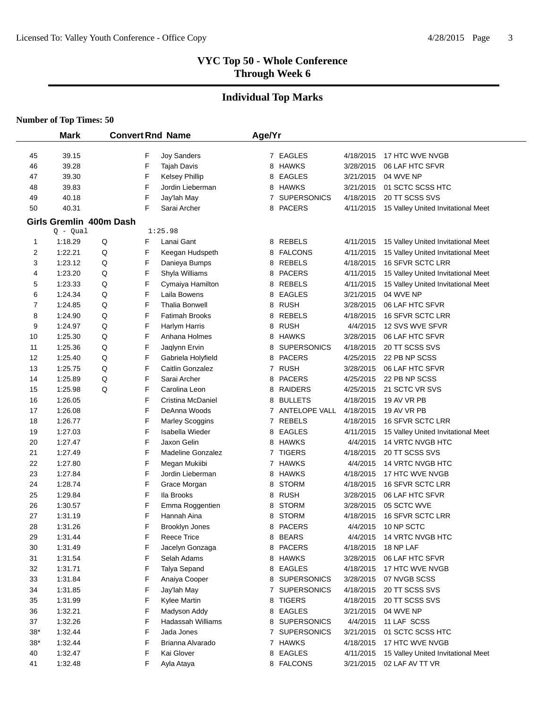#### **Individual Top Marks**

|          | <b>Mark</b>             |              |   | <b>Convert Rnd Name</b>                   | Age/Yr |   |                           |                        |                                                                          |
|----------|-------------------------|--------------|---|-------------------------------------------|--------|---|---------------------------|------------------------|--------------------------------------------------------------------------|
|          |                         |              | F |                                           |        |   | 7 EAGLES                  |                        |                                                                          |
| 45<br>46 | 39.15<br>39.28          |              | F | <b>Joy Sanders</b><br><b>Tajah Davis</b>  |        |   | 8 HAWKS                   | 4/18/2015<br>3/28/2015 | 17 HTC WVE NVGB<br>06 LAF HTC SFVR                                       |
|          |                         |              | F |                                           |        |   |                           |                        |                                                                          |
| 47       | 39.30<br>39.83          |              | F | <b>Kelsey Phillip</b><br>Jordin Lieberman |        |   | 8 EAGLES<br>8 HAWKS       | 3/21/2015<br>3/21/2015 | 04 WVE NP<br>01 SCTC SCSS HTC                                            |
| 48       |                         |              | F |                                           |        |   |                           |                        | 20 TT SCSS SVS                                                           |
| 49       | 40.18<br>40.31          |              | F | Jay'lah May<br>Sarai Archer               |        |   | 7 SUPERSONICS<br>8 PACERS | 4/18/2015              |                                                                          |
| 50       |                         |              |   |                                           |        |   |                           | 4/11/2015              | 15 Valley United Invitational Meet                                       |
|          | Girls Gremlin 400m Dash |              |   |                                           |        |   |                           |                        |                                                                          |
|          | Q - Qual                |              | F | 1:25.98                                   |        |   | 8 REBELS                  |                        |                                                                          |
| 1<br>2   | 1:18.29<br>1:22.21      | $\sf Q$<br>Q | F | Lanai Gant                                |        |   | 8 FALCONS                 | 4/11/2015<br>4/11/2015 | 15 Valley United Invitational Meet                                       |
| 3        | 1:23.12                 | Q            | F | Keegan Hudspeth<br>Danieya Bumps          |        |   | 8 REBELS                  | 4/18/2015              | 15 Valley United Invitational Meet<br>16 SFVR SCTC LRR                   |
| 4        | 1:23.20                 | Q            | F | Shyla Williams                            |        |   | 8 PACERS                  | 4/11/2015              |                                                                          |
| 5        | 1:23.33                 | Q            | F | Cymaiya Hamilton                          |        |   | 8 REBELS                  | 4/11/2015              | 15 Valley United Invitational Meet<br>15 Valley United Invitational Meet |
| 6        | 1:24.34                 | Q            | F | Laila Bowens                              |        | 8 | EAGLES                    | 3/21/2015              | 04 WVE NP                                                                |
| 7        | 1:24.85                 | Q            | F | <b>Thalia Bonwell</b>                     |        |   | 8 RUSH                    | 3/28/2015              | 06 LAF HTC SFVR                                                          |
| 8        | 1:24.90                 | Q            | F | <b>Fatimah Brooks</b>                     |        | 8 | <b>REBELS</b>             | 4/18/2015              | 16 SFVR SCTC LRR                                                         |
| 9        | 1:24.97                 | Q            | F | Harlym Harris                             |        | 8 | <b>RUSH</b>               | 4/4/2015               | 12 SVS WVE SFVR                                                          |
| 10       | 1:25.30                 | Q            | F | Anhana Holmes                             |        |   | 8 HAWKS                   | 3/28/2015              | 06 LAF HTC SFVR                                                          |
| 11       | 1:25.36                 | Q            | F | Jaqlynn Ervin                             |        | 8 | <b>SUPERSONICS</b>        | 4/18/2015              | 20 TT SCSS SVS                                                           |
| 12       | 1:25.40                 | Q            | F | Gabriela Holyfield                        |        |   | 8 PACERS                  | 4/25/2015              | 22 PB NP SCSS                                                            |
| 13       | 1:25.75                 | Q            | F | Caitlin Gonzalez                          |        |   | 7 RUSH                    | 3/28/2015              | 06 LAF HTC SFVR                                                          |
| 14       | 1:25.89                 | Q            | F | Sarai Archer                              |        | 8 | PACERS                    | 4/25/2015              | 22 PB NP SCSS                                                            |
| 15       | 1:25.98                 | Q            | F | Carolina Leon                             |        |   | 8 RAIDERS                 | 4/25/2015              | 21 SCTC VR SVS                                                           |
| 16       | 1:26.05                 |              | F | Cristina McDaniel                         |        |   | 8 BULLETS                 | 4/18/2015              | 19 AV VR PB                                                              |
| 17       | 1:26.08                 |              | F | DeAnna Woods                              |        |   | 7 ANTELOPE VALL           | 4/18/2015              | 19 AV VR PB                                                              |
| 18       | 1:26.77                 |              | F | <b>Marley Scoggins</b>                    |        |   | 7 REBELS                  | 4/18/2015              | 16 SFVR SCTC LRR                                                         |
| 19       | 1:27.03                 |              | F | Isabella Wieder                           |        |   | 8 EAGLES                  | 4/11/2015              | 15 Valley United Invitational Meet                                       |
| 20       | 1:27.47                 |              | F | Jaxon Gelin                               |        |   | 8 HAWKS                   | 4/4/2015               | 14 VRTC NVGB HTC                                                         |
| 21       | 1:27.49                 |              | F | <b>Madeline Gonzalez</b>                  |        |   | 7 TIGERS                  | 4/18/2015              | 20 TT SCSS SVS                                                           |
| 22       | 1:27.80                 |              | F | Megan Mukiibi                             |        |   | 7 HAWKS                   | 4/4/2015               | 14 VRTC NVGB HTC                                                         |
| 23       | 1:27.84                 |              | F | Jordin Lieberman                          |        |   | 8 HAWKS                   | 4/18/2015              | 17 HTC WVE NVGB                                                          |
| 24       | 1:28.74                 |              | F | Grace Morgan                              |        |   | 8 STORM                   | 4/18/2015              | 16 SFVR SCTC LRR                                                         |
| 25       | 1:29.84                 |              | F | lla Brooks                                |        | 8 | <b>RUSH</b>               | 3/28/2015              | 06 LAF HTC SFVR                                                          |
| 26       | 1:30.57                 |              | F | Emma Roggentien                           |        | 8 | <b>STORM</b>              | 3/28/2015              | 05 SCTC WVE                                                              |
| 27       | 1:31.19                 |              | F | Hannah Aina                               |        | 8 | <b>STORM</b>              | 4/18/2015              | 16 SFVR SCTC LRR                                                         |
| 28       | 1:31.26                 |              | F | Brooklyn Jones                            |        |   | 8 PACERS                  | 4/4/2015               | 10 NP SCTC                                                               |
| 29       | 1:31.44                 |              | F | Reece Trice                               |        |   | 8 BEARS                   | 4/4/2015               | 14 VRTC NVGB HTC                                                         |
| 30       | 1:31.49                 |              | F | Jacelyn Gonzaga                           |        |   | 8 PACERS                  | 4/18/2015              | 18 NP LAF                                                                |
| 31       | 1:31.54                 |              | F | Selah Adams                               |        |   | 8 HAWKS                   | 3/28/2015              | 06 LAF HTC SFVR                                                          |
| 32       | 1:31.71                 |              | F | Talya Sepand                              |        |   | 8 EAGLES                  | 4/18/2015              | 17 HTC WVE NVGB                                                          |
| 33       | 1:31.84                 |              | F | Anaiya Cooper                             |        |   | 8 SUPERSONICS             | 3/28/2015              | 07 NVGB SCSS                                                             |
| 34       | 1:31.85                 |              | F | Jay'lah May                               |        |   | 7 SUPERSONICS             | 4/18/2015              | 20 TT SCSS SVS                                                           |
| 35       | 1:31.99                 |              | F | Kylee Martin                              |        |   | 8 TIGERS                  | 4/18/2015              | 20 TT SCSS SVS                                                           |
| 36       | 1:32.21                 |              | F | Madyson Addy                              |        |   | 8 EAGLES                  | 3/21/2015              | 04 WVE NP                                                                |
| 37       | 1:32.26                 |              | F | <b>Hadassah Williams</b>                  |        |   | 8 SUPERSONICS             | 4/4/2015               | 11 LAF SCSS                                                              |
| $38*$    | 1:32.44                 |              | F | Jada Jones                                |        |   | 7 SUPERSONICS             | 3/21/2015              | 01 SCTC SCSS HTC                                                         |
| $38*$    | 1:32.44                 |              | F | Brianna Alvarado                          |        |   | 7 HAWKS                   | 4/18/2015              | 17 HTC WVE NVGB                                                          |
| 40       | 1:32.47                 |              | F | Kai Glover                                |        |   | 8 EAGLES                  | 4/11/2015              | 15 Valley United Invitational Meet                                       |
| 41       | 1:32.48                 |              | F | Ayla Ataya                                |        |   | 8 FALCONS                 | 3/21/2015              | 02 LAF AV TT VR                                                          |
|          |                         |              |   |                                           |        |   |                           |                        |                                                                          |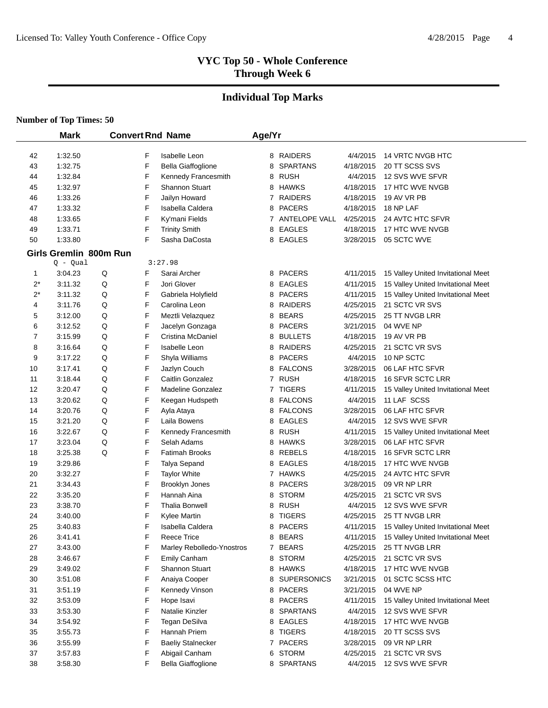# **Individual Top Marks**

|                      | <b>Mark</b>                          |        |        | <b>Convert Rnd Name</b>              | Age/Yr |                                 |                       |                                    |
|----------------------|--------------------------------------|--------|--------|--------------------------------------|--------|---------------------------------|-----------------------|------------------------------------|
|                      |                                      |        |        |                                      |        |                                 |                       |                                    |
| 42                   | 1:32.50                              |        | F      | <b>Isabelle Leon</b>                 |        | 8 RAIDERS                       | 4/4/2015              | 14 VRTC NVGB HTC                   |
| 43                   | 1:32.75                              |        | F      | Bella Giaffoglione                   | 8      | <b>SPARTANS</b>                 | 4/18/2015             | 20 TT SCSS SVS                     |
| 44                   | 1:32.84                              |        | F      | Kennedy Francesmith                  | 8      | RUSH                            | 4/4/2015              | 12 SVS WVE SFVR                    |
| 45                   | 1:32.97                              |        | F      | <b>Shannon Stuart</b>                | 8      | <b>HAWKS</b>                    | 4/18/2015             | 17 HTC WVE NVGB                    |
| 46                   | 1:33.26                              |        | F      | Jailyn Howard                        |        | 7 RAIDERS                       | 4/18/2015             | 19 AV VR PB                        |
| 47                   | 1:33.32                              |        | F      | Isabella Caldera                     | 8      | <b>PACERS</b>                   | 4/18/2015             | 18 NP LAF                          |
| 48                   | 1:33.65                              |        | F      | Ky'mani Fields                       |        | 7 ANTELOPE VALL                 | 4/25/2015             | 24 AVTC HTC SFVR                   |
| 49                   | 1:33.71                              |        | F<br>F | <b>Trinity Smith</b>                 | 8      | <b>EAGLES</b>                   | 4/18/2015             | 17 HTC WVE NVGB                    |
| 50                   | 1:33.80                              |        |        | Sasha DaCosta                        | 8      | <b>EAGLES</b>                   | 3/28/2015             | 05 SCTC WVE                        |
|                      | Girls Gremlin 800m Run<br>$Q - Qual$ |        |        | 3:27.98                              |        |                                 |                       |                                    |
|                      |                                      |        |        |                                      |        |                                 |                       |                                    |
| $\mathbf 1$<br>$2^*$ | 3:04.23                              | Q      | F      | Sarai Archer                         |        | 8 PACERS                        | 4/11/2015             | 15 Valley United Invitational Meet |
|                      | 3:11.32                              | Q      | F      | Jori Glover                          | 8      | EAGLES                          | 4/11/2015             | 15 Valley United Invitational Meet |
| $2^*$                | 3:11.32                              | Q      | F      | Gabriela Holyfield                   | 8      | <b>PACERS</b>                   | 4/11/2015             | 15 Valley United Invitational Meet |
| 4                    | 3:11.76                              | Q      | F      | Carolina Leon                        | 8      | <b>RAIDERS</b>                  | 4/25/2015             | 21 SCTC VR SVS                     |
| 5                    | 3:12.00                              | Q      | F      | Meztli Velazquez                     | 8      | <b>BEARS</b>                    | 4/25/2015             | 25 TT NVGB LRR                     |
| 6                    | 3:12.52                              | Q<br>Q | F<br>F | Jacelyn Gonzaga<br>Cristina McDaniel | 8      | <b>PACERS</b>                   | 3/21/2015             | 04 WVE NP                          |
| 7                    | 3:15.99                              |        | F      |                                      | 8      | <b>BULLETS</b>                  | 4/18/2015             | 19 AV VR PB                        |
| 8<br>9               | 3:16.64<br>3:17.22                   | Q<br>Q | F      | <b>Isabelle Leon</b>                 | 8<br>8 | <b>RAIDERS</b><br><b>PACERS</b> | 4/25/2015<br>4/4/2015 | 21 SCTC VR SVS<br>10 NP SCTC       |
| 10                   | 3:17.41                              | Q      | F      | Shyla Williams<br>Jazlyn Couch       |        | <b>FALCONS</b>                  | 3/28/2015             | 06 LAF HTC SFVR                    |
| 11                   | 3:18.44                              | Q      | F      | Caitlin Gonzalez                     | 8<br>7 | <b>RUSH</b>                     | 4/18/2015             | 16 SFVR SCTC LRR                   |
| 12                   | 3:20.47                              | Q      | F      | <b>Madeline Gonzalez</b>             | 7      | <b>TIGERS</b>                   |                       | 15 Valley United Invitational Meet |
| 13                   | 3:20.62                              | Q      | F      | Keegan Hudspeth                      | 8      | <b>FALCONS</b>                  | 4/11/2015<br>4/4/2015 | 11 LAF SCSS                        |
| 14                   | 3:20.76                              | Q      | F      | Ayla Ataya                           | 8      | <b>FALCONS</b>                  | 3/28/2015             | 06 LAF HTC SFVR                    |
| 15                   | 3:21.20                              | Q      | F      | Laila Bowens                         | 8      | <b>EAGLES</b>                   | 4/4/2015              | 12 SVS WVE SFVR                    |
| 16                   | 3:22.67                              | Q      | F      | Kennedy Francesmith                  | 8      | <b>RUSH</b>                     | 4/11/2015             | 15 Valley United Invitational Meet |
| 17                   | 3:23.04                              | Q      | F      | Selah Adams                          | 8      | <b>HAWKS</b>                    | 3/28/2015             | 06 LAF HTC SFVR                    |
| 18                   | 3:25.38                              | Q      | F      | <b>Fatimah Brooks</b>                | 8      | <b>REBELS</b>                   | 4/18/2015             | 16 SFVR SCTC LRR                   |
| 19                   | 3:29.86                              |        | F      | Talya Sepand                         | 8      | <b>EAGLES</b>                   | 4/18/2015             | 17 HTC WVE NVGB                    |
| 20                   | 3:32.27                              |        | F      | <b>Taylor White</b>                  |        | 7 HAWKS                         | 4/25/2015             | 24 AVTC HTC SFVR                   |
| 21                   | 3:34.43                              |        | F      | <b>Brooklyn Jones</b>                | 8      | <b>PACERS</b>                   | 3/28/2015             | 09 VR NP LRR                       |
| 22                   | 3:35.20                              |        | F      | Hannah Aina                          | 8      | <b>STORM</b>                    | 4/25/2015             | 21 SCTC VR SVS                     |
| 23                   | 3:38.70                              |        | F      | <b>Thalia Bonwell</b>                | 8      | <b>RUSH</b>                     | 4/4/2015              | 12 SVS WVE SFVR                    |
| 24                   | 3:40.00                              |        | F      | Kylee Martin                         | 8      | <b>TIGERS</b>                   | 4/25/2015             | 25 TT NVGB LRR                     |
| 25                   | 3:40.83                              |        | F      | Isabella Caldera                     | 8      | <b>PACERS</b>                   | 4/11/2015             | 15 Valley United Invitational Meet |
| 26                   | 3:41.41                              |        | F      | <b>Reece Trice</b>                   |        | 8 BEARS                         | 4/11/2015             | 15 Valley United Invitational Meet |
| 27                   | 3:43.00                              |        | F      | Marley Rebolledo-Ynostros            |        | 7 BEARS                         | 4/25/2015             | 25 TT NVGB LRR                     |
| 28                   | 3:46.67                              |        | F      | Emily Canham                         | 8      | <b>STORM</b>                    | 4/25/2015             | 21 SCTC VR SVS                     |
| 29                   | 3:49.02                              |        | F      | Shannon Stuart                       |        | 8 HAWKS                         | 4/18/2015             | 17 HTC WVE NVGB                    |
| 30                   | 3:51.08                              |        | F      | Anaiya Cooper                        |        | 8 SUPERSONICS                   | 3/21/2015             | 01 SCTC SCSS HTC                   |
| 31                   | 3:51.19                              |        | F      | Kennedy Vinson                       |        | 8 PACERS                        | 3/21/2015             | 04 WVE NP                          |
| 32                   | 3:53.09                              |        | F      | Hope Isavi                           |        | 8 PACERS                        | 4/11/2015             | 15 Valley United Invitational Meet |
| 33                   | 3:53.30                              |        | F      | Natalie Kinzler                      | 8      | <b>SPARTANS</b>                 | 4/4/2015              | 12 SVS WVE SFVR                    |
| 34                   | 3:54.92                              |        | F      | Tegan DeSilva                        |        | 8 EAGLES                        | 4/18/2015             | 17 HTC WVE NVGB                    |
| 35                   | 3:55.73                              |        | F      | Hannah Priem                         | 8      | <b>TIGERS</b>                   | 4/18/2015             | 20 TT SCSS SVS                     |
| 36                   | 3:55.99                              |        | F      | <b>Baeliy Stalnecker</b>             |        | 7 PACERS                        | 3/28/2015             | 09 VR NP LRR                       |
| 37                   | 3:57.83                              |        | F      | Abigail Canham                       | 6      | <b>STORM</b>                    | 4/25/2015             | 21 SCTC VR SVS                     |
| 38                   | 3:58.30                              |        | F      | <b>Bella Giaffoglione</b>            | 8      | SPARTANS                        | 4/4/2015              | 12 SVS WVE SFVR                    |
|                      |                                      |        |        |                                      |        |                                 |                       |                                    |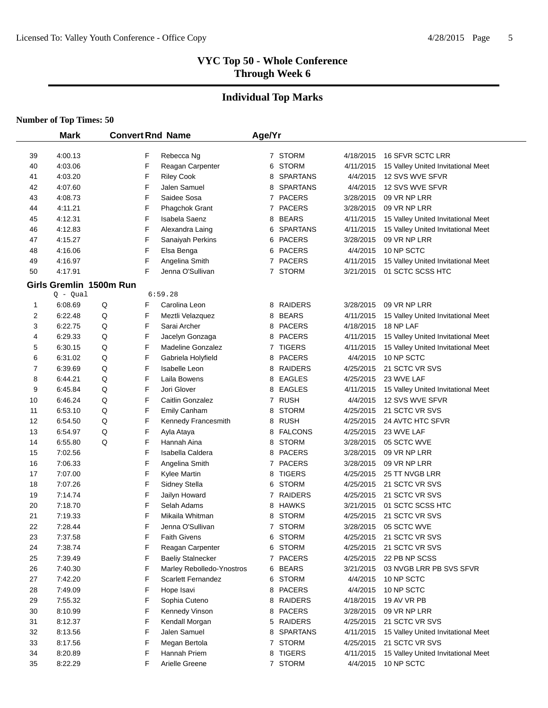# **Individual Top Marks**

|    | <b>Mark</b>             |   |   | <b>Convert Rnd Name</b>   | Age/Yr         |                 |           |                                    |  |
|----|-------------------------|---|---|---------------------------|----------------|-----------------|-----------|------------------------------------|--|
| 39 | 4:00.13                 |   | F | Rebecca Ng                |                | 7 STORM         | 4/18/2015 | 16 SFVR SCTC LRR                   |  |
| 40 | 4:03.06                 |   | F | Reagan Carpenter          | 6              | <b>STORM</b>    | 4/11/2015 | 15 Valley United Invitational Meet |  |
| 41 | 4:03.20                 |   | F | <b>Riley Cook</b>         | 8              | <b>SPARTANS</b> | 4/4/2015  | 12 SVS WVE SFVR                    |  |
| 42 | 4:07.60                 |   | F | Jalen Samuel              | 8              | <b>SPARTANS</b> | 4/4/2015  | 12 SVS WVE SFVR                    |  |
| 43 | 4:08.73                 |   | F | Saidee Sosa               |                | 7 PACERS        | 3/28/2015 | 09 VR NP LRR                       |  |
| 44 | 4:11.21                 |   | F | Phagchok Grant            |                | 7 PACERS        | 3/28/2015 | 09 VR NP LRR                       |  |
| 45 | 4:12.31                 |   | F | <b>Isabela Saenz</b>      | 8              | <b>BEARS</b>    | 4/11/2015 | 15 Valley United Invitational Meet |  |
| 46 | 4:12.83                 |   | F | Alexandra Laing           | 6              | <b>SPARTANS</b> | 4/11/2015 | 15 Valley United Invitational Meet |  |
| 47 | 4:15.27                 |   | F | Sanaiyah Perkins          | 6              | <b>PACERS</b>   | 3/28/2015 | 09 VR NP LRR                       |  |
| 48 | 4:16.06                 |   | F | Elsa Benga                | 6              | <b>PACERS</b>   | 4/4/2015  | 10 NP SCTC                         |  |
| 49 | 4:16.97                 |   | F | Angelina Smith            |                | 7 PACERS        | 4/11/2015 | 15 Valley United Invitational Meet |  |
| 50 | 4:17.91                 |   | F | Jenna O'Sullivan          | 7              | <b>STORM</b>    | 3/21/2015 | 01 SCTC SCSS HTC                   |  |
|    | Girls Gremlin 1500m Run |   |   |                           |                |                 |           |                                    |  |
|    | $Q - Qual$              |   |   | 6:59.28                   |                |                 |           |                                    |  |
| 1  | 6:08.69                 | Q | F | Carolina Leon             |                | 8 RAIDERS       | 3/28/2015 | 09 VR NP LRR                       |  |
| 2  | 6:22.48                 | Q | F | Meztli Velazquez          | 8              | <b>BEARS</b>    | 4/11/2015 | 15 Valley United Invitational Meet |  |
| 3  | 6:22.75                 | Q | F | Sarai Archer              | 8              | <b>PACERS</b>   | 4/18/2015 | 18 NP LAF                          |  |
| 4  | 6:29.33                 | Q | F | Jacelyn Gonzaga           | 8              | <b>PACERS</b>   | 4/11/2015 | 15 Valley United Invitational Meet |  |
| 5  | 6:30.15                 | Q | F | <b>Madeline Gonzalez</b>  |                | 7 TIGERS        | 4/11/2015 | 15 Valley United Invitational Meet |  |
| 6  | 6:31.02                 | Q | F | Gabriela Holyfield        | 8              | <b>PACERS</b>   | 4/4/2015  | 10 NP SCTC                         |  |
| 7  | 6:39.69                 | Q | F | <b>Isabelle Leon</b>      | 8              | <b>RAIDERS</b>  | 4/25/2015 | 21 SCTC VR SVS                     |  |
| 8  | 6:44.21                 | Q | F | Laila Bowens              | 8              | <b>EAGLES</b>   | 4/25/2015 | 23 WVE LAF                         |  |
| 9  | 6:45.84                 | Q | F | Jori Glover               | 8              | EAGLES          | 4/11/2015 | 15 Valley United Invitational Meet |  |
| 10 | 6:46.24                 | Q | F | Caitlin Gonzalez          | 7              | <b>RUSH</b>     | 4/4/2015  | 12 SVS WVE SFVR                    |  |
| 11 | 6:53.10                 | Q | F | <b>Emily Canham</b>       | 8              | <b>STORM</b>    | 4/25/2015 | 21 SCTC VR SVS                     |  |
| 12 | 6:54.50                 | Q | F | Kennedy Francesmith       | 8              | <b>RUSH</b>     | 4/25/2015 | 24 AVTC HTC SFVR                   |  |
| 13 | 6:54.97                 | Q | F | Ayla Ataya                | 8              | <b>FALCONS</b>  | 4/25/2015 | 23 WVE LAF                         |  |
| 14 | 6:55.80                 | Q | F | Hannah Aina               | 8              | <b>STORM</b>    | 3/28/2015 | 05 SCTC WVE                        |  |
| 15 | 7:02.56                 |   | F | Isabella Caldera          | 8              | <b>PACERS</b>   | 3/28/2015 | 09 VR NP LRR                       |  |
| 16 | 7:06.33                 |   | F | Angelina Smith            | 7              | <b>PACERS</b>   | 3/28/2015 | 09 VR NP LRR                       |  |
| 17 | 7:07.00                 |   | F | Kylee Martin              | 8              | <b>TIGERS</b>   | 4/25/2015 | 25 TT NVGB LRR                     |  |
| 18 | 7:07.26                 |   | F | Sidney Stella             | 6              | <b>STORM</b>    | 4/25/2015 | 21 SCTC VR SVS                     |  |
| 19 | 7:14.74                 |   | F | Jailyn Howard             | $\overline{7}$ | <b>RAIDERS</b>  | 4/25/2015 | 21 SCTC VR SVS                     |  |
| 20 | 7:18.70                 |   | F | Selah Adams               | 8              | HAWKS           | 3/21/2015 | 01 SCTC SCSS HTC                   |  |
| 21 | 7:19.33                 |   | F | Mikaila Whitman           | 8              | <b>STORM</b>    | 4/25/2015 | 21 SCTC VR SVS                     |  |
| 22 | 7:28.44                 |   | F | Jenna O'Sullivan          |                | 7 STORM         | 3/28/2015 | 05 SCTC WVE                        |  |
| 23 | 7:37.58                 |   | F | <b>Faith Givens</b>       |                | 6 STORM         | 4/25/2015 | 21 SCTC VR SVS                     |  |
| 24 | 7:38.74                 |   | F | Reagan Carpenter          |                | 6 STORM         | 4/25/2015 | 21 SCTC VR SVS                     |  |
| 25 | 7:39.49                 |   | F | <b>Baeliy Stalnecker</b>  |                | 7 PACERS        | 4/25/2015 | 22 PB NP SCSS                      |  |
| 26 | 7:40.30                 |   | F | Marley Rebolledo-Ynostros |                | 6 BEARS         | 3/21/2015 | 03 NVGB LRR PB SVS SFVR            |  |
| 27 | 7:42.20                 |   | F | <b>Scarlett Fernandez</b> |                | 6 STORM         | 4/4/2015  | 10 NP SCTC                         |  |
| 28 | 7:49.09                 |   | F | Hope Isavi                |                | 8 PACERS        | 4/4/2015  | 10 NP SCTC                         |  |
| 29 | 7:55.32                 |   | F | Sophia Cuteno             |                | 8 RAIDERS       | 4/18/2015 | 19 AV VR PB                        |  |
| 30 | 8:10.99                 |   | F | Kennedy Vinson            |                | 8 PACERS        | 3/28/2015 | 09 VR NP LRR                       |  |
| 31 | 8:12.37                 |   | F | Kendall Morgan            |                | 5 RAIDERS       | 4/25/2015 | 21 SCTC VR SVS                     |  |
| 32 | 8:13.56                 |   | F | Jalen Samuel              |                | 8 SPARTANS      | 4/11/2015 | 15 Valley United Invitational Meet |  |
| 33 | 8:17.56                 |   | F | Megan Bertola             |                | 7 STORM         | 4/25/2015 | 21 SCTC VR SVS                     |  |
| 34 | 8:20.89                 |   | F | Hannah Priem              | 8              | <b>TIGERS</b>   | 4/11/2015 | 15 Valley United Invitational Meet |  |
| 35 | 8:22.29                 |   | F | Arielle Greene            |                | 7 STORM         | 4/4/2015  | 10 NP SCTC                         |  |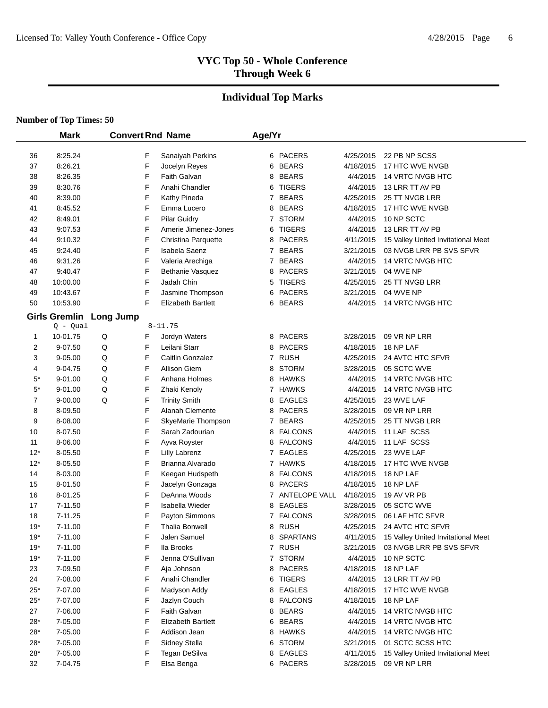# **Individual Top Marks**

|           | <b>Mark</b>          |                  |   | <b>Convert Rnd Name</b>   | Age/Yr |                 |           |                                    |
|-----------|----------------------|------------------|---|---------------------------|--------|-----------------|-----------|------------------------------------|
|           |                      |                  |   |                           |        |                 |           |                                    |
| 36        | 8:25.24              |                  | F | Sanaiyah Perkins          |        | 6 PACERS        | 4/25/2015 | 22 PB NP SCSS                      |
| 37        | 8:26.21              |                  | F | Jocelyn Reyes             |        | 6 BEARS         | 4/18/2015 | 17 HTC WVE NVGB                    |
| 38        | 8:26.35              |                  | F | <b>Faith Galvan</b>       |        | 8 BEARS         | 4/4/2015  | 14 VRTC NVGB HTC                   |
| 39        | 8:30.76              |                  | F | Anahi Chandler            |        | 6 TIGERS        | 4/4/2015  | 13 LRR TT AV PB                    |
| 40        | 8:39.00              |                  | F | Kathy Pineda              |        | 7 BEARS         | 4/25/2015 | 25 TT NVGB LRR                     |
| 41        | 8:45.52              |                  | F | Emma Lucero               |        | 8 BEARS         | 4/18/2015 | 17 HTC WVE NVGB                    |
| 42        | 8:49.01              |                  | F | <b>Pilar Guidry</b>       |        | 7 STORM         | 4/4/2015  | 10 NP SCTC                         |
| 43        | 9:07.53              |                  | F | Amerie Jimenez-Jones      |        | 6 TIGERS        | 4/4/2015  | 13 LRR TT AV PB                    |
| 44        | 9:10.32              |                  | F | Christina Parquette       |        | 8 PACERS        | 4/11/2015 | 15 Valley United Invitational Meet |
| 45        | 9:24.40              |                  | F | Isabela Saenz             |        | 7 BEARS         | 3/21/2015 | 03 NVGB LRR PB SVS SFVR            |
| 46        | 9:31.26              |                  | F | Valeria Arechiga          |        | 7 BEARS         | 4/4/2015  | 14 VRTC NVGB HTC                   |
| 47        | 9:40.47              |                  | F | Bethanie Vasquez          |        | 8 PACERS        | 3/21/2015 | 04 WVE NP                          |
| 48        | 10:00.00             |                  | F | Jadah Chin                |        | 5 TIGERS        | 4/25/2015 | 25 TT NVGB LRR                     |
| 49        | 10:43.67             |                  | F | Jasmine Thompson          |        | 6 PACERS        | 3/21/2015 | 04 WVE NP                          |
| 50        | 10:53.90             |                  | F | <b>Elizabeth Bartlett</b> |        | 6 BEARS         | 4/4/2015  | 14 VRTC NVGB HTC                   |
|           | <b>Girls Gremlin</b> | <b>Long Jump</b> |   |                           |        |                 |           |                                    |
|           | $Q - Qual$           |                  |   | $8 - 11.75$               |        |                 |           |                                    |
| 1         | 10-01.75             | $\sf Q$          | F | Jordyn Waters             |        | 8 PACERS        | 3/28/2015 | 09 VR NP LRR                       |
| 2         | 9-07.50              | Q                | F | Leilani Starr             |        | 8 PACERS        | 4/18/2015 | 18 NP LAF                          |
| 3         | 9-05.00              | Q                | F | Caitlin Gonzalez          |        | 7 RUSH          | 4/25/2015 | 24 AVTC HTC SFVR                   |
| 4         | 9-04.75              | Q                | F | <b>Allison Giem</b>       |        | 8 STORM         | 3/28/2015 | 05 SCTC WVE                        |
| $5^*$     | 9-01.00              | Q                | F | Anhana Holmes             |        | 8 HAWKS         | 4/4/2015  | 14 VRTC NVGB HTC                   |
| $5^\star$ | 9-01.00              | Q                | F | Zhaki Kenoly              |        | 7 HAWKS         | 4/4/2015  | 14 VRTC NVGB HTC                   |
| 7         | 9-00.00              | Q                | F | <b>Trinity Smith</b>      |        | 8 EAGLES        | 4/25/2015 | 23 WVE LAF                         |
| 8         | 8-09.50              |                  | F | Alanah Clemente           |        | 8 PACERS        | 3/28/2015 | 09 VR NP LRR                       |
| 9         | 8-08.00              |                  | F | SkyeMarie Thompson        |        | 7 BEARS         | 4/25/2015 | 25 TT NVGB LRR                     |
| 10        | 8-07.50              |                  | F | Sarah Zadourian           |        | 8 FALCONS       | 4/4/2015  | 11 LAF SCSS                        |
| 11        | 8-06.00              |                  | F | Ayva Royster              |        | 8 FALCONS       | 4/4/2015  | 11 LAF SCSS                        |
| $12*$     | 8-05.50              |                  | F | <b>Lilly Labrenz</b>      |        | 7 EAGLES        | 4/25/2015 | 23 WVE LAF                         |
| $12*$     | 8-05.50              |                  | F | Brianna Alvarado          |        | 7 HAWKS         | 4/18/2015 | 17 HTC WVE NVGB                    |
| 14        | 8-03.00              |                  | F | Keegan Hudspeth           |        | 8 FALCONS       | 4/18/2015 | 18 NP LAF                          |
| 15        | 8-01.50              |                  | F | Jacelyn Gonzaga           |        | 8 PACERS        | 4/18/2015 | 18 NP LAF                          |
| 16        | 8-01.25              |                  | F | DeAnna Woods              |        | 7 ANTELOPE VALL | 4/18/2015 | 19 AV VR PB                        |
| 17        | 7-11.50              |                  | F | Isabella Wieder           |        | 8 EAGLES        | 3/28/2015 | 05 SCTC WVE                        |
| 18        | 7-11.25              |                  | F | Payton Simmons            |        | 7 FALCONS       | 3/28/2015 | 06 LAF HTC SFVR                    |
| $19*$     | 7-11.00              |                  | F | <b>Thalia Bonwell</b>     |        | 8 RUSH          | 4/25/2015 | 24 AVTC HTC SFVR                   |
| $19*$     | 7-11.00              |                  | F | Jalen Samuel              |        | 8 SPARTANS      | 4/11/2015 | 15 Valley United Invitational Meet |
| $19*$     | 7-11.00              |                  | F | Ila Brooks                |        | 7 RUSH          | 3/21/2015 | 03 NVGB LRR PB SVS SFVR            |
| $19*$     | 7-11.00              |                  | F | Jenna O'Sullivan          |        | 7 STORM         | 4/4/2015  | 10 NP SCTC                         |
| 23        | 7-09.50              |                  | F | Aja Johnson               |        | 8 PACERS        | 4/18/2015 | 18 NP LAF                          |
| 24        | 7-08.00              |                  | F | Anahi Chandler            |        | 6 TIGERS        | 4/4/2015  | 13 LRR TT AV PB                    |
| $25*$     | 7-07.00              |                  | F | Madyson Addy              |        | 8 EAGLES        | 4/18/2015 | 17 HTC WVE NVGB                    |
| $25*$     | 7-07.00              |                  | F | Jazlyn Couch              |        | 8 FALCONS       | 4/18/2015 | 18 NP LAF                          |
| 27        | 7-06.00              |                  | F | Faith Galvan              |        | 8 BEARS         | 4/4/2015  | 14 VRTC NVGB HTC                   |
| $28*$     | 7-05.00              |                  | F | <b>Elizabeth Bartlett</b> |        | 6 BEARS         | 4/4/2015  | 14 VRTC NVGB HTC                   |
| $28*$     | 7-05.00              |                  | F | Addison Jean              |        | 8 HAWKS         | 4/4/2015  | 14 VRTC NVGB HTC                   |
| $28*$     | 7-05.00              |                  | F | Sidney Stella             |        | 6 STORM         | 3/21/2015 | 01 SCTC SCSS HTC                   |
| $28*$     | 7-05.00              |                  | F | Tegan DeSilva             |        | 8 EAGLES        | 4/11/2015 | 15 Valley United Invitational Meet |
| 32        | 7-04.75              |                  | F | Elsa Benga                |        | 6 PACERS        | 3/28/2015 | 09 VR NP LRR                       |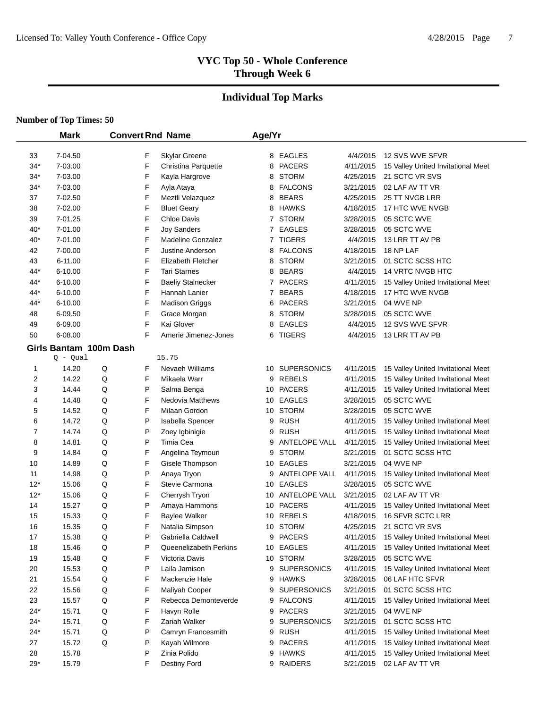# **Individual Top Marks**

#### **Number of Top Times: 50**

 $\overline{\phantom{0}}$ 

|       | <b>Mark</b>            |   |   | <b>Convert Rnd Name</b>  | Age/Yr         |                    |           |                                    |
|-------|------------------------|---|---|--------------------------|----------------|--------------------|-----------|------------------------------------|
|       |                        |   |   |                          |                |                    |           |                                    |
| 33    | 7-04.50                |   | F | Skylar Greene            |                | 8 EAGLES           | 4/4/2015  | 12 SVS WVE SFVR                    |
| $34*$ | 7-03.00                |   | F | Christina Parquette      | 8              | PACERS             | 4/11/2015 | 15 Valley United Invitational Meet |
| $34*$ | 7-03.00                |   | F | Kayla Hargrove           | 8              | <b>STORM</b>       | 4/25/2015 | 21 SCTC VR SVS                     |
| $34*$ | 7-03.00                |   | F | Ayla Ataya               | 8              | <b>FALCONS</b>     | 3/21/2015 | 02 LAF AV TT VR                    |
| 37    | 7-02.50                |   | F | Meztli Velazquez         | 8              | <b>BEARS</b>       | 4/25/2015 | 25 TT NVGB LRR                     |
| 38    | 7-02.00                |   | F | <b>Bluet Geary</b>       | 8              | <b>HAWKS</b>       | 4/18/2015 | 17 HTC WVE NVGB                    |
| 39    | 7-01.25                |   | F | Chloe Davis              |                | 7 STORM            | 3/28/2015 | 05 SCTC WVE                        |
| $40*$ | 7-01.00                |   | F | <b>Joy Sanders</b>       | $\overline{7}$ | EAGLES             | 3/28/2015 | 05 SCTC WVE                        |
| $40*$ | 7-01.00                |   | F | <b>Madeline Gonzalez</b> |                | 7 TIGERS           | 4/4/2015  | 13 LRR TT AV PB                    |
| 42    | 7-00.00                |   | F | Justine Anderson         | 8              | <b>FALCONS</b>     | 4/18/2015 | 18 NP LAF                          |
| 43    | 6-11.00                |   | F | Elizabeth Fletcher       | 8              | <b>STORM</b>       | 3/21/2015 | 01 SCTC SCSS HTC                   |
| 44*   | 6-10.00                |   | F | <b>Tari Starnes</b>      | 8              | <b>BEARS</b>       | 4/4/2015  | 14 VRTC NVGB HTC                   |
| 44*   | $6 - 10.00$            |   | F | <b>Baeliy Stalnecker</b> | 7              | <b>PACERS</b>      | 4/11/2015 | 15 Valley United Invitational Meet |
| 44*   | 6-10.00                |   | F | Hannah Lanier            | 7              | <b>BEARS</b>       | 4/18/2015 | 17 HTC WVE NVGB                    |
| 44*   | 6-10.00                |   | F | <b>Madison Griggs</b>    | 6              | <b>PACERS</b>      | 3/21/2015 | 04 WVE NP                          |
| 48    | 6-09.50                |   | F | Grace Morgan             | 8              | <b>STORM</b>       | 3/28/2015 | 05 SCTC WVE                        |
| 49    | 6-09.00                |   | F | Kai Glover               | 8              | EAGLES             | 4/4/2015  | 12 SVS WVE SFVR                    |
| 50    | 6-08.00                |   | F | Amerie Jimenez-Jones     | 6              | <b>TIGERS</b>      | 4/4/2015  | 13 LRR TT AV PB                    |
|       | Girls Bantam 100m Dash |   |   |                          |                |                    |           |                                    |
|       | Q - Qual               |   |   | 15.75                    |                |                    |           |                                    |
| 1     | 14.20                  | Q | F | Nevaeh Williams          |                | 10 SUPERSONICS     | 4/11/2015 | 15 Valley United Invitational Meet |
| 2     | 14.22                  | Q | F | Mikaela Warr             | 9              | <b>REBELS</b>      | 4/11/2015 | 15 Valley United Invitational Meet |
| 3     | 14.44                  | Q | Ρ | Salma Benga              |                | 10 PACERS          | 4/11/2015 | 15 Valley United Invitational Meet |
| 4     | 14.48                  | Q | F | <b>Nedovia Matthews</b>  |                | 10 EAGLES          | 3/28/2015 | 05 SCTC WVE                        |
| 5     | 14.52                  | Q | F | Milaan Gordon            |                | 10 STORM           | 3/28/2015 | 05 SCTC WVE                        |
| 6     | 14.72                  | Q | P | Isabella Spencer         | 9              | <b>RUSH</b>        | 4/11/2015 | 15 Valley United Invitational Meet |
| 7     | 14.74                  | Q | P | Zoey Igbinigie           | 9              | <b>RUSH</b>        | 4/11/2015 | 15 Valley United Invitational Meet |
| 8     | 14.81                  | Q | P | Timia Cea                | 9              | ANTELOPE VALL      | 4/11/2015 | 15 Valley United Invitational Meet |
| 9     | 14.84                  | Q | F | Angelina Teymouri        | 9              | <b>STORM</b>       | 3/21/2015 | 01 SCTC SCSS HTC                   |
| 10    | 14.89                  | Q | F | Gisele Thompson          | 10             | EAGLES             | 3/21/2015 | 04 WVE NP                          |
| 11    | 14.98                  | Q | P | Anaya Tryon              | 9              | ANTELOPE VALL      | 4/11/2015 | 15 Valley United Invitational Meet |
| $12*$ | 15.06                  | Q | F | Stevie Carmona           | 10             | EAGLES             | 3/28/2015 | 05 SCTC WVE                        |
| $12*$ | 15.06                  | Q | F | Cherrysh Tryon           |                | 10 ANTELOPE VALL   | 3/21/2015 | 02 LAF AV TT VR                    |
| 14    | 15.27                  | Q | P | Amaya Hammons            |                | 10 PACERS          | 4/11/2015 | 15 Valley United Invitational Meet |
| 15    | 15.33                  | Q | F | <b>Baylee Walker</b>     | 10             | <b>REBELS</b>      | 4/18/2015 | 16 SFVR SCTC LRR                   |
| 16    | 15.35                  | Q | F | Natalia Simpson          |                | 10 STORM           | 4/25/2015 | 21 SCTC VR SVS                     |
| 17    | 15.38                  | Q | P | Gabriella Caldwell       |                | 9 PACERS           | 4/11/2015 | 15 Valley United Invitational Meet |
| 18    | 15.46                  | Q | P | Queenelizabeth Perkins   |                | 10 EAGLES          | 4/11/2015 | 15 Valley United Invitational Meet |
| 19    | 15.48                  | Q | F | Victoria Davis           |                | 10 STORM           | 3/28/2015 | 05 SCTC WVE                        |
| 20    | 15.53                  | Q | Ρ | Laila Jamison            | 9              | <b>SUPERSONICS</b> | 4/11/2015 | 15 Valley United Invitational Meet |
| 21    | 15.54                  | Q | F | Mackenzie Hale           |                | 9 HAWKS            | 3/28/2015 | 06 LAF HTC SFVR                    |
| 22    | 15.56                  | Q | F | Maliyah Cooper           | 9              | <b>SUPERSONICS</b> | 3/21/2015 | 01 SCTC SCSS HTC                   |
| 23    | 15.57                  | Q | P | Rebecca Demonteverde     |                | 9 FALCONS          | 4/11/2015 | 15 Valley United Invitational Meet |
| $24*$ | 15.71                  | Q | F | Havyn Rolle              |                | 9 PACERS           | 3/21/2015 | 04 WVE NP                          |
| $24*$ | 15.71                  | Q | F | Zariah Walker            | 9              | <b>SUPERSONICS</b> | 3/21/2015 | 01 SCTC SCSS HTC                   |
| $24*$ | 15.71                  | Q | Ρ | Camryn Francesmith       |                | 9 RUSH             | 4/11/2015 | 15 Valley United Invitational Meet |
| 27    | 15.72                  | Q | Ρ | Kayah Wilmore            | 9              | <b>PACERS</b>      | 4/11/2015 | 15 Valley United Invitational Meet |
| 28    | 15.78                  |   | P | Zinia Polido             | 9              | HAWKS              | 4/11/2015 | 15 Valley United Invitational Meet |
| $29*$ | 15.79                  |   | F | Destiny Ford             |                | 9 RAIDERS          | 3/21/2015 | 02 LAF AV TT VR                    |
|       |                        |   |   |                          |                |                    |           |                                    |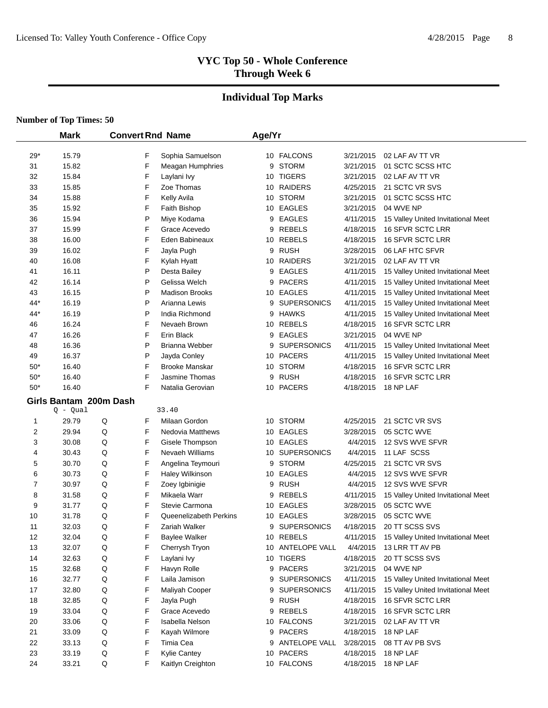# **Individual Top Marks**

|                | <b>Mark</b>            |         |   | <b>Convert Rnd Name</b> | Age/Yr |                    |           |                                    |
|----------------|------------------------|---------|---|-------------------------|--------|--------------------|-----------|------------------------------------|
| $29*$          | 15.79                  |         | F | Sophia Samuelson        |        | 10 FALCONS         | 3/21/2015 | 02 LAF AV TT VR                    |
| 31             | 15.82                  |         | F | Meagan Humphries        | 9      | <b>STORM</b>       | 3/21/2015 | 01 SCTC SCSS HTC                   |
| 32             | 15.84                  |         | F | Laylani Ivy             |        | 10 TIGERS          | 3/21/2015 | 02 LAF AV TT VR                    |
| 33             | 15.85                  |         | F | Zoe Thomas              |        | 10 RAIDERS         | 4/25/2015 | 21 SCTC VR SVS                     |
| 34             | 15.88                  |         | F | Kelly Avila             |        | 10 STORM           | 3/21/2015 | 01 SCTC SCSS HTC                   |
| 35             | 15.92                  |         | F | <b>Faith Bishop</b>     |        | 10 EAGLES          | 3/21/2015 | 04 WVE NP                          |
| 36             | 15.94                  |         | P | Miye Kodama             | 9      | <b>EAGLES</b>      | 4/11/2015 | 15 Valley United Invitational Meet |
| 37             | 15.99                  |         | F | Grace Acevedo           | 9      | <b>REBELS</b>      | 4/18/2015 | 16 SFVR SCTC LRR                   |
| 38             | 16.00                  |         | F | Eden Babineaux          |        | 10 REBELS          | 4/18/2015 | 16 SFVR SCTC LRR                   |
| 39             | 16.02                  |         | F | Jayla Pugh              | 9      | <b>RUSH</b>        | 3/28/2015 | 06 LAF HTC SFVR                    |
| 40             | 16.08                  |         | F | Kylah Hyatt             |        | 10 RAIDERS         | 3/21/2015 | 02 LAF AV TT VR                    |
| 41             | 16.11                  |         | P | Desta Bailey            | 9      | <b>EAGLES</b>      | 4/11/2015 | 15 Valley United Invitational Meet |
| 42             | 16.14                  |         | P | Gelissa Welch           | 9      | <b>PACERS</b>      | 4/11/2015 | 15 Valley United Invitational Meet |
| 43             | 16.15                  |         | P | <b>Madison Brooks</b>   |        | 10 EAGLES          | 4/11/2015 | 15 Valley United Invitational Meet |
| 44*            | 16.19                  |         | P | Arianna Lewis           | 9      | <b>SUPERSONICS</b> | 4/11/2015 | 15 Valley United Invitational Meet |
| 44*            | 16.19                  |         | P | India Richmond          | 9      | <b>HAWKS</b>       | 4/11/2015 | 15 Valley United Invitational Meet |
| 46             | 16.24                  |         | F | Nevaeh Brown            |        | 10 REBELS          | 4/18/2015 | 16 SFVR SCTC LRR                   |
| 47             | 16.26                  |         | F | Erin Black              | 9      | EAGLES             | 3/21/2015 | 04 WVE NP                          |
| 48             | 16.36                  |         | P | Brianna Webber          | 9      | <b>SUPERSONICS</b> | 4/11/2015 | 15 Valley United Invitational Meet |
| 49             | 16.37                  |         | P | Jayda Conley            |        | 10 PACERS          | 4/11/2015 | 15 Valley United Invitational Meet |
| $50*$          | 16.40                  |         | F | <b>Brooke Manskar</b>   |        | 10 STORM           | 4/18/2015 | 16 SFVR SCTC LRR                   |
| $50*$          | 16.40                  |         | F | Jasmine Thomas          | 9      | <b>RUSH</b>        | 4/18/2015 | 16 SFVR SCTC LRR                   |
| $50*$          | 16.40                  |         | F | Natalia Gerovian        |        | 10 PACERS          | 4/18/2015 | 18 NP LAF                          |
|                | Girls Bantam 200m Dash |         |   |                         |        |                    |           |                                    |
|                | Q - Qual               |         |   | 33.40                   |        |                    |           |                                    |
| 1              | 29.79                  | Q       | F | Milaan Gordon           |        | 10 STORM           | 4/25/2015 | 21 SCTC VR SVS                     |
| $\overline{2}$ | 29.94                  | Q       | F | <b>Nedovia Matthews</b> |        | 10 EAGLES          | 3/28/2015 | 05 SCTC WVE                        |
| 3              | 30.08                  | Q       | F | Gisele Thompson         |        | 10 EAGLES          | 4/4/2015  | 12 SVS WVE SFVR                    |
| 4              | 30.43                  | Q       | F | Nevaeh Williams         |        | 10 SUPERSONICS     | 4/4/2015  | 11 LAF SCSS                        |
| 5              | 30.70                  | Q       | F | Angelina Teymouri       | 9      | <b>STORM</b>       | 4/25/2015 | 21 SCTC VR SVS                     |
| 6              | 30.73                  | Q       | F | Haley Wilkinson         |        | 10 EAGLES          | 4/4/2015  | 12 SVS WVE SFVR                    |
| 7              | 30.97                  | Q       | F | Zoey Igbinigie          | 9      | <b>RUSH</b>        | 4/4/2015  | 12 SVS WVE SFVR                    |
| 8              | 31.58                  | Q       | F | Mikaela Warr            | 9      | <b>REBELS</b>      | 4/11/2015 | 15 Valley United Invitational Meet |
| 9              | 31.77                  | Q       | F | Stevie Carmona          |        | 10 EAGLES          | 3/28/2015 | 05 SCTC WVE                        |
| 10             | 31.78                  | Q       | F | Queenelizabeth Perkins  | 10     | <b>EAGLES</b>      | 3/28/2015 | 05 SCTC WVE                        |
| 11             | 32.03                  | Q       | F | Zariah Walker           | 9      | <b>SUPERSONICS</b> | 4/18/2015 | 20 TT SCSS SVS                     |
| 12             | 32.04                  | Q       | F | <b>Baylee Walker</b>    |        | 10 REBELS          | 4/11/2015 | 15 Valley United Invitational Meet |
| 13             | 32.07                  | Q       | F | Cherrysh Tryon          |        | 10 ANTELOPE VALL   | 4/4/2015  | 13 LRR TT AV PB                    |
| 14             | 32.63                  | Q       | F | Laylani Ivy             |        | 10 TIGERS          | 4/18/2015 | 20 TT SCSS SVS                     |
| 15             | 32.68                  | Q       | F | Havyn Rolle             |        | 9 PACERS           | 3/21/2015 | 04 WVE NP                          |
| 16             | 32.77                  | Q       | F | Laila Jamison           |        | 9 SUPERSONICS      | 4/11/2015 | 15 Valley United Invitational Meet |
| 17             | 32.80                  | Q       | F | Maliyah Cooper          |        | 9 SUPERSONICS      | 4/11/2015 | 15 Valley United Invitational Meet |
| 18             | 32.85                  | Q       | F | Jayla Pugh              |        | 9 RUSH             | 4/18/2015 | 16 SFVR SCTC LRR                   |
| 19             | 33.04                  | Q       | F | Grace Acevedo           |        | 9 REBELS           | 4/18/2015 | 16 SFVR SCTC LRR                   |
| 20             | 33.06                  | Q       | F | Isabella Nelson         |        | 10 FALCONS         | 3/21/2015 | 02 LAF AV TT VR                    |
| 21             | 33.09                  | Q       | F | Kayah Wilmore           |        | 9 PACERS           | 4/18/2015 | 18 NP LAF                          |
| 22             | 33.13                  | Q       | F | Timia Cea               |        | 9 ANTELOPE VALL    | 3/28/2015 | 08 TT AV PB SVS                    |
| 23             | 33.19                  | Q       | F | <b>Kylie Cantey</b>     |        | 10 PACERS          | 4/18/2015 | 18 NP LAF                          |
| 24             | 33.21                  | $\sf Q$ | F | Kaitlyn Creighton       |        | 10 FALCONS         | 4/18/2015 | 18 NP LAF                          |
|                |                        |         |   |                         |        |                    |           |                                    |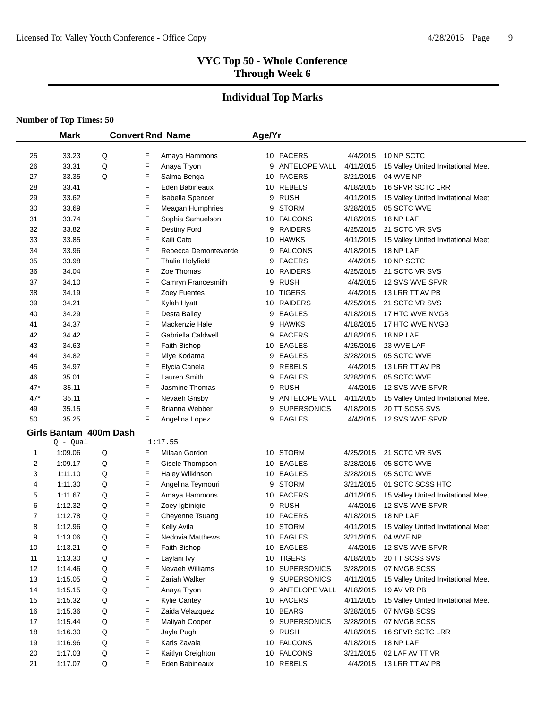#### **Individual Top Marks**

|          | <b>Mark</b>            |   | <b>Convert Rnd Name</b> |                                      | Age/Yr |                              |                        |                                                   |
|----------|------------------------|---|-------------------------|--------------------------------------|--------|------------------------------|------------------------|---------------------------------------------------|
|          |                        |   |                         |                                      |        |                              |                        |                                                   |
| 25       | 33.23                  | Q | F                       | Amaya Hammons                        |        | 10 PACERS<br>9 ANTELOPE VALL | 4/4/2015               | 10 NP SCTC                                        |
| 26       | 33.31                  | Q | F                       | Anaya Tryon                          |        |                              | 4/11/2015              | 15 Valley United Invitational Meet                |
| 27       | 33.35                  | Q | F<br>F                  | Salma Benga                          |        | 10 PACERS<br>10 REBELS       | 3/21/2015              | 04 WVE NP                                         |
| 28       | 33.41                  |   | F                       | Eden Babineaux                       |        |                              | 4/18/2015              | 16 SFVR SCTC LRR                                  |
| 29       | 33.62                  |   | F                       | Isabella Spencer                     |        | 9 RUSH<br>9 STORM            | 4/11/2015              | 15 Valley United Invitational Meet<br>05 SCTC WVE |
| 30<br>31 | 33.69<br>33.74         |   | F                       | Meagan Humphries<br>Sophia Samuelson |        | 10 FALCONS                   | 3/28/2015<br>4/18/2015 | 18 NP LAF                                         |
| 32       | 33.82                  |   | F                       | Destiny Ford                         | 9      | <b>RAIDERS</b>               | 4/25/2015              | 21 SCTC VR SVS                                    |
| 33       | 33.85                  |   | F                       | Kaili Cato                           |        | 10 HAWKS                     | 4/11/2015              | 15 Valley United Invitational Meet                |
| 34       | 33.96                  |   | F                       | Rebecca Demonteverde                 |        | 9 FALCONS                    | 4/18/2015              | 18 NP LAF                                         |
| 35       | 33.98                  |   | F                       | Thalia Holyfield                     |        | 9 PACERS                     | 4/4/2015               | 10 NP SCTC                                        |
| 36       | 34.04                  |   | F                       | Zoe Thomas                           |        | 10 RAIDERS                   | 4/25/2015              | 21 SCTC VR SVS                                    |
| 37       | 34.10                  |   | F                       | Camryn Francesmith                   |        | 9 RUSH                       | 4/4/2015               | 12 SVS WVE SFVR                                   |
| 38       | 34.19                  |   | F                       | Zoey Fuentes                         |        | 10 TIGERS                    | 4/4/2015               | 13 LRR TT AV PB                                   |
| 39       | 34.21                  |   | F                       | Kylah Hyatt                          |        | 10 RAIDERS                   | 4/25/2015              | 21 SCTC VR SVS                                    |
| 40       | 34.29                  |   | F                       | Desta Bailey                         |        | 9 EAGLES                     | 4/18/2015              | 17 HTC WVE NVGB                                   |
| 41       | 34.37                  |   | F                       | Mackenzie Hale                       |        | 9 HAWKS                      | 4/18/2015              | 17 HTC WVE NVGB                                   |
| 42       | 34.42                  |   | F                       | Gabriella Caldwell                   |        | 9 PACERS                     | 4/18/2015              | 18 NP LAF                                         |
| 43       | 34.63                  |   | F                       | Faith Bishop                         |        | 10 EAGLES                    | 4/25/2015              | 23 WVE LAF                                        |
| 44       | 34.82                  |   | F                       | Miye Kodama                          |        | 9 EAGLES                     | 3/28/2015              | 05 SCTC WVE                                       |
| 45       | 34.97                  |   | F                       | Elycia Canela                        |        | 9 REBELS                     | 4/4/2015               | 13 LRR TT AV PB                                   |
| 46       | 35.01                  |   | F                       | Lauren Smith                         | 9      | EAGLES                       | 3/28/2015              | 05 SCTC WVE                                       |
| 47*      | 35.11                  |   | F                       | Jasmine Thomas                       |        | 9 RUSH                       | 4/4/2015               | 12 SVS WVE SFVR                                   |
| $47*$    | 35.11                  |   | F                       | Nevaeh Grisby                        |        | 9 ANTELOPE VALL              | 4/11/2015              | 15 Valley United Invitational Meet                |
| 49       | 35.15                  |   | F                       | Brianna Webber                       |        | 9 SUPERSONICS                | 4/18/2015              | 20 TT SCSS SVS                                    |
| 50       | 35.25                  |   | F                       | Angelina Lopez                       |        | 9 EAGLES                     | 4/4/2015               | 12 SVS WVE SFVR                                   |
|          | Girls Bantam 400m Dash |   |                         |                                      |        |                              |                        |                                                   |
|          | $Q - Qual$             |   |                         | 1:17.55                              |        |                              |                        |                                                   |
| 1        | 1:09.06                | Q | F                       | Milaan Gordon                        |        | 10 STORM                     | 4/25/2015              | 21 SCTC VR SVS                                    |
| 2        | 1:09.17                | Q | F                       | Gisele Thompson                      |        | 10 EAGLES                    | 3/28/2015              | 05 SCTC WVE                                       |
| 3        | 1:11.10                | Q | F                       | Haley Wilkinson                      |        | 10 EAGLES                    | 3/28/2015              | 05 SCTC WVE                                       |
| 4        | 1:11.30                | Q | F                       | Angelina Teymouri                    |        | 9 STORM                      | 3/21/2015              | 01 SCTC SCSS HTC                                  |
| 5        | 1:11.67                | Q | F                       | Amaya Hammons                        |        | 10 PACERS                    | 4/11/2015              | 15 Valley United Invitational Meet                |
| 6        | 1:12.32                | Q | F                       | Zoey Igbinigie                       |        | 9 RUSH                       | 4/4/2015               | 12 SVS WVE SFVR                                   |
| 7        | 1:12.78                | Q | F                       | Cheyenne Tsuang                      |        | 10 PACERS                    | 4/18/2015              | 18 NP LAF                                         |
| 8        | 1:12.96                | Q | F                       | Kelly Avila                          |        | 10 STORM                     | 4/11/2015              | 15 Valley United Invitational Meet                |
| 9        | 1:13.06                | Q | F                       | Nedovia Matthews                     |        | 10 EAGLES                    | 3/21/2015              | 04 WVE NP                                         |
| 10       | 1:13.21                | Q | F                       | Faith Bishop                         |        | 10 EAGLES                    | 4/4/2015               | 12 SVS WVE SFVR                                   |
| 11       | 1:13.30                | Q | F                       | Laylani Ivy                          |        | 10 TIGERS                    | 4/18/2015              | 20 TT SCSS SVS                                    |
| 12       | 1:14.46                | Q | F                       | Nevaeh Williams                      |        | 10 SUPERSONICS               | 3/28/2015              | 07 NVGB SCSS                                      |
| 13       | 1:15.05                | Q | F                       | Zariah Walker                        |        | 9 SUPERSONICS                | 4/11/2015              | 15 Valley United Invitational Meet                |
| 14       | 1:15.15                | Q | F                       | Anaya Tryon                          |        | 9 ANTELOPE VALL              | 4/18/2015              | 19 AV VR PB                                       |
| 15       | 1:15.32                | Q | F                       | Kylie Cantey                         |        | 10 PACERS                    | 4/11/2015              | 15 Valley United Invitational Meet                |
| 16       | 1:15.36                | Q | F                       | Zaida Velazquez                      |        | 10 BEARS                     | 3/28/2015              | 07 NVGB SCSS                                      |
| 17       | 1:15.44                | Q | F                       | Maliyah Cooper                       | 9      | <b>SUPERSONICS</b>           | 3/28/2015              | 07 NVGB SCSS                                      |
| 18       | 1:16.30                | Q | F                       | Jayla Pugh                           |        | 9 RUSH                       | 4/18/2015              | 16 SFVR SCTC LRR                                  |
| 19       | 1:16.96                | Q | F                       | Karis Zavala                         |        | 10 FALCONS                   | 4/18/2015              | 18 NP LAF                                         |
| 20       | 1:17.03                | Q | F                       | Kaitlyn Creighton                    |        | 10 FALCONS                   | 3/21/2015              | 02 LAF AV TT VR                                   |
| 21       | 1:17.07                | Q | F                       | Eden Babineaux                       |        | 10 REBELS                    | 4/4/2015               | 13 LRR TT AV PB                                   |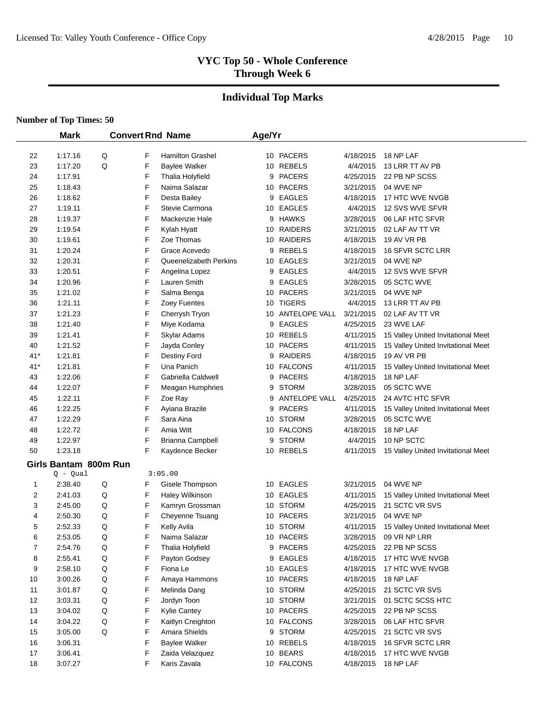# **Individual Top Marks**

|       | <b>Mark</b>           |   |   | <b>Convert Rnd Name</b> | Age/Yr |                  |           |                                    |
|-------|-----------------------|---|---|-------------------------|--------|------------------|-----------|------------------------------------|
|       |                       |   |   |                         |        |                  |           |                                    |
| 22    | 1:17.16               | Q | F | <b>Hamilton Grashel</b> |        | 10 PACERS        | 4/18/2015 | 18 NP LAF                          |
| 23    | 1:17.20               | Q | F | <b>Baylee Walker</b>    |        | 10 REBELS        | 4/4/2015  | 13 LRR TT AV PB                    |
| 24    | 1:17.91               |   | F | Thalia Holyfield        |        | 9 PACERS         | 4/25/2015 | 22 PB NP SCSS                      |
| 25    | 1:18.43               |   | F | Naima Salazar           |        | 10 PACERS        | 3/21/2015 | 04 WVE NP                          |
| 26    | 1:18.62               |   | F | Desta Bailey            | 9      | <b>EAGLES</b>    | 4/18/2015 | 17 HTC WVE NVGB                    |
| 27    | 1:19.11               |   | F | Stevie Carmona          |        | 10 EAGLES        | 4/4/2015  | 12 SVS WVE SFVR                    |
| 28    | 1:19.37               |   | F | Mackenzie Hale          |        | 9 HAWKS          | 3/28/2015 | 06 LAF HTC SFVR                    |
| 29    | 1:19.54               |   | F | Kylah Hyatt             |        | 10 RAIDERS       | 3/21/2015 | 02 LAF AV TT VR                    |
| 30    | 1:19.61               |   | F | Zoe Thomas              |        | 10 RAIDERS       | 4/18/2015 | 19 AV VR PB                        |
| 31    | 1:20.24               |   | F | Grace Acevedo           | 9      | REBELS           | 4/18/2015 | 16 SFVR SCTC LRR                   |
| 32    | 1:20.31               |   | F | Queenelizabeth Perkins  |        | 10 EAGLES        | 3/21/2015 | 04 WVE NP                          |
| 33    | 1:20.51               |   | F | Angelina Lopez          |        | 9 EAGLES         | 4/4/2015  | 12 SVS WVE SFVR                    |
| 34    | 1:20.96               |   | F | Lauren Smith            |        | 9 EAGLES         | 3/28/2015 | 05 SCTC WVE                        |
| 35    | 1:21.02               |   | F | Salma Benga             |        | 10 PACERS        | 3/21/2015 | 04 WVE NP                          |
| 36    | 1:21.11               |   | F | Zoey Fuentes            |        | 10 TIGERS        | 4/4/2015  | 13 LRR TT AV PB                    |
| 37    | 1:21.23               |   | F | Cherrysh Tryon          |        | 10 ANTELOPE VALL | 3/21/2015 | 02 LAF AV TT VR                    |
| 38    | 1:21.40               |   | F | Miye Kodama             | 9      | <b>EAGLES</b>    | 4/25/2015 | 23 WVE LAF                         |
| 39    | 1:21.41               |   | F | Skylar Adams            |        | 10 REBELS        | 4/11/2015 | 15 Valley United Invitational Meet |
| 40    | 1:21.52               |   | F | Jayda Conley            |        | 10 PACERS        | 4/11/2015 | 15 Valley United Invitational Meet |
| $41*$ | 1:21.81               |   | F | Destiny Ford            |        | 9 RAIDERS        | 4/18/2015 | 19 AV VR PB                        |
| 41*   | 1:21.81               |   | F | Una Panich              |        | 10 FALCONS       | 4/11/2015 | 15 Valley United Invitational Meet |
| 43    | 1:22.06               |   | F | Gabriella Caldwell      |        | 9 PACERS         | 4/18/2015 | 18 NP LAF                          |
| 44    | 1:22.07               |   | F | Meagan Humphries        |        | 9 STORM          | 3/28/2015 | 05 SCTC WVE                        |
| 45    | 1:22.11               |   | F | Zoe Ray                 | 9      | ANTELOPE VALL    | 4/25/2015 | 24 AVTC HTC SFVR                   |
| 46    | 1:22.25               |   | F | Ayiana Brazile          | 9      | <b>PACERS</b>    | 4/11/2015 | 15 Valley United Invitational Meet |
| 47    | 1:22.29               |   | F | Sara Aina               |        | 10 STORM         | 3/28/2015 | 05 SCTC WVE                        |
| 48    | 1:22.72               |   | F | Amia Witt               |        | 10 FALCONS       | 4/18/2015 | 18 NP LAF                          |
| 49    | 1:22.97               |   | F | Brianna Campbell        |        | 9 STORM          | 4/4/2015  | 10 NP SCTC                         |
| 50    | 1:23.18               |   | F | Kaydence Becker         |        | 10 REBELS        | 4/11/2015 | 15 Valley United Invitational Meet |
|       | Girls Bantam 800m Run |   |   |                         |        |                  |           |                                    |
|       | Q - Qual              |   |   | 3:05.00                 |        |                  |           |                                    |
| 1     | 2:38.40               | Q | F | Gisele Thompson         |        | 10 EAGLES        | 3/21/2015 | 04 WVE NP                          |
| 2     | 2:41.03               | Q | F | Haley Wilkinson         |        | 10 EAGLES        | 4/11/2015 | 15 Valley United Invitational Meet |
| 3     | 2:45.00               | Q | F | Kamryn Grossman         |        | 10 STORM         | 4/25/2015 | 21 SCTC VR SVS                     |
| 4     | 2:50.30               | Q | F | Cheyenne Tsuang         |        | 10 PACERS        | 3/21/2015 | 04 WVE NP                          |
| 5     | 2:52.33               | Q | F | Kelly Avila             |        | 10 STORM         | 4/11/2015 | 15 Valley United Invitational Meet |
| 6     | 2:53.05               | Q | F | Naima Salazar           |        | 10 PACERS        | 3/28/2015 | 09 VR NP LRR                       |
| 7     | 2:54.76               | Q | F | Thalia Holyfield        |        | 9 PACERS         | 4/25/2015 | 22 PB NP SCSS                      |
| 8     | 2:55.41               | Q | F | Payton Godsey           |        | 9 EAGLES         | 4/18/2015 | 17 HTC WVE NVGB                    |
| 9     | 2:58.10               | Q | F | Fiona Le                |        | 10 EAGLES        | 4/18/2015 | 17 HTC WVE NVGB                    |
| 10    | 3:00.26               | Q | F | Amaya Hammons           |        | 10 PACERS        | 4/18/2015 | 18 NP LAF                          |
| 11    | 3:01.87               | Q | F | Melinda Dang            |        | 10 STORM         | 4/25/2015 | 21 SCTC VR SVS                     |
| 12    | 3:03.31               | Q | F | Jordyn Toon             |        | 10 STORM         | 3/21/2015 | 01 SCTC SCSS HTC                   |
| 13    | 3:04.02               | Q | F | Kylie Cantey            |        | 10 PACERS        | 4/25/2015 | 22 PB NP SCSS                      |
| 14    | 3:04.22               | Q | F | Kaitlyn Creighton       |        | 10 FALCONS       | 3/28/2015 | 06 LAF HTC SFVR                    |
| 15    | 3:05.00               | Q | F | Amara Shields           |        | 9 STORM          | 4/25/2015 | 21 SCTC VR SVS                     |
| 16    | 3:06.31               |   | F | <b>Baylee Walker</b>    |        | 10 REBELS        | 4/18/2015 | <b>16 SFVR SCTC LRR</b>            |
| 17    | 3:06.41               |   | F | Zaida Velazquez         |        | 10 BEARS         | 4/18/2015 | 17 HTC WVE NVGB                    |
| 18    | 3:07.27               |   | F | Karis Zavala            |        | 10 FALCONS       | 4/18/2015 | 18 NP LAF                          |
|       |                       |   |   |                         |        |                  |           |                                    |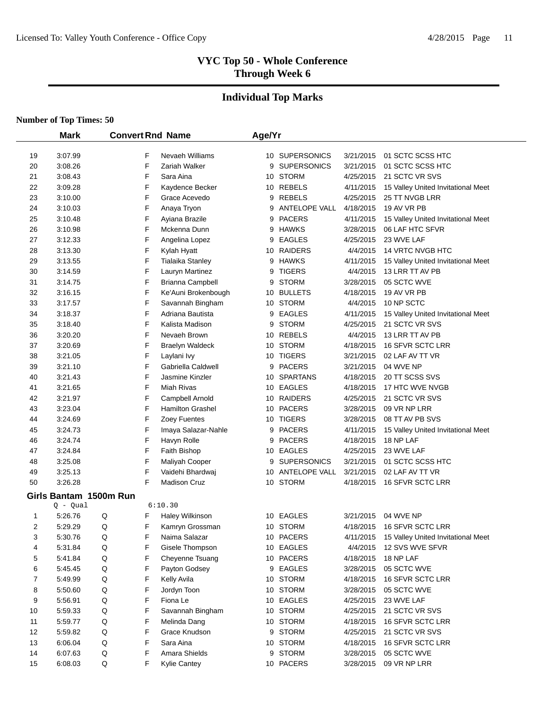# **Individual Top Marks**

|    | <b>Mark</b>            |              | <b>Convert Rnd Name</b> | Age/Yr |                    |           |                                    |
|----|------------------------|--------------|-------------------------|--------|--------------------|-----------|------------------------------------|
|    |                        |              |                         |        |                    |           |                                    |
| 19 | 3:07.99                | F            | Nevaeh Williams         |        | 10 SUPERSONICS     | 3/21/2015 | 01 SCTC SCSS HTC                   |
| 20 | 3:08.26                | F            | Zariah Walker           | 9      | <b>SUPERSONICS</b> | 3/21/2015 | 01 SCTC SCSS HTC                   |
| 21 | 3:08.43                | F            | Sara Aina               |        | 10 STORM           | 4/25/2015 | 21 SCTC VR SVS                     |
| 22 | 3:09.28                | F            | Kaydence Becker         |        | 10 REBELS          | 4/11/2015 | 15 Valley United Invitational Meet |
| 23 | 3:10.00                | F            | Grace Acevedo           |        | 9 REBELS           | 4/25/2015 | 25 TT NVGB LRR                     |
| 24 | 3:10.03                | F            | Anaya Tryon             | 9      | ANTELOPE VALL      | 4/18/2015 | 19 AV VR PB                        |
| 25 | 3:10.48                | F            | Ayiana Brazile          |        | 9 PACERS           | 4/11/2015 | 15 Valley United Invitational Meet |
| 26 | 3:10.98                | F            | Mckenna Dunn            |        | 9 HAWKS            | 3/28/2015 | 06 LAF HTC SFVR                    |
| 27 | 3:12.33                | F            | Angelina Lopez          | 9      | <b>EAGLES</b>      | 4/25/2015 | 23 WVE LAF                         |
| 28 | 3:13.30                | F            | Kylah Hyatt             |        | 10 RAIDERS         | 4/4/2015  | 14 VRTC NVGB HTC                   |
| 29 | 3:13.55                | F            | Tialaika Stanley        |        | 9 HAWKS            | 4/11/2015 | 15 Valley United Invitational Meet |
| 30 | 3:14.59                | F            | Lauryn Martinez         | 9      | <b>TIGERS</b>      | 4/4/2015  | 13 LRR TT AV PB                    |
| 31 | 3:14.75                | F            | Brianna Campbell        | 9      | <b>STORM</b>       | 3/28/2015 | 05 SCTC WVE                        |
| 32 | 3:16.15                | F            | Ke'Auni Brokenbough     |        | 10 BULLETS         | 4/18/2015 | 19 AV VR PB                        |
| 33 | 3:17.57                | F            | Savannah Bingham        |        | 10 STORM           | 4/4/2015  | 10 NP SCTC                         |
| 34 | 3:18.37                | F            | Adriana Bautista        |        | 9 EAGLES           | 4/11/2015 | 15 Valley United Invitational Meet |
| 35 | 3:18.40                | F            | Kalista Madison         | 9      | <b>STORM</b>       | 4/25/2015 | 21 SCTC VR SVS                     |
| 36 | 3:20.20                | F            | Nevaeh Brown            |        | 10 REBELS          | 4/4/2015  | 13 LRR TT AV PB                    |
| 37 | 3:20.69                | F            | <b>Braelyn Waldeck</b>  |        | 10 STORM           | 4/18/2015 | 16 SFVR SCTC LRR                   |
| 38 | 3:21.05                | F            | Laylani Ivy             |        | 10 TIGERS          | 3/21/2015 | 02 LAF AV TT VR                    |
| 39 | 3:21.10                | F            | Gabriella Caldwell      |        | 9 PACERS           | 3/21/2015 | 04 WVE NP                          |
| 40 | 3:21.43                | F            | Jasmine Kinzler         |        | 10 SPARTANS        | 4/18/2015 | 20 TT SCSS SVS                     |
| 41 | 3:21.65                | F            | Miah Rivas              |        | 10 EAGLES          | 4/18/2015 | 17 HTC WVE NVGB                    |
| 42 | 3:21.97                | F            | Campbell Arnold         |        | 10 RAIDERS         | 4/25/2015 | 21 SCTC VR SVS                     |
| 43 | 3:23.04                | F            | <b>Hamilton Grashel</b> |        | 10 PACERS          | 3/28/2015 | 09 VR NP LRR                       |
| 44 | 3:24.69                | F            | Zoey Fuentes            |        | 10 TIGERS          | 3/28/2015 | 08 TT AV PB SVS                    |
| 45 | 3:24.73                | F            | Imaya Salazar-Nahle     |        | 9 PACERS           | 4/11/2015 | 15 Valley United Invitational Meet |
| 46 | 3:24.74                | F            | Havyn Rolle             |        | 9 PACERS           | 4/18/2015 | 18 NP LAF                          |
| 47 | 3:24.84                | F            | Faith Bishop            |        | 10 EAGLES          | 4/25/2015 | 23 WVE LAF                         |
| 48 | 3:25.08                | F            | Maliyah Cooper          |        | 9 SUPERSONICS      | 3/21/2015 | 01 SCTC SCSS HTC                   |
| 49 | 3:25.13                | F            | Vaidehi Bhardwaj        |        | 10 ANTELOPE VALL   | 3/21/2015 | 02 LAF AV TT VR                    |
| 50 | 3:26.28                | F            | <b>Madison Cruz</b>     |        | 10 STORM           | 4/18/2015 | 16 SFVR SCTC LRR                   |
|    | Girls Bantam 1500m Run |              |                         |        |                    |           |                                    |
|    | $Q - Qual$             |              | 6:10.30                 |        |                    |           |                                    |
| 1  | 5:26.76                | Q<br>F       | Haley Wilkinson         |        | 10 EAGLES          | 3/21/2015 | 04 WVE NP                          |
| 2  | 5:29.29                | Q<br>F       | Kamryn Grossman         |        | 10 STORM           | 4/18/2015 | <b>16 SFVR SCTC LRR</b>            |
| 3  | 5:30.76                | Q<br>F       | Naima Salazar           |        | 10 PACERS          | 4/11/2015 | 15 Valley United Invitational Meet |
| 4  | 5:31.84                | F<br>Q       | Gisele Thompson         |        | 10 EAGLES          | 4/4/2015  | 12 SVS WVE SFVR                    |
| 5  | 5:41.84                | F<br>Q       | Cheyenne Tsuang         |        | 10 PACERS          | 4/18/2015 | 18 NP LAF                          |
| 6  | 5:45.45                | F<br>Q       | Payton Godsey           |        | 9 EAGLES           | 3/28/2015 | 05 SCTC WVE                        |
| 7  | 5:49.99                | F<br>Q       | Kelly Avila             |        | 10 STORM           | 4/18/2015 | 16 SFVR SCTC LRR                   |
| 8  | 5.50.60                | F<br>Q       | Jordyn Toon             |        | 10 STORM           | 3/28/2015 | 05 SCTC WVE                        |
| 9  | 5:56.91                | F<br>Q       | Fiona Le                |        | 10 EAGLES          | 4/25/2015 | 23 WVE LAF                         |
| 10 | 5.59.33                | F<br>Q       | Savannah Bingham        |        | 10 STORM           | 4/25/2015 | 21 SCTC VR SVS                     |
| 11 | 5.59.77                | F<br>Q       | Melinda Dang            |        | 10 STORM           | 4/18/2015 | 16 SFVR SCTC LRR                   |
| 12 | 5.59.82                | F<br>Q       | Grace Knudson           |        | 9 STORM            | 4/25/2015 | 21 SCTC VR SVS                     |
| 13 | 6:06.04                | F<br>Q       | Sara Aina               |        | 10 STORM           | 4/18/2015 | 16 SFVR SCTC LRR                   |
| 14 | 6:07.63                | Q<br>F       | Amara Shields           |        | 9 STORM            | 3/28/2015 | 05 SCTC WVE                        |
| 15 | 6:08.03                | $\sf Q$<br>F | <b>Kylie Cantey</b>     |        | 10 PACERS          | 3/28/2015 | 09 VR NP LRR                       |
|    |                        |              |                         |        |                    |           |                                    |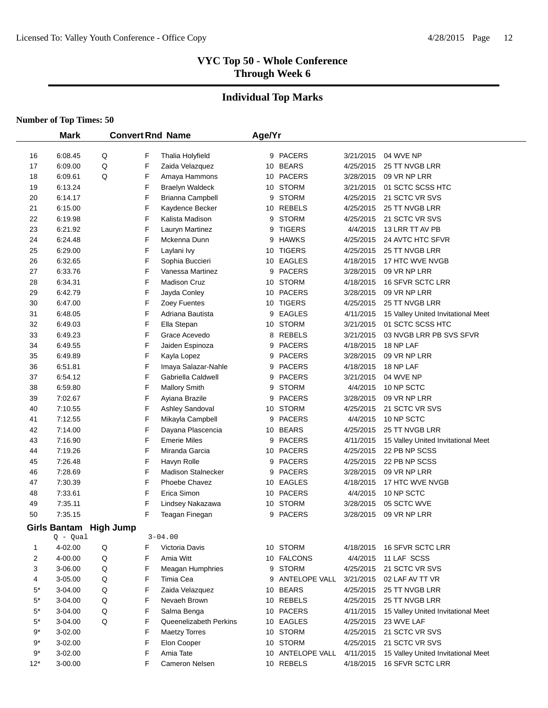# **Individual Top Marks**

|             | <b>Mark</b>         |                  |   | <b>Convert Rnd Name</b>   | Age/Yr |                  |           |                                    |
|-------------|---------------------|------------------|---|---------------------------|--------|------------------|-----------|------------------------------------|
| 16          | 6:08.45             | Q                | F | Thalia Holyfield          |        | 9 PACERS         | 3/21/2015 | 04 WVE NP                          |
| 17          | 6:09.00             | Q                | F | Zaida Velazquez           |        | 10 BEARS         | 4/25/2015 | 25 TT NVGB LRR                     |
| 18          | 6:09.61             | Q                | F | Amaya Hammons             |        | 10 PACERS        | 3/28/2015 | 09 VR NP LRR                       |
| 19          | 6:13.24             |                  | F | <b>Braelyn Waldeck</b>    |        | 10 STORM         | 3/21/2015 | 01 SCTC SCSS HTC                   |
| 20          | 6:14.17             |                  | F | Brianna Campbell          | 9      | <b>STORM</b>     | 4/25/2015 | 21 SCTC VR SVS                     |
| 21          | 6:15.00             |                  | F | Kaydence Becker           |        | 10 REBELS        | 4/25/2015 | 25 TT NVGB LRR                     |
| 22          | 6:19.98             |                  | F | Kalista Madison           |        | 9 STORM          | 4/25/2015 | 21 SCTC VR SVS                     |
| 23          | 6:21.92             |                  | F | Lauryn Martinez           | 9      | <b>TIGERS</b>    | 4/4/2015  | 13 LRR TT AV PB                    |
| 24          | 6:24.48             |                  | F | Mckenna Dunn              |        | 9 HAWKS          | 4/25/2015 | 24 AVTC HTC SFVR                   |
| 25          | 6:29.00             |                  | F | Laylani Ivy               |        | 10 TIGERS        | 4/25/2015 | 25 TT NVGB LRR                     |
| 26          | 6:32.65             |                  | F | Sophia Buccieri           |        | 10 EAGLES        | 4/18/2015 | 17 HTC WVE NVGB                    |
| 27          | 6:33.76             |                  | F | Vanessa Martinez          |        | 9 PACERS         | 3/28/2015 | 09 VR NP LRR                       |
| 28          | 6:34.31             |                  | F | <b>Madison Cruz</b>       |        | 10 STORM         | 4/18/2015 | 16 SFVR SCTC LRR                   |
| 29          | 6:42.79             |                  | F | Jayda Conley              |        | 10 PACERS        | 3/28/2015 | 09 VR NP LRR                       |
| 30          | 6:47.00             |                  | F | Zoey Fuentes              |        | 10 TIGERS        | 4/25/2015 | 25 TT NVGB LRR                     |
| 31          | 6:48.05             |                  | F | Adriana Bautista          | 9      | <b>EAGLES</b>    | 4/11/2015 | 15 Valley United Invitational Meet |
| 32          | 6:49.03             |                  | F | Ella Stepan               |        | 10 STORM         | 3/21/2015 | 01 SCTC SCSS HTC                   |
| 33          | 6:49.23             |                  | F | Grace Acevedo             | 8      | <b>REBELS</b>    | 3/21/2015 | 03 NVGB LRR PB SVS SFVR            |
| 34          | 6:49.55             |                  | F | Jaiden Espinoza           | 9      | <b>PACERS</b>    | 4/18/2015 | 18 NP LAF                          |
| 35          | 6:49.89             |                  | F | Kayla Lopez               | 9      | <b>PACERS</b>    | 3/28/2015 | 09 VR NP LRR                       |
| 36          | 6:51.81             |                  | F | Imaya Salazar-Nahle       |        | 9 PACERS         | 4/18/2015 | 18 NP LAF                          |
| 37          | 6:54.12             |                  | F | Gabriella Caldwell        |        | 9 PACERS         | 3/21/2015 | 04 WVE NP                          |
| 38          | 6:59.80             |                  | F | <b>Mallory Smith</b>      | 9      | <b>STORM</b>     | 4/4/2015  | 10 NP SCTC                         |
| 39          | 7:02.67             |                  | F | Ayiana Brazile            | 9      | <b>PACERS</b>    | 3/28/2015 | 09 VR NP LRR                       |
| 40          | 7:10.55             |                  | F | Ashley Sandoval           |        | 10 STORM         | 4/25/2015 | 21 SCTC VR SVS                     |
| 41          | 7:12.55             |                  | F | Mikayla Campbell          | 9      | <b>PACERS</b>    | 4/4/2015  | 10 NP SCTC                         |
| 42          | 7:14.00             |                  | F | Dayana Plascencia         |        | 10 BEARS         | 4/25/2015 | 25 TT NVGB LRR                     |
| 43          | 7:16.90             |                  | F | <b>Emerie Miles</b>       |        | 9 PACERS         | 4/11/2015 | 15 Valley United Invitational Meet |
| 44          | 7:19.26             |                  | F | Miranda Garcia            |        | 10 PACERS        | 4/25/2015 | 22 PB NP SCSS                      |
| 45          | 7:26.48             |                  | F | Havyn Rolle               |        | 9 PACERS         | 4/25/2015 | 22 PB NP SCSS                      |
| 46          | 7:28.69             |                  | F | <b>Madison Stalnecker</b> |        | 9 PACERS         | 3/28/2015 | 09 VR NP LRR                       |
| 47          | 7:30.39             |                  | F | Phoebe Chavez             |        | 10 EAGLES        | 4/18/2015 | 17 HTC WVE NVGB                    |
| 48          | 7:33.61             |                  | F | Erica Simon               |        | 10 PACERS        | 4/4/2015  | 10 NP SCTC                         |
| 49          | 7:35.11             |                  | F | Lindsey Nakazawa          |        | 10 STORM         | 3/28/2015 | 05 SCTC WVE                        |
| 50          | 7:35.15             |                  | F | Teagan Finegan            |        | 9 PACERS         | 3/28/2015 | 09 VR NP LRR                       |
|             | <b>Girls Bantam</b> | <b>High Jump</b> |   |                           |        |                  |           |                                    |
|             | $Q - Qual$          |                  |   | $3 - 04.00$               |        |                  |           |                                    |
| 1           | 4-02.00             | Q                | F | Victoria Davis            |        | 10 STORM         | 4/18/2015 | 16 SFVR SCTC LRR                   |
| 2           | 4-00.00             | Q                | F | Amia Witt                 |        | 10 FALCONS       | 4/4/2015  | 11 LAF SCSS                        |
| 3           | 3-06.00             | Q                | F | Meagan Humphries          |        | 9 STORM          | 4/25/2015 | 21 SCTC VR SVS                     |
| 4           | 3-05.00             | Q                | F | Timia Cea                 |        | 9 ANTELOPE VALL  | 3/21/2015 | 02 LAF AV TT VR                    |
| $5^*$       | 3-04.00             | Q                | F | Zaida Velazquez           |        | 10 BEARS         | 4/25/2015 | 25 TT NVGB LRR                     |
| $5^*$       | 3-04.00             | Q                | F | Nevaeh Brown              |        | 10 REBELS        | 4/25/2015 | 25 TT NVGB LRR                     |
| $5^*$       | 3-04.00             | Q                | F | Salma Benga               |        | 10 PACERS        | 4/11/2015 | 15 Valley United Invitational Meet |
| $5^{\star}$ | 3-04.00             | Q                | F | Queenelizabeth Perkins    |        | 10 EAGLES        | 4/25/2015 | 23 WVE LAF                         |
| 9*          | 3-02.00             |                  | F | <b>Maetzy Torres</b>      |        | 10 STORM         | 4/25/2015 | 21 SCTC VR SVS                     |
| 9*          | 3-02.00             |                  | F | Elon Cooper               |        | 10 STORM         | 4/25/2015 | 21 SCTC VR SVS                     |
| $9*$        | 3-02.00             |                  | F | Amia Tate                 |        | 10 ANTELOPE VALL | 4/11/2015 | 15 Valley United Invitational Meet |
| $12*$       | 3-00.00             |                  | F | Cameron Nelsen            |        | 10 REBELS        | 4/18/2015 | 16 SFVR SCTC LRR                   |
|             |                     |                  |   |                           |        |                  |           |                                    |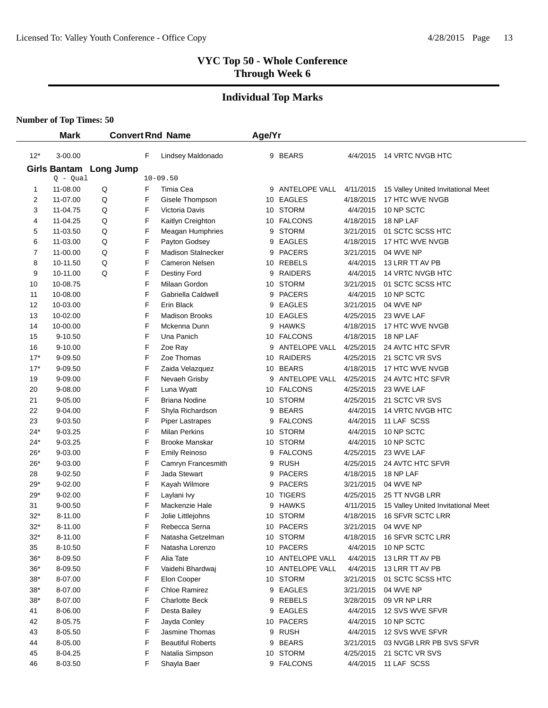# **Individual Top Marks**

|              | <b>Mark</b>                |                  |   | <b>Convert Rnd Name</b>   | Age/Yr |                      |           |                                    |
|--------------|----------------------------|------------------|---|---------------------------|--------|----------------------|-----------|------------------------------------|
|              |                            |                  |   |                           |        |                      |           | <b>14 VRTC NVGB HTC</b>            |
| $12*$        | 3-00.00                    |                  | F | Lindsey Maldonado         |        | 9 BEARS              | 4/4/2015  |                                    |
|              | Girls Bantam<br>$Q - Qual$ | <b>Long Jump</b> |   | $10 - 09.50$              |        |                      |           |                                    |
| $\mathbf{1}$ | 11-08.00                   | Q                | F | Timia Cea                 |        | 9 ANTELOPE VALL      | 4/11/2015 | 15 Valley United Invitational Meet |
| 2            | 11-07.00                   | Q                | F | Gisele Thompson           |        | 10 EAGLES            | 4/18/2015 | 17 HTC WVE NVGB                    |
| 3            | 11-04.75                   | Q                | F | Victoria Davis            |        | 10 STORM             | 4/4/2015  | 10 NP SCTC                         |
| 4            | 11-04.25                   | Q                | F | Kaitlyn Creighton         |        | 10 FALCONS           | 4/18/2015 | 18 NP LAF                          |
| 5            | 11-03.50                   | Q                | F | Meagan Humphries          | 9      | <b>STORM</b>         | 3/21/2015 | 01 SCTC SCSS HTC                   |
| 6            | 11-03.00                   | Q                | F | Payton Godsey             | 9      | <b>EAGLES</b>        | 4/18/2015 | 17 HTC WVE NVGB                    |
| 7            | 11-00.00                   | Q                | F | <b>Madison Stalnecker</b> |        | 9 PACERS             | 3/21/2015 | 04 WVE NP                          |
| 8            | 10-11.50                   | Q                | F | Cameron Nelsen            |        | 10 REBELS            | 4/4/2015  | 13 LRR TT AV PB                    |
| 9            | 10-11.00                   | Q                | F | Destiny Ford              |        | 9 RAIDERS            | 4/4/2015  | 14 VRTC NVGB HTC                   |
| 10           | 10-08.75                   |                  | F | Milaan Gordon             |        | 10 STORM             | 3/21/2015 | 01 SCTC SCSS HTC                   |
| 11           | 10-08.00                   |                  | F | Gabriella Caldwell        |        | 9 PACERS             | 4/4/2015  | 10 NP SCTC                         |
| 12           | 10-03.00                   |                  | F | Erin Black                | 9      | <b>EAGLES</b>        | 3/21/2015 | 04 WVE NP                          |
| 13           | 10-02.00                   |                  | F | <b>Madison Brooks</b>     |        | 10 EAGLES            | 4/25/2015 | 23 WVE LAF                         |
| 14           | 10-00.00                   |                  | F | Mckenna Dunn              |        | 9 HAWKS              | 4/18/2015 | 17 HTC WVE NVGB                    |
| 15           | 9-10.50                    |                  | F | Una Panich                |        | 10 FALCONS           | 4/18/2015 | 18 NP LAF                          |
| 16           | 9-10.00                    |                  | F | Zoe Ray                   |        | <b>ANTELOPE VALL</b> | 4/25/2015 | 24 AVTC HTC SFVR                   |
| $17*$        | 9-09.50                    |                  | F | Zoe Thomas                |        | 10 RAIDERS           | 4/25/2015 | 21 SCTC VR SVS                     |
| $17*$        | 9-09.50                    |                  | F | Zaida Velazquez           |        | 10 BEARS             | 4/18/2015 | 17 HTC WVE NVGB                    |
| 19           | 9-09.00                    |                  | F | Nevaeh Grisby             | 9      | ANTELOPE VALL        | 4/25/2015 | 24 AVTC HTC SFVR                   |
| 20           | 9-08.00                    |                  | F | Luna Wyatt                |        | 10 FALCONS           | 4/25/2015 | 23 WVE LAF                         |
| 21           | 9-05.00                    |                  | F | Briana Nodine             |        | 10 STORM             | 4/25/2015 | 21 SCTC VR SVS                     |
| 22           | 9-04.00                    |                  | F | Shyla Richardson          | 9      | <b>BEARS</b>         | 4/4/2015  | 14 VRTC NVGB HTC                   |
| 23           | 9-03.50                    |                  | F | <b>Piper Lastrapes</b>    | 9      | <b>FALCONS</b>       | 4/4/2015  | 11 LAF SCSS                        |
| 24*          | 9-03.25                    |                  | F | <b>Milan Perkins</b>      |        | 10 STORM             | 4/4/2015  | 10 NP SCTC                         |
| $24*$        | 9-03.25                    |                  | F | <b>Brooke Manskar</b>     |        | 10 STORM             | 4/4/2015  | 10 NP SCTC                         |
| $26*$        | 9-03.00                    |                  | F | <b>Emily Reinoso</b>      | 9      | <b>FALCONS</b>       | 4/25/2015 | 23 WVE LAF                         |
| $26*$        | 9-03.00                    |                  | F | Camryn Francesmith        | 9      | <b>RUSH</b>          | 4/25/2015 | 24 AVTC HTC SFVR                   |
| 28           | $9 - 02.50$                |                  | F | Jada Stewart              | 9      | <b>PACERS</b>        | 4/18/2015 | 18 NP LAF                          |
| $29*$        | 9-02.00                    |                  | F | Kayah Wilmore             | 9      | <b>PACERS</b>        | 3/21/2015 | 04 WVE NP                          |
| 29*          | $9 - 02.00$                |                  | F | Laylani Ivy               |        | 10 TIGERS            | 4/25/2015 | 25 TT NVGB LRR                     |
| 31           | $9 - 00.50$                |                  | F | Mackenzie Hale            | 9      | <b>HAWKS</b>         | 4/11/2015 | 15 Valley United Invitational Meet |
| $32*$        | 8-11.00                    |                  | F | Jolie Littlejohns         |        | 10 STORM             | 4/18/2015 | 16 SFVR SCTC LRR                   |
| $32*$        | 8-11.00                    |                  | F | Rebecca Serna             |        | 10 PACERS            | 3/21/2015 | 04 WVE NP                          |
| $32^*$       | 8-11.00                    |                  | F | Natasha Getzelman         |        | 10 STORM             | 4/18/2015 | 16 SFVR SCTC LRR                   |
| 35           | 8-10.50                    |                  | F | Natasha Lorenzo           |        | 10 PACERS            | 4/4/2015  | 10 NP SCTC                         |
| 36*          | 8-09.50                    |                  | F | Alia Tate                 |        | 10 ANTELOPE VALL     | 4/4/2015  | 13 LRR TT AV PB                    |
| 36*          | 8-09.50                    |                  | F | Vaidehi Bhardwaj          |        | 10 ANTELOPE VALL     | 4/4/2015  | 13 LRR TT AV PB                    |
| 38*          | 8-07.00                    |                  | F | Elon Cooper               |        | 10 STORM             | 3/21/2015 | 01 SCTC SCSS HTC                   |
| 38*          | 8-07.00                    |                  | F | Chloe Ramirez             |        | 9 EAGLES             | 3/21/2015 | 04 WVE NP                          |
| $38*$        | 8-07.00                    |                  | F | <b>Charlotte Beck</b>     |        | 9 REBELS             | 3/28/2015 | 09 VR NP LRR                       |
| 41           | 8-06.00                    |                  | F | Desta Bailey              |        | 9 EAGLES             | 4/4/2015  | 12 SVS WVE SFVR                    |
| 42           | 8-05.75                    |                  | F | Jayda Conley              |        | 10 PACERS            | 4/4/2015  | 10 NP SCTC                         |
| 43           | 8-05.50                    |                  | F | Jasmine Thomas            |        | 9 RUSH               | 4/4/2015  | 12 SVS WVE SFVR                    |
| 44           | 8-05.00                    |                  | F | <b>Beautiful Roberts</b>  | 9      | <b>BEARS</b>         | 3/21/2015 | 03 NVGB LRR PB SVS SFVR            |
| 45           | 8-04.25                    |                  | F | Natalia Simpson           |        | 10 STORM             | 4/25/2015 | 21 SCTC VR SVS                     |
| 46           | 8-03.50                    |                  | F | Shayla Baer               |        | 9 FALCONS            | 4/4/2015  | 11 LAF SCSS                        |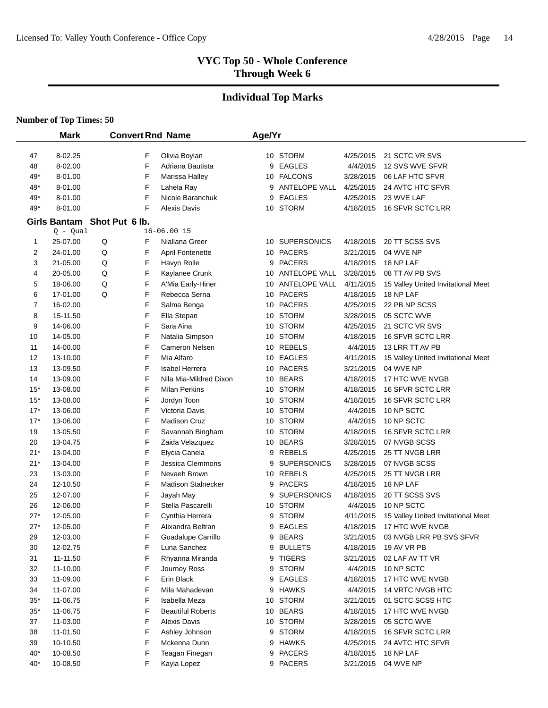# **Individual Top Marks**

|          | <b>Mark</b>          |                             |        | <b>Convert Rnd Name</b>   | Age/Yr |                        |                        |                                           |
|----------|----------------------|-----------------------------|--------|---------------------------|--------|------------------------|------------------------|-------------------------------------------|
|          |                      |                             |        |                           |        |                        |                        |                                           |
| 47       | 8-02.25              |                             | F      | Olivia Boylan             |        | 10 STORM               | 4/25/2015              | 21 SCTC VR SVS                            |
| 48       | 8-02.00              |                             | F      | Adriana Bautista          | 9      | <b>EAGLES</b>          | 4/4/2015               | 12 SVS WVE SFVR                           |
| 49*      | 8-01.00              |                             | F      | Marissa Halley            |        | 10 FALCONS             | 3/28/2015              | 06 LAF HTC SFVR                           |
| 49*      | 8-01.00              |                             | F      | Lahela Ray                | 9      | ANTELOPE VALL          | 4/25/2015              | 24 AVTC HTC SFVR                          |
| 49*      | 8-01.00              |                             | F      | Nicole Baranchuk          | 9      | <b>EAGLES</b>          | 4/25/2015              | 23 WVE LAF                                |
| 49*      | 8-01.00              |                             | F      | <b>Alexis Davis</b>       |        | 10 STORM               | 4/18/2015              | 16 SFVR SCTC LRR                          |
|          |                      | Girls Bantam Shot Put 6 lb. |        |                           |        |                        |                        |                                           |
|          | $Q - Qual$           |                             |        | $16 - 06.0015$            |        |                        |                        |                                           |
| 1        | 25-07.00             | Q                           | F      | Niallana Greer            |        | 10 SUPERSONICS         | 4/18/2015              | 20 TT SCSS SVS                            |
| 2        | 24-01.00             | Q                           | F      | <b>April Fontenette</b>   |        | 10 PACERS              | 3/21/2015              | 04 WVE NP                                 |
| 3        | 21-05.00             | Q                           | F      | Havyn Rolle               | 9      | <b>PACERS</b>          | 4/18/2015              | 18 NP LAF                                 |
| 4        | 20-05.00             | Q                           | F      | Kaylanee Crunk            |        | 10 ANTELOPE VALL       | 3/28/2015              | 08 TT AV PB SVS                           |
| 5        | 18-06.00             | Q<br>Q                      | F<br>F | A'Mia Early-Hiner         |        | 10 ANTELOPE VALL       | 4/11/2015              | 15 Valley United Invitational Meet        |
| 6        | 17-01.00             |                             |        | Rebecca Serna             |        | 10 PACERS<br>10 PACERS | 4/18/2015              | 18 NP LAF                                 |
| 7        | 16-02.00             |                             | F<br>F | Salma Benga               |        |                        | 4/25/2015              | 22 PB NP SCSS                             |
| 8        | 15-11.50             |                             | F      | Ella Stepan<br>Sara Aina  |        | 10 STORM<br>10 STORM   | 3/28/2015              | 05 SCTC WVE                               |
| 9        | 14-06.00<br>14-05.00 |                             | F      | Natalia Simpson           |        | 10 STORM               | 4/25/2015<br>4/18/2015 | 21 SCTC VR SVS<br><b>16 SFVR SCTC LRR</b> |
| 10       | 14-00.00             |                             | F      | Cameron Nelsen            |        | 10 REBELS              | 4/4/2015               | 13 LRR TT AV PB                           |
| 11<br>12 | 13-10.00             |                             | F      | Mia Alfaro                |        | 10 EAGLES              | 4/11/2015              | 15 Valley United Invitational Meet        |
| 13       | 13-09.50             |                             | F      | <b>Isabel Herrera</b>     |        | 10 PACERS              | 3/21/2015              | 04 WVE NP                                 |
| 14       | 13-09.00             |                             | F      | Nila Mia-Mildred Dixon    |        | 10 BEARS               | 4/18/2015              | 17 HTC WVE NVGB                           |
| $15*$    | 13-08.00             |                             | F      | <b>Milan Perkins</b>      |        | 10 STORM               | 4/18/2015              | 16 SFVR SCTC LRR                          |
| $15*$    | 13-08.00             |                             | F      | Jordyn Toon               |        | 10 STORM               | 4/18/2015              | 16 SFVR SCTC LRR                          |
| $17*$    | 13-06.00             |                             | F      | Victoria Davis            |        | 10 STORM               | 4/4/2015               | 10 NP SCTC                                |
| $17*$    | 13-06.00             |                             | F      | <b>Madison Cruz</b>       |        | 10 STORM               | 4/4/2015               | 10 NP SCTC                                |
| 19       | 13-05.50             |                             | F      | Savannah Bingham          |        | 10 STORM               | 4/18/2015              | 16 SFVR SCTC LRR                          |
| 20       | 13-04.75             |                             | F      | Zaida Velazquez           |        | 10 BEARS               | 3/28/2015              | 07 NVGB SCSS                              |
| $21*$    | 13-04.00             |                             | F      | Elycia Canela             | 9      | REBELS                 | 4/25/2015              | 25 TT NVGB LRR                            |
| $21*$    | 13-04.00             |                             | F      | Jessica Clemmons          | 9      | <b>SUPERSONICS</b>     | 3/28/2015              | 07 NVGB SCSS                              |
| 23       | 13-03.00             |                             | F      | Nevaeh Brown              |        | 10 REBELS              | 4/25/2015              | 25 TT NVGB LRR                            |
| 24       | 12-10.50             |                             | F      | <b>Madison Stalnecker</b> | 9      | <b>PACERS</b>          | 4/18/2015              | 18 NP LAF                                 |
| 25       | 12-07.00             |                             | F      | Jayah May                 | 9      | <b>SUPERSONICS</b>     | 4/18/2015              | 20 TT SCSS SVS                            |
| 26       | 12-06.00             |                             | F      | Stella Pascarelli         | 10     | <b>STORM</b>           | 4/4/2015               | 10 NP SCTC                                |
| $27*$    | 12-05.00             |                             | F      | Cynthia Herrera           | 9      | <b>STORM</b>           | 4/11/2015              | 15 Valley United Invitational Meet        |
| $27*$    | 12-05.00             |                             | F      | Alixandra Beltran         | 9      | <b>EAGLES</b>          | 4/18/2015              | 17 HTC WVE NVGB                           |
| 29       | 12-03.00             |                             | F      | Guadalupe Carrillo        |        | 9 BEARS                | 3/21/2015              | 03 NVGB LRR PB SVS SFVR                   |
| 30       | 12-02.75             |                             | F      | Luna Sanchez              | 9      | <b>BULLETS</b>         | 4/18/2015              | 19 AV VR PB                               |
| 31       | 11-11.50             |                             | F      | Rhyanna Miranda           |        | 9 TIGERS               | 3/21/2015              | 02 LAF AV TT VR                           |
| 32       | 11-10.00             |                             | F      | Journey Ross              |        | 9 STORM                | 4/4/2015               | 10 NP SCTC                                |
| 33       | 11-09.00             |                             | F      | Erin Black                |        | 9 EAGLES               | 4/18/2015              | 17 HTC WVE NVGB                           |
| 34       | 11-07.00             |                             | F      | Mila Mahadevan            |        | 9 HAWKS                | 4/4/2015               | 14 VRTC NVGB HTC                          |
| $35*$    | 11-06.75             |                             | F      | Isabella Meza             |        | 10 STORM               | 3/21/2015              | 01 SCTC SCSS HTC                          |
| $35*$    | 11-06.75             |                             | F      | <b>Beautiful Roberts</b>  |        | 10 BEARS               | 4/18/2015              | 17 HTC WVE NVGB                           |
| 37       | 11-03.00             |                             | F      | <b>Alexis Davis</b>       |        | 10 STORM               | 3/28/2015              | 05 SCTC WVE                               |
| 38       | 11-01.50             |                             | F      | Ashley Johnson            |        | 9 STORM                | 4/18/2015              | 16 SFVR SCTC LRR                          |
| 39       | 10-10.50             |                             | F      | Mckenna Dunn              |        | 9 HAWKS                | 4/25/2015              | 24 AVTC HTC SFVR                          |
| $40*$    | 10-08.50             |                             | F      | Teagan Finegan            |        | 9 PACERS               | 4/18/2015              | 18 NP LAF                                 |
| $40*$    | 10-08.50             |                             | F      | Kayla Lopez               |        | 9 PACERS               | 3/21/2015              | 04 WVE NP                                 |
|          |                      |                             |        |                           |        |                        |                        |                                           |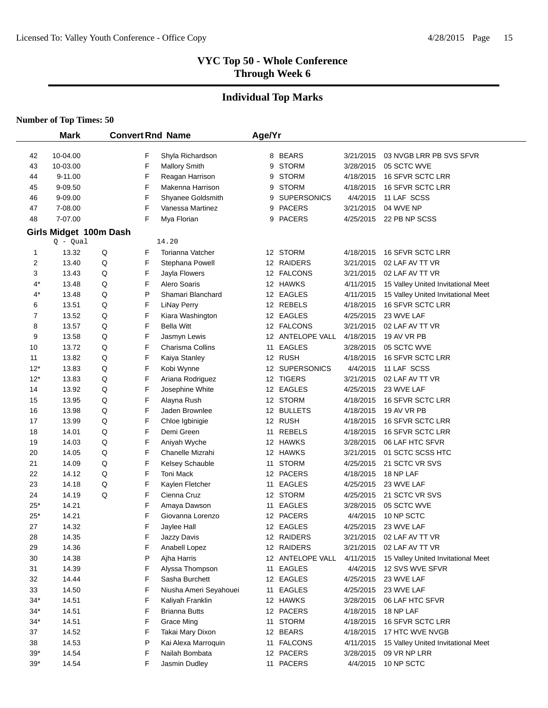# **Individual Top Marks**

|                | <b>Mark</b>                          |   |        | <b>Convert Rnd Name</b>               | Age/Yr |                                |                        |                                      |
|----------------|--------------------------------------|---|--------|---------------------------------------|--------|--------------------------------|------------------------|--------------------------------------|
|                |                                      |   |        |                                       |        |                                |                        |                                      |
| 42             | 10-04.00                             |   | F      | Shyla Richardson                      |        | 8 BEARS<br><b>STORM</b>        | 3/21/2015              | 03 NVGB LRR PB SVS SFVR              |
| 43             | 10-03.00                             |   | F<br>F | <b>Mallory Smith</b>                  | 9      |                                | 3/28/2015              | 05 SCTC WVE                          |
| 44             | $9 - 11.00$<br>9-09.50               |   | F      | Reagan Harrison<br>Makenna Harrison   | 9      | <b>STORM</b><br><b>STORM</b>   | 4/18/2015<br>4/18/2015 | 16 SFVR SCTC LRR<br>16 SFVR SCTC LRR |
| 45             |                                      |   | F      |                                       | 9      |                                | 4/4/2015               |                                      |
| 46<br>47       | 9-09.00<br>7-08.00                   |   | F      | Shyanee Goldsmith<br>Vanessa Martinez | 9      | <b>SUPERSONICS</b><br>9 PACERS |                        | 11 LAF SCSS<br>04 WVE NP             |
| 48             | 7-07.00                              |   | F      | Mya Florian                           |        | 9 PACERS                       | 3/21/2015              | 22 PB NP SCSS                        |
|                |                                      |   |        |                                       |        |                                | 4/25/2015              |                                      |
|                | Girls Midget 100m Dash<br>$Q - Qual$ |   |        | 14.20                                 |        |                                |                        |                                      |
| 1              | 13.32                                | Q | F      | <b>Torianna Vatcher</b>               |        | 12 STORM                       | 4/18/2015              | <b>16 SFVR SCTC LRR</b>              |
| $\overline{c}$ | 13.40                                | Q | F      | Stephana Powell                       |        | 12 RAIDERS                     | 3/21/2015              | 02 LAF AV TT VR                      |
| 3              | 13.43                                | Q | F      | Jayla Flowers                         |        | 12 FALCONS                     | 3/21/2015              | 02 LAF AV TT VR                      |
| 4*             | 13.48                                | Q | F      | Alero Soaris                          |        | 12 HAWKS                       | 4/11/2015              | 15 Valley United Invitational Meet   |
| 4*             | 13.48                                | Q | P      | Shamari Blanchard                     |        | 12 EAGLES                      | 4/11/2015              | 15 Valley United Invitational Meet   |
| 6              | 13.51                                | Q | F      | <b>LiNay Perry</b>                    |        | 12 REBELS                      | 4/18/2015              | 16 SFVR SCTC LRR                     |
| 7              | 13.52                                | Q | F      | Kiara Washington                      |        | 12 EAGLES                      | 4/25/2015              | 23 WVE LAF                           |
| 8              | 13.57                                | Q | F      | <b>Bella Witt</b>                     |        | 12 FALCONS                     | 3/21/2015              | 02 LAF AV TT VR                      |
| 9              | 13.58                                | Q | F      | Jasmyn Lewis                          |        | 12 ANTELOPE VALL               | 4/18/2015              | 19 AV VR PB                          |
| 10             | 13.72                                | Q | F      | Charisma Collins                      |        | 11 EAGLES                      | 3/28/2015              | 05 SCTC WVE                          |
| 11             | 13.82                                | Q | F      | Kaiya Stanley                         |        | 12 RUSH                        | 4/18/2015              | 16 SFVR SCTC LRR                     |
| $12*$          | 13.83                                | Q | F      | Kobi Wynne                            |        | 12 SUPERSONICS                 | 4/4/2015               | 11 LAF SCSS                          |
| $12*$          | 13.83                                | Q | F      | Ariana Rodriguez                      |        | 12 TIGERS                      | 3/21/2015              | 02 LAF AV TT VR                      |
| 14             | 13.92                                | Q | F      | Josephine White                       |        | 12 EAGLES                      | 4/25/2015              | 23 WVE LAF                           |
| 15             | 13.95                                | Q | F      | Alayna Rush                           |        | 12 STORM                       | 4/18/2015              | 16 SFVR SCTC LRR                     |
| 16             | 13.98                                | Q | F      | Jaden Brownlee                        |        | 12 BULLETS                     | 4/18/2015              | 19 AV VR PB                          |
| 17             | 13.99                                | Q | F      | Chloe Igbinigie                       |        | 12 RUSH                        | 4/18/2015              | 16 SFVR SCTC LRR                     |
| 18             | 14.01                                | Q | F      | Demi Green                            |        | 11 REBELS                      | 4/18/2015              | 16 SFVR SCTC LRR                     |
| 19             | 14.03                                | Q | F      | Aniyah Wyche                          |        | 12 HAWKS                       | 3/28/2015              | 06 LAF HTC SFVR                      |
| 20             | 14.05                                | Q | F      | Chanelle Mizrahi                      |        | 12 HAWKS                       | 3/21/2015              | 01 SCTC SCSS HTC                     |
| 21             | 14.09                                | Q | F      | Kelsey Schauble                       |        | 11 STORM                       | 4/25/2015              | 21 SCTC VR SVS                       |
| 22             | 14.12                                | Q | F      | <b>Toni Mack</b>                      |        | 12 PACERS                      | 4/18/2015              | 18 NP LAF                            |
| 23             | 14.18                                | Q | F      | Kaylen Fletcher                       |        | 11 EAGLES                      | 4/25/2015              | 23 WVE LAF                           |
| 24             | 14.19                                | Q | F      | Cienna Cruz                           |        | 12 STORM                       | 4/25/2015              | 21 SCTC VR SVS                       |
| $25*$          | 14.21                                |   | F      | Amaya Dawson                          |        | 11 EAGLES                      | 3/28/2015              | 05 SCTC WVE                          |
| $25*$          | 14.21                                |   | F      | Giovanna Lorenzo                      |        | 12 PACERS                      | 4/4/2015               | 10 NP SCTC                           |
| 27             | 14.32                                |   | F      | Jaylee Hall                           |        | 12 EAGLES                      | 4/25/2015              | 23 WVE LAF                           |
| 28             | 14.35                                |   | F      | Jazzy Davis                           |        | 12 RAIDERS                     | 3/21/2015              | 02 LAF AV TT VR                      |
| 29             | 14.36                                |   | F      | Anabell Lopez                         |        | 12 RAIDERS                     | 3/21/2015              | 02 LAF AV TT VR                      |
| 30             | 14.38                                |   | P      | Ajha Harris                           |        | 12 ANTELOPE VALL               | 4/11/2015              | 15 Valley United Invitational Meet   |
| 31             | 14.39                                |   | F      | Alyssa Thompson                       |        | 11 EAGLES                      | 4/4/2015               | 12 SVS WVE SFVR                      |
| 32             | 14.44                                |   | F      | Sasha Burchett                        |        | 12 EAGLES                      | 4/25/2015              | 23 WVE LAF                           |
| 33             | 14.50                                |   | F      | Niusha Ameri Seyahouei                |        | 11 EAGLES                      | 4/25/2015              | 23 WVE LAF                           |
| $34*$          | 14.51                                |   | F      | Kaliyah Franklin                      |        | 12 HAWKS                       | 3/28/2015              | 06 LAF HTC SFVR                      |
| $34*$          | 14.51                                |   | F      | <b>Brianna Butts</b>                  |        | 12 PACERS                      | 4/18/2015              | 18 NP LAF                            |
| $34*$          | 14.51                                |   | F      | <b>Grace Ming</b>                     |        | 11 STORM                       | 4/18/2015              | 16 SFVR SCTC LRR                     |
| 37             | 14.52                                |   | F      | Takai Mary Dixon                      |        | 12 BEARS                       | 4/18/2015              | 17 HTC WVE NVGB                      |
| 38             | 14.53                                |   | P      | Kai Alexa Marroquin                   |        | 11 FALCONS                     | 4/11/2015              | 15 Valley United Invitational Meet   |
| $39*$          | 14.54                                |   | F      | Nailah Bombata                        |        | 12 PACERS                      | 3/28/2015              | 09 VR NP LRR                         |
| $39*$          | 14.54                                |   | F      | Jasmin Dudley                         |        | 11 PACERS                      | 4/4/2015               | 10 NP SCTC                           |
|                |                                      |   |        |                                       |        |                                |                        |                                      |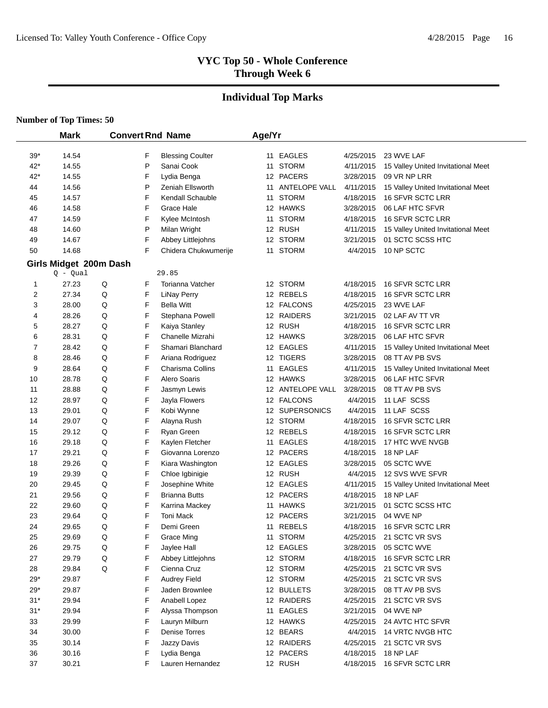# **Individual Top Marks**

|              | <b>Mark</b>                          |   |   | <b>Convert Rnd Name</b>               | Age/Yr |                  |                        |                                    |
|--------------|--------------------------------------|---|---|---------------------------------------|--------|------------------|------------------------|------------------------------------|
| $39*$        | 14.54                                |   | F |                                       |        | 11 EAGLES        |                        | 23 WVE LAF                         |
| $42*$        | 14.55                                |   | P | <b>Blessing Coulter</b><br>Sanai Cook |        | 11 STORM         | 4/25/2015<br>4/11/2015 | 15 Valley United Invitational Meet |
| $42*$        | 14.55                                |   | F | Lydia Benga                           |        | 12 PACERS        | 3/28/2015              | 09 VR NP LRR                       |
| 44           | 14.56                                |   | P | Zeniah Ellsworth                      |        | 11 ANTELOPE VALL | 4/11/2015              | 15 Valley United Invitational Meet |
| 45           | 14.57                                |   | F | Kendall Schauble                      | 11     | <b>STORM</b>     | 4/18/2015              | 16 SFVR SCTC LRR                   |
| 46           | 14.58                                |   | F | Grace Hale                            |        | 12 HAWKS         | 3/28/2015              | 06 LAF HTC SFVR                    |
| 47           | 14.59                                |   | F | Kylee McIntosh                        |        | 11 STORM         | 4/18/2015              | 16 SFVR SCTC LRR                   |
| 48           | 14.60                                |   | P | Milan Wright                          |        | 12 RUSH          | 4/11/2015              | 15 Valley United Invitational Meet |
| 49           | 14.67                                |   | F | Abbey Littlejohns                     |        | 12 STORM         | 3/21/2015              | 01 SCTC SCSS HTC                   |
| 50           | 14.68                                |   | F | Chidera Chukwumerije                  | 11     | <b>STORM</b>     | 4/4/2015               | 10 NP SCTC                         |
|              |                                      |   |   |                                       |        |                  |                        |                                    |
|              | Girls Midget 200m Dash<br>$Q - Qual$ |   |   | 29.85                                 |        |                  |                        |                                    |
| 1            | 27.23                                | Q | F | Torianna Vatcher                      |        | 12 STORM         | 4/18/2015              | 16 SFVR SCTC LRR                   |
| 2            | 27.34                                | Q | F | <b>LiNay Perry</b>                    |        | 12 REBELS        | 4/18/2015              | 16 SFVR SCTC LRR                   |
| 3            | 28.00                                | Q | F | <b>Bella Witt</b>                     |        | 12 FALCONS       | 4/25/2015              | 23 WVE LAF                         |
| 4            | 28.26                                | Q | F | Stephana Powell                       |        | 12 RAIDERS       | 3/21/2015              | 02 LAF AV TT VR                    |
| 5            | 28.27                                | Q | F | Kaiya Stanley                         |        | 12 RUSH          | 4/18/2015              | 16 SFVR SCTC LRR                   |
| 6            | 28.31                                | Q | F | Chanelle Mizrahi                      |        | 12 HAWKS         | 3/28/2015              | 06 LAF HTC SFVR                    |
| 7            | 28.42                                | Q | F | Shamari Blanchard                     |        | 12 EAGLES        | 4/11/2015              | 15 Valley United Invitational Meet |
| 8            | 28.46                                | Q | F | Ariana Rodriguez                      |        | 12 TIGERS        | 3/28/2015              | 08 TT AV PB SVS                    |
| 9            | 28.64                                | Q | F | Charisma Collins                      | 11     | <b>EAGLES</b>    | 4/11/2015              | 15 Valley United Invitational Meet |
| 10           | 28.78                                | Q | F | Alero Soaris                          |        | 12 HAWKS         | 3/28/2015              | 06 LAF HTC SFVR                    |
| 11           | 28.88                                | Q | F | Jasmyn Lewis                          |        | 12 ANTELOPE VALL | 3/28/2015              | 08 TT AV PB SVS                    |
| 12           | 28.97                                | Q | F | Jayla Flowers                         |        | 12 FALCONS       | 4/4/2015               | 11 LAF SCSS                        |
| 13           | 29.01                                | Q | F | Kobi Wynne                            |        | 12 SUPERSONICS   | 4/4/2015               | 11 LAF SCSS                        |
| 14           | 29.07                                | Q | F | Alayna Rush                           |        | 12 STORM         | 4/18/2015              | 16 SFVR SCTC LRR                   |
| 15           | 29.12                                | Q | F | Ryan Green                            |        | 12 REBELS        | 4/18/2015              | 16 SFVR SCTC LRR                   |
| 16           | 29.18                                | Q | F | Kaylen Fletcher                       |        | 11 EAGLES        | 4/18/2015              | 17 HTC WVE NVGB                    |
| 17           | 29.21                                | Q | F | Giovanna Lorenzo                      |        | 12 PACERS        | 4/18/2015              | 18 NP LAF                          |
| 18           | 29.26                                | Q | F | Kiara Washington                      |        | 12 EAGLES        | 3/28/2015              | 05 SCTC WVE                        |
| 19           | 29.39                                | Q | F | Chloe Igbinigie                       |        | 12 RUSH          | 4/4/2015               | 12 SVS WVE SFVR                    |
| 20           | 29.45                                | Q | F | Josephine White                       |        | 12 EAGLES        | 4/11/2015              | 15 Valley United Invitational Meet |
| 21           | 29.56                                | Q | F | <b>Brianna Butts</b>                  |        | 12 PACERS        | 4/18/2015              | 18 NP LAF                          |
| 22           | 29.60                                | Q | F | Karrina Mackey                        |        | 11 HAWKS         | 3/21/2015              | 01 SCTC SCSS HTC                   |
| 23           | 29.64                                | Q | F | <b>Toni Mack</b>                      |        | 12 PACERS        | 3/21/2015              | 04 WVE NP                          |
| 24           | 29.65                                | Q | F | Demi Green                            | 11     | <b>REBELS</b>    | 4/18/2015              | 16 SFVR SCTC LRR                   |
| 25           | 29.69                                | Q | F | Grace Ming                            |        | 11 STORM         | 4/25/2015              | 21 SCTC VR SVS                     |
| 26           | 29.75                                | Q | F | Jaylee Hall                           |        | 12 EAGLES        | 3/28/2015              | 05 SCTC WVE                        |
| 27           | 29.79                                | Q | F | Abbey Littlejohns                     |        | 12 STORM         | 4/18/2015              | 16 SFVR SCTC LRR                   |
| 28           | 29.84                                | Q | F | Cienna Cruz                           |        | 12 STORM         | 4/25/2015              | 21 SCTC VR SVS                     |
| $29*$        | 29.87                                |   | F | Audrey Field                          |        | 12 STORM         | 4/25/2015              | 21 SCTC VR SVS                     |
| $29^{\star}$ | 29.87                                |   | F | Jaden Brownlee                        |        | 12 BULLETS       | 3/28/2015              | 08 TT AV PB SVS                    |
| $31*$        | 29.94                                |   | F | Anabell Lopez                         |        | 12 RAIDERS       | 4/25/2015              | 21 SCTC VR SVS                     |
| $31*$        | 29.94                                |   | F | Alyssa Thompson                       |        | 11 EAGLES        | 3/21/2015              | 04 WVE NP                          |
| 33           | 29.99                                |   | F | Lauryn Milburn                        |        | 12 HAWKS         | 4/25/2015              | 24 AVTC HTC SFVR                   |
| 34           | 30.00                                |   | F | Denise Torres                         |        | 12 BEARS         | 4/4/2015               | 14 VRTC NVGB HTC                   |
| 35           | 30.14                                |   | F | Jazzy Davis                           |        | 12 RAIDERS       | 4/25/2015              | 21 SCTC VR SVS                     |
| 36           | 30.16                                |   | F | Lydia Benga                           |        | 12 PACERS        | 4/18/2015              | 18 NP LAF                          |
| 37           | 30.21                                |   | F | Lauren Hernandez                      |        | 12 RUSH          | 4/18/2015              | 16 SFVR SCTC LRR                   |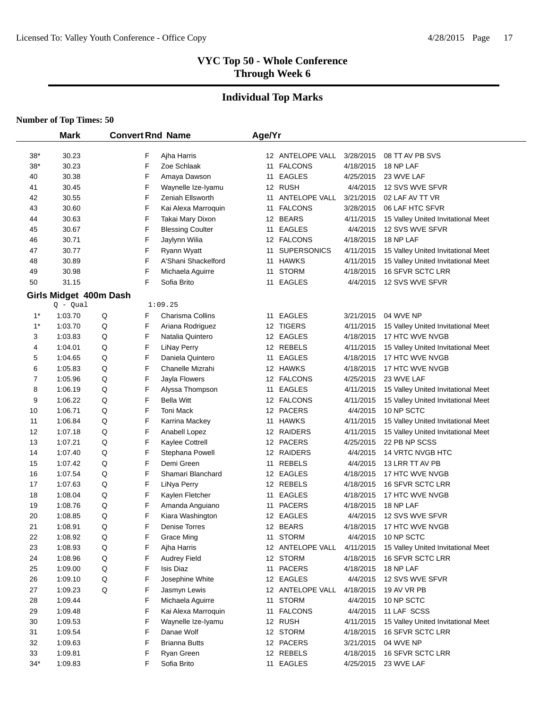# **Individual Top Marks**

#### **Number of Top Times: 50**

L.

|                | <b>Mark</b>                          | <b>Convert Rnd Name</b> |                            | Age/Yr |                    |           |                                    |
|----------------|--------------------------------------|-------------------------|----------------------------|--------|--------------------|-----------|------------------------------------|
| $38*$          | 30.23                                | F                       |                            |        | 12 ANTELOPE VALL   | 3/28/2015 | 08 TT AV PB SVS                    |
| $38*$          | 30.23                                | F                       | Ajha Harris<br>Zoe Schlaak |        | 11 FALCONS         | 4/18/2015 | 18 NP LAF                          |
| 40             | 30.38                                | F                       | Amaya Dawson               |        | 11 EAGLES          | 4/25/2015 | 23 WVE LAF                         |
| 41             | 30.45                                | F                       | Waynelle Ize-Iyamu         |        | 12 RUSH            | 4/4/2015  | 12 SVS WVE SFVR                    |
| 42             | 30.55                                | F                       | Zeniah Ellsworth           | 11     | ANTELOPE VALL      | 3/21/2015 | 02 LAF AV TT VR                    |
| 43             | 30.60                                | F                       | Kai Alexa Marroquin        | 11     | <b>FALCONS</b>     | 3/28/2015 | 06 LAF HTC SFVR                    |
| 44             | 30.63                                | F                       | Takai Mary Dixon           |        | 12 BEARS           | 4/11/2015 | 15 Valley United Invitational Meet |
| 45             | 30.67                                | F                       | <b>Blessing Coulter</b>    | 11     | <b>EAGLES</b>      | 4/4/2015  | 12 SVS WVE SFVR                    |
| 46             | 30.71                                | F                       | Jaylynn Wilia              |        | 12 FALCONS         | 4/18/2015 | 18 NP LAF                          |
| 47             | 30.77                                | F                       | Ryann Wyatt                | 11     | <b>SUPERSONICS</b> | 4/11/2015 | 15 Valley United Invitational Meet |
| 48             | 30.89                                | F                       | A'Shani Shackelford        | 11     | <b>HAWKS</b>       | 4/11/2015 | 15 Valley United Invitational Meet |
| 49             | 30.98                                | F                       | Michaela Aguirre           | 11     | <b>STORM</b>       | 4/18/2015 | 16 SFVR SCTC LRR                   |
| 50             | 31.15                                | F                       | Sofia Brito                | 11     | <b>EAGLES</b>      | 4/4/2015  | 12 SVS WVE SFVR                    |
|                |                                      |                         |                            |        |                    |           |                                    |
|                | Girls Midget 400m Dash<br>$Q - Qual$ |                         | 1:09.25                    |        |                    |           |                                    |
| $1^*$          | 1:03.70                              | F<br>Q                  | Charisma Collins           | 11     | <b>EAGLES</b>      | 3/21/2015 | 04 WVE NP                          |
| $1*$           | 1:03.70                              | Q<br>F                  | Ariana Rodriguez           |        | 12 TIGERS          | 4/11/2015 | 15 Valley United Invitational Meet |
| 3              | 1:03.83                              | Q<br>F                  | Natalia Quintero           |        | 12 EAGLES          | 4/18/2015 | 17 HTC WVE NVGB                    |
| 4              | 1:04.01                              | Q<br>F                  | <b>LiNay Perry</b>         |        | 12 REBELS          | 4/11/2015 | 15 Valley United Invitational Meet |
| 5              | 1:04.65                              | Q<br>F                  | Daniela Quintero           | 11     | <b>EAGLES</b>      | 4/18/2015 | 17 HTC WVE NVGB                    |
| 6              | 1:05.83                              | Q<br>F                  | Chanelle Mizrahi           |        | 12 HAWKS           | 4/18/2015 | 17 HTC WVE NVGB                    |
| $\overline{7}$ | 1:05.96                              | Q<br>F                  | Jayla Flowers              |        | 12 FALCONS         | 4/25/2015 | 23 WVE LAF                         |
| 8              | 1:06.19                              | Q<br>F                  | Alyssa Thompson            | 11     | <b>EAGLES</b>      | 4/11/2015 | 15 Valley United Invitational Meet |
| 9              | 1:06.22                              | Q<br>F                  | <b>Bella Witt</b>          |        | 12 FALCONS         | 4/11/2015 | 15 Valley United Invitational Meet |
| 10             | 1:06.71                              | Q<br>F                  | <b>Toni Mack</b>           |        | 12 PACERS          | 4/4/2015  | 10 NP SCTC                         |
| 11             | 1:06.84                              | F<br>Q                  | Karrina Mackey             | 11     | <b>HAWKS</b>       | 4/11/2015 | 15 Valley United Invitational Meet |
| 12             | 1:07.18                              | Q<br>F                  | Anabell Lopez              |        | 12 RAIDERS         | 4/11/2015 | 15 Valley United Invitational Meet |
| 13             | 1:07.21                              | F<br>Q                  | Kaylee Cottrell            |        | 12 PACERS          | 4/25/2015 | 22 PB NP SCSS                      |
| 14             | 1:07.40                              | F<br>Q                  | Stephana Powell            |        | 12 RAIDERS         | 4/4/2015  | 14 VRTC NVGB HTC                   |
| 15             | 1:07.42                              | F<br>Q                  | Demi Green                 | 11     | <b>REBELS</b>      | 4/4/2015  | 13 LRR TT AV PB                    |
| 16             | 1:07.54                              | F<br>Q                  | Shamari Blanchard          |        | 12 EAGLES          | 4/18/2015 | 17 HTC WVE NVGB                    |
| 17             | 1:07.63                              | F<br>Q                  | LiNya Perry                |        | 12 REBELS          | 4/18/2015 | 16 SFVR SCTC LRR                   |
| 18             | 1:08.04                              | Q<br>F                  | Kaylen Fletcher            | 11     | <b>EAGLES</b>      | 4/18/2015 | 17 HTC WVE NVGB                    |
| 19             | 1:08.76                              | F<br>Q                  | Amanda Anguiano            | 11     | <b>PACERS</b>      | 4/18/2015 | 18 NP LAF                          |
| 20             | 1:08.85                              | F<br>Q                  | Kiara Washington           |        | 12 EAGLES          | 4/4/2015  | 12 SVS WVE SFVR                    |
| 21             | 1:08.91                              | F<br>Q                  | <b>Denise Torres</b>       |        | 12 BEARS           | 4/18/2015 | 17 HTC WVE NVGB                    |
| 22             | 1:08.92                              | Q<br>F                  | <b>Grace Ming</b>          |        | 11 STORM           | 4/4/2015  | 10 NP SCTC                         |
| 23             | 1:08.93                              | F<br>Q                  | Ajha Harris                |        | 12 ANTELOPE VALL   | 4/11/2015 | 15 Valley United Invitational Meet |
| 24             | 1:08.96                              | F<br>Q                  | <b>Audrey Field</b>        |        | 12 STORM           | 4/18/2015 | 16 SFVR SCTC LRR                   |
| 25             | 1:09.00                              | F<br>Q                  | Isis Diaz                  |        | 11 PACERS          | 4/18/2015 | 18 NP LAF                          |
| 26             | 1:09.10                              | F<br>Q                  | Josephine White            |        | 12 EAGLES          | 4/4/2015  | 12 SVS WVE SFVR                    |
| 27             | 1:09.23                              | Q<br>F                  | Jasmyn Lewis               |        | 12 ANTELOPE VALL   | 4/18/2015 | 19 AV VR PB                        |
| 28             | 1:09.44                              | F                       | Michaela Aguirre           |        | 11 STORM           | 4/4/2015  | 10 NP SCTC                         |
| 29             | 1:09.48                              | F                       | Kai Alexa Marroquin        |        | 11 FALCONS         | 4/4/2015  | 11 LAF SCSS                        |
| 30             | 1:09.53                              | F                       | Waynelle Ize-Iyamu         |        | 12 RUSH            | 4/11/2015 | 15 Valley United Invitational Meet |
| 31             | 1:09.54                              | F                       | Danae Wolf                 |        | 12 STORM           | 4/18/2015 | 16 SFVR SCTC LRR                   |
| 32             | 1:09.63                              | F                       | <b>Brianna Butts</b>       |        | 12 PACERS          | 3/21/2015 | 04 WVE NP                          |
| 33             | 1:09.81                              | F                       | Ryan Green                 |        | 12 REBELS          | 4/18/2015 | 16 SFVR SCTC LRR                   |
| $34*$          | 1:09.83                              | F                       | Sofia Brito                |        | 11 EAGLES          | 4/25/2015 | 23 WVE LAF                         |
|                |                                      |                         |                            |        |                    |           |                                    |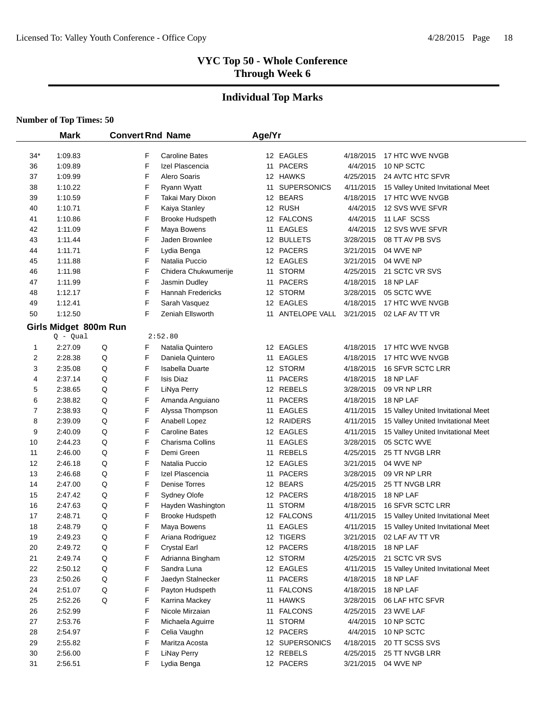# **Individual Top Marks**

|       | <b>Mark</b>                         | <b>Convert Rnd Name</b> |                          | Age/Yr |                  |           |                                    |
|-------|-------------------------------------|-------------------------|--------------------------|--------|------------------|-----------|------------------------------------|
| $34*$ | 1:09.83                             | F                       | <b>Caroline Bates</b>    |        | 12 EAGLES        | 4/18/2015 | 17 HTC WVE NVGB                    |
| 36    | 1:09.89                             | F                       | Izel Plascencia          |        | 11 PACERS        | 4/4/2015  | 10 NP SCTC                         |
| 37    | 1:09.99                             | F                       | Alero Soaris             |        | 12 HAWKS         | 4/25/2015 | 24 AVTC HTC SFVR                   |
| 38    | 1:10.22                             | F                       | Ryann Wyatt              |        | 11 SUPERSONICS   | 4/11/2015 | 15 Valley United Invitational Meet |
| 39    | 1:10.59                             | F                       | Takai Mary Dixon         |        | 12 BEARS         | 4/18/2015 | 17 HTC WVE NVGB                    |
| 40    | 1:10.71                             | F                       | Kaiya Stanley            |        | 12 RUSH          | 4/4/2015  | 12 SVS WVE SFVR                    |
| 41    | 1:10.86                             | F                       | <b>Brooke Hudspeth</b>   |        | 12 FALCONS       | 4/4/2015  | 11 LAF SCSS                        |
| 42    | 1:11.09                             | F                       | Maya Bowens              |        | 11 EAGLES        | 4/4/2015  | 12 SVS WVE SFVR                    |
| 43    | 1:11.44                             | F                       | Jaden Brownlee           |        | 12 BULLETS       | 3/28/2015 | 08 TT AV PB SVS                    |
| 44    | 1:11.71                             | F                       | Lydia Benga              |        | 12 PACERS        | 3/21/2015 | 04 WVE NP                          |
| 45    | 1:11.88                             | F                       | Natalia Puccio           |        | 12 EAGLES        | 3/21/2015 | 04 WVE NP                          |
| 46    | 1:11.98                             | F                       | Chidera Chukwumerije     |        | 11 STORM         | 4/25/2015 | 21 SCTC VR SVS                     |
| 47    | 1:11.99                             | F                       | Jasmin Dudley            |        | 11 PACERS        | 4/18/2015 | 18 NP LAF                          |
| 48    | 1:12.17                             | F                       | <b>Hannah Fredericks</b> |        | 12 STORM         | 3/28/2015 | 05 SCTC WVE                        |
| 49    | 1:12.41                             | F                       | Sarah Vasquez            |        | 12 EAGLES        | 4/18/2015 | 17 HTC WVE NVGB                    |
| 50    | 1:12.50                             | F                       | Zeniah Ellsworth         |        | 11 ANTELOPE VALL | 3/21/2015 | 02 LAF AV TT VR                    |
|       |                                     |                         |                          |        |                  |           |                                    |
|       | Girls Midget 800m Run<br>$Q - Qual$ |                         | 2:52.80                  |        |                  |           |                                    |
| 1     | 2:27.09                             | Q<br>F                  | Natalia Quintero         |        | 12 EAGLES        | 4/18/2015 | 17 HTC WVE NVGB                    |
| 2     | 2:28.38                             | Q<br>F                  | Daniela Quintero         | 11     | <b>EAGLES</b>    | 4/18/2015 | 17 HTC WVE NVGB                    |
| 3     | 2:35.08                             | Q<br>F                  | <b>Isabella Duarte</b>   |        | 12 STORM         | 4/18/2015 | 16 SFVR SCTC LRR                   |
| 4     | 2:37.14                             | F<br>Q                  | <b>Isis Diaz</b>         |        | 11 PACERS        | 4/18/2015 | 18 NP LAF                          |
| 5     | 2:38.65                             | F<br>Q                  | LiNya Perry              |        | 12 REBELS        | 3/28/2015 | 09 VR NP LRR                       |
| 6     | 2:38.82                             | F<br>Q                  | Amanda Anguiano          |        | 11 PACERS        | 4/18/2015 | 18 NP LAF                          |
| 7     | 2:38.93                             | F<br>Q                  | Alyssa Thompson          |        | 11 EAGLES        | 4/11/2015 | 15 Valley United Invitational Meet |
| 8     | 2:39.09                             | F<br>Q                  | Anabell Lopez            |        | 12 RAIDERS       | 4/11/2015 | 15 Valley United Invitational Meet |
| 9     | 2:40.09                             | F<br>Q                  | <b>Caroline Bates</b>    |        | 12 EAGLES        | 4/11/2015 | 15 Valley United Invitational Meet |
| 10    | 2:44.23                             | Q<br>F                  | Charisma Collins         |        | 11 EAGLES        | 3/28/2015 | 05 SCTC WVE                        |
| 11    | 2:46.00                             | F<br>Q                  | Demi Green               |        | 11 REBELS        | 4/25/2015 | 25 TT NVGB LRR                     |
| 12    | 2:46.18                             | F<br>Q                  | Natalia Puccio           |        | 12 EAGLES        | 3/21/2015 | 04 WVE NP                          |
| 13    | 2:46.68                             | F<br>Q                  | Izel Plascencia          |        | 11 PACERS        | 3/28/2015 | 09 VR NP LRR                       |
| 14    | 2:47.00                             | F<br>Q                  | Denise Torres            |        | 12 BEARS         | 4/25/2015 | 25 TT NVGB LRR                     |
| 15    | 2:47.42                             | F<br>Q                  | Sydney Olofe             |        | 12 PACERS        | 4/18/2015 | 18 NP LAF                          |
| 16    | 2:47.63                             | F<br>Q                  | Hayden Washington        |        | 11 STORM         | 4/18/2015 | 16 SFVR SCTC LRR                   |
| 17    | 2:48.71                             | F<br>Q                  | <b>Brooke Hudspeth</b>   |        | 12 FALCONS       | 4/11/2015 | 15 Valley United Invitational Meet |
| 18    | 2:48.79                             | F<br>Q                  | Maya Bowens              | 11     | <b>EAGLES</b>    | 4/11/2015 | 15 Valley United Invitational Meet |
| 19    | 2:49.23                             | Q<br>F                  | Ariana Rodriguez         |        | 12 TIGERS        | 3/21/2015 | 02 LAF AV TT VR                    |
| 20    | 2:49.72                             | F<br>Q                  | <b>Crystal Earl</b>      |        | 12 PACERS        | 4/18/2015 | 18 NP LAF                          |
| 21    | 2:49.74                             | F<br>Q                  | Adrianna Bingham         |        | 12 STORM         | 4/25/2015 | 21 SCTC VR SVS                     |
| 22    | 2:50.12                             | F<br>Q                  | Sandra Luna              |        | 12 EAGLES        | 4/11/2015 | 15 Valley United Invitational Meet |
| 23    | 2:50.26                             | F<br>Q                  | Jaedyn Stalnecker        |        | 11 PACERS        | 4/18/2015 | 18 NP LAF                          |
| 24    | 2:51.07                             | F<br>Q                  | Payton Hudspeth          |        | 11 FALCONS       | 4/18/2015 | 18 NP LAF                          |
| 25    | 2:52.26                             | F<br>Q                  | Karrina Mackey           |        | 11 HAWKS         | 3/28/2015 | 06 LAF HTC SFVR                    |
| 26    | 2:52.99                             | F                       | Nicole Mirzaian          |        | 11 FALCONS       | 4/25/2015 | 23 WVE LAF                         |
| 27    | 2:53.76                             | F                       | Michaela Aguirre         |        | 11 STORM         | 4/4/2015  | 10 NP SCTC                         |
| 28    | 2:54.97                             | F                       | Celia Vaughn             |        | 12 PACERS        | 4/4/2015  | 10 NP SCTC                         |
| 29    | 2:55.82                             | F                       | Maritza Acosta           |        | 12 SUPERSONICS   | 4/18/2015 | 20 TT SCSS SVS                     |
| 30    | 2:56.00                             | F                       | <b>LiNay Perry</b>       |        | 12 REBELS        | 4/25/2015 | 25 TT NVGB LRR                     |
| 31    | 2:56.51                             | F                       | Lydia Benga              |        | 12 PACERS        | 3/21/2015 | 04 WVE NP                          |
|       |                                     |                         |                          |        |                  |           |                                    |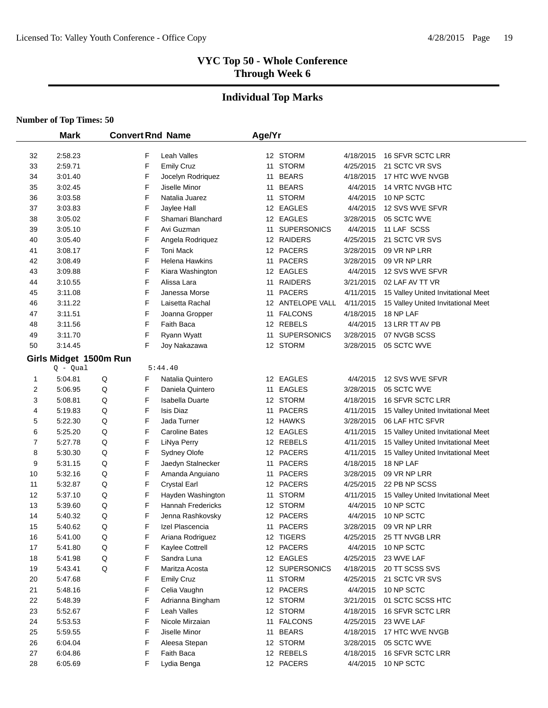# **Individual Top Marks**

|    | <b>Mark</b> |                        |   | <b>Convert Rnd Name</b>  | Age/Yr |                    |           |                                    |
|----|-------------|------------------------|---|--------------------------|--------|--------------------|-----------|------------------------------------|
|    |             |                        |   |                          |        |                    |           |                                    |
| 32 | 2:58.23     |                        | F | Leah Valles              |        | 12 STORM           | 4/18/2015 | 16 SFVR SCTC LRR                   |
| 33 | 2:59.71     |                        | F | <b>Emily Cruz</b>        |        | 11 STORM           | 4/25/2015 | 21 SCTC VR SVS                     |
| 34 | 3:01.40     |                        | F | Jocelyn Rodriquez        |        | 11 BEARS           | 4/18/2015 | 17 HTC WVE NVGB                    |
| 35 | 3:02.45     |                        | F | Jiselle Minor            |        | 11 BEARS           | 4/4/2015  | 14 VRTC NVGB HTC                   |
| 36 | 3:03.58     |                        | F | Natalia Juarez           |        | 11 STORM           | 4/4/2015  | 10 NP SCTC                         |
| 37 | 3:03.83     |                        | F | Jaylee Hall              |        | 12 EAGLES          | 4/4/2015  | 12 SVS WVE SFVR                    |
| 38 | 3:05.02     |                        | F | Shamari Blanchard        |        | 12 EAGLES          | 3/28/2015 | 05 SCTC WVE                        |
| 39 | 3:05.10     |                        | F | Avi Guzman               | 11     | <b>SUPERSONICS</b> | 4/4/2015  | 11 LAF SCSS                        |
| 40 | 3:05.40     |                        | F | Angela Rodriquez         |        | 12 RAIDERS         | 4/25/2015 | 21 SCTC VR SVS                     |
| 41 | 3:08.17     |                        | F | Toni Mack                |        | 12 PACERS          | 3/28/2015 | 09 VR NP LRR                       |
| 42 | 3:08.49     |                        | F | Helena Hawkins           |        | 11 PACERS          | 3/28/2015 | 09 VR NP LRR                       |
| 43 | 3:09.88     |                        | F | Kiara Washington         |        | 12 EAGLES          | 4/4/2015  | 12 SVS WVE SFVR                    |
| 44 | 3:10.55     |                        | F | Alissa Lara              |        | 11 RAIDERS         | 3/21/2015 | 02 LAF AV TT VR                    |
| 45 | 3:11.08     |                        | F | Janessa Morse            |        | 11 PACERS          | 4/11/2015 | 15 Valley United Invitational Meet |
| 46 | 3:11.22     |                        | F | Laisetta Rachal          |        | 12 ANTELOPE VALL   | 4/11/2015 | 15 Valley United Invitational Meet |
| 47 | 3:11.51     |                        | F | Joanna Gropper           |        | 11 FALCONS         | 4/18/2015 | 18 NP LAF                          |
| 48 | 3:11.56     |                        | F | Faith Baca               |        | 12 REBELS          | 4/4/2015  | 13 LRR TT AV PB                    |
| 49 | 3:11.70     |                        | F | Ryann Wyatt              |        | 11 SUPERSONICS     | 3/28/2015 | 07 NVGB SCSS                       |
| 50 | 3:14.45     |                        | F | Joy Nakazawa             |        | 12 STORM           | 3/28/2015 | 05 SCTC WVE                        |
|    |             | Girls Midget 1500m Run |   |                          |        |                    |           |                                    |
|    | $Q - Qual$  |                        |   | 5:44.40                  |        |                    |           |                                    |
| 1  | 5:04.81     | Q                      | F | Natalia Quintero         |        | 12 EAGLES          | 4/4/2015  | 12 SVS WVE SFVR                    |
| 2  | 5:06.95     | Q                      | F | Daniela Quintero         |        | 11 EAGLES          | 3/28/2015 | 05 SCTC WVE                        |
| 3  | 5:08.81     | Q                      | F | Isabella Duarte          |        | 12 STORM           | 4/18/2015 | 16 SFVR SCTC LRR                   |
| 4  | 5:19.83     | Q                      | F | <b>Isis Diaz</b>         |        | 11 PACERS          | 4/11/2015 | 15 Valley United Invitational Meet |
| 5  | 5:22.30     | Q                      | F | Jada Turner              |        | 12 HAWKS           | 3/28/2015 | 06 LAF HTC SFVR                    |
| 6  | 5:25.20     | Q                      | F | <b>Caroline Bates</b>    |        | 12 EAGLES          | 4/11/2015 | 15 Valley United Invitational Meet |
| 7  | 5:27.78     | Q                      | F | LiNya Perry              |        | 12 REBELS          | 4/11/2015 | 15 Valley United Invitational Meet |
| 8  | 5:30.30     | Q                      | F | Sydney Olofe             |        | 12 PACERS          | 4/11/2015 | 15 Valley United Invitational Meet |
| 9  | 5:31.15     | Q                      | F | Jaedyn Stalnecker        |        | 11 PACERS          | 4/18/2015 | 18 NP LAF                          |
| 10 | 5:32.16     | Q                      | F | Amanda Anguiano          |        | 11 PACERS          | 3/28/2015 | 09 VR NP LRR                       |
| 11 | 5:32.87     | Q                      | F | <b>Crystal Earl</b>      |        | 12 PACERS          | 4/25/2015 | 22 PB NP SCSS                      |
| 12 | 5:37.10     | Q                      | F | Hayden Washington        |        | 11 STORM           | 4/11/2015 | 15 Valley United Invitational Meet |
| 13 | 5:39.60     | Q                      | F | <b>Hannah Fredericks</b> |        | 12 STORM           | 4/4/2015  | 10 NP SCTC                         |
| 14 | 5:40.32     | Q                      | F | Jenna Rashkovsky         |        | 12 PACERS          | 4/4/2015  | 10 NP SCTC                         |
| 15 | 5:40.62     | Q                      | F | Izel Plascencia          |        | 11 PACERS          | 3/28/2015 | 09 VR NP LRR                       |
| 16 | 5:41.00     | Q                      | F | Ariana Rodriguez         |        | 12 TIGERS          | 4/25/2015 | 25 TT NVGB LRR                     |
| 17 | 5:41.80     | Q                      | F | Kaylee Cottrell          |        | 12 PACERS          | 4/4/2015  | 10 NP SCTC                         |
| 18 | 5:41.98     | Q                      | F | Sandra Luna              |        | 12 EAGLES          | 4/25/2015 | 23 WVE LAF                         |
| 19 | 5:43.41     | Q                      | F | Maritza Acosta           |        | 12 SUPERSONICS     | 4/18/2015 | 20 TT SCSS SVS                     |
| 20 | 5:47.68     |                        | F | <b>Emily Cruz</b>        |        | 11 STORM           | 4/25/2015 | 21 SCTC VR SVS                     |
| 21 | 5:48.16     |                        | F | Celia Vaughn             |        | 12 PACERS          | 4/4/2015  | 10 NP SCTC                         |
| 22 | 5:48.39     |                        | F | Adrianna Bingham         |        | 12 STORM           | 3/21/2015 | 01 SCTC SCSS HTC                   |
| 23 | 5:52.67     |                        | F | Leah Valles              |        | 12 STORM           | 4/18/2015 | 16 SFVR SCTC LRR                   |
| 24 | 5:53.53     |                        | F | Nicole Mirzaian          |        | 11 FALCONS         | 4/25/2015 | 23 WVE LAF                         |
| 25 | 5:59.55     |                        | F | Jiselle Minor            |        | 11 BEARS           | 4/18/2015 | 17 HTC WVE NVGB                    |
| 26 | 6:04.04     |                        | F | Aleesa Stepan            |        | 12 STORM           | 3/28/2015 | 05 SCTC WVE                        |
| 27 | 6:04.86     |                        | F | Faith Baca               |        | 12 REBELS          | 4/18/2015 | 16 SFVR SCTC LRR                   |
| 28 | 6:05.69     |                        | F | Lydia Benga              |        | 12 PACERS          | 4/4/2015  | 10 NP SCTC                         |
|    |             |                        |   |                          |        |                    |           |                                    |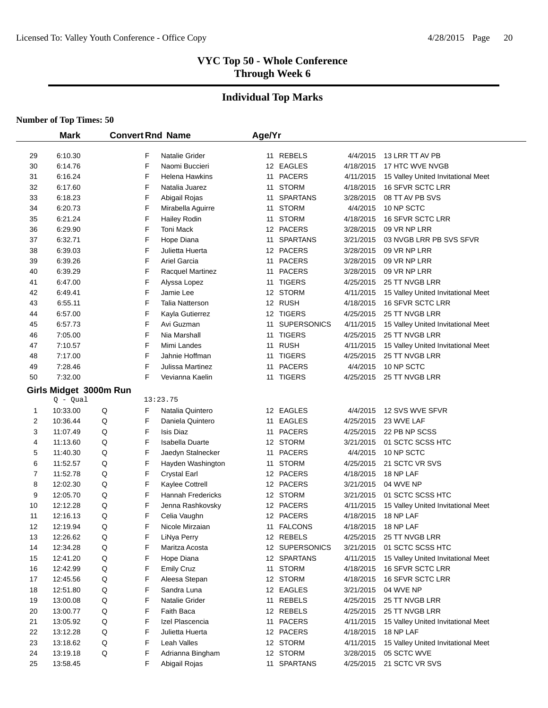#### **Individual Top Marks**

|    | <b>Mark</b>                          |   |   | <b>Convert Rnd Name</b>  | Age/Yr |                |           |                                    |
|----|--------------------------------------|---|---|--------------------------|--------|----------------|-----------|------------------------------------|
| 29 | 6:10.30                              |   | F | Natalie Grider           |        | 11 REBELS      | 4/4/2015  | 13 LRR TT AV PB                    |
| 30 | 6:14.76                              |   | F | Naomi Buccieri           |        | 12 EAGLES      | 4/18/2015 | 17 HTC WVE NVGB                    |
| 31 | 6:16.24                              |   | F | Helena Hawkins           |        | 11 PACERS      | 4/11/2015 | 15 Valley United Invitational Meet |
| 32 | 6:17.60                              |   | F | Natalia Juarez           |        | 11 STORM       | 4/18/2015 | 16 SFVR SCTC LRR                   |
| 33 | 6:18.23                              |   | F | Abigail Rojas            |        | 11 SPARTANS    | 3/28/2015 | 08 TT AV PB SVS                    |
| 34 | 6:20.73                              |   | F | Mirabella Aguirre        |        | 11 STORM       | 4/4/2015  | 10 NP SCTC                         |
| 35 | 6:21.24                              |   | F | <b>Hailey Rodin</b>      |        | 11 STORM       | 4/18/2015 | 16 SFVR SCTC LRR                   |
| 36 | 6:29.90                              |   | F | Toni Mack                |        | 12 PACERS      | 3/28/2015 | 09 VR NP LRR                       |
| 37 | 6:32.71                              |   | F | Hope Diana               |        | 11 SPARTANS    | 3/21/2015 | 03 NVGB LRR PB SVS SFVR            |
| 38 | 6:39.03                              |   | F | Julietta Huerta          |        | 12 PACERS      | 3/28/2015 | 09 VR NP LRR                       |
| 39 | 6:39.26                              |   | F | Ariel Garcia             | 11     | <b>PACERS</b>  | 3/28/2015 | 09 VR NP LRR                       |
| 40 | 6:39.29                              |   | F | Racquel Martinez         | 11     | <b>PACERS</b>  | 3/28/2015 | 09 VR NP LRR                       |
| 41 | 6:47.00                              |   | F | Alyssa Lopez             |        | 11 TIGERS      | 4/25/2015 | 25 TT NVGB LRR                     |
| 42 | 6:49.41                              |   | F | Jamie Lee                |        | 12 STORM       | 4/11/2015 | 15 Valley United Invitational Meet |
| 43 | 6:55.11                              |   | F | Talia Natterson          |        | 12 RUSH        | 4/18/2015 | 16 SFVR SCTC LRR                   |
| 44 | 6:57.00                              |   | F | Kayla Gutierrez          |        | 12 TIGERS      | 4/25/2015 | 25 TT NVGB LRR                     |
| 45 | 6:57.73                              |   | F | Avi Guzman               |        | 11 SUPERSONICS | 4/11/2015 | 15 Valley United Invitational Meet |
| 46 | 7:05.00                              |   | F | Nia Marshall             |        | 11 TIGERS      | 4/25/2015 | 25 TT NVGB LRR                     |
| 47 | 7:10.57                              |   | F | Mimi Landes              |        | 11 RUSH        | 4/11/2015 | 15 Valley United Invitational Meet |
| 48 | 7:17.00                              |   | F | Jahnie Hoffman           |        | 11 TIGERS      | 4/25/2015 | 25 TT NVGB LRR                     |
| 49 | 7:28.46                              |   | F | Julissa Martinez         |        | 11 PACERS      | 4/4/2015  | 10 NP SCTC                         |
| 50 | 7:32.00                              |   | F | Vevianna Kaelin          |        | 11 TIGERS      | 4/25/2015 | 25 TT NVGB LRR                     |
|    |                                      |   |   |                          |        |                |           |                                    |
|    | Girls Midget 3000m Run<br>$Q - Qual$ |   |   | 13:23.75                 |        |                |           |                                    |
| 1  | 10:33.00                             | Q | F | Natalia Quintero         |        | 12 EAGLES      | 4/4/2015  | 12 SVS WVE SFVR                    |
| 2  | 10:36.44                             | Q | F | Daniela Quintero         |        | 11 EAGLES      | 4/25/2015 | 23 WVE LAF                         |
| 3  | 11:07.49                             | Q | F | Isis Diaz                |        | 11 PACERS      | 4/25/2015 | 22 PB NP SCSS                      |
| 4  | 11:13.60                             | Q | F | <b>Isabella Duarte</b>   |        | 12 STORM       | 3/21/2015 | 01 SCTC SCSS HTC                   |
| 5  | 11:40.30                             | Q | F | Jaedyn Stalnecker        |        | 11 PACERS      | 4/4/2015  | 10 NP SCTC                         |
| 6  | 11:52.57                             | Q | F | Hayden Washington        |        | 11 STORM       | 4/25/2015 | 21 SCTC VR SVS                     |
| 7  | 11:52.78                             | Q | F | <b>Crystal Earl</b>      |        | 12 PACERS      | 4/18/2015 | 18 NP LAF                          |
| 8  | 12:02.30                             | Q | F | Kaylee Cottrell          |        | 12 PACERS      | 3/21/2015 | 04 WVE NP                          |
| 9  | 12:05.70                             | Q | F | <b>Hannah Fredericks</b> |        | 12 STORM       | 3/21/2015 | 01 SCTC SCSS HTC                   |
| 10 | 12:12.28                             | Q | F | Jenna Rashkovsky         |        | 12 PACERS      | 4/11/2015 | 15 Valley United Invitational Meet |
| 11 | 12:16.13                             | Q | F | Celia Vaughn             |        | 12 PACERS      | 4/18/2015 | 18 NP LAF                          |
| 12 | 12:19.94                             | Q | F | Nicole Mirzaian          | 11     | <b>FALCONS</b> | 4/18/2015 | 18 NP LAF                          |
| 13 | 12:26.62                             | Q | F | LiNya Perry              |        | 12 REBELS      | 4/25/2015 | 25 TT NVGB LRR                     |
| 14 | 12:34.28                             | Q | F | Maritza Acosta           |        | 12 SUPERSONICS | 3/21/2015 | 01 SCTC SCSS HTC                   |
| 15 | 12:41.20                             | Q | F | Hope Diana               |        | 12 SPARTANS    | 4/11/2015 | 15 Valley United Invitational Meet |
| 16 | 12:42.99                             | Q | F | <b>Emily Cruz</b>        |        | 11 STORM       | 4/18/2015 | 16 SFVR SCTC LRR                   |
| 17 | 12:45.56                             | Q | F | Aleesa Stepan            |        | 12 STORM       | 4/18/2015 | <b>16 SFVR SCTC LRR</b>            |
| 18 | 12:51.80                             | Q | F | Sandra Luna              |        | 12 EAGLES      | 3/21/2015 | 04 WVE NP                          |
| 19 | 13:00.08                             | Q | F | Natalie Grider           |        | 11 REBELS      | 4/25/2015 | 25 TT NVGB LRR                     |
| 20 | 13:00.77                             | Q | F | Faith Baca               |        | 12 REBELS      | 4/25/2015 | 25 TT NVGB LRR                     |
| 21 | 13:05.92                             | Q | F | Izel Plascencia          |        | 11 PACERS      | 4/11/2015 | 15 Valley United Invitational Meet |
| 22 | 13:12.28                             | Q | F | Julietta Huerta          |        | 12 PACERS      | 4/18/2015 | 18 NP LAF                          |
| 23 | 13:18.62                             | Q | F | Leah Valles              |        | 12 STORM       | 4/11/2015 | 15 Valley United Invitational Meet |
| 24 | 13:19.18                             | Q | F | Adrianna Bingham         |        | 12 STORM       | 3/28/2015 | 05 SCTC WVE                        |
| 25 | 13:58.45                             |   | F | Abigail Rojas            |        | 11 SPARTANS    | 4/25/2015 | 21 SCTC VR SVS                     |
|    |                                      |   |   |                          |        |                |           |                                    |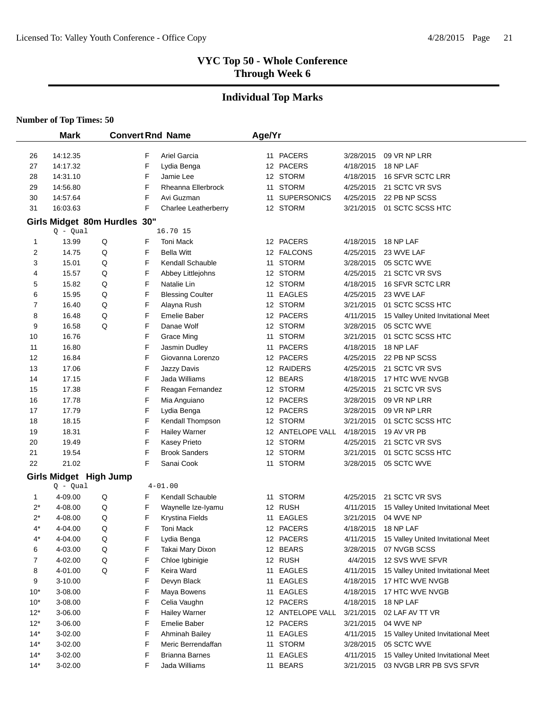# **Individual Top Marks**

|          | <b>Mark</b>                          |   |        | <b>Convert Rnd Name</b>      | Age/Yr |                        |                        |                                    |
|----------|--------------------------------------|---|--------|------------------------------|--------|------------------------|------------------------|------------------------------------|
|          |                                      |   |        |                              |        |                        |                        |                                    |
| 26       | 14:12.35                             |   | F      | Ariel Garcia                 |        | 11 PACERS              | 3/28/2015              | 09 VR NP LRR                       |
| 27       | 14:17.32                             |   | F      | Lydia Benga                  |        | 12 PACERS              | 4/18/2015              | 18 NP LAF                          |
| 28       | 14:31.10                             |   | F      | Jamie Lee                    |        | 12 STORM               | 4/18/2015              | 16 SFVR SCTC LRR                   |
| 29       | 14:56.80                             |   | F      | Rheanna Ellerbrock           |        | 11 STORM               | 4/25/2015              | 21 SCTC VR SVS                     |
| 30       | 14:57.64                             |   | F      | Avi Guzman                   |        | 11 SUPERSONICS         | 4/25/2015              | 22 PB NP SCSS                      |
| 31       | 16:03.63                             |   | F      | Charlee Leatherberry         |        | 12 STORM               | 3/21/2015              | 01 SCTC SCSS HTC                   |
|          | Girls Midget 80m Hurdles 30"         |   |        |                              |        |                        |                        |                                    |
|          | $Q - Qual$                           |   |        | 16.70 15                     |        |                        |                        |                                    |
| 1        | 13.99                                | Q | F      | <b>Toni Mack</b>             |        | 12 PACERS              | 4/18/2015              | 18 NP LAF                          |
| 2        | 14.75                                | Q | F      | <b>Bella Witt</b>            |        | 12 FALCONS             | 4/25/2015              | 23 WVE LAF                         |
| 3        | 15.01                                | Q | F      | Kendall Schauble             |        | 11 STORM               | 3/28/2015              | 05 SCTC WVE                        |
| 4        | 15.57                                | Q | F      | Abbey Littlejohns            |        | 12 STORM               | 4/25/2015              | 21 SCTC VR SVS                     |
| 5        | 15.82                                | Q | F      | Natalie Lin                  |        | 12 STORM               | 4/18/2015              | 16 SFVR SCTC LRR                   |
| 6        | 15.95                                | Q | F      | <b>Blessing Coulter</b>      |        | 11 EAGLES              | 4/25/2015              | 23 WVE LAF                         |
| 7        | 16.40                                | Q | F      | Alayna Rush                  |        | 12 STORM               | 3/21/2015              | 01 SCTC SCSS HTC                   |
| 8        | 16.48                                | Q | F      | Emelie Baber                 |        | 12 PACERS              | 4/11/2015              | 15 Valley United Invitational Meet |
| 9        | 16.58                                | Q | F      | Danae Wolf                   |        | 12 STORM               | 3/28/2015              | 05 SCTC WVE                        |
| 10       | 16.76                                |   | F      | Grace Ming                   |        | 11 STORM               | 3/21/2015              | 01 SCTC SCSS HTC                   |
| 11       | 16.80                                |   | F      | Jasmin Dudley                |        | 11 PACERS              | 4/18/2015              | 18 NP LAF                          |
| 12       | 16.84                                |   | F      | Giovanna Lorenzo             |        | 12 PACERS              | 4/25/2015              | 22 PB NP SCSS                      |
| 13<br>14 | 17.06<br>17.15                       |   | F<br>F | Jazzy Davis<br>Jada Williams |        | 12 RAIDERS<br>12 BEARS | 4/25/2015<br>4/18/2015 | 21 SCTC VR SVS<br>17 HTC WVE NVGB  |
| 15       | 17.38                                |   | F      | Reagan Fernandez             |        | 12 STORM               | 4/25/2015              | 21 SCTC VR SVS                     |
| 16       | 17.78                                |   | F      | Mia Anguiano                 |        | 12 PACERS              | 3/28/2015              | 09 VR NP LRR                       |
| 17       | 17.79                                |   | F      | Lydia Benga                  |        | 12 PACERS              | 3/28/2015              | 09 VR NP LRR                       |
| 18       | 18.15                                |   | F      | Kendall Thompson             |        | 12 STORM               | 3/21/2015              | 01 SCTC SCSS HTC                   |
| 19       | 18.31                                |   | F      | <b>Hailey Warner</b>         |        | 12 ANTELOPE VALL       | 4/18/2015              | 19 AV VR PB                        |
| 20       | 19.49                                |   | F      | Kasey Prieto                 |        | 12 STORM               | 4/25/2015              | 21 SCTC VR SVS                     |
| 21       | 19.54                                |   | F      | <b>Brook Sanders</b>         |        | 12 STORM               | 3/21/2015              | 01 SCTC SCSS HTC                   |
| 22       | 21.02                                |   | F      | Sanai Cook                   |        | 11 STORM               | 3/28/2015              | 05 SCTC WVE                        |
|          |                                      |   |        |                              |        |                        |                        |                                    |
|          | Girls Midget High Jump<br>$Q - Qual$ |   |        | $4 - 01.00$                  |        |                        |                        |                                    |
| 1        | 4-09.00                              | Q | F      | Kendall Schauble             | 11     | <b>STORM</b>           | 4/25/2015              | 21 SCTC VR SVS                     |
| $2^*$    | 4-08.00                              | Q | F      | Waynelle Ize-Iyamu           |        | 12 RUSH                | 4/11/2015              | 15 Valley United Invitational Meet |
| $2^*$    | 4-08.00                              | Q | F      | <b>Krystina Fields</b>       | 11     | <b>EAGLES</b>          | 3/21/2015              | 04 WVE NP                          |
| $4^*$    | 4-04.00                              | Q | F      | Toni Mack                    |        | 12 PACERS              | 4/18/2015              | 18 NP LAF                          |
| $4^*$    | 4-04.00                              | Q | F      | Lydia Benga                  |        | 12 PACERS              | 4/11/2015              | 15 Valley United Invitational Meet |
| 6        | 4-03.00                              | Q | F      | Takai Mary Dixon             |        | 12 BEARS               | 3/28/2015              | 07 NVGB SCSS                       |
| 7        | 4-02.00                              | Q | F      | Chloe Igbinigie              |        | 12 RUSH                | 4/4/2015               | 12 SVS WVE SFVR                    |
| 8        | 4-01.00                              | Q | F      | Keira Ward                   |        | 11 EAGLES              | 4/11/2015              | 15 Valley United Invitational Meet |
| 9        | 3-10.00                              |   | F      | Devyn Black                  | 11     | <b>EAGLES</b>          | 4/18/2015              | 17 HTC WVE NVGB                    |
| $10^*$   | 3-08.00                              |   | F      | Maya Bowens                  | 11     | <b>EAGLES</b>          | 4/18/2015              | 17 HTC WVE NVGB                    |
| $10^*$   | 3-08.00                              |   | F      | Celia Vaughn                 |        | 12 PACERS              | 4/18/2015              | 18 NP LAF                          |
| $12*$    | 3-06.00                              |   | F      | <b>Hailey Warner</b>         |        | 12 ANTELOPE VALL       | 3/21/2015              | 02 LAF AV TT VR                    |
| $12*$    | 3-06.00                              |   | F      | Emelie Baber                 |        | 12 PACERS              | 3/21/2015              | 04 WVE NP                          |
| $14*$    | 3-02.00                              |   | F      | Ahminah Bailey               | 11     | EAGLES                 | 4/11/2015              | 15 Valley United Invitational Meet |
| $14*$    | 3-02.00                              |   | F      | Meric Berrendaffan           | 11     | <b>STORM</b>           | 3/28/2015              | 05 SCTC WVE                        |
| $14*$    | 3-02.00                              |   | F      | <b>Brianna Barnes</b>        | 11     | <b>EAGLES</b>          | 4/11/2015              | 15 Valley United Invitational Meet |
| $14*$    | 3-02.00                              |   | F      | Jada Williams                |        | 11 BEARS               | 3/21/2015              | 03 NVGB LRR PB SVS SFVR            |
|          |                                      |   |        |                              |        |                        |                        |                                    |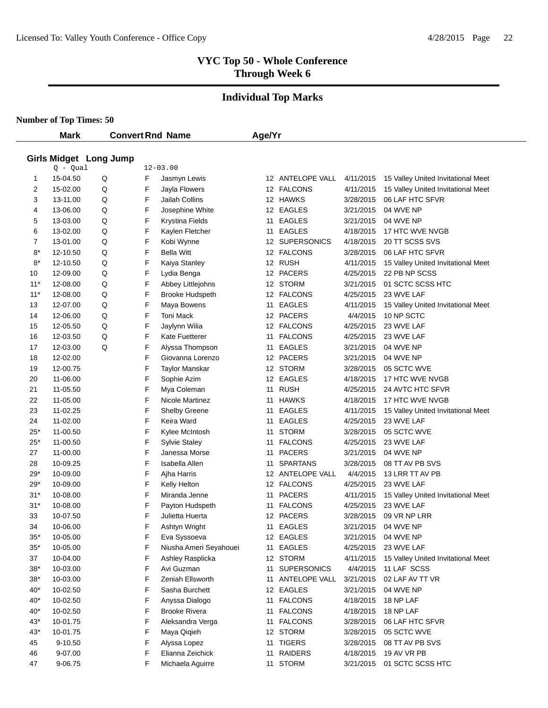# **Individual Top Marks**

**Number of Top Times: 50**

 $\overline{\phantom{0}}$ 

|             | <b>Mark</b> |                        |   | <b>Convert Rnd Name</b> | Age/Yr |                  |           |                                    |
|-------------|-------------|------------------------|---|-------------------------|--------|------------------|-----------|------------------------------------|
|             |             |                        |   |                         |        |                  |           |                                    |
|             |             | Girls Midget Long Jump |   |                         |        |                  |           |                                    |
|             | $Q - Qual$  |                        |   | $12 - 03.00$            |        |                  |           |                                    |
| 1           | 15-04.50    | Q                      | F | Jasmyn Lewis            |        | 12 ANTELOPE VALL | 4/11/2015 | 15 Valley United Invitational Meet |
| 2           | 15-02.00    | Q                      | F | Jayla Flowers           |        | 12 FALCONS       | 4/11/2015 | 15 Valley United Invitational Meet |
| 3           | 13-11.00    | Q                      | F | Jailah Collins          |        | 12 HAWKS         | 3/28/2015 | 06 LAF HTC SFVR                    |
| 4           | 13-06.00    | Q                      | F | Josephine White         |        | 12 EAGLES        | 3/21/2015 | 04 WVE NP                          |
| 5           | 13-03.00    | Q                      | F | Krystina Fields         | 11     | <b>EAGLES</b>    | 3/21/2015 | 04 WVE NP                          |
| 6           | 13-02.00    | Q                      | F | Kaylen Fletcher         | 11     | <b>EAGLES</b>    | 4/18/2015 | 17 HTC WVE NVGB                    |
| 7           | 13-01.00    | Q                      | F | Kobi Wynne              |        | 12 SUPERSONICS   | 4/18/2015 | 20 TT SCSS SVS                     |
| $8*$        | 12-10.50    | Q                      | F | <b>Bella Witt</b>       |        | 12 FALCONS       | 3/28/2015 | 06 LAF HTC SFVR                    |
| $8*$        | 12-10.50    | Q                      | F | Kaiya Stanley           |        | 12 RUSH          | 4/11/2015 | 15 Valley United Invitational Meet |
| 10          | 12-09.00    | Q                      | F | Lydia Benga             |        | 12 PACERS        | 4/25/2015 | 22 PB NP SCSS                      |
| $11*$       | 12-08.00    | Q                      | F | Abbey Littlejohns       |        | 12 STORM         | 3/21/2015 | 01 SCTC SCSS HTC                   |
| $11*$       | 12-08.00    | Q                      | F | <b>Brooke Hudspeth</b>  |        | 12 FALCONS       | 4/25/2015 | 23 WVE LAF                         |
| 13          | 12-07.00    | Q                      | F | Maya Bowens             |        | 11 EAGLES        | 4/11/2015 | 15 Valley United Invitational Meet |
| 14          | 12-06.00    | Q                      | F | <b>Toni Mack</b>        |        | 12 PACERS        | 4/4/2015  | 10 NP SCTC                         |
| 15          | 12-05.50    | Q                      | F | Jaylynn Wilia           |        | 12 FALCONS       | 4/25/2015 | 23 WVE LAF                         |
| 16          | 12-03.50    | Q                      | F | Kate Fuetterer          |        | 11 FALCONS       | 4/25/2015 | 23 WVE LAF                         |
| 17          | 12-03.00    | Q                      | F | Alyssa Thompson         | 11     | <b>EAGLES</b>    | 3/21/2015 | 04 WVE NP                          |
| 18          | 12-02.00    |                        | F | Giovanna Lorenzo        |        | 12 PACERS        | 3/21/2015 | 04 WVE NP                          |
| 19          | 12-00.75    |                        | F | <b>Taylor Manskar</b>   |        | 12 STORM         | 3/28/2015 | 05 SCTC WVE                        |
| 20          | 11-06.00    |                        | F | Sophie Azim             |        | 12 EAGLES        | 4/18/2015 | 17 HTC WVE NVGB                    |
| 21          | 11-05.50    |                        | F | Mya Coleman             | 11     | <b>RUSH</b>      | 4/25/2015 | 24 AVTC HTC SFVR                   |
| 22          | 11-05.00    |                        | F | Nicole Martinez         | 11     | <b>HAWKS</b>     | 4/18/2015 | 17 HTC WVE NVGB                    |
| 23          | 11-02.25    |                        | F | <b>Shelby Greene</b>    | 11     | <b>EAGLES</b>    | 4/11/2015 | 15 Valley United Invitational Meet |
| 24          | 11-02.00    |                        | F | Keira Ward              | 11     | <b>EAGLES</b>    | 4/25/2015 | 23 WVE LAF                         |
| $25*$       | 11-00.50    |                        | F | Kylee McIntosh          | 11     | <b>STORM</b>     | 3/28/2015 | 05 SCTC WVE                        |
| $25^{\ast}$ | 11-00.50    |                        | F | <b>Sylvie Staley</b>    | 11     | <b>FALCONS</b>   | 4/25/2015 | 23 WVE LAF                         |
| 27          | 11-00.00    |                        | F | Janessa Morse           | 11     | <b>PACERS</b>    | 3/21/2015 | 04 WVE NP                          |
| 28          | 10-09.25    |                        | F | Isabella Allen          | 11     | <b>SPARTANS</b>  | 3/28/2015 | 08 TT AV PB SVS                    |
| $29*$       | 10-09.00    |                        | F | Ajha Harris             |        | 12 ANTELOPE VALL | 4/4/2015  | 13 LRR TT AV PB                    |
| $29*$       | 10-09.00    |                        | F | Kelly Helton            |        | 12 FALCONS       | 4/25/2015 | 23 WVE LAF                         |
| $31*$       | 10-08.00    |                        | F | Miranda Jenne           | 11     | <b>PACERS</b>    | 4/11/2015 | 15 Valley United Invitational Meet |
| $31*$       | 10-08.00    |                        | F | Payton Hudspeth         | 11     | <b>FALCONS</b>   | 4/25/2015 | 23 WVE LAF                         |
| 33          | 10-07.50    |                        | F | Julietta Huerta         |        | 12 PACERS        | 3/28/2015 | 09 VR NP LRR                       |
| 34          | 10-06.00    |                        | F | Ashtyn Wright           | 11     | <b>EAGLES</b>    | 3/21/2015 | 04 WVE NP                          |
| $35*$       | 10-05.00    |                        | F | Eva Syssoeva            |        | 12 EAGLES        | 3/21/2015 | 04 WVE NP                          |
| $35*$       | 10-05.00    |                        | F | Niusha Ameri Seyahouei  | 11     | <b>EAGLES</b>    | 4/25/2015 | 23 WVE LAF                         |
| 37          | 10-04.00    |                        | F | Ashley Rasplicka        |        | 12 STORM         | 4/11/2015 | 15 Valley United Invitational Meet |
| $38*$       | 10-03.00    |                        | F | Avi Guzman              |        | 11 SUPERSONICS   | 4/4/2015  | 11 LAF SCSS                        |
| $38*$       | 10-03.00    |                        | F | Zeniah Ellsworth        | 11     | ANTELOPE VALL    | 3/21/2015 | 02 LAF AV TT VR                    |
| $40*$       | 10-02.50    |                        | F | Sasha Burchett          |        | 12 EAGLES        | 3/21/2015 | 04 WVE NP                          |
| $40*$       | 10-02.50    |                        | F | Anyssa Dialogo          |        | 11 FALCONS       | 4/18/2015 | 18 NP LAF                          |
| $40*$       | 10-02.50    |                        | F | <b>Brooke Rivera</b>    |        | 11 FALCONS       | 4/18/2015 | 18 NP LAF                          |
| $43*$       | 10-01.75    |                        | F | Aleksandra Verga        |        | 11 FALCONS       | 3/28/2015 | 06 LAF HTC SFVR                    |
| $43*$       | 10-01.75    |                        | F | Maya Qiqieh             |        | 12 STORM         | 3/28/2015 | 05 SCTC WVE                        |
| 45          | 9-10.50     |                        | F | Alyssa Lopez            |        | 11 TIGERS        | 3/28/2015 | 08 TT AV PB SVS                    |
| 46          | 9-07.00     |                        | F | Elianna Zeichick        | 11     | RAIDERS          | 4/18/2015 | 19 AV VR PB                        |
| 47          | 9-06.75     |                        | F | Michaela Aguirre        |        | 11 STORM         | 3/21/2015 | 01 SCTC SCSS HTC                   |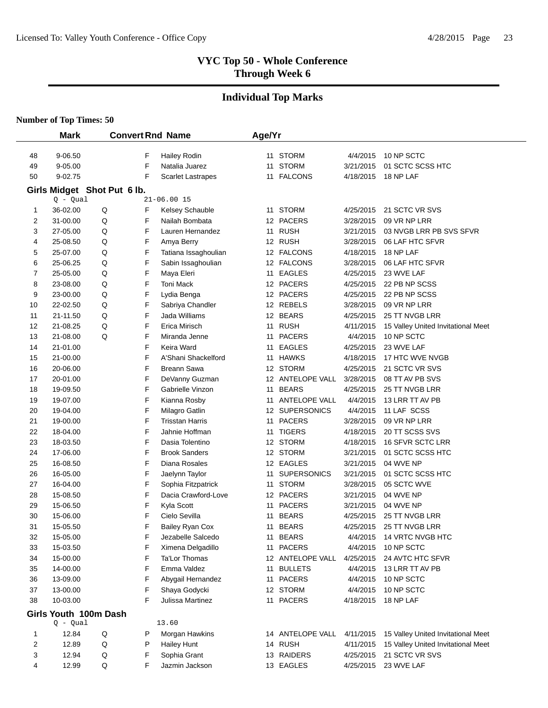# **Individual Top Marks**

|          | <b>Mark</b>          |                             |        | <b>Convert Rnd Name</b>                     | Age/Yr |                          |                        |                                    |
|----------|----------------------|-----------------------------|--------|---------------------------------------------|--------|--------------------------|------------------------|------------------------------------|
| 48       | 9-06.50              |                             | F      | Hailey Rodin                                |        | 11 STORM                 | 4/4/2015               | 10 NP SCTC                         |
| 49       | 9-05.00              |                             | F      | Natalia Juarez                              |        | 11 STORM                 | 3/21/2015              | 01 SCTC SCSS HTC                   |
| 50       | $9 - 02.75$          |                             | F      | <b>Scarlet Lastrapes</b>                    |        | 11 FALCONS               | 4/18/2015              | 18 NP LAF                          |
|          |                      | Girls Midget Shot Put 6 lb. |        |                                             |        |                          |                        |                                    |
|          | $Q - Qual$           |                             |        | $21 - 06.0015$                              |        |                          |                        |                                    |
| 1        | 36-02.00             | Q                           | F      | Kelsey Schauble                             |        | 11 STORM                 | 4/25/2015              | 21 SCTC VR SVS                     |
| 2        | 31-00.00             | Q                           | F      | Nailah Bombata                              |        | 12 PACERS                | 3/28/2015              | 09 VR NP LRR                       |
| 3        | 27-05.00             | Q                           | F      | Lauren Hernandez                            |        | 11 RUSH                  | 3/21/2015              | 03 NVGB LRR PB SVS SFVR            |
| 4        | 25-08.50             | Q                           | F      | Amya Berry                                  |        | 12 RUSH                  | 3/28/2015              | 06 LAF HTC SFVR                    |
| 5        | 25-07.00             | Q                           | F      | Tatiana Issaghoulian                        |        | 12 FALCONS               | 4/18/2015              | 18 NP LAF                          |
| 6        | 25-06.25             | Q                           | F      | Sabin Issaghoulian                          |        | 12 FALCONS               | 3/28/2015              | 06 LAF HTC SFVR                    |
| 7        | 25-05.00             | Q                           | F      | Maya Eleri                                  |        | 11 EAGLES                | 4/25/2015              | 23 WVE LAF                         |
| 8        | 23-08.00             | Q                           | F      | <b>Toni Mack</b>                            |        | 12 PACERS                | 4/25/2015              | 22 PB NP SCSS                      |
| 9        | 23-00.00             | Q                           | F      | Lydia Benga                                 |        | 12 PACERS                | 4/25/2015              | 22 PB NP SCSS                      |
| 10       | 22-02.50             | Q                           | F      | Sabriya Chandler                            |        | 12 REBELS                | 3/28/2015              | 09 VR NP LRR                       |
| 11       | 21-11.50             | Q                           | F      | Jada Williams                               |        | 12 BEARS                 | 4/25/2015              | 25 TT NVGB LRR                     |
| 12       | 21-08.25             | Q                           | F      | Erica Mirisch                               |        | 11 RUSH                  | 4/11/2015              | 15 Valley United Invitational Meet |
| 13       | 21-08.00             | Q                           | F      | Miranda Jenne                               |        | 11 PACERS                | 4/4/2015               | 10 NP SCTC                         |
| 14       | 21-01.00             |                             | F      | Keira Ward                                  |        | 11 EAGLES                | 4/25/2015              | 23 WVE LAF                         |
| 15       | 21-00.00             |                             | F      | A'Shani Shackelford                         |        | 11 HAWKS                 | 4/18/2015              | 17 HTC WVE NVGB                    |
| 16       | 20-06.00             |                             | F      | <b>Breann Sawa</b>                          |        | 12 STORM                 | 4/25/2015              | 21 SCTC VR SVS                     |
| 17       | 20-01.00             |                             | F      | DeVanny Guzman                              |        | 12 ANTELOPE VALL         | 3/28/2015              | 08 TT AV PB SVS                    |
| 18       | 19-09.50             |                             | F      | Gabrielle Vinzon                            |        | 11 BEARS                 | 4/25/2015              | 25 TT NVGB LRR                     |
| 19       | 19-07.00             |                             | F      | Kianna Rosby                                | 11     | ANTELOPE VALL            | 4/4/2015               | 13 LRR TT AV PB                    |
| 20       | 19-04.00             |                             | F      | Milagro Gatlin                              |        | 12 SUPERSONICS           | 4/4/2015               | 11 LAF SCSS                        |
| 21       | 19-00.00             |                             | F      | <b>Trisstan Harris</b>                      |        | 11 PACERS                | 3/28/2015              | 09 VR NP LRR                       |
| 22       | 18-04.00             |                             | F      | Jahnie Hoffman                              |        | 11 TIGERS                | 4/18/2015              | 20 TT SCSS SVS                     |
| 23       | 18-03.50             |                             | F      | Dasia Tolentino                             |        | 12 STORM                 | 4/18/2015              | 16 SFVR SCTC LRR                   |
| 24       | 17-06.00             |                             | F      | <b>Brook Sanders</b>                        |        | 12 STORM                 | 3/21/2015              | 01 SCTC SCSS HTC                   |
| 25       | 16-08.50             |                             | F      | Diana Rosales                               |        | 12 EAGLES                | 3/21/2015              | 04 WVE NP                          |
| 26       | 16-05.00             |                             | F      | Jaelynn Taylor                              |        | 11 SUPERSONICS           | 3/21/2015              | 01 SCTC SCSS HTC                   |
| 27       | 16-04.00             |                             | F      | Sophia Fitzpatrick                          |        | 11 STORM                 | 3/28/2015              | 05 SCTC WVE                        |
| 28       | 15-08.50             |                             | F      | Dacia Crawford-Love                         |        | 12 PACERS                | 3/21/2015              | 04 WVE NP                          |
| 29       | 15-06.50             |                             | F<br>F | Kyla Scott                                  |        | 11 PACERS                | 3/21/2015              | 04 WVE NP<br>25 TT NVGB LRR        |
| 30<br>31 | 15-06.00<br>15-05.50 |                             | F      | Cielo Sevilla                               | 11     | <b>BEARS</b><br>11 BEARS | 4/25/2015<br>4/25/2015 | 25 TT NVGB LRR                     |
| 32       | 15-05.00             |                             | F      | <b>Bailey Ryan Cox</b><br>Jezabelle Salcedo |        | 11 BEARS                 | 4/4/2015               | 14 VRTC NVGB HTC                   |
| 33       | 15-03.50             |                             | F      | Ximena Delgadillo                           |        | 11 PACERS                | 4/4/2015               | 10 NP SCTC                         |
| 34       | 15-00.00             |                             | F      | Ta'Lor Thomas                               |        | 12 ANTELOPE VALL         | 4/25/2015              | 24 AVTC HTC SFVR                   |
| 35       | 14-00.00             |                             | F      | Emma Valdez                                 | 11     | <b>BULLETS</b>           | 4/4/2015               | 13 LRR TT AV PB                    |
| 36       | 13-09.00             |                             | F      | Abygail Hernandez                           | 11     | <b>PACERS</b>            | 4/4/2015               | 10 NP SCTC                         |
| 37       | 13-00.00             |                             | F      | Shaya Godycki                               |        | 12 STORM                 | 4/4/2015               | 10 NP SCTC                         |
| 38       | 10-03.00             |                             | F      | Julissa Martinez                            |        | 11 PACERS                | 4/18/2015              | 18 NP LAF                          |
|          |                      |                             |        |                                             |        |                          |                        |                                    |
|          | $Q - Qual$           | Girls Youth 100m Dash       |        | 13.60                                       |        |                          |                        |                                    |
| 1        | 12.84                | Q                           | Ρ      | Morgan Hawkins                              |        | 14 ANTELOPE VALL         | 4/11/2015              | 15 Valley United Invitational Meet |
| 2        | 12.89                | Q                           | P      | <b>Hailey Hunt</b>                          |        | 14 RUSH                  | 4/11/2015              | 15 Valley United Invitational Meet |
| 3        | 12.94                | Q                           | F      | Sophia Grant                                |        | 13 RAIDERS               | 4/25/2015              | 21 SCTC VR SVS                     |
| 4        | 12.99                | Q                           | F      | Jazmin Jackson                              |        | 13 EAGLES                | 4/25/2015              | 23 WVE LAF                         |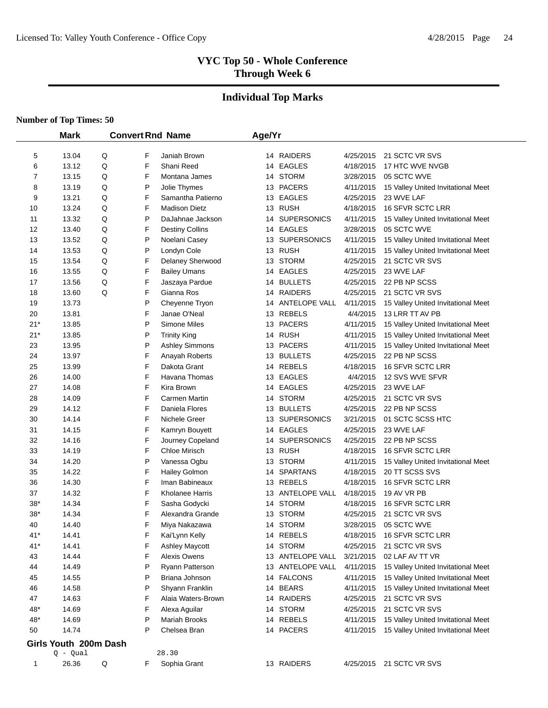# **Individual Top Marks**

|       | <b>Mark</b>           |   |   | <b>Convert Rnd Name</b> | Age/Yr |                  |           |                                    |
|-------|-----------------------|---|---|-------------------------|--------|------------------|-----------|------------------------------------|
| 5     | 13.04                 | Q | F | Janiah Brown            |        | 14 RAIDERS       | 4/25/2015 | 21 SCTC VR SVS                     |
| 6     | 13.12                 | Q | F | Shani Reed              |        | 14 EAGLES        | 4/18/2015 | 17 HTC WVE NVGB                    |
| 7     | 13.15                 | Q | F | Montana James           |        | 14 STORM         | 3/28/2015 | 05 SCTC WVE                        |
| 8     | 13.19                 | Q | P | Jolie Thymes            |        | 13 PACERS        | 4/11/2015 | 15 Valley United Invitational Meet |
| 9     | 13.21                 | Q | F | Samantha Patierno       |        | 13 EAGLES        | 4/25/2015 | 23 WVE LAF                         |
| 10    | 13.24                 | Q | F | <b>Madison Dietz</b>    |        | 13 RUSH          | 4/18/2015 | 16 SFVR SCTC LRR                   |
| 11    | 13.32                 | Q | P | DaJahnae Jackson        |        | 14 SUPERSONICS   | 4/11/2015 | 15 Valley United Invitational Meet |
| 12    | 13.40                 | Q | F | <b>Destiny Collins</b>  |        | 14 EAGLES        | 3/28/2015 | 05 SCTC WVE                        |
| 13    | 13.52                 | Q | P | Noelani Casey           |        | 13 SUPERSONICS   | 4/11/2015 | 15 Valley United Invitational Meet |
| 14    | 13.53                 | Q | P | Londyn Cole             |        | 13 RUSH          | 4/11/2015 | 15 Valley United Invitational Meet |
| 15    | 13.54                 | Q | F | Delaney Sherwood        |        | 13 STORM         | 4/25/2015 | 21 SCTC VR SVS                     |
| 16    | 13.55                 | Q | F | <b>Bailey Umans</b>     |        | 14 EAGLES        | 4/25/2015 | 23 WVE LAF                         |
| 17    | 13.56                 | Q | F | Jaszaya Pardue          |        | 14 BULLETS       | 4/25/2015 | 22 PB NP SCSS                      |
| 18    | 13.60                 | Q | F | Gianna Ros              |        | 14 RAIDERS       | 4/25/2015 | 21 SCTC VR SVS                     |
| 19    | 13.73                 |   | P | Cheyenne Tryon          |        | 14 ANTELOPE VALL | 4/11/2015 | 15 Valley United Invitational Meet |
| 20    | 13.81                 |   | F | Janae O'Neal            |        | 13 REBELS        | 4/4/2015  | 13 LRR TT AV PB                    |
| $21*$ | 13.85                 |   | P | Simone Miles            |        | 13 PACERS        | 4/11/2015 | 15 Valley United Invitational Meet |
| $21*$ | 13.85                 |   | P | <b>Trinity King</b>     |        | 14 RUSH          | 4/11/2015 | 15 Valley United Invitational Meet |
| 23    | 13.95                 |   | P | <b>Ashley Simmons</b>   |        | 13 PACERS        | 4/11/2015 | 15 Valley United Invitational Meet |
| 24    | 13.97                 |   | F | Anayah Roberts          |        | 13 BULLETS       | 4/25/2015 | 22 PB NP SCSS                      |
| 25    | 13.99                 |   | F | Dakota Grant            |        | 14 REBELS        | 4/18/2015 | <b>16 SFVR SCTC LRR</b>            |
| 26    | 14.00                 |   | F | Havana Thomas           |        | 13 EAGLES        | 4/4/2015  | 12 SVS WVE SFVR                    |
| 27    | 14.08                 |   | F | Kira Brown              |        | 14 EAGLES        | 4/25/2015 | 23 WVE LAF                         |
| 28    | 14.09                 |   | F | Carmen Martin           |        | 14 STORM         | 4/25/2015 | 21 SCTC VR SVS                     |
| 29    | 14.12                 |   | F | Daniela Flores          |        | 13 BULLETS       | 4/25/2015 | 22 PB NP SCSS                      |
| 30    | 14.14                 |   | F | Nichele Greer           |        | 13 SUPERSONICS   | 3/21/2015 | 01 SCTC SCSS HTC                   |
| 31    | 14.15                 |   | F | Kamryn Bouyett          |        | 14 EAGLES        | 4/25/2015 | 23 WVE LAF                         |
| 32    | 14.16                 |   | F | Journey Copeland        |        | 14 SUPERSONICS   | 4/25/2015 | 22 PB NP SCSS                      |
| 33    | 14.19                 |   | F | Chloe Mirisch           |        | 13 RUSH          | 4/18/2015 | 16 SFVR SCTC LRR                   |
| 34    | 14.20                 |   | P | Vanessa Ogbu            |        | 13 STORM         | 4/11/2015 | 15 Valley United Invitational Meet |
| 35    | 14.22                 |   | F | Hailey Golmon           |        | 14 SPARTANS      | 4/18/2015 | 20 TT SCSS SVS                     |
| 36    | 14.30                 |   | F | Iman Babineaux          |        | 13 REBELS        | 4/18/2015 | 16 SFVR SCTC LRR                   |
| 37    | 14.32                 |   | F | Kholanee Harris         |        | 13 ANTELOPE VALL | 4/18/2015 | 19 AV VR PB                        |
| $38*$ | 14.34                 |   | F | Sasha Godycki           |        | 14 STORM         | 4/18/2015 | 16 SFVR SCTC LRR                   |
| $38*$ | 14.34                 |   | F | Alexandra Grande        |        | 13 STORM         | 4/25/2015 | 21 SCTC VR SVS                     |
| 40    | 14.40                 |   | F | Miya Nakazawa           |        | 14 STORM         | 3/28/2015 | 05 SCTC WVE                        |
| 41*   | 14.41                 |   | F | Kai'Lynn Kelly          |        | 14 REBELS        | 4/18/2015 | 16 SFVR SCTC LRR                   |
| $41*$ | 14.41                 |   | F | <b>Ashley Maycott</b>   |        | 14 STORM         | 4/25/2015 | 21 SCTC VR SVS                     |
| 43    | 14.44                 |   | F | Alexis Owens            |        | 13 ANTELOPE VALL | 3/21/2015 | 02 LAF AV TT VR                    |
| 44    | 14.49                 |   | P | Ryann Patterson         |        | 13 ANTELOPE VALL | 4/11/2015 | 15 Valley United Invitational Meet |
| 45    | 14.55                 |   | P | Briana Johnson          |        | 14 FALCONS       | 4/11/2015 | 15 Valley United Invitational Meet |
| 46    | 14.58                 |   | P | Shyann Franklin         |        | 14 BEARS         | 4/11/2015 | 15 Valley United Invitational Meet |
| 47    | 14.63                 |   | F | Alaia Waters-Brown      |        | 14 RAIDERS       | 4/25/2015 | 21 SCTC VR SVS                     |
| 48*   | 14.69                 |   | F | Alexa Aguilar           |        | 14 STORM         | 4/25/2015 | 21 SCTC VR SVS                     |
| 48*   | 14.69                 |   | P | Mariah Brooks           |        | 14 REBELS        | 4/11/2015 | 15 Valley United Invitational Meet |
| 50    | 14.74                 |   | P | Chelsea Bran            |        | 14 PACERS        | 4/11/2015 | 15 Valley United Invitational Meet |
|       | Girls Youth 200m Dash |   |   |                         |        |                  |           |                                    |
|       | $Q - Qual$            |   |   | 28.30                   |        |                  |           |                                    |
| 1     | 26.36                 | Q | F | Sophia Grant            |        | 13 RAIDERS       | 4/25/2015 | 21 SCTC VR SVS                     |
|       |                       |   |   |                         |        |                  |           |                                    |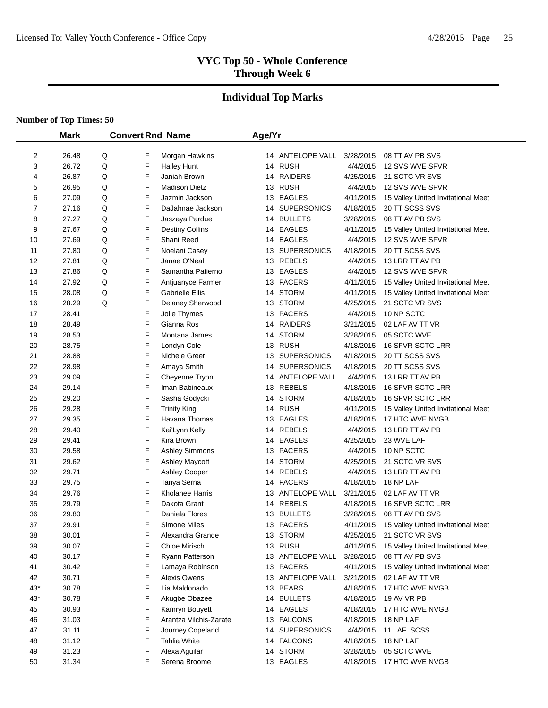# **Individual Top Marks**

|       | <b>Mark</b> |   | <b>Convert Rnd Name</b> |                        | Age/Yr |                  |           |                                    |
|-------|-------------|---|-------------------------|------------------------|--------|------------------|-----------|------------------------------------|
|       |             |   |                         |                        |        |                  |           |                                    |
| 2     | 26.48       | Q | F                       | Morgan Hawkins         |        | 14 ANTELOPE VALL | 3/28/2015 | 08 TT AV PB SVS                    |
| 3     | 26.72       | Q | F                       | <b>Hailey Hunt</b>     |        | 14 RUSH          | 4/4/2015  | 12 SVS WVE SFVR                    |
| 4     | 26.87       | Q | F                       | Janiah Brown           |        | 14 RAIDERS       | 4/25/2015 | 21 SCTC VR SVS                     |
| 5     | 26.95       | Q | F                       | <b>Madison Dietz</b>   |        | 13 RUSH          | 4/4/2015  | 12 SVS WVE SFVR                    |
| 6     | 27.09       | Q | F                       | Jazmin Jackson         |        | 13 EAGLES        | 4/11/2015 | 15 Valley United Invitational Meet |
| 7     | 27.16       | Q | F                       | DaJahnae Jackson       |        | 14 SUPERSONICS   | 4/18/2015 | 20 TT SCSS SVS                     |
| 8     | 27.27       | Q | F                       | Jaszaya Pardue         |        | 14 BULLETS       | 3/28/2015 | 08 TT AV PB SVS                    |
| 9     | 27.67       | Q | F                       | <b>Destiny Collins</b> |        | 14 EAGLES        | 4/11/2015 | 15 Valley United Invitational Meet |
| 10    | 27.69       | Q | F                       | Shani Reed             |        | 14 EAGLES        | 4/4/2015  | 12 SVS WVE SFVR                    |
| 11    | 27.80       | Q | F                       | Noelani Casey          |        | 13 SUPERSONICS   | 4/18/2015 | 20 TT SCSS SVS                     |
| 12    | 27.81       | Q | F                       | Janae O'Neal           |        | 13 REBELS        | 4/4/2015  | 13 LRR TT AV PB                    |
| 13    | 27.86       | Q | F                       | Samantha Patierno      |        | 13 EAGLES        | 4/4/2015  | 12 SVS WVE SFVR                    |
| 14    | 27.92       | Q | F                       | Antjuanyce Farmer      |        | 13 PACERS        | 4/11/2015 | 15 Valley United Invitational Meet |
| 15    | 28.08       | Q | F                       | Gabrielle Ellis        |        | 14 STORM         | 4/11/2015 | 15 Valley United Invitational Meet |
| 16    | 28.29       | Q | F                       | Delaney Sherwood       |        | 13 STORM         | 4/25/2015 | 21 SCTC VR SVS                     |
| 17    | 28.41       |   | F                       | Jolie Thymes           |        | 13 PACERS        | 4/4/2015  | 10 NP SCTC                         |
| 18    | 28.49       |   | F                       | Gianna Ros             |        | 14 RAIDERS       | 3/21/2015 | 02 LAF AV TT VR                    |
| 19    | 28.53       |   | F                       | Montana James          |        | 14 STORM         | 3/28/2015 | 05 SCTC WVE                        |
| 20    | 28.75       |   | F                       | Londyn Cole            |        | 13 RUSH          | 4/18/2015 | 16 SFVR SCTC LRR                   |
| 21    | 28.88       |   | F                       | Nichele Greer          |        | 13 SUPERSONICS   | 4/18/2015 | 20 TT SCSS SVS                     |
| 22    | 28.98       |   | F                       | Amaya Smith            |        | 14 SUPERSONICS   | 4/18/2015 | 20 TT SCSS SVS                     |
| 23    | 29.09       |   | F                       | Cheyenne Tryon         |        | 14 ANTELOPE VALL | 4/4/2015  | 13 LRR TT AV PB                    |
| 24    | 29.14       |   | F                       | Iman Babineaux         |        | 13 REBELS        | 4/18/2015 | 16 SFVR SCTC LRR                   |
| 25    | 29.20       |   | F                       | Sasha Godycki          |        | 14 STORM         | 4/18/2015 | 16 SFVR SCTC LRR                   |
| 26    | 29.28       |   | F                       | <b>Trinity King</b>    |        | 14 RUSH          | 4/11/2015 | 15 Valley United Invitational Meet |
| 27    | 29.35       |   | F                       | Havana Thomas          |        | 13 EAGLES        | 4/18/2015 | 17 HTC WVE NVGB                    |
| 28    | 29.40       |   | F                       | Kai'Lynn Kelly         |        | 14 REBELS        | 4/4/2015  | 13 LRR TT AV PB                    |
| 29    | 29.41       |   | F                       | Kira Brown             |        | 14 EAGLES        | 4/25/2015 | 23 WVE LAF                         |
| 30    | 29.58       |   | F                       | <b>Ashley Simmons</b>  |        | 13 PACERS        | 4/4/2015  | 10 NP SCTC                         |
| 31    | 29.62       |   | F                       | <b>Ashley Maycott</b>  |        | 14 STORM         | 4/25/2015 | 21 SCTC VR SVS                     |
| 32    | 29.71       |   | F                       | Ashley Cooper          |        | 14 REBELS        | 4/4/2015  | 13 LRR TT AV PB                    |
| 33    | 29.75       |   | F                       | Tanya Serna            |        | 14 PACERS        | 4/18/2015 | 18 NP LAF                          |
| 34    | 29.76       |   | F                       | Kholanee Harris        |        | 13 ANTELOPE VALL | 3/21/2015 | 02 LAF AV TT VR                    |
| 35    | 29.79       |   | F                       | Dakota Grant           |        | 14 REBELS        | 4/18/2015 | 16 SFVR SCTC LRR                   |
| 36    | 29.80       |   | F                       | Daniela Flores         |        | 13 BULLETS       | 3/28/2015 | 08 TT AV PB SVS                    |
| 37    | 29.91       |   | F                       | Simone Miles           |        | 13 PACERS        | 4/11/2015 | 15 Valley United Invitational Meet |
| 38    | 30.01       |   | F                       | Alexandra Grande       |        | 13 STORM         | 4/25/2015 | 21 SCTC VR SVS                     |
| 39    | 30.07       |   | F                       | Chloe Mirisch          |        | 13 RUSH          | 4/11/2015 | 15 Valley United Invitational Meet |
| 40    | 30.17       |   | F                       | Ryann Patterson        |        | 13 ANTELOPE VALL | 3/28/2015 | 08 TT AV PB SVS                    |
| 41    | 30.42       |   | F                       | Lamaya Robinson        |        | 13 PACERS        | 4/11/2015 | 15 Valley United Invitational Meet |
| 42    | 30.71       |   | F                       | Alexis Owens           |        | 13 ANTELOPE VALL | 3/21/2015 | 02 LAF AV TT VR                    |
| $43*$ | 30.78       |   | F                       | Lia Maldonado          |        | 13 BEARS         | 4/18/2015 | 17 HTC WVE NVGB                    |
| $43*$ | 30.78       |   | F                       | Akugbe Obazee          |        | 14 BULLETS       | 4/18/2015 | 19 AV VR PB                        |
| 45    | 30.93       |   | F                       | Kamryn Bouyett         |        | 14 EAGLES        | 4/18/2015 | 17 HTC WVE NVGB                    |
| 46    | 31.03       |   | F                       | Arantza Vilchis-Zarate |        | 13 FALCONS       | 4/18/2015 | 18 NP LAF                          |
| 47    | 31.11       |   | F                       | Journey Copeland       |        | 14 SUPERSONICS   | 4/4/2015  | 11 LAF SCSS                        |
| 48    | 31.12       |   | F                       | <b>Tahlia White</b>    |        | 14 FALCONS       | 4/18/2015 | 18 NP LAF                          |
| 49    | 31.23       |   | F                       | Alexa Aguilar          |        | 14 STORM         | 3/28/2015 | 05 SCTC WVE                        |
| 50    | 31.34       |   | F                       | Serena Broome          |        | 13 EAGLES        |           | 4/18/2015 17 HTC WVE NVGB          |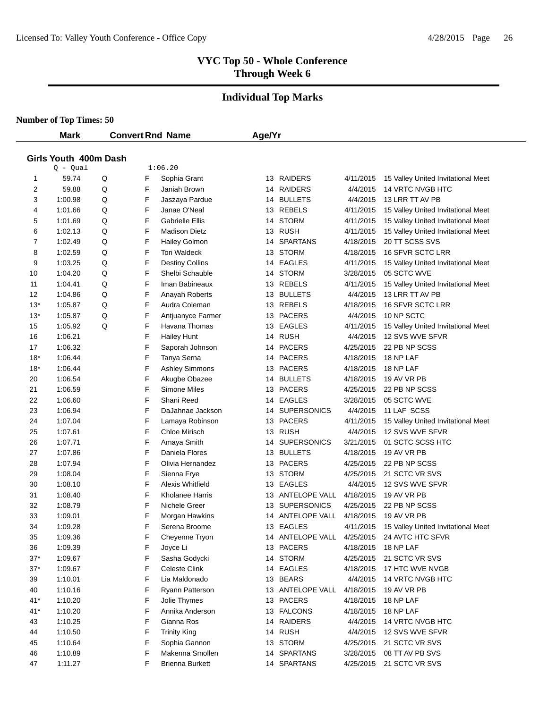#### **Individual Top Marks**

**Number of Top Times: 50**

 $\overline{\phantom{0}}$ 

|                       | <b>Mark</b> |   |   | <b>Convert Rnd Name</b> | Age/Yr |                  |           |                                    |  |  |  |
|-----------------------|-------------|---|---|-------------------------|--------|------------------|-----------|------------------------------------|--|--|--|
|                       |             |   |   |                         |        |                  |           |                                    |  |  |  |
| Girls Youth 400m Dash |             |   |   |                         |        |                  |           |                                    |  |  |  |
|                       | $Q - Qual$  |   |   | 1:06.20                 |        |                  |           |                                    |  |  |  |
| 1                     | 59.74       | Q | F | Sophia Grant            |        | 13 RAIDERS       | 4/11/2015 | 15 Valley United Invitational Meet |  |  |  |
| $\overline{2}$        | 59.88       | Q | F | Janiah Brown            |        | 14 RAIDERS       | 4/4/2015  | 14 VRTC NVGB HTC                   |  |  |  |
| 3                     | 1:00.98     | Q | F | Jaszaya Pardue          |        | 14 BULLETS       | 4/4/2015  | 13 LRR TT AV PB                    |  |  |  |
| 4                     | 1:01.66     | Q | F | Janae O'Neal            |        | 13 REBELS        | 4/11/2015 | 15 Valley United Invitational Meet |  |  |  |
| 5                     | 1:01.69     | Q | F | <b>Gabrielle Ellis</b>  |        | 14 STORM         | 4/11/2015 | 15 Valley United Invitational Meet |  |  |  |
| 6                     | 1:02.13     | Q | F | <b>Madison Dietz</b>    |        | 13 RUSH          | 4/11/2015 | 15 Valley United Invitational Meet |  |  |  |
| $\overline{7}$        | 1:02.49     | Q | F | <b>Hailey Golmon</b>    |        | 14 SPARTANS      | 4/18/2015 | 20 TT SCSS SVS                     |  |  |  |
| 8                     | 1:02.59     | Q | F | <b>Tori Waldeck</b>     |        | 13 STORM         | 4/18/2015 | <b>16 SFVR SCTC LRR</b>            |  |  |  |
| 9                     | 1:03.25     | Q | F | <b>Destiny Collins</b>  |        | 14 EAGLES        | 4/11/2015 | 15 Valley United Invitational Meet |  |  |  |
| 10                    | 1:04.20     | Q | F | Shelbi Schauble         |        | 14 STORM         | 3/28/2015 | 05 SCTC WVE                        |  |  |  |
| 11                    | 1:04.41     | Q | F | Iman Babineaux          |        | 13 REBELS        | 4/11/2015 | 15 Valley United Invitational Meet |  |  |  |
| 12                    | 1:04.86     | Q | F | Anayah Roberts          |        | 13 BULLETS       | 4/4/2015  | 13 LRR TT AV PB                    |  |  |  |
| $13*$                 | 1:05.87     | Q | F | Audra Coleman           |        | 13 REBELS        | 4/18/2015 | 16 SFVR SCTC LRR                   |  |  |  |
| $13*$                 | 1:05.87     | Q | F | Antjuanyce Farmer       |        | 13 PACERS        | 4/4/2015  | 10 NP SCTC                         |  |  |  |
| 15                    | 1:05.92     | Q | F | Havana Thomas           |        | 13 EAGLES        | 4/11/2015 | 15 Valley United Invitational Meet |  |  |  |
| 16                    | 1:06.21     |   | F | <b>Hailey Hunt</b>      |        | 14 RUSH          | 4/4/2015  | 12 SVS WVE SFVR                    |  |  |  |
| 17                    | 1:06.32     |   | F | Saporah Johnson         |        | 14 PACERS        | 4/25/2015 | 22 PB NP SCSS                      |  |  |  |
| $18*$                 | 1:06.44     |   | F | Tanya Serna             |        | 14 PACERS        | 4/18/2015 | 18 NP LAF                          |  |  |  |
| $18*$                 | 1:06.44     |   | F | <b>Ashley Simmons</b>   |        | 13 PACERS        | 4/18/2015 | 18 NP LAF                          |  |  |  |
| 20                    | 1:06.54     |   | F | Akugbe Obazee           |        | 14 BULLETS       | 4/18/2015 | 19 AV VR PB                        |  |  |  |
| 21                    | 1:06.59     |   | F | <b>Simone Miles</b>     |        | 13 PACERS        | 4/25/2015 | 22 PB NP SCSS                      |  |  |  |
| 22                    | 1:06.60     |   | F | Shani Reed              |        | 14 EAGLES        | 3/28/2015 | 05 SCTC WVE                        |  |  |  |
| 23                    | 1:06.94     |   | F | DaJahnae Jackson        |        | 14 SUPERSONICS   | 4/4/2015  | 11 LAF SCSS                        |  |  |  |
| 24                    | 1:07.04     |   | F | Lamaya Robinson         |        | 13 PACERS        | 4/11/2015 | 15 Valley United Invitational Meet |  |  |  |
| 25                    | 1:07.61     |   | F | Chloe Mirisch           |        | 13 RUSH          | 4/4/2015  | 12 SVS WVE SFVR                    |  |  |  |
| 26                    | 1:07.71     |   | F | Amaya Smith             |        | 14 SUPERSONICS   | 3/21/2015 | 01 SCTC SCSS HTC                   |  |  |  |
| 27                    | 1:07.86     |   | F | Daniela Flores          |        | 13 BULLETS       | 4/18/2015 | 19 AV VR PB                        |  |  |  |
| 28                    | 1:07.94     |   | F | Olivia Hernandez        |        | 13 PACERS        | 4/25/2015 | 22 PB NP SCSS                      |  |  |  |
| 29                    | 1:08.04     |   | F | Sienna Frye             |        | 13 STORM         | 4/25/2015 | 21 SCTC VR SVS                     |  |  |  |
| 30                    | 1:08.10     |   | F | Alexis Whitfield        |        | 13 EAGLES        | 4/4/2015  | 12 SVS WVE SFVR                    |  |  |  |
| 31                    | 1:08.40     |   | F | <b>Kholanee Harris</b>  |        | 13 ANTELOPE VALL | 4/18/2015 | 19 AV VR PB                        |  |  |  |
| 32                    | 1:08.79     |   | F | Nichele Greer           |        | 13 SUPERSONICS   | 4/25/2015 | 22 PB NP SCSS                      |  |  |  |
| 33                    | 1:09.01     |   | F | Morgan Hawkins          |        | 14 ANTELOPE VALL | 4/18/2015 | 19 AV VR PB                        |  |  |  |
| 34                    | 1:09.28     |   | F | Serena Broome           |        | 13 EAGLES        | 4/11/2015 | 15 Valley United Invitational Meet |  |  |  |
| 35                    | 1:09.36     |   | F | Cheyenne Tryon          |        | 14 ANTELOPE VALL | 4/25/2015 | 24 AVTC HTC SFVR                   |  |  |  |
| 36                    | 1:09.39     |   | F | Joyce Li                |        | 13 PACERS        | 4/18/2015 | 18 NP LAF                          |  |  |  |
| $37*$                 | 1:09.67     |   | F | Sasha Godycki           |        | 14 STORM         | 4/25/2015 | 21 SCTC VR SVS                     |  |  |  |
| $37*$                 | 1:09.67     |   | F | Celeste Clink           |        | 14 EAGLES        | 4/18/2015 | 17 HTC WVE NVGB                    |  |  |  |
| 39                    | 1:10.01     |   | F | Lia Maldonado           |        | 13 BEARS         | 4/4/2015  | 14 VRTC NVGB HTC                   |  |  |  |
| 40                    | 1:10.16     |   | F | Ryann Patterson         |        | 13 ANTELOPE VALL | 4/18/2015 | 19 AV VR PB                        |  |  |  |
| $41*$                 | 1:10.20     |   | F | Jolie Thymes            |        | 13 PACERS        | 4/18/2015 | 18 NP LAF                          |  |  |  |
| $41*$                 | 1:10.20     |   | F | Annika Anderson         |        | 13 FALCONS       | 4/18/2015 | 18 NP LAF                          |  |  |  |
| 43                    | 1:10.25     |   | F | Gianna Ros              |        | 14 RAIDERS       | 4/4/2015  | 14 VRTC NVGB HTC                   |  |  |  |
| 44                    | 1:10.50     |   | F | <b>Trinity King</b>     |        | 14 RUSH          | 4/4/2015  | 12 SVS WVE SFVR                    |  |  |  |
| 45                    | 1:10.64     |   | F | Sophia Gannon           |        | 13 STORM         | 4/25/2015 | 21 SCTC VR SVS                     |  |  |  |
| 46                    | 1:10.89     |   | F | Makenna Smollen         |        | 14 SPARTANS      | 3/28/2015 | 08 TT AV PB SVS                    |  |  |  |
| 47                    | 1:11.27     |   | F | <b>Brienna Burkett</b>  |        | 14 SPARTANS      | 4/25/2015 | 21 SCTC VR SVS                     |  |  |  |
|                       |             |   |   |                         |        |                  |           |                                    |  |  |  |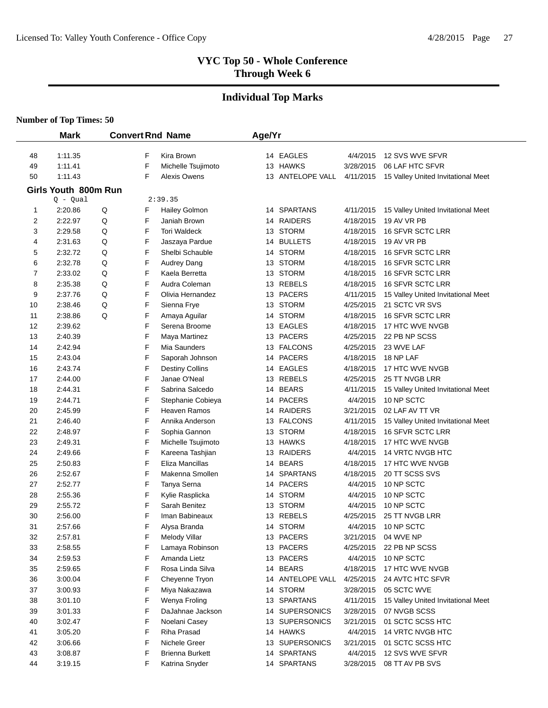# **Individual Top Marks**

|          | <b>Mark</b>          |   |        | <b>Convert Rnd Name</b>      | Age/Yr |                            |                        |                                                   |
|----------|----------------------|---|--------|------------------------------|--------|----------------------------|------------------------|---------------------------------------------------|
| 48       | 1:11.35              |   | F      | Kira Brown                   |        | 14 EAGLES                  | 4/4/2015               | 12 SVS WVE SFVR                                   |
| 49       | 1:11.41              |   | F      | Michelle Tsujimoto           |        | 13 HAWKS                   | 3/28/2015              | 06 LAF HTC SFVR                                   |
| 50       | 1:11.43              |   | F      | Alexis Owens                 |        | 13 ANTELOPE VALL           | 4/11/2015              | 15 Valley United Invitational Meet                |
|          | Girls Youth 800m Run |   |        |                              |        |                            |                        |                                                   |
|          | $Q - Qual$           |   |        | 2:39.35                      |        |                            |                        |                                                   |
| 1        | 2:20.86              | Q | F      | <b>Hailey Golmon</b>         |        | 14 SPARTANS                | 4/11/2015              | 15 Valley United Invitational Meet                |
| 2        | 2:22.97              | Q | F      | Janiah Brown                 |        | 14 RAIDERS                 | 4/18/2015              | 19 AV VR PB                                       |
| 3        | 2:29.58              | Q | F      | <b>Tori Waldeck</b>          | 13     | <b>STORM</b>               | 4/18/2015              | <b>16 SFVR SCTC LRR</b>                           |
| 4        | 2:31.63              | Q | F      | Jaszaya Pardue               |        | 14 BULLETS                 | 4/18/2015              | 19 AV VR PB                                       |
| 5        | 2:32.72              | Q | F      | Shelbi Schauble              |        | 14 STORM                   | 4/18/2015              | 16 SFVR SCTC LRR                                  |
| 6        | 2:32.78              | Q | F      | Audrey Dang                  |        | 13 STORM                   | 4/18/2015              | 16 SFVR SCTC LRR                                  |
| 7        | 2:33.02              | Q | F      | Kaela Berretta               |        | 13 STORM                   | 4/18/2015              | 16 SFVR SCTC LRR                                  |
| 8        | 2:35.38              | Q | F      | Audra Coleman                |        | 13 REBELS                  | 4/18/2015              | 16 SFVR SCTC LRR                                  |
| 9        | 2:37.76              | Q | F      | Olivia Hernandez             |        | 13 PACERS                  | 4/11/2015              | 15 Valley United Invitational Meet                |
| 10       | 2:38.46              | Q | F      | Sienna Frye                  |        | 13 STORM                   | 4/25/2015              | 21 SCTC VR SVS                                    |
| 11       | 2:38.86              | Q | F      | Amaya Aguilar                |        | 14 STORM                   | 4/18/2015              | 16 SFVR SCTC LRR                                  |
| 12       | 2:39.62              |   | F      | Serena Broome                |        | 13 EAGLES                  | 4/18/2015              | 17 HTC WVE NVGB                                   |
| 13       | 2:40.39              |   | F      | Maya Martinez                |        | 13 PACERS                  | 4/25/2015              | 22 PB NP SCSS                                     |
| 14       | 2:42.94              |   | F      | Mia Saunders                 |        | 13 FALCONS                 | 4/25/2015              | 23 WVE LAF                                        |
| 15       | 2:43.04              |   | F      | Saporah Johnson              |        | 14 PACERS                  | 4/18/2015              | 18 NP LAF                                         |
| 16       | 2:43.74              |   | F      | <b>Destiny Collins</b>       |        | 14 EAGLES                  | 4/18/2015              | 17 HTC WVE NVGB                                   |
| 17       | 2:44.00              |   | F      | Janae O'Neal                 |        | 13 REBELS                  | 4/25/2015              | 25 TT NVGB LRR                                    |
| 18       | 2:44.31              |   | F      | Sabrina Salcedo              |        | 14 BEARS                   | 4/11/2015              | 15 Valley United Invitational Meet                |
| 19       | 2:44.71              |   | F      | Stephanie Cobieya            |        | 14 PACERS                  | 4/4/2015               | 10 NP SCTC                                        |
| 20       | 2:45.99              |   | F      | Heaven Ramos                 |        | 14 RAIDERS                 | 3/21/2015              | 02 LAF AV TT VR                                   |
| 21       | 2:46.40              |   | F      | Annika Anderson              |        | 13 FALCONS                 | 4/11/2015              | 15 Valley United Invitational Meet                |
| 22       | 2:48.97              |   | F      | Sophia Gannon                |        | 13 STORM                   | 4/18/2015              | 16 SFVR SCTC LRR                                  |
| 23       | 2:49.31              |   | F      | Michelle Tsujimoto           |        | 13 HAWKS                   | 4/18/2015              | 17 HTC WVE NVGB                                   |
| 24       | 2:49.66              |   | F      | Kareena Tashjian             |        | 13 RAIDERS                 | 4/4/2015               | 14 VRTC NVGB HTC                                  |
| 25       | 2:50.83              |   | F      | Eliza Mancillas              | 14     | <b>BEARS</b>               | 4/18/2015              | 17 HTC WVE NVGB                                   |
| 26       | 2:52.67              |   | F      | Makenna Smollen              | 14     | <b>SPARTANS</b>            | 4/18/2015              | 20 TT SCSS SVS                                    |
| 27       | 2:52.77              |   | F      | Tanya Serna                  | 14     | <b>PACERS</b>              | 4/4/2015               | 10 NP SCTC                                        |
| 28       | 2:55.36              |   | F      | Kylie Rasplicka              |        | 14 STORM                   | 4/4/2015               | 10 NP SCTC                                        |
| 29       | 2:55.72              |   | F      | Sarah Benitez                |        | 13 STORM                   | 4/4/2015               | 10 NP SCTC                                        |
| 30       | 2:56.00              |   | F      | Iman Babineaux               | 13     | <b>REBELS</b>              | 4/25/2015              | 25 TT NVGB LRR                                    |
| 31       | 2:57.66              |   | F      | Alysa Branda                 |        | 14 STORM                   | 4/4/2015               | 10 NP SCTC                                        |
| 32       | 2:57.81              |   | F      | Melody Villar                |        | 13 PACERS                  | 3/21/2015              | 04 WVE NP                                         |
| 33       | 2:58.55              |   | F      | Lamaya Robinson              |        | 13 PACERS                  | 4/25/2015              | 22 PB NP SCSS                                     |
| 34       | 2:59.53              |   | F      | Amanda Lietz                 |        | 13 PACERS                  | 4/4/2015               | 10 NP SCTC                                        |
| 35       | 2:59.65              |   | F      | Rosa Linda Silva             |        | 14 BEARS                   | 4/18/2015              | 17 HTC WVE NVGB                                   |
| 36       | 3:00.04              |   | F      | Cheyenne Tryon               |        | 14 ANTELOPE VALL           | 4/25/2015              | 24 AVTC HTC SFVR                                  |
| 37       | 3:00.93              |   | F      | Miya Nakazawa                |        | 14 STORM                   | 3/28/2015<br>4/11/2015 | 05 SCTC WVE<br>15 Valley United Invitational Meet |
| 38       | 3:01.10              |   | F<br>F | Wenya Froling                |        | 13 SPARTANS                | 3/28/2015              | 07 NVGB SCSS                                      |
| 39       | 3:01.33              |   |        | DaJahnae Jackson             |        | 14 SUPERSONICS             |                        |                                                   |
| 40       | 3:02.47<br>3:05.20   |   | F<br>F | Noelani Casey<br>Riha Prasad |        | 13 SUPERSONICS<br>14 HAWKS | 3/21/2015<br>4/4/2015  | 01 SCTC SCSS HTC<br>14 VRTC NVGB HTC              |
| 41<br>42 | 3:06.66              |   | F      | Nichele Greer                |        | 13 SUPERSONICS             | 3/21/2015              | 01 SCTC SCSS HTC                                  |
| 43       | 3:08.87              |   | F      | <b>Brienna Burkett</b>       |        | 14 SPARTANS                | 4/4/2015               | 12 SVS WVE SFVR                                   |
| 44       | 3:19.15              |   | F      | Katrina Snyder               |        | 14 SPARTANS                | 3/28/2015              | 08 TT AV PB SVS                                   |
|          |                      |   |        |                              |        |                            |                        |                                                   |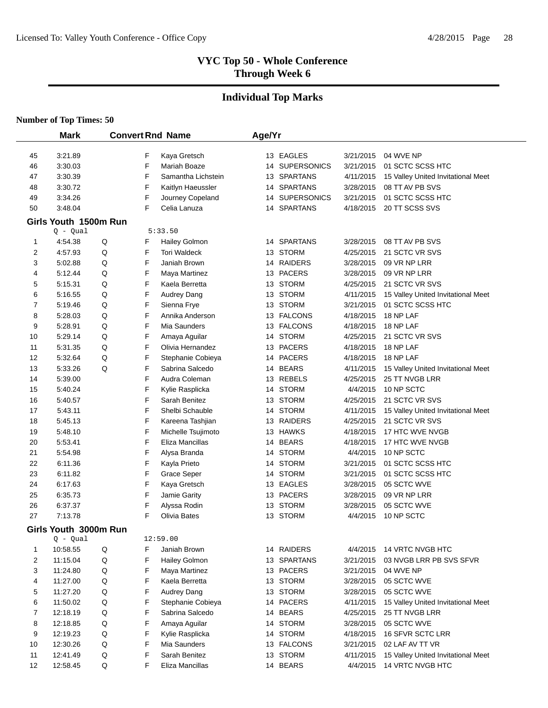#### **Individual Top Marks**

|                  | <b>Mark</b>           |        |        | <b>Convert Rnd Name</b>              | Age/Yr |                               |                        |                                                       |
|------------------|-----------------------|--------|--------|--------------------------------------|--------|-------------------------------|------------------------|-------------------------------------------------------|
|                  |                       |        |        |                                      |        |                               |                        |                                                       |
| 45<br>46         | 3:21.89<br>3:30.03    |        | F<br>F | Kaya Gretsch<br>Mariah Boaze         |        | 13 EAGLES<br>14 SUPERSONICS   | 3/21/2015<br>3/21/2015 | 04 WVE NP<br>01 SCTC SCSS HTC                         |
|                  |                       |        | F      |                                      |        |                               |                        |                                                       |
| 47               | 3:30.39<br>3:30.72    |        | F      | Samantha Lichstein                   |        | 13 SPARTANS<br>14 SPARTANS    | 4/11/2015<br>3/28/2015 | 15 Valley United Invitational Meet<br>08 TT AV PB SVS |
| 48               |                       |        | F      | Kaitlyn Haeussler                    |        |                               |                        |                                                       |
| 49               | 3:34.26<br>3:48.04    |        | F      | Journey Copeland<br>Celia Lanuza     |        | 14 SUPERSONICS<br>14 SPARTANS | 3/21/2015              | 01 SCTC SCSS HTC<br>20 TT SCSS SVS                    |
| 50               |                       |        |        |                                      |        |                               | 4/18/2015              |                                                       |
|                  | Girls Youth 1500m Run |        |        |                                      |        |                               |                        |                                                       |
|                  | $Q - Qual$            |        |        | 5:33.50                              |        | 14 SPARTANS                   |                        |                                                       |
| $\mathbf 1$<br>2 | 4:54.38<br>4:57.93    | Q<br>Q | F<br>F | Hailey Golmon<br><b>Tori Waldeck</b> |        | 13 STORM                      | 3/28/2015<br>4/25/2015 | 08 TT AV PB SVS<br>21 SCTC VR SVS                     |
| 3                | 5:02.88               | Q      | F      | Janiah Brown                         |        | 14 RAIDERS                    | 3/28/2015              | 09 VR NP LRR                                          |
| 4                | 5:12.44               | Q      | F      |                                      |        | 13 PACERS                     | 3/28/2015              | 09 VR NP LRR                                          |
| 5                | 5:15.31               | Q      | F      | Maya Martinez<br>Kaela Berretta      |        | 13 STORM                      | 4/25/2015              | 21 SCTC VR SVS                                        |
| 6                | 5:16.55               | Q      | F      | Audrey Dang                          |        | 13 STORM                      | 4/11/2015              | 15 Valley United Invitational Meet                    |
| 7                | 5:19.46               | Q      | F      | Sienna Frye                          |        | 13 STORM                      | 3/21/2015              | 01 SCTC SCSS HTC                                      |
| 8                | 5:28.03               | Q      | F      | Annika Anderson                      |        | 13 FALCONS                    | 4/18/2015              | 18 NP LAF                                             |
| 9                | 5:28.91               | Q      | F      | Mia Saunders                         |        | 13 FALCONS                    | 4/18/2015              | 18 NP LAF                                             |
| 10               | 5:29.14               | Q      | F      | Amaya Aguilar                        |        | 14 STORM                      | 4/25/2015              | 21 SCTC VR SVS                                        |
| 11               | 5:31.35               | Q      | F      | Olivia Hernandez                     |        | 13 PACERS                     | 4/18/2015              | 18 NP LAF                                             |
| 12               | 5:32.64               | Q      | F      | Stephanie Cobieya                    |        | 14 PACERS                     | 4/18/2015              | 18 NP LAF                                             |
| 13               | 5:33.26               | Q      | F      | Sabrina Salcedo                      |        | 14 BEARS                      | 4/11/2015              | 15 Valley United Invitational Meet                    |
| 14               | 5:39.00               |        | F      | Audra Coleman                        |        | 13 REBELS                     | 4/25/2015              | 25 TT NVGB LRR                                        |
| 15               | 5:40.24               |        | F      | Kylie Rasplicka                      |        | 14 STORM                      | 4/4/2015               | 10 NP SCTC                                            |
| 16               | 5:40.57               |        | F      | Sarah Benitez                        |        | 13 STORM                      | 4/25/2015              | 21 SCTC VR SVS                                        |
| 17               | 5:43.11               |        | F      | Shelbi Schauble                      |        | 14 STORM                      | 4/11/2015              | 15 Valley United Invitational Meet                    |
| 18               | 5:45.13               |        | F      | Kareena Tashjian                     |        | 13 RAIDERS                    | 4/25/2015              | 21 SCTC VR SVS                                        |
| 19               | 5:48.10               |        | F      | Michelle Tsujimoto                   |        | 13 HAWKS                      | 4/18/2015              | 17 HTC WVE NVGB                                       |
| 20               | 5:53.41               |        | F      | Eliza Mancillas                      |        | 14 BEARS                      | 4/18/2015              | 17 HTC WVE NVGB                                       |
| 21               | 5:54.98               |        | F      | Alysa Branda                         |        | 14 STORM                      | 4/4/2015               | 10 NP SCTC                                            |
| 22               | 6:11.36               |        | F      | Kayla Prieto                         |        | 14 STORM                      | 3/21/2015              | 01 SCTC SCSS HTC                                      |
| 23               | 6:11.82               |        | F      | <b>Grace Seper</b>                   |        | 14 STORM                      | 3/21/2015              | 01 SCTC SCSS HTC                                      |
| 24               | 6:17.63               |        | F      | Kaya Gretsch                         |        | 13 EAGLES                     | 3/28/2015              | 05 SCTC WVE                                           |
| 25               | 6:35.73               |        | F      | Jamie Garity                         |        | 13 PACERS                     | 3/28/2015              | 09 VR NP LRR                                          |
| 26               | 6:37.37               |        | F      | Alyssa Rodin                         |        | 13 STORM                      | 3/28/2015              | 05 SCTC WVE                                           |
| 27               | 7:13.78               |        | F      | Olivia Bates                         |        | 13 STORM                      | 4/4/2015               | 10 NP SCTC                                            |
|                  | Girls Youth 3000m Run |        |        |                                      |        |                               |                        |                                                       |
|                  | $Q - Qual$            |        |        | 12:59.00                             |        |                               |                        |                                                       |
| $\mathbf 1$      | 10:58.55              | Q      | F      | Janiah Brown                         |        | 14 RAIDERS                    | 4/4/2015               | 14 VRTC NVGB HTC                                      |
| 2                | 11:15.04              | Q      | F      | Hailey Golmon                        |        | 13 SPARTANS                   | 3/21/2015              | 03 NVGB LRR PB SVS SFVR                               |
| 3                | 11:24.80              | Q      | F      | Maya Martinez                        |        | 13 PACERS                     | 3/21/2015              | 04 WVE NP                                             |
| 4                | 11:27.00              | Q      | F      | Kaela Berretta                       |        | 13 STORM                      | 3/28/2015              | 05 SCTC WVE                                           |
| 5                | 11:27.20              | Q      | F      | Audrey Dang                          |        | 13 STORM                      | 3/28/2015              | 05 SCTC WVE                                           |
| 6                | 11:50.02              | Q      | F      | Stephanie Cobieya                    |        | 14 PACERS                     | 4/11/2015              | 15 Valley United Invitational Meet                    |
| 7                | 12:18.19              | Q      | F      | Sabrina Salcedo                      |        | 14 BEARS                      | 4/25/2015              | 25 TT NVGB LRR                                        |
| 8                | 12:18.85              | Q      | F      | Amaya Aguilar                        |        | 14 STORM                      | 3/28/2015              | 05 SCTC WVE                                           |
| 9                | 12:19.23              | Q      | F      | Kylie Rasplicka                      |        | 14 STORM                      | 4/18/2015              | 16 SFVR SCTC LRR                                      |
| 10               | 12:30.26              | Q      | F      | Mia Saunders                         |        | 13 FALCONS                    | 3/21/2015              | 02 LAF AV TT VR                                       |
| 11               | 12:41.49              | Q      | F      | Sarah Benitez                        |        | 13 STORM                      | 4/11/2015              | 15 Valley United Invitational Meet                    |
| 12               | 12:58.45              | Q      | F      | Eliza Mancillas                      |        | 14 BEARS                      | 4/4/2015               | 14 VRTC NVGB HTC                                      |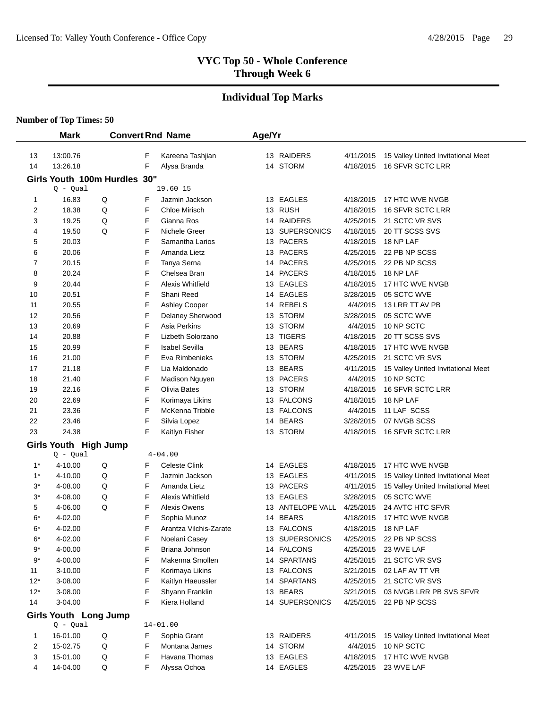#### **Individual Top Marks**

| <b>Mark</b> |                        | <b>Convert Rnd Name</b>      |        | Age/Yr                           |  |                             |                        |                                    |
|-------------|------------------------|------------------------------|--------|----------------------------------|--|-----------------------------|------------------------|------------------------------------|
|             |                        |                              |        |                                  |  |                             |                        |                                    |
| 13          | 13:00.76               |                              | F      | Kareena Tashjian                 |  | 13 RAIDERS                  | 4/11/2015              | 15 Valley United Invitational Meet |
| 14          | 13:26.18               |                              | F      | Alysa Branda                     |  | 14 STORM                    | 4/18/2015              | 16 SFVR SCTC LRR                   |
|             |                        | Girls Youth 100m Hurdles 30" |        |                                  |  |                             |                        |                                    |
|             | $Q - Qual$             |                              |        | 19.60 15                         |  |                             |                        |                                    |
| 1           | 16.83                  | Q                            | F      | Jazmin Jackson                   |  | 13 EAGLES                   | 4/18/2015              | 17 HTC WVE NVGB                    |
| 2           | 18.38                  | Q                            | F      | Chloe Mirisch                    |  | 13 RUSH                     | 4/18/2015              | 16 SFVR SCTC LRR                   |
| 3           | 19.25                  | Q                            | F      | Gianna Ros                       |  | 14 RAIDERS                  | 4/25/2015              | 21 SCTC VR SVS                     |
| 4<br>5      | 19.50<br>20.03         | Q                            | F<br>F | Nichele Greer<br>Samantha Larios |  | 13 SUPERSONICS<br>13 PACERS | 4/18/2015<br>4/18/2015 | 20 TT SCSS SVS<br>18 NP LAF        |
| 6           | 20.06                  |                              | F      | Amanda Lietz                     |  | 13 PACERS                   | 4/25/2015              | 22 PB NP SCSS                      |
| 7           | 20.15                  |                              | F      | Tanya Serna                      |  | 14 PACERS                   | 4/25/2015              | 22 PB NP SCSS                      |
| 8           | 20.24                  |                              | F      | Chelsea Bran                     |  | 14 PACERS                   | 4/18/2015              | 18 NP LAF                          |
| 9           | 20.44                  |                              | F      | Alexis Whitfield                 |  | 13 EAGLES                   | 4/18/2015              | 17 HTC WVE NVGB                    |
| 10          | 20.51                  |                              | F      | Shani Reed                       |  | 14 EAGLES                   | 3/28/2015              | 05 SCTC WVE                        |
| 11          | 20.55                  |                              | F      | Ashley Cooper                    |  | 14 REBELS                   | 4/4/2015               | 13 LRR TT AV PB                    |
| 12          | 20.56                  |                              | F      | Delaney Sherwood                 |  | 13 STORM                    | 3/28/2015              | 05 SCTC WVE                        |
| 13          | 20.69                  |                              | F      | Asia Perkins                     |  | 13 STORM                    | 4/4/2015               | 10 NP SCTC                         |
| 14          | 20.88                  |                              | F      | Lizbeth Solorzano                |  | 13 TIGERS                   | 4/18/2015              | 20 TT SCSS SVS                     |
| 15          | 20.99                  |                              | F      | <b>Isabel Sevilla</b>            |  | 13 BEARS                    | 4/18/2015              | 17 HTC WVE NVGB                    |
| 16          | 21.00                  |                              | F      | Eva Rimbenieks                   |  | 13 STORM                    | 4/25/2015              | 21 SCTC VR SVS                     |
| 17          | 21.18                  |                              | F      | Lia Maldonado                    |  | 13 BEARS                    | 4/11/2015              | 15 Valley United Invitational Meet |
| 18          | 21.40                  |                              | F      | Madison Nguyen                   |  | 13 PACERS                   | 4/4/2015               | 10 NP SCTC                         |
| 19          | 22.16                  |                              | F      | Olivia Bates                     |  | 13 STORM                    | 4/18/2015              | 16 SFVR SCTC LRR                   |
| 20          | 22.69                  |                              | F      | Korimaya Likins                  |  | 13 FALCONS                  | 4/18/2015              | 18 NP LAF                          |
| 21          | 23.36                  |                              | F      | McKenna Tribble                  |  | 13 FALCONS                  | 4/4/2015               | 11 LAF SCSS                        |
| 22          | 23.46                  |                              | F      | Silvia Lopez                     |  | 14 BEARS                    | 3/28/2015              | 07 NVGB SCSS                       |
| 23          | 24.38                  |                              | F      | Kaitlyn Fisher                   |  | 13 STORM                    | 4/18/2015              | 16 SFVR SCTC LRR                   |
|             | Girls Youth High Jump  |                              |        |                                  |  |                             |                        |                                    |
|             | $Q - Qual$             |                              |        | $4 - 04.00$                      |  |                             |                        |                                    |
| $1^*$       | 4-10.00                | Q                            | F      | <b>Celeste Clink</b>             |  | 14 EAGLES                   | 4/18/2015              | 17 HTC WVE NVGB                    |
| $1^*$       | 4-10.00                | Q                            | F      | Jazmin Jackson                   |  | 13 EAGLES                   | 4/11/2015              | 15 Valley United Invitational Meet |
| $3^*$       | 4-08.00                | Q                            | F      | Amanda Lietz                     |  | 13 PACERS                   | 4/11/2015              | 15 Valley United Invitational Meet |
| $3^*$       | 4-08.00                | Q                            | F      | Alexis Whitfield                 |  | 13 EAGLES                   | 3/28/2015              | 05 SCTC WVE                        |
| 5           | 4-06.00                | Q                            | F      | <b>Alexis Owens</b>              |  | 13 ANTELOPE VALL            | 4/25/2015              | 24 AVTC HTC SFVR                   |
| 6*          | 4-02.00                |                              | F      | Sophia Munoz                     |  | 14 BEARS                    | 4/18/2015              | 17 HTC WVE NVGB                    |
| $6*$        | 4-02.00                |                              | F      | Arantza Vilchis-Zarate           |  | 13 FALCONS                  | 4/18/2015              | 18 NP LAF                          |
| 6*          | 4-02.00                |                              | F      | Noelani Casey                    |  | 13 SUPERSONICS              | 4/25/2015              | 22 PB NP SCSS                      |
| 9*          | 4-00.00                |                              | F      | Briana Johnson                   |  | 14 FALCONS                  | 4/25/2015              | 23 WVE LAF                         |
| 9*          | 4-00.00                |                              | F      | Makenna Smollen                  |  | 14 SPARTANS                 | 4/25/2015              | 21 SCTC VR SVS                     |
| 11          | $3 - 10.00$            |                              | F      | Korimaya Likins                  |  | 13 FALCONS                  | 3/21/2015              | 02 LAF AV TT VR                    |
| $12*$       | 3-08.00                |                              | F      | Kaitlyn Haeussler                |  | 14 SPARTANS                 | 4/25/2015              | 21 SCTC VR SVS                     |
| $12*$       | 3-08.00                |                              | F      | Shyann Franklin                  |  | 13 BEARS                    | 3/21/2015              | 03 NVGB LRR PB SVS SFVR            |
| 14          | 3-04.00                |                              | F      | Kiera Holland                    |  | 14 SUPERSONICS              | 4/25/2015              | 22 PB NP SCSS                      |
|             | Girls Youth Long Jump  |                              |        |                                  |  |                             |                        |                                    |
| 1           | $Q - Qual$<br>16-01.00 | Q                            | F      | $14 - 01.00$<br>Sophia Grant     |  | 13 RAIDERS                  | 4/11/2015              | 15 Valley United Invitational Meet |
| 2           | 15-02.75               | Q                            | F      | Montana James                    |  | 14 STORM                    | 4/4/2015               | 10 NP SCTC                         |
| 3           | 15-01.00               | Q                            | F      | Havana Thomas                    |  | 13 EAGLES                   | 4/18/2015              | 17 HTC WVE NVGB                    |
| 4           | 14-04.00               | Q                            | F      | Alyssa Ochoa                     |  | 14 EAGLES                   | 4/25/2015              | 23 WVE LAF                         |
|             |                        |                              |        |                                  |  |                             |                        |                                    |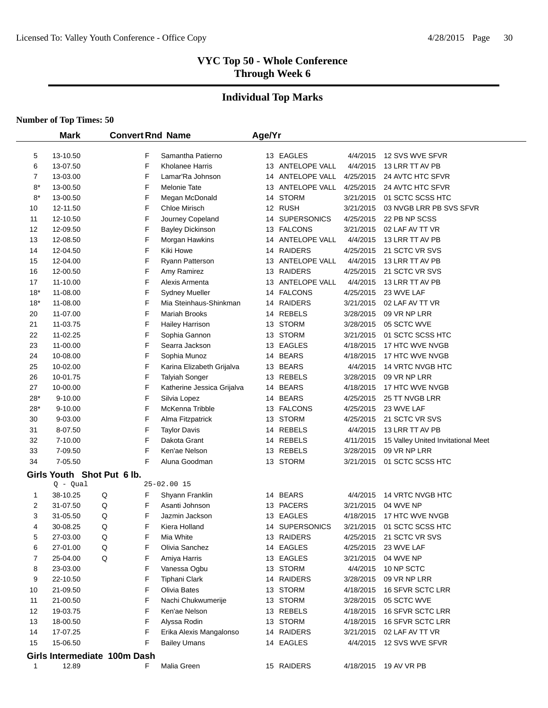#### **Individual Top Marks**

|              | <b>Mark</b>                  |   |   | <b>Convert Rnd Name</b>    | Age/Yr |                  |           |                                    |
|--------------|------------------------------|---|---|----------------------------|--------|------------------|-----------|------------------------------------|
|              |                              |   |   |                            |        |                  |           |                                    |
| 5            | 13-10.50                     |   | F | Samantha Patierno          |        | 13 EAGLES        | 4/4/2015  | 12 SVS WVE SFVR                    |
| 6            | 13-07.50                     |   | F | Kholanee Harris            |        | 13 ANTELOPE VALL | 4/4/2015  | 13 LRR TT AV PB                    |
| 7            | 13-03.00                     |   | F | Lamar'Ra Johnson           |        | 14 ANTELOPE VALL | 4/25/2015 | 24 AVTC HTC SFVR                   |
| 8*           | 13-00.50                     |   | F | <b>Melonie Tate</b>        |        | 13 ANTELOPE VALL | 4/25/2015 | 24 AVTC HTC SFVR                   |
| $8*$         | 13-00.50                     |   | F | Megan McDonald             |        | 14 STORM         | 3/21/2015 | 01 SCTC SCSS HTC                   |
| 10           | 12-11.50                     |   | F | Chloe Mirisch              |        | 12 RUSH          | 3/21/2015 | 03 NVGB LRR PB SVS SFVR            |
| 11           | 12-10.50                     |   | F | Journey Copeland           |        | 14 SUPERSONICS   | 4/25/2015 | 22 PB NP SCSS                      |
| 12           | 12-09.50                     |   | F | <b>Bayley Dickinson</b>    |        | 13 FALCONS       | 3/21/2015 | 02 LAF AV TT VR                    |
| 13           | 12-08.50                     |   | F | Morgan Hawkins             |        | 14 ANTELOPE VALL | 4/4/2015  | 13 LRR TT AV PB                    |
| 14           | 12-04.50                     |   | F | Kiki Howe                  |        | 14 RAIDERS       | 4/25/2015 | 21 SCTC VR SVS                     |
| 15           | 12-04.00                     |   | F | <b>Ryann Patterson</b>     |        | 13 ANTELOPE VALL | 4/4/2015  | 13 LRR TT AV PB                    |
| 16           | 12-00.50                     |   | F | Amy Ramirez                |        | 13 RAIDERS       | 4/25/2015 | 21 SCTC VR SVS                     |
| 17           | 11-10.00                     |   | F | Alexis Armenta             |        | 13 ANTELOPE VALL | 4/4/2015  | 13 LRR TT AV PB                    |
| $18*$        | 11-08.00                     |   | F | <b>Sydney Mueller</b>      |        | 14 FALCONS       | 4/25/2015 | 23 WVE LAF                         |
| $18*$        | 11-08.00                     |   | F | Mia Steinhaus-Shinkman     |        | 14 RAIDERS       | 3/21/2015 | 02 LAF AV TT VR                    |
| 20           | 11-07.00                     |   | F | Mariah Brooks              |        | 14 REBELS        | 3/28/2015 | 09 VR NP LRR                       |
| 21           | 11-03.75                     |   | F | <b>Hailey Harrison</b>     |        | 13 STORM         | 3/28/2015 | 05 SCTC WVE                        |
| 22           | 11-02.25                     |   | F | Sophia Gannon              |        | 13 STORM         | 3/21/2015 | 01 SCTC SCSS HTC                   |
| 23           | 11-00.00                     |   | F | Searra Jackson             |        | 13 EAGLES        | 4/18/2015 | 17 HTC WVE NVGB                    |
| 24           | 10-08.00                     |   | F | Sophia Munoz               |        | 14 BEARS         | 4/18/2015 | 17 HTC WVE NVGB                    |
| 25           | 10-02.00                     |   | F | Karina Elizabeth Grijalva  |        | 13 BEARS         | 4/4/2015  | 14 VRTC NVGB HTC                   |
| 26           | 10-01.75                     |   | F | <b>Talyiah Songer</b>      |        | 13 REBELS        | 3/28/2015 | 09 VR NP LRR                       |
| 27           | 10-00.00                     |   | F | Katherine Jessica Grijalva |        | 14 BEARS         | 4/18/2015 | 17 HTC WVE NVGB                    |
| 28*          | $9 - 10.00$                  |   | F | Silvia Lopez               |        | 14 BEARS         | 4/25/2015 | 25 TT NVGB LRR                     |
| $28*$        | $9 - 10.00$                  |   | F | McKenna Tribble            |        | 13 FALCONS       | 4/25/2015 | 23 WVE LAF                         |
| 30           | 9-03.00                      |   | F | Alma Fitzpatrick           |        | 13 STORM         | 4/25/2015 | 21 SCTC VR SVS                     |
| 31           | 8-07.50                      |   | F | <b>Taylor Davis</b>        |        | 14 REBELS        | 4/4/2015  | 13 LRR TT AV PB                    |
| 32           | 7-10.00                      |   | F | Dakota Grant               |        | 14 REBELS        | 4/11/2015 | 15 Valley United Invitational Meet |
| 33           | 7-09.50                      |   | F | Ken'ae Nelson              |        | 13 REBELS        | 3/28/2015 | 09 VR NP LRR                       |
| 34           | 7-05.50                      |   | F | Aluna Goodman              |        | 13 STORM         | 3/21/2015 | 01 SCTC SCSS HTC                   |
|              | Girls Youth Shot Put 6 lb.   |   |   |                            |        |                  |           |                                    |
|              | $Q - Qual$                   |   |   | $25 - 02.00$ 15            |        |                  |           |                                    |
| 1            | 38-10.25                     | Q | F | Shyann Franklin            |        | 14 BEARS         | 4/4/2015  | <b>14 VRTC NVGB HTC</b>            |
| 2            | 31-07.50                     | Q | F | Asanti Johnson             |        | 13 PACERS        | 3/21/2015 | 04 WVE NP                          |
| 3            | 31-05.50                     | Q | F | Jazmin Jackson             |        | 13 EAGLES        | 4/18/2015 | 17 HTC WVE NVGB                    |
| 4            | 30-08.25                     | Q | F | Kiera Holland              |        | 14 SUPERSONICS   | 3/21/2015 | 01 SCTC SCSS HTC                   |
| 5            | 27-03.00                     | Q | F | Mia White                  |        | 13 RAIDERS       | 4/25/2015 | 21 SCTC VR SVS                     |
| 6            | 27-01.00                     | Q | F | Olivia Sanchez             |        | 14 EAGLES        | 4/25/2015 | 23 WVE LAF                         |
| 7            | 25-04.00                     | Q | F | Amiya Harris               |        | 13 EAGLES        | 3/21/2015 | 04 WVE NP                          |
| 8            | 23-03.00                     |   | F | Vanessa Ogbu               |        | 13 STORM         | 4/4/2015  | 10 NP SCTC                         |
| 9            | 22-10.50                     |   | F | <b>Tiphani Clark</b>       |        | 14 RAIDERS       | 3/28/2015 | 09 VR NP LRR                       |
| 10           | 21-09.50                     |   | F | Olivia Bates               |        | 13 STORM         | 4/18/2015 | 16 SFVR SCTC LRR                   |
| 11           | 21-00.50                     |   | F | Nachi Chukwumerije         |        | 13 STORM         | 3/28/2015 | 05 SCTC WVE                        |
| 12           | 19-03.75                     |   | F | Ken'ae Nelson              |        | 13 REBELS        | 4/18/2015 | 16 SFVR SCTC LRR                   |
| 13           | 18-00.50                     |   | F | Alyssa Rodin               |        | 13 STORM         | 4/18/2015 | 16 SFVR SCTC LRR                   |
| 14           | 17-07.25                     |   | F | Erika Alexis Mangalonso    |        | 14 RAIDERS       | 3/21/2015 | 02 LAF AV TT VR                    |
| 15           | 15-06.50                     |   | F | <b>Bailey Umans</b>        |        | 14 EAGLES        | 4/4/2015  | 12 SVS WVE SFVR                    |
|              | Girls Intermediate 100m Dash |   |   |                            |        |                  |           |                                    |
| $\mathbf{1}$ | 12.89                        |   | F | Malia Green                |        | 15 RAIDERS       | 4/18/2015 | 19 AV VR PB                        |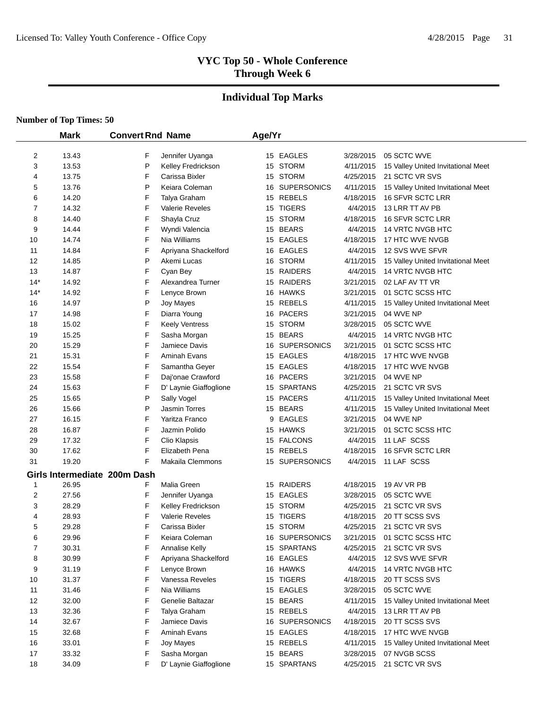# **Individual Top Marks**

#### **Number of Top Times: 50**

 $\overline{\phantom{0}}$ 

|                | <b>Mark</b> | <b>Convert Rnd Name</b>      |                        | Age/Yr |                |           |                                    |  |
|----------------|-------------|------------------------------|------------------------|--------|----------------|-----------|------------------------------------|--|
|                |             |                              |                        |        |                |           |                                    |  |
| $\overline{2}$ | 13.43       | F                            | Jennifer Uyanga        |        | 15 EAGLES      | 3/28/2015 | 05 SCTC WVE                        |  |
| 3              | 13.53       | P                            | Kelley Fredrickson     |        | 15 STORM       | 4/11/2015 | 15 Valley United Invitational Meet |  |
| 4              | 13.75       | F                            | Carissa Bixler         |        | 15 STORM       | 4/25/2015 | 21 SCTC VR SVS                     |  |
| 5              | 13.76       | P                            | Keiara Coleman         |        | 16 SUPERSONICS | 4/11/2015 | 15 Valley United Invitational Meet |  |
| 6              | 14.20       | F                            | Talya Graham           |        | 15 REBELS      | 4/18/2015 | <b>16 SFVR SCTC LRR</b>            |  |
| 7              | 14.32       | F                            | <b>Valerie Reveles</b> |        | 15 TIGERS      | 4/4/2015  | 13 LRR TT AV PB                    |  |
| 8              | 14.40       | F                            | Shayla Cruz            |        | 15 STORM       | 4/18/2015 | 16 SFVR SCTC LRR                   |  |
| 9              | 14.44       | F                            | Wyndi Valencia         |        | 15 BEARS       | 4/4/2015  | 14 VRTC NVGB HTC                   |  |
| 10             | 14.74       | F                            | Nia Williams           |        | 15 EAGLES      | 4/18/2015 | 17 HTC WVE NVGB                    |  |
| 11             | 14.84       | F                            | Apriyana Shackelford   |        | 16 EAGLES      | 4/4/2015  | 12 SVS WVE SFVR                    |  |
| 12             | 14.85       | P                            | Akemi Lucas            |        | 16 STORM       | 4/11/2015 | 15 Valley United Invitational Meet |  |
| 13             | 14.87       | F                            | Cyan Bey               |        | 15 RAIDERS     | 4/4/2015  | 14 VRTC NVGB HTC                   |  |
| $14*$          | 14.92       | F                            | Alexandrea Turner      |        | 15 RAIDERS     | 3/21/2015 | 02 LAF AV TT VR                    |  |
| $14*$          | 14.92       | F                            | Lenyce Brown           |        | 16 HAWKS       | 3/21/2015 | 01 SCTC SCSS HTC                   |  |
| 16             | 14.97       | P                            | Joy Mayes              |        | 15 REBELS      | 4/11/2015 | 15 Valley United Invitational Meet |  |
| 17             | 14.98       | F                            | Diarra Young           |        | 16 PACERS      | 3/21/2015 | 04 WVE NP                          |  |
| 18             | 15.02       | F                            | <b>Keely Ventress</b>  |        | 15 STORM       | 3/28/2015 | 05 SCTC WVE                        |  |
| 19             | 15.25       | F                            | Sasha Morgan           |        | 15 BEARS       | 4/4/2015  | 14 VRTC NVGB HTC                   |  |
| 20             | 15.29       | F                            | Jamiece Davis          |        | 16 SUPERSONICS | 3/21/2015 | 01 SCTC SCSS HTC                   |  |
| 21             | 15.31       | F                            | Aminah Evans           |        | 15 EAGLES      | 4/18/2015 | 17 HTC WVE NVGB                    |  |
| 22             | 15.54       | F                            | Samantha Geyer         |        | 15 EAGLES      | 4/18/2015 | 17 HTC WVE NVGB                    |  |
| 23             | 15.58       | F                            | Daj'onae Crawford      |        | 16 PACERS      | 3/21/2015 | 04 WVE NP                          |  |
| 24             | 15.63       | F                            | D' Laynie Giaffoglione |        | 15 SPARTANS    | 4/25/2015 | 21 SCTC VR SVS                     |  |
| 25             | 15.65       | P                            | Sally Vogel            |        | 15 PACERS      | 4/11/2015 | 15 Valley United Invitational Meet |  |
| 26             | 15.66       | P                            | Jasmin Torres          |        | 15 BEARS       | 4/11/2015 | 15 Valley United Invitational Meet |  |
| 27             | 16.15       | F                            | Yaritza Franco         | 9      | <b>EAGLES</b>  | 3/21/2015 | 04 WVE NP                          |  |
| 28             | 16.87       | F                            | Jazmin Polido          |        | 15 HAWKS       | 3/21/2015 | 01 SCTC SCSS HTC                   |  |
| 29             | 17.32       | F                            | Clio Klapsis           |        | 15 FALCONS     | 4/4/2015  | 11 LAF SCSS                        |  |
| 30             | 17.62       | F                            | Elizabeth Pena         |        | 15 REBELS      | 4/18/2015 | 16 SFVR SCTC LRR                   |  |
| 31             | 19.20       | F                            | Makaila Clemmons       |        | 15 SUPERSONICS | 4/4/2015  | 11 LAF SCSS                        |  |
|                |             | Girls Intermediate 200m Dash |                        |        |                |           |                                    |  |
| 1              | 26.95       | F                            | Malia Green            |        | 15 RAIDERS     | 4/18/2015 | 19 AV VR PB                        |  |
| 2              | 27.56       | F                            | Jennifer Uyanga        |        | 15 EAGLES      | 3/28/2015 | 05 SCTC WVE                        |  |
| 3              | 28.29       | F                            | Kelley Fredrickson     |        | 15 STORM       | 4/25/2015 | 21 SCTC VR SVS                     |  |
| 4              | 28.93       | F                            | <b>Valerie Reveles</b> |        | 15 TIGERS      | 4/18/2015 | 20 TT SCSS SVS                     |  |
| 5              | 29.28       | F                            | Carissa Bixler         |        | 15 STORM       | 4/25/2015 | 21 SCTC VR SVS                     |  |
| 6              | 29.96       | F                            | Keiara Coleman         |        | 16 SUPERSONICS | 3/21/2015 | 01 SCTC SCSS HTC                   |  |
| 7              | 30.31       | F                            | <b>Annalise Kelly</b>  |        | 15 SPARTANS    | 4/25/2015 | 21 SCTC VR SVS                     |  |
| 8              | 30.99       | F                            | Apriyana Shackelford   |        | 16 EAGLES      | 4/4/2015  | 12 SVS WVE SFVR                    |  |
| 9              | 31.19       | F                            | Lenyce Brown           |        | 16 HAWKS       | 4/4/2015  | 14 VRTC NVGB HTC                   |  |
| 10             | 31.37       | F                            | Vanessa Reveles        |        | 15 TIGERS      | 4/18/2015 | 20 TT SCSS SVS                     |  |
| 11             | 31.46       | F                            | Nia Williams           |        | 15 EAGLES      | 3/28/2015 | 05 SCTC WVE                        |  |
| 12             | 32.00       | F                            | Genelie Baltazar       |        | 15 BEARS       | 4/11/2015 | 15 Valley United Invitational Meet |  |
| 13             | 32.36       | F                            | Talya Graham           |        | 15 REBELS      | 4/4/2015  | 13 LRR TT AV PB                    |  |
| 14             | 32.67       | F                            | Jamiece Davis          |        | 16 SUPERSONICS | 4/18/2015 | 20 TT SCSS SVS                     |  |
| 15             | 32.68       | F                            | Aminah Evans           |        | 15 EAGLES      | 4/18/2015 | 17 HTC WVE NVGB                    |  |
| 16             | 33.01       | F                            | Joy Mayes              |        | 15 REBELS      | 4/11/2015 | 15 Valley United Invitational Meet |  |
| 17             | 33.32       | F                            | Sasha Morgan           |        | 15 BEARS       | 3/28/2015 | 07 NVGB SCSS                       |  |
| 18             | 34.09       | F                            | D' Laynie Giaffoglione |        | 15 SPARTANS    | 4/25/2015 | 21 SCTC VR SVS                     |  |
|                |             |                              |                        |        |                |           |                                    |  |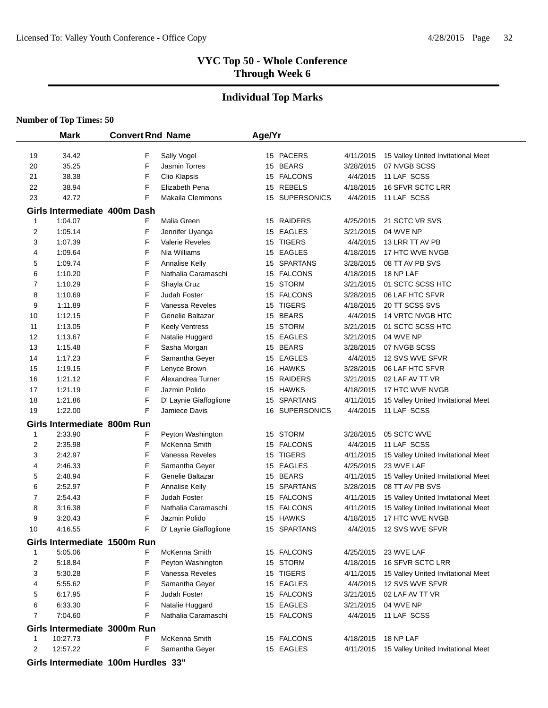#### **Individual Top Marks**

|              | <b>Mark</b>                             | <b>Convert Rnd Name</b> |                             | Age/Yr |                |                        |                                    |
|--------------|-----------------------------------------|-------------------------|-----------------------------|--------|----------------|------------------------|------------------------------------|
| 19           | 34.42                                   | F                       | Sally Vogel                 |        | 15 PACERS      | 4/11/2015              | 15 Valley United Invitational Meet |
| 20           | 35.25                                   | F                       | Jasmin Torres               |        | 15 BEARS       | 3/28/2015              | 07 NVGB SCSS                       |
| 21           | 38.38                                   | F                       | Clio Klapsis                |        | 15 FALCONS     | 4/4/2015               | 11 LAF SCSS                        |
| 22           | 38.94                                   | F                       | Elizabeth Pena              |        | 15 REBELS      | 4/18/2015              | <b>16 SFVR SCTC LRR</b>            |
| 23           | 42.72                                   | F                       | Makaila Clemmons            |        | 15 SUPERSONICS | 4/4/2015               | 11 LAF SCSS                        |
|              |                                         |                         |                             |        |                |                        |                                    |
| $\mathbf{1}$ | Girls Intermediate 400m Dash<br>1:04.07 | F                       | Malia Green                 |        | 15 RAIDERS     | 4/25/2015              | 21 SCTC VR SVS                     |
| 2            | 1:05.14                                 | F                       | Jennifer Uyanga             |        | 15 EAGLES      | 3/21/2015              | 04 WVE NP                          |
| 3            | 1:07.39                                 | F                       | <b>Valerie Reveles</b>      |        | 15 TIGERS      | 4/4/2015               | 13 LRR TT AV PB                    |
| 4            | 1:09.64                                 | F                       | Nia Williams                |        | 15 EAGLES      | 4/18/2015              | 17 HTC WVE NVGB                    |
| 5            | 1:09.74                                 | F                       | <b>Annalise Kelly</b>       |        | 15 SPARTANS    | 3/28/2015              | 08 TT AV PB SVS                    |
| 6            | 1:10.20                                 | F                       | Nathalia Caramaschi         |        | 15 FALCONS     | 4/18/2015              | 18 NP LAF                          |
| 7            | 1:10.29                                 | F                       |                             |        | 15 STORM       | 3/21/2015              | 01 SCTC SCSS HTC                   |
| 8            | 1:10.69                                 | F                       | Shayla Cruz<br>Judah Foster |        | 15 FALCONS     | 3/28/2015              | 06 LAF HTC SFVR                    |
|              | 1:11.89                                 | F                       | Vanessa Reveles             |        | 15 TIGERS      | 4/18/2015              | 20 TT SCSS SVS                     |
| 9<br>10      | 1:12.15                                 | F                       | Genelie Baltazar            |        | 15 BEARS       | 4/4/2015               | <b>14 VRTC NVGB HTC</b>            |
|              |                                         | F                       |                             |        | 15 STORM       |                        |                                    |
| 11<br>12     | 1:13.05<br>1:13.67                      | F                       | <b>Keely Ventress</b>       |        | 15 EAGLES      | 3/21/2015<br>3/21/2015 | 01 SCTC SCSS HTC<br>04 WVE NP      |
|              | 1:15.48                                 | F                       | Natalie Huggard             |        | 15 BEARS       | 3/28/2015              | 07 NVGB SCSS                       |
| 13           |                                         |                         | Sasha Morgan                |        | 15 EAGLES      |                        | 12 SVS WVE SFVR                    |
| 14           | 1:17.23                                 | F                       | Samantha Geyer              |        |                | 4/4/2015               |                                    |
| 15           | 1:19.15                                 | F                       | Lenyce Brown                |        | 16 HAWKS       | 3/28/2015              | 06 LAF HTC SFVR                    |
| 16           | 1:21.12                                 | F<br>F                  | Alexandrea Turner           |        | 15 RAIDERS     | 3/21/2015              | 02 LAF AV TT VR                    |
| 17           | 1:21.19                                 |                         | Jazmin Polido               |        | 15 HAWKS       | 4/18/2015              | 17 HTC WVE NVGB                    |
| 18           | 1:21.86                                 | F                       | D' Laynie Giaffoglione      |        | 15 SPARTANS    | 4/11/2015              | 15 Valley United Invitational Meet |
| 19           | 1:22.00                                 | F                       | Jamiece Davis               |        | 16 SUPERSONICS | 4/4/2015               | 11 LAF SCSS                        |
|              | Girls Intermediate 800m Run             |                         |                             |        |                |                        |                                    |
| 1            | 2:33.90                                 | F                       | Peyton Washington           |        | 15 STORM       | 3/28/2015              | 05 SCTC WVE                        |
| 2            | 2:35.98                                 | F                       | McKenna Smith               |        | 15 FALCONS     | 4/4/2015               | 11 LAF SCSS                        |
| 3            | 2:42.97                                 | F                       | Vanessa Reveles             |        | 15 TIGERS      | 4/11/2015              | 15 Valley United Invitational Meet |
| 4            | 2:46.33                                 | F                       | Samantha Geyer              |        | 15 EAGLES      | 4/25/2015              | 23 WVE LAF                         |
| 5            | 2:48.94                                 | F                       | Genelie Baltazar            |        | 15 BEARS       | 4/11/2015              | 15 Valley United Invitational Meet |
| 6            | 2:52.97                                 | F                       | <b>Annalise Kelly</b>       |        | 15 SPARTANS    | 3/28/2015              | 08 TT AV PB SVS                    |
| 7            | 2:54.43                                 | F                       | Judah Foster                |        | 15 FALCONS     | 4/11/2015              | 15 Valley United Invitational Meet |
| 8            | 3:16.38                                 | F                       | Nathalia Caramaschi         |        | 15 FALCONS     | 4/11/2015              | 15 Valley United Invitational Meet |
| 9            | 3:20.43                                 | F                       | Jazmin Polido               |        | 15 HAWKS       | 4/18/2015              | 17 HTC WVE NVGB                    |
| 10           | 4:16.55                                 | F                       | D' Laynie Giaffoglione      |        | 15 SPARTANS    | 4/4/2015               | 12 SVS WVE SFVR                    |
|              | Girls Intermediate 1500m Run            |                         |                             |        |                |                        |                                    |
| 1            | 5:05.06                                 | F                       | McKenna Smith               |        | 15 FALCONS     |                        | 4/25/2015 23 WVE LAF               |
| 2            | 5:18.84                                 | F                       | Peyton Washington           |        | 15 STORM       | 4/18/2015              | 16 SFVR SCTC LRR                   |
| 3            | 5:30.28                                 | F                       | Vanessa Reveles             |        | 15 TIGERS      | 4/11/2015              | 15 Valley United Invitational Meet |
| 4            | 5:55.62                                 | F                       | Samantha Geyer              |        | 15 EAGLES      | 4/4/2015               | 12 SVS WVE SFVR                    |
| 5            | 6:17.95                                 | F                       | Judah Foster                |        | 15 FALCONS     | 3/21/2015              | 02 LAF AV TT VR                    |
| 6            | 6:33.30                                 | F                       | Natalie Huggard             |        | 15 EAGLES      | 3/21/2015              | 04 WVE NP                          |
| 7            | 7:04.60                                 | F                       | Nathalia Caramaschi         |        | 15 FALCONS     | 4/4/2015               | 11 LAF SCSS                        |
|              | Girls Intermediate 3000m Run            |                         |                             |        |                |                        |                                    |
| 1            | 10:27.73                                | F                       | McKenna Smith               |        | 15 FALCONS     | 4/18/2015              | 18 NP LAF                          |
| 2            | 12:57.22                                | F                       | Samantha Geyer              |        | 15 EAGLES      | 4/11/2015              | 15 Valley United Invitational Meet |
|              | Girls Intermediate 100m Hurdles 33"     |                         |                             |        |                |                        |                                    |
|              |                                         |                         |                             |        |                |                        |                                    |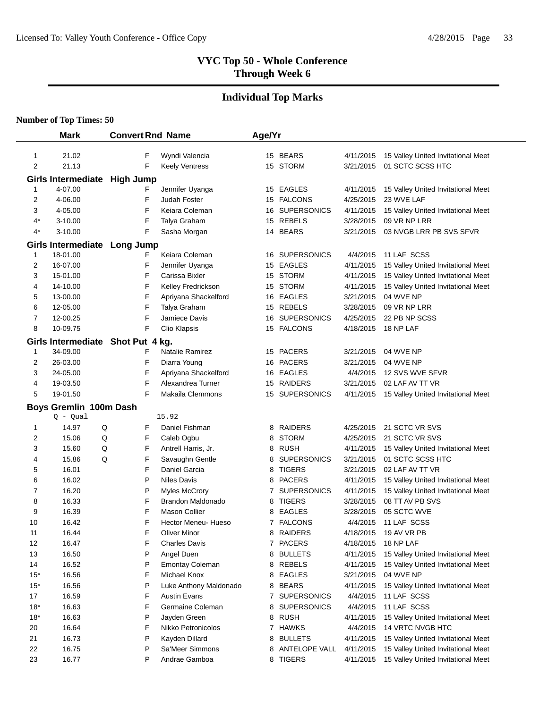# **Individual Top Marks**

|                     | <b>Mark</b>                        | <b>Convert Rnd Name</b> |                                         | Age/Yr |                             |                        |                                                        |
|---------------------|------------------------------------|-------------------------|-----------------------------------------|--------|-----------------------------|------------------------|--------------------------------------------------------|
|                     |                                    |                         |                                         |        | 15 BEARS                    |                        |                                                        |
| 1<br>$\overline{2}$ | 21.02<br>21.13                     | F<br>F                  | Wyndi Valencia<br><b>Keely Ventress</b> |        | 15 STORM                    | 4/11/2015<br>3/21/2015 | 15 Valley United Invitational Meet<br>01 SCTC SCSS HTC |
|                     |                                    |                         |                                         |        |                             |                        |                                                        |
|                     | Girls Intermediate High Jump       |                         |                                         |        |                             |                        |                                                        |
| 1                   | 4-07.00                            | F                       | Jennifer Uyanga                         |        | 15 EAGLES                   | 4/11/2015              | 15 Valley United Invitational Meet                     |
| 2                   | 4-06.00                            | F                       | Judah Foster                            |        | 15 FALCONS                  | 4/25/2015              | 23 WVE LAF                                             |
| 3                   | 4-05.00                            | F                       | Keiara Coleman                          |        | 16 SUPERSONICS              | 4/11/2015              | 15 Valley United Invitational Meet                     |
| 4*<br>4*            | $3 - 10.00$<br>3-10.00             | F<br>F                  | Talya Graham                            |        | 15 REBELS<br>14 BEARS       | 3/28/2015<br>3/21/2015 | 09 VR NP LRR<br>03 NVGB LRR PB SVS SFVR                |
|                     |                                    |                         | Sasha Morgan                            |        |                             |                        |                                                        |
|                     | Girls Intermediate Long Jump       |                         |                                         |        |                             |                        |                                                        |
| 1                   | 18-01.00                           | F                       | Keiara Coleman                          |        | 16 SUPERSONICS              | 4/4/2015               | 11 LAF SCSS                                            |
| 2                   | 16-07.00                           | F                       | Jennifer Uyanga                         |        | 15 EAGLES                   | 4/11/2015              | 15 Valley United Invitational Meet                     |
| 3                   | 15-01.00                           | F                       | Carissa Bixler                          |        | 15 STORM                    | 4/11/2015              | 15 Valley United Invitational Meet                     |
| 4                   | 14-10.00                           | F<br>F                  | Kelley Fredrickson                      |        | 15 STORM                    | 4/11/2015              | 15 Valley United Invitational Meet                     |
| 5                   | 13-00.00                           | F                       | Apriyana Shackelford                    |        | 16 EAGLES                   | 3/21/2015              | 04 WVE NP                                              |
| 6<br>7              | 12-05.00                           | F                       | Talya Graham<br>Jamiece Davis           |        | 15 REBELS<br>16 SUPERSONICS | 3/28/2015              | 09 VR NP LRR<br>22 PB NP SCSS                          |
| 8                   | 12-00.25<br>10-09.75               | F                       |                                         |        | 15 FALCONS                  | 4/25/2015              | 18 NP LAF                                              |
|                     |                                    |                         | Clio Klapsis                            |        |                             | 4/18/2015              |                                                        |
|                     | Girls Intermediate Shot Put 4 kg.  |                         | Natalie Ramirez                         |        |                             |                        |                                                        |
| 1<br>2              | 34-09.00<br>26-03.00               | F<br>F                  | Diarra Young                            |        | 15 PACERS<br>16 PACERS      | 3/21/2015<br>3/21/2015 | 04 WVE NP<br>04 WVE NP                                 |
| 3                   | 24-05.00                           | F                       | Apriyana Shackelford                    |        | 16 EAGLES                   | 4/4/2015               | 12 SVS WVE SFVR                                        |
| 4                   | 19-03.50                           | F                       | Alexandrea Turner                       |        | 15 RAIDERS                  | 3/21/2015              | 02 LAF AV TT VR                                        |
| 5                   | 19-01.50                           | F                       | Makaila Clemmons                        |        | 15 SUPERSONICS              | 4/11/2015              | 15 Valley United Invitational Meet                     |
|                     |                                    |                         |                                         |        |                             |                        |                                                        |
|                     | Boys Gremlin 100m Dash<br>Q - Qual |                         | 15.92                                   |        |                             |                        |                                                        |
| 1                   | 14.97                              | F<br>Q                  | Daniel Fishman                          |        | 8 RAIDERS                   | 4/25/2015              | 21 SCTC VR SVS                                         |
| 2                   | 15.06                              | F<br>Q                  | Caleb Ogbu                              | 8      | <b>STORM</b>                | 4/25/2015              | 21 SCTC VR SVS                                         |
| 3                   | 15.60                              | F<br>Q                  | Antrell Harris, Jr.                     |        | 8 RUSH                      | 4/11/2015              | 15 Valley United Invitational Meet                     |
| 4                   | 15.86                              | Q<br>F                  | Savaughn Gentle                         |        | 8 SUPERSONICS               | 3/21/2015              | 01 SCTC SCSS HTC                                       |
| 5                   | 16.01                              | F                       | Daniel Garcia                           | 8      | <b>TIGERS</b>               | 3/21/2015              | 02 LAF AV TT VR                                        |
| 6                   | 16.02                              | P                       | <b>Niles Davis</b>                      | 8      | <b>PACERS</b>               | 4/11/2015              | 15 Valley United Invitational Meet                     |
| 7                   | 16.20                              | P                       | <b>Myles McCrory</b>                    |        | 7 SUPERSONICS               | 4/11/2015              | 15 Valley United Invitational Meet                     |
| 8                   | 16.33                              | F                       | Brandon Maldonado                       |        | 8 TIGERS                    | 3/28/2015              | 08 TT AV PB SVS                                        |
| 9                   | 16.39                              | F                       | <b>Mason Collier</b>                    | 8      | <b>EAGLES</b>               | 3/28/2015              | 05 SCTC WVE                                            |
| 10                  | 16.42                              | F                       | Hector Meneu- Hueso                     |        | 7 FALCONS                   | 4/4/2015               | 11 LAF SCSS                                            |
| 11                  | 16.44                              | F                       | <b>Oliver Minor</b>                     |        | 8 RAIDERS                   | 4/18/2015              | 19 AV VR PB                                            |
| 12                  | 16.47                              | F                       | <b>Charles Davis</b>                    |        | 7 PACERS                    | 4/18/2015              | 18 NP LAF                                              |
| 13                  | 16.50                              | P                       | Angel Duen                              |        | 8 BULLETS                   | 4/11/2015              | 15 Valley United Invitational Meet                     |
| 14                  | 16.52                              | P                       | <b>Emontay Coleman</b>                  |        | 8 REBELS                    | 4/11/2015              | 15 Valley United Invitational Meet                     |
| $15*$               | 16.56                              | F                       | Michael Knox                            | 8      | <b>EAGLES</b>               | 3/21/2015              | 04 WVE NP                                              |
| $15*$               | 16.56                              | P                       | Luke Anthony Maldonado                  | 8      | <b>BEARS</b>                | 4/11/2015              | 15 Valley United Invitational Meet                     |
| 17                  | 16.59                              | F                       | <b>Austin Evans</b>                     | 7      | <b>SUPERSONICS</b>          | 4/4/2015               | 11 LAF SCSS                                            |
| $18*$               | 16.63                              | F                       | Germaine Coleman                        | 8      | <b>SUPERSONICS</b>          | 4/4/2015               | 11 LAF SCSS                                            |
| $18*$               | 16.63                              | P                       | Jayden Green                            |        | 8 RUSH                      | 4/11/2015              | 15 Valley United Invitational Meet                     |
| 20                  | 16.64                              | F                       | Nikko Petronicolos                      |        | 7 HAWKS                     | 4/4/2015               | 14 VRTC NVGB HTC                                       |
| 21                  | 16.73                              | P                       | Kayden Dillard                          |        | 8 BULLETS                   | 4/11/2015              | 15 Valley United Invitational Meet                     |
| 22                  | 16.75                              | P                       | Sa'Meer Simmons                         |        | 8 ANTELOPE VALL             | 4/11/2015              | 15 Valley United Invitational Meet                     |
| 23                  | 16.77                              | P                       | Andrae Gamboa                           |        | 8 TIGERS                    | 4/11/2015              | 15 Valley United Invitational Meet                     |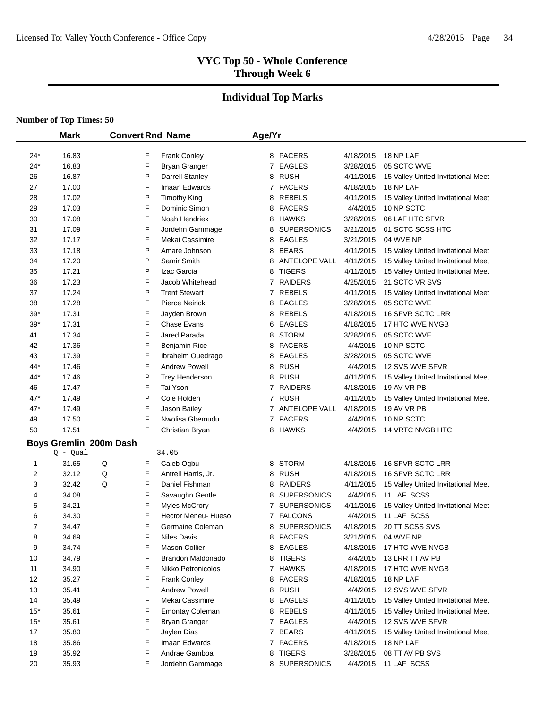#### **Individual Top Marks**

|                | <b>Mark</b>                          | <b>Convert Rnd Name</b> |                          | Age/Yr |                      |           |                                    |
|----------------|--------------------------------------|-------------------------|--------------------------|--------|----------------------|-----------|------------------------------------|
| $24*$          | 16.83                                | F                       | Frank Conley             |        | 8 PACERS             | 4/18/2015 | 18 NP LAF                          |
| $24*$          | 16.83                                | F                       | <b>Bryan Granger</b>     | 7      | EAGLES               | 3/28/2015 | 05 SCTC WVE                        |
| 26             | 16.87                                | P                       | Darrell Stanley          |        | 8 RUSH               | 4/11/2015 | 15 Valley United Invitational Meet |
| 27             | 17.00                                | F                       | Imaan Edwards            |        | 7 PACERS             | 4/18/2015 | 18 NP LAF                          |
| 28             | 17.02                                | P                       | <b>Timothy King</b>      | 8      | <b>REBELS</b>        | 4/11/2015 | 15 Valley United Invitational Meet |
| 29             | 17.03                                | F                       | Dominic Simon            | 8      | <b>PACERS</b>        | 4/4/2015  | 10 NP SCTC                         |
| 30             | 17.08                                | F                       | Noah Hendriex            | 8      | HAWKS                | 3/28/2015 | 06 LAF HTC SFVR                    |
| 31             | 17.09                                | F                       | Jordehn Gammage          | 8      | <b>SUPERSONICS</b>   | 3/21/2015 | 01 SCTC SCSS HTC                   |
| 32             | 17.17                                | F                       | Mekai Cassimire          | 8      | <b>EAGLES</b>        | 3/21/2015 | 04 WVE NP                          |
| 33             | 17.18                                | P                       | Amare Johnson            | 8      | <b>BEARS</b>         | 4/11/2015 | 15 Valley United Invitational Meet |
| 34             | 17.20                                | P                       | Samir Smith              | 8      | <b>ANTELOPE VALL</b> | 4/11/2015 | 15 Valley United Invitational Meet |
| 35             | 17.21                                | P                       | Izac Garcia              | 8      | <b>TIGERS</b>        | 4/11/2015 | 15 Valley United Invitational Meet |
| 36             | 17.23                                | F                       | Jacob Whitehead          | 7      | <b>RAIDERS</b>       | 4/25/2015 | 21 SCTC VR SVS                     |
| 37             | 17.24                                | P                       | <b>Trent Stewart</b>     | 7      | <b>REBELS</b>        | 4/11/2015 | 15 Valley United Invitational Meet |
| 38             | 17.28                                | F                       | <b>Pierce Neirick</b>    | 8      | EAGLES               | 3/28/2015 | 05 SCTC WVE                        |
| $39*$          | 17.31                                | F                       | Jayden Brown             | 8      | REBELS               | 4/18/2015 | <b>16 SFVR SCTC LRR</b>            |
| $39*$          | 17.31                                | F                       | <b>Chase Evans</b>       | 6      | <b>EAGLES</b>        | 4/18/2015 | 17 HTC WVE NVGB                    |
| 41             | 17.34                                | F                       | Jared Parada             | 8      | <b>STORM</b>         | 3/28/2015 | 05 SCTC WVE                        |
| 42             | 17.36                                | F                       | Benjamin Rice            | 8      | <b>PACERS</b>        | 4/4/2015  | 10 NP SCTC                         |
| 43             | 17.39                                | F                       | Ibraheim Ouedrago        | 8      | <b>EAGLES</b>        | 3/28/2015 | 05 SCTC WVE                        |
| 44*            | 17.46                                | F                       | <b>Andrew Powell</b>     | 8      | <b>RUSH</b>          | 4/4/2015  | 12 SVS WVE SFVR                    |
| 44*            | 17.46                                | P                       | <b>Trey Henderson</b>    | 8      | <b>RUSH</b>          | 4/11/2015 | 15 Valley United Invitational Meet |
| 46             | 17.47                                | F                       | Tai Yson                 |        | 7 RAIDERS            | 4/18/2015 | 19 AV VR PB                        |
| 47*            | 17.49                                | P                       | Cole Holden              |        | 7 RUSH               | 4/11/2015 | 15 Valley United Invitational Meet |
| 47*            | 17.49                                | F                       | Jason Bailey             |        | 7 ANTELOPE VALL      | 4/18/2015 | 19 AV VR PB                        |
| 49             | 17.50                                | F                       | Nwolisa Gbemudu          |        | 7 PACERS             | 4/4/2015  | 10 NP SCTC                         |
| 50             | 17.51                                | F                       | Christian Bryan          |        | 8 HAWKS              | 4/4/2015  | 14 VRTC NVGB HTC                   |
|                |                                      |                         |                          |        |                      |           |                                    |
|                | Boys Gremlin 200m Dash<br>$Q - Qual$ |                         | 34.05                    |        |                      |           |                                    |
| 1              | 31.65                                | Q<br>F                  | Caleb Ogbu               | 8      | <b>STORM</b>         | 4/18/2015 | 16 SFVR SCTC LRR                   |
| 2              | 32.12                                | Q<br>F                  | Antrell Harris, Jr.      | 8      | <b>RUSH</b>          | 4/18/2015 | 16 SFVR SCTC LRR                   |
| 3              | 32.42                                | Q<br>F                  | Daniel Fishman           | 8      | <b>RAIDERS</b>       | 4/11/2015 | 15 Valley United Invitational Meet |
| 4              | 34.08                                | F                       | Savaughn Gentle          | 8      | <b>SUPERSONICS</b>   | 4/4/2015  | 11 LAF SCSS                        |
| 5              | 34.21                                | F                       | <b>Myles McCrory</b>     |        | 7 SUPERSONICS        | 4/11/2015 | 15 Valley United Invitational Meet |
| 6              | 34.30                                | F                       | Hector Meneu- Hueso      | 7      | <b>FALCONS</b>       | 4/4/2015  | 11 LAF SCSS                        |
| $\overline{7}$ | 34.47                                | F                       | Germaine Coleman         |        | 8 SUPERSONICS        | 4/18/2015 | 20 TT SCSS SVS                     |
| 8              | 34.69                                | F                       | <b>Niles Davis</b>       |        | 8 PACERS             | 3/21/2015 | 04 WVE NP                          |
| 9              | 34.74                                | F                       | <b>Mason Collier</b>     |        | 8 EAGLES             | 4/18/2015 | 17 HTC WVE NVGB                    |
| 10             | 34.79                                | F                       | <b>Brandon Maldonado</b> |        | 8 TIGERS             | 4/4/2015  | 13 LRR TT AV PB                    |
| 11             | 34.90                                | F                       | Nikko Petronicolos       |        | 7 HAWKS              | 4/18/2015 | 17 HTC WVE NVGB                    |
| 12             | 35.27                                | F                       | Frank Conley             |        | 8 PACERS             | 4/18/2015 | 18 NP LAF                          |
| 13             | 35.41                                | F                       | <b>Andrew Powell</b>     |        | 8 RUSH               | 4/4/2015  | 12 SVS WVE SFVR                    |
| 14             | 35.49                                | F                       | Mekai Cassimire          |        | 8 EAGLES             | 4/11/2015 | 15 Valley United Invitational Meet |
| $15*$          | 35.61                                | F                       | <b>Emontay Coleman</b>   |        | 8 REBELS             | 4/11/2015 | 15 Valley United Invitational Meet |
| $15*$          | 35.61                                | F                       | Bryan Granger            |        | 7 EAGLES             | 4/4/2015  | 12 SVS WVE SFVR                    |
| 17             | 35.80                                | F                       | Jaylen Dias              |        | 7 BEARS              | 4/11/2015 | 15 Valley United Invitational Meet |
| 18             | 35.86                                | F                       | Imaan Edwards            |        | 7 PACERS             | 4/18/2015 | 18 NP LAF                          |
| 19             | 35.92                                | F                       | Andrae Gamboa            | 8      | <b>TIGERS</b>        | 3/28/2015 | 08 TT AV PB SVS                    |
| 20             | 35.93                                | F                       | Jordehn Gammage          | 8      | <b>SUPERSONICS</b>   | 4/4/2015  | 11 LAF SCSS                        |
|                |                                      |                         |                          |        |                      |           |                                    |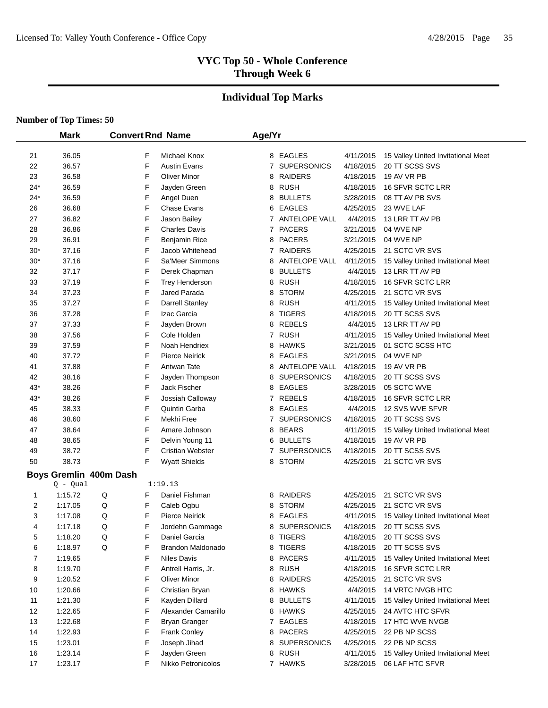# **Individual Top Marks**

|       | <b>Mark</b>            | <b>Convert Rnd Name</b> |                       | Age/Yr       |                      |           |                                    |
|-------|------------------------|-------------------------|-----------------------|--------------|----------------------|-----------|------------------------------------|
| 21    | 36.05                  | F                       | Michael Knox          |              | 8 EAGLES             | 4/11/2015 | 15 Valley United Invitational Meet |
| 22    | 36.57                  | F                       | <b>Austin Evans</b>   |              | 7 SUPERSONICS        | 4/18/2015 | 20 TT SCSS SVS                     |
| 23    | 36.58                  | F                       | <b>Oliver Minor</b>   | 8            | RAIDERS              | 4/18/2015 | 19 AV VR PB                        |
| $24*$ | 36.59                  | F                       | Jayden Green          |              | 8 RUSH               | 4/18/2015 | 16 SFVR SCTC LRR                   |
| $24*$ | 36.59                  | F                       | Angel Duen            |              | 8 BULLETS            | 3/28/2015 | 08 TT AV PB SVS                    |
| 26    | 36.68                  | F                       | Chase Evans           | 6            | EAGLES               | 4/25/2015 | 23 WVE LAF                         |
| 27    | 36.82                  | F                       | Jason Bailey          |              | 7 ANTELOPE VALL      | 4/4/2015  | 13 LRR TT AV PB                    |
| 28    | 36.86                  | F                       | <b>Charles Davis</b>  |              | 7 PACERS             | 3/21/2015 | 04 WVE NP                          |
| 29    | 36.91                  | F                       | Benjamin Rice         | 8            | <b>PACERS</b>        | 3/21/2015 | 04 WVE NP                          |
| $30*$ | 37.16                  | F                       | Jacob Whitehead       | 7            | <b>RAIDERS</b>       | 4/25/2015 | 21 SCTC VR SVS                     |
| $30*$ | 37.16                  | F                       | Sa'Meer Simmons       | 8            | ANTELOPE VALL        | 4/11/2015 | 15 Valley United Invitational Meet |
| 32    | 37.17                  | F                       | Derek Chapman         | 8            | <b>BULLETS</b>       | 4/4/2015  | 13 LRR TT AV PB                    |
| 33    | 37.19                  | F                       | <b>Trey Henderson</b> |              | 8 RUSH               | 4/18/2015 | 16 SFVR SCTC LRR                   |
| 34    | 37.23                  | F                       | Jared Parada          | 8            | <b>STORM</b>         | 4/25/2015 | 21 SCTC VR SVS                     |
| 35    | 37.27                  | F                       | Darrell Stanley       | 8            | RUSH                 | 4/11/2015 | 15 Valley United Invitational Meet |
| 36    | 37.28                  | F                       | Izac Garcia           | 8            | <b>TIGERS</b>        | 4/18/2015 | 20 TT SCSS SVS                     |
| 37    | 37.33                  | F                       | Jayden Brown          | 8            | REBELS               | 4/4/2015  | 13 LRR TT AV PB                    |
| 38    | 37.56                  | F                       | Cole Holden           | $\mathbf{7}$ | RUSH                 | 4/11/2015 | 15 Valley United Invitational Meet |
| 39    | 37.59                  | F                       | Noah Hendriex         |              | 8 HAWKS              | 3/21/2015 | 01 SCTC SCSS HTC                   |
| 40    | 37.72                  | F                       | <b>Pierce Neirick</b> | 8            | <b>EAGLES</b>        | 3/21/2015 | 04 WVE NP                          |
| 41    | 37.88                  | F                       | Antwan Tate           | 8            | <b>ANTELOPE VALL</b> | 4/18/2015 | 19 AV VR PB                        |
| 42    | 38.16                  | F                       | Jayden Thompson       | 8            | <b>SUPERSONICS</b>   | 4/18/2015 | 20 TT SCSS SVS                     |
| $43*$ | 38.26                  | F                       | Jack Fischer          | 8            | EAGLES               | 3/28/2015 | 05 SCTC WVE                        |
| $43*$ | 38.26                  | F                       | Jossiah Calloway      | $\mathbf{7}$ | REBELS               | 4/18/2015 | 16 SFVR SCTC LRR                   |
| 45    | 38.33                  | F                       | Quintin Garba         | 8            | <b>EAGLES</b>        | 4/4/2015  | 12 SVS WVE SFVR                    |
| 46    | 38.60                  | F                       | Mekhi Free            | 7            | <b>SUPERSONICS</b>   | 4/18/2015 | 20 TT SCSS SVS                     |
| 47    | 38.64                  | F                       | Amare Johnson         |              | 8 BEARS              | 4/11/2015 | 15 Valley United Invitational Meet |
| 48    | 38.65                  | F                       | Delvin Young 11       |              | 6 BULLETS            | 4/18/2015 | 19 AV VR PB                        |
| 49    | 38.72                  | F                       | Cristian Webster      | $\mathbf{7}$ | <b>SUPERSONICS</b>   | 4/18/2015 | 20 TT SCSS SVS                     |
| 50    | 38.73                  | F                       | <b>Wyatt Shields</b>  |              | 8 STORM              | 4/25/2015 | 21 SCTC VR SVS                     |
|       | Boys Gremlin 400m Dash |                         |                       |              |                      |           |                                    |
|       | Q - Qual               |                         | 1:19.13               |              |                      |           |                                    |
| 1     | 1:15.72                | Q<br>F                  | Daniel Fishman        | 8            | <b>RAIDERS</b>       | 4/25/2015 | 21 SCTC VR SVS                     |
| 2     | 1:17.05                | F<br>Q                  | Caleb Ogbu            | 8            | <b>STORM</b>         | 4/25/2015 | 21 SCTC VR SVS                     |
| 3     | 1:17.08                | F<br>Q                  | <b>Pierce Neirick</b> | 8            | <b>EAGLES</b>        | 4/11/2015 | 15 Valley United Invitational Meet |
| 4     | 1:17.18                | Q<br>F                  | Jordehn Gammage       | 8            | <b>SUPERSONICS</b>   | 4/18/2015 | 20 TT SCSS SVS                     |
| 5     | 1:18.20                | Q<br>F                  | Daniel Garcia         |              | 8 TIGERS             | 4/18/2015 | 20 TT SCSS SVS                     |
| 6     | 1:18.97                | F<br>Q                  | Brandon Maldonado     |              | 8 TIGERS             | 4/18/2015 | 20 TT SCSS SVS                     |
| 7     | 1:19.65                | F                       | Niles Davis           |              | 8 PACERS             | 4/11/2015 | 15 Valley United Invitational Meet |
| 8     | 1:19.70                | F                       | Antrell Harris, Jr.   |              | 8 RUSH               | 4/18/2015 | 16 SFVR SCTC LRR                   |
| 9     | 1:20.52                | F                       | <b>Oliver Minor</b>   |              | 8 RAIDERS            | 4/25/2015 | 21 SCTC VR SVS                     |
| 10    | 1:20.66                | F                       | Christian Bryan       |              | 8 HAWKS              | 4/4/2015  | <b>14 VRTC NVGB HTC</b>            |
| 11    | 1:21.30                | F                       | Kayden Dillard        | 8            | <b>BULLETS</b>       | 4/11/2015 | 15 Valley United Invitational Meet |
| 12    | 1:22.65                | F                       | Alexander Camarillo   |              | 8 HAWKS              | 4/25/2015 | 24 AVTC HTC SFVR                   |
| 13    | 1:22.68                | F                       | <b>Bryan Granger</b>  |              | 7 EAGLES             | 4/18/2015 | 17 HTC WVE NVGB                    |
| 14    | 1:22.93                | F                       | Frank Conley          |              | 8 PACERS             | 4/25/2015 | 22 PB NP SCSS                      |
| 15    | 1:23.01                | F                       | Joseph Jihad          | 8            | <b>SUPERSONICS</b>   | 4/25/2015 | 22 PB NP SCSS                      |
| 16    | 1:23.14                | F                       | Jayden Green          | 8            | RUSH                 | 4/11/2015 | 15 Valley United Invitational Meet |
| 17    | 1:23.17                | F                       | Nikko Petronicolos    |              | 7 HAWKS              | 3/28/2015 | 06 LAF HTC SFVR                    |
|       |                        |                         |                       |              |                      |           |                                    |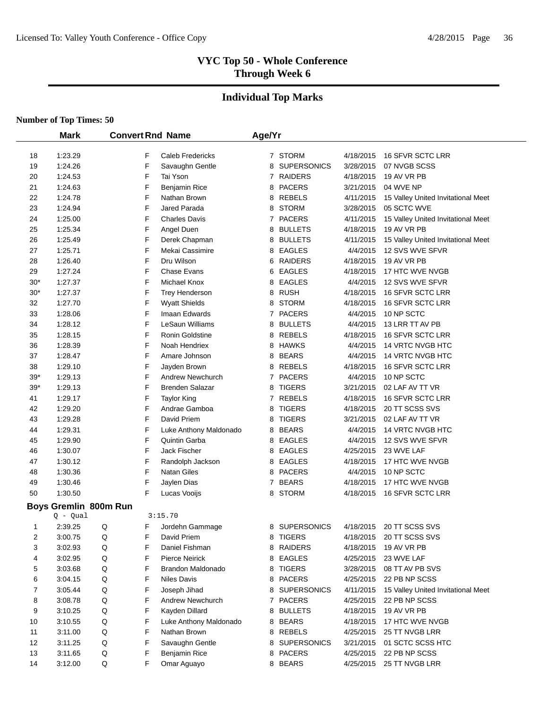# **Individual Top Marks**

|       | <b>Mark</b>                       |   |   | <b>Convert Rnd Name</b> | Age/Yr       |                    |           |                                    |
|-------|-----------------------------------|---|---|-------------------------|--------------|--------------------|-----------|------------------------------------|
|       |                                   |   |   |                         |              |                    |           |                                    |
| 18    | 1:23.29                           |   | F | <b>Caleb Fredericks</b> |              | 7 STORM            | 4/18/2015 | 16 SFVR SCTC LRR                   |
| 19    | 1:24.26                           |   | F | Savaughn Gentle         | 8            | <b>SUPERSONICS</b> | 3/28/2015 | 07 NVGB SCSS                       |
| 20    | 1:24.53                           |   | F | Tai Yson                |              | 7 RAIDERS          | 4/18/2015 | 19 AV VR PB                        |
| 21    | 1:24.63                           |   | F | Benjamin Rice           | 8            | <b>PACERS</b>      | 3/21/2015 | 04 WVE NP                          |
| 22    | 1:24.78                           |   | F | Nathan Brown            | 8            | REBELS             | 4/11/2015 | 15 Valley United Invitational Meet |
| 23    | 1:24.94                           |   | F | Jared Parada            | 8            | <b>STORM</b>       | 3/28/2015 | 05 SCTC WVE                        |
| 24    | 1:25.00                           |   | F | <b>Charles Davis</b>    |              | 7 PACERS           | 4/11/2015 | 15 Valley United Invitational Meet |
| 25    | 1:25.34                           |   | F | Angel Duen              | 8            | <b>BULLETS</b>     | 4/18/2015 | 19 AV VR PB                        |
| 26    | 1:25.49                           |   | F | Derek Chapman           | 8            | <b>BULLETS</b>     | 4/11/2015 | 15 Valley United Invitational Meet |
| 27    | 1:25.71                           |   | F | Mekai Cassimire         | 8            | <b>EAGLES</b>      | 4/4/2015  | 12 SVS WVE SFVR                    |
| 28    | 1:26.40                           |   | F | Dru Wilson              | 6            | <b>RAIDERS</b>     | 4/18/2015 | 19 AV VR PB                        |
| 29    | 1:27.24                           |   | F | <b>Chase Evans</b>      | 6            | <b>EAGLES</b>      | 4/18/2015 | 17 HTC WVE NVGB                    |
| $30*$ | 1:27.37                           |   | F | Michael Knox            | 8            | EAGLES             | 4/4/2015  | 12 SVS WVE SFVR                    |
| $30*$ | 1:27.37                           |   | F | <b>Trey Henderson</b>   | 8            | <b>RUSH</b>        | 4/18/2015 | 16 SFVR SCTC LRR                   |
| 32    | 1:27.70                           |   | F | <b>Wyatt Shields</b>    | 8            | <b>STORM</b>       | 4/18/2015 | 16 SFVR SCTC LRR                   |
| 33    | 1:28.06                           |   | F | Imaan Edwards           | 7            | <b>PACERS</b>      | 4/4/2015  | 10 NP SCTC                         |
| 34    | 1:28.12                           |   | F | LeSaun Williams         | 8            | <b>BULLETS</b>     | 4/4/2015  | 13 LRR TT AV PB                    |
| 35    | 1:28.15                           |   | F | Ronin Goldstine         | 8            | REBELS             | 4/18/2015 | 16 SFVR SCTC LRR                   |
| 36    | 1:28.39                           |   | F | Noah Hendriex           | 8            | <b>HAWKS</b>       | 4/4/2015  | 14 VRTC NVGB HTC                   |
| 37    | 1:28.47                           |   | F | Amare Johnson           | 8            | <b>BEARS</b>       | 4/4/2015  | 14 VRTC NVGB HTC                   |
| 38    | 1:29.10                           |   | F | Jayden Brown            |              | 8 REBELS           | 4/18/2015 | 16 SFVR SCTC LRR                   |
| $39*$ | 1:29.13                           |   | F | <b>Andrew Newchurch</b> |              | 7 PACERS           | 4/4/2015  | 10 NP SCTC                         |
| 39*   | 1:29.13                           |   | F | <b>Brenden Salazar</b>  | 8            | <b>TIGERS</b>      | 3/21/2015 | 02 LAF AV TT VR                    |
| 41    | 1:29.17                           |   | F | <b>Taylor King</b>      | $\mathbf{7}$ | <b>REBELS</b>      | 4/18/2015 | 16 SFVR SCTC LRR                   |
| 42    | 1:29.20                           |   | F | Andrae Gamboa           | 8            | <b>TIGERS</b>      | 4/18/2015 | 20 TT SCSS SVS                     |
| 43    | 1:29.28                           |   | F | David Priem             | 8            | <b>TIGERS</b>      | 3/21/2015 | 02 LAF AV TT VR                    |
| 44    | 1:29.31                           |   | F | Luke Anthony Maldonado  | 8            | <b>BEARS</b>       | 4/4/2015  | 14 VRTC NVGB HTC                   |
| 45    | 1:29.90                           |   | F | Quintin Garba           |              | 8 EAGLES           | 4/4/2015  | 12 SVS WVE SFVR                    |
| 46    | 1:30.07                           |   | F | Jack Fischer            |              | 8 EAGLES           | 4/25/2015 | 23 WVE LAF                         |
| 47    | 1:30.12                           |   | F | Randolph Jackson        |              | 8 EAGLES           | 4/18/2015 | 17 HTC WVE NVGB                    |
| 48    | 1:30.36                           |   | F | <b>Natan Giles</b>      |              | 8 PACERS           | 4/4/2015  | 10 NP SCTC                         |
| 49    | 1:30.46                           |   | F | Jaylen Dias             |              | 7 BEARS            | 4/18/2015 | 17 HTC WVE NVGB                    |
| 50    | 1:30.50                           |   | F | Lucas Vooijs            |              | 8 STORM            | 4/18/2015 | 16 SFVR SCTC LRR                   |
|       | Boys Gremlin 800m Run<br>Q - Qual |   |   | 3:15.70                 |              |                    |           |                                    |
| 1     | 2:39.25                           | Q | F | Jordehn Gammage         |              | 8 SUPERSONICS      | 4/18/2015 | 20 TT SCSS SVS                     |
| 2     | 3:00.75                           | Q | F | David Priem             |              | 8 TIGERS           | 4/18/2015 | 20 TT SCSS SVS                     |
| 3     | 3:02.93                           | Q | F | Daniel Fishman          |              | 8 RAIDERS          | 4/18/2015 | 19 AV VR PB                        |
| 4     | 3:02.95                           | Q | F | <b>Pierce Neirick</b>   |              | 8 EAGLES           | 4/25/2015 | 23 WVE LAF                         |
| 5     | 3:03.68                           | Q | F | Brandon Maldonado       | 8            | <b>TIGERS</b>      | 3/28/2015 | 08 TT AV PB SVS                    |
| 6     | 3:04.15                           | Q | F | Niles Davis             |              | 8 PACERS           | 4/25/2015 | 22 PB NP SCSS                      |
| 7     | 3:05.44                           | Q | F | Joseph Jihad            |              | 8 SUPERSONICS      | 4/11/2015 | 15 Valley United Invitational Meet |
| 8     | 3:08.78                           | Q | F | <b>Andrew Newchurch</b> |              | 7 PACERS           | 4/25/2015 | 22 PB NP SCSS                      |
| 9     | 3:10.25                           | Q | F | Kayden Dillard          | 8            | <b>BULLETS</b>     | 4/18/2015 | 19 AV VR PB                        |
| 10    | 3:10.55                           | Q | F | Luke Anthony Maldonado  |              | 8 BEARS            | 4/18/2015 | 17 HTC WVE NVGB                    |
| 11    | 3:11.00                           | Q | F | Nathan Brown            |              | 8 REBELS           | 4/25/2015 | 25 TT NVGB LRR                     |
| 12    | 3:11.25                           | Q | F | Savaughn Gentle         |              | 8 SUPERSONICS      | 3/21/2015 | 01 SCTC SCSS HTC                   |
| 13    | 3:11.65                           | Q | F | <b>Benjamin Rice</b>    |              | 8 PACERS           | 4/25/2015 | 22 PB NP SCSS                      |
| 14    | 3:12.00                           | Q | F | Omar Aguayo             |              | 8 BEARS            | 4/25/2015 | 25 TT NVGB LRR                     |
|       |                                   |   |   |                         |              |                    |           |                                    |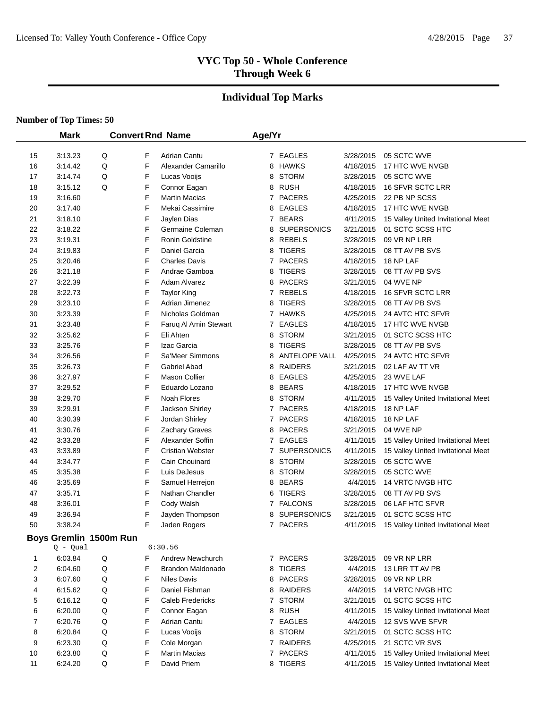# **Individual Top Marks**

|    | <b>Mark</b> |                        |             | <b>Convert Rnd Name</b> | Age/Yr |                 |           |                                     |
|----|-------------|------------------------|-------------|-------------------------|--------|-----------------|-----------|-------------------------------------|
|    |             |                        |             |                         |        |                 |           |                                     |
| 15 | 3:13.23     | Q                      | F           | <b>Adrian Cantu</b>     |        | 7 EAGLES        | 3/28/2015 | 05 SCTC WVE                         |
| 16 | 3:14.42     | Q                      | F           | Alexander Camarillo     |        | 8 HAWKS         | 4/18/2015 | 17 HTC WVE NVGB                     |
| 17 | 3:14.74     | Q                      | F           | Lucas Vooijs            |        | 8 STORM         | 3/28/2015 | 05 SCTC WVE                         |
| 18 | 3:15.12     | Q                      | F           | Connor Eagan            |        | 8 RUSH          | 4/18/2015 | 16 SFVR SCTC LRR                    |
| 19 | 3:16.60     |                        | F           | <b>Martin Macias</b>    |        | 7 PACERS        | 4/25/2015 | 22 PB NP SCSS                       |
| 20 | 3:17.40     |                        | F           | Mekai Cassimire         |        | 8 EAGLES        | 4/18/2015 | 17 HTC WVE NVGB                     |
| 21 | 3:18.10     |                        | F           | Jaylen Dias             |        | 7 BEARS         | 4/11/2015 | 15 Valley United Invitational Meet  |
| 22 | 3:18.22     |                        | F           | Germaine Coleman        |        | 8 SUPERSONICS   | 3/21/2015 | 01 SCTC SCSS HTC                    |
| 23 | 3:19.31     |                        | F           | Ronin Goldstine         |        | 8 REBELS        | 3/28/2015 | 09 VR NP LRR                        |
| 24 | 3:19.83     |                        | F           | Daniel Garcia           |        | 8 TIGERS        | 3/28/2015 | 08 TT AV PB SVS                     |
| 25 | 3:20.46     |                        | F           | <b>Charles Davis</b>    |        | 7 PACERS        | 4/18/2015 | 18 NP LAF                           |
| 26 | 3:21.18     |                        | F           | Andrae Gamboa           |        | 8 TIGERS        | 3/28/2015 | 08 TT AV PB SVS                     |
| 27 | 3:22.39     |                        | F           | Adam Alvarez            |        | 8 PACERS        | 3/21/2015 | 04 WVE NP                           |
| 28 | 3:22.73     |                        | F           | <b>Taylor King</b>      |        | 7 REBELS        | 4/18/2015 | 16 SFVR SCTC LRR                    |
| 29 | 3:23.10     |                        | F           | Adrian Jimenez          |        | 8 TIGERS        | 3/28/2015 | 08 TT AV PB SVS                     |
| 30 | 3:23.39     |                        | F           | Nicholas Goldman        |        | 7 HAWKS         | 4/25/2015 | 24 AVTC HTC SFVR                    |
| 31 | 3:23.48     |                        | $\mathsf F$ | Faruq Al Amin Stewart   |        | 7 EAGLES        | 4/18/2015 | 17 HTC WVE NVGB                     |
| 32 | 3:25.62     |                        | F           | Eli Ahten               |        | 8 STORM         | 3/21/2015 | 01 SCTC SCSS HTC                    |
| 33 | 3:25.76     |                        | F           | Izac Garcia             |        | 8 TIGERS        | 3/28/2015 | 08 TT AV PB SVS                     |
| 34 | 3:26.56     |                        | F           | Sa'Meer Simmons         |        | 8 ANTELOPE VALL | 4/25/2015 | 24 AVTC HTC SFVR                    |
| 35 | 3:26.73     |                        | F           | <b>Gabriel Abad</b>     |        | 8 RAIDERS       | 3/21/2015 | 02 LAF AV TT VR                     |
| 36 | 3:27.97     |                        | F           | <b>Mason Collier</b>    |        | 8 EAGLES        | 4/25/2015 | 23 WVE LAF                          |
| 37 | 3:29.52     |                        | F           | Eduardo Lozano          |        | 8 BEARS         | 4/18/2015 | 17 HTC WVE NVGB                     |
| 38 | 3:29.70     |                        | F           | Noah Flores             |        | 8 STORM         | 4/11/2015 | 15 Valley United Invitational Meet  |
| 39 | 3:29.91     |                        | F           | Jackson Shirley         |        | 7 PACERS        | 4/18/2015 | 18 NP LAF                           |
| 40 | 3:30.39     |                        | F           | Jordan Shirley          |        | 7 PACERS        | 4/18/2015 | 18 NP LAF                           |
| 41 | 3:30.76     |                        | F<br>F      | Zachary Graves          |        | 8 PACERS        | 3/21/2015 | 04 WVE NP                           |
| 42 | 3:33.28     |                        |             | Alexander Soffin        |        | 7 EAGLES        | 4/11/2015 | 15 Valley United Invitational Meet  |
| 43 | 3:33.89     |                        | F<br>F      | <b>Cristian Webster</b> |        | 7 SUPERSONICS   | 4/11/2015 | 15 Valley United Invitational Meet  |
| 44 | 3:34.77     |                        |             | Cain Chouinard          |        | 8 STORM         | 3/28/2015 | 05 SCTC WVE                         |
| 45 | 3:35.38     |                        | F           | Luis DeJesus            |        | 8 STORM         | 3/28/2015 | 05 SCTC WVE                         |
| 46 | 3:35.69     |                        | F           | Samuel Herrejon         |        | 8 BEARS         | 4/4/2015  | 14 VRTC NVGB HTC                    |
| 47 | 3:35.71     |                        | F           | Nathan Chandler         | 6      | <b>TIGERS</b>   | 3/28/2015 | 08 TT AV PB SVS                     |
| 48 | 3:36.01     |                        | F           | Cody Walsh              |        | 7 FALCONS       | 3/28/2015 | 06 LAF HTC SFVR<br>01 SCTC SCSS HTC |
| 49 | 3:36.94     |                        | F<br>F      | Jayden Thompson         |        | 8 SUPERSONICS   | 3/21/2015 |                                     |
| 50 | 3:38.24     |                        |             | Jaden Rogers            |        | 7 PACERS        | 4/11/2015 | 15 Valley United Invitational Meet  |
|    |             | Boys Gremlin 1500m Run |             |                         |        |                 |           |                                     |
|    | $Q - Qual$  |                        |             | 6:30.56                 |        |                 |           |                                     |
| 1  | 6:03.84     | Q                      | F           | Andrew Newchurch        |        | 7 PACERS        | 3/28/2015 | 09 VR NP LRR                        |
| 2  | 6:04.60     | Q                      | F           | Brandon Maldonado       |        | 8 TIGERS        | 4/4/2015  | 13 LRR TT AV PB                     |
| 3  | 6:07.60     | Q                      | F           | <b>Niles Davis</b>      |        | 8 PACERS        | 3/28/2015 | 09 VR NP LRR                        |
| 4  | 6:15.62     | Q                      | F           | Daniel Fishman          |        | 8 RAIDERS       | 4/4/2015  | 14 VRTC NVGB HTC                    |
| 5  | 6:16.12     | Q                      | F           | Caleb Fredericks        |        | 7 STORM         | 3/21/2015 | 01 SCTC SCSS HTC                    |
| 6  | 6:20.00     | Q                      | F           | Connor Eagan            |        | 8 RUSH          | 4/11/2015 | 15 Valley United Invitational Meet  |
| 7  | 6:20.76     | Q                      | F           | <b>Adrian Cantu</b>     |        | 7 EAGLES        | 4/4/2015  | 12 SVS WVE SFVR                     |
| 8  | 6:20.84     | Q                      | F           | Lucas Vooijs            |        | 8 STORM         | 3/21/2015 | 01 SCTC SCSS HTC                    |
| 9  | 6:23.30     | Q                      | F           | Cole Morgan             |        | 7 RAIDERS       | 4/25/2015 | 21 SCTC VR SVS                      |
| 10 | 6:23.80     | Q                      | F           | <b>Martin Macias</b>    |        | 7 PACERS        | 4/11/2015 | 15 Valley United Invitational Meet  |
| 11 | 6:24.20     | Q                      | F           | David Priem             |        | 8 TIGERS        | 4/11/2015 | 15 Valley United Invitational Meet  |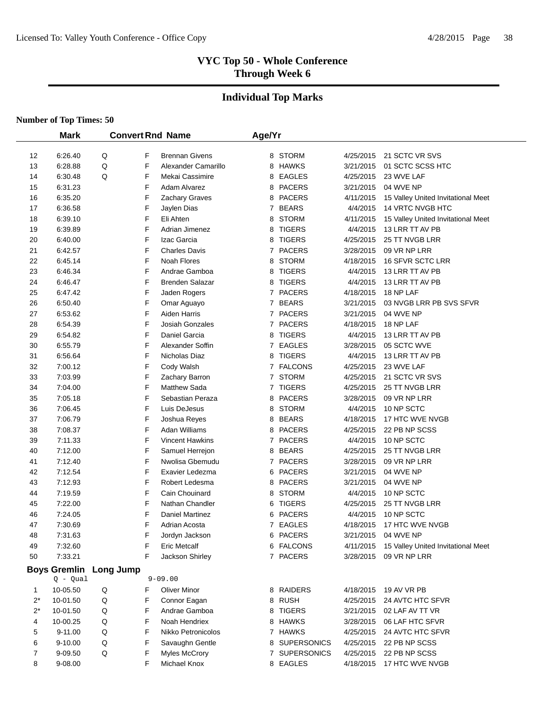# **Individual Top Marks**

|       | <b>Mark</b>         |                  |   | <b>Convert Rnd Name</b> | Age/Yr         |               |           |                                    |
|-------|---------------------|------------------|---|-------------------------|----------------|---------------|-----------|------------------------------------|
|       |                     |                  |   |                         |                |               |           |                                    |
| 12    | 6:26.40             | Q                | F | <b>Brennan Givens</b>   |                | 8 STORM       | 4/25/2015 | 21 SCTC VR SVS                     |
| 13    | 6:28.88             | Q                | F | Alexander Camarillo     |                | 8 HAWKS       | 3/21/2015 | 01 SCTC SCSS HTC                   |
| 14    | 6:30.48             | Q                | F | Mekai Cassimire         | 8              | EAGLES        | 4/25/2015 | 23 WVE LAF                         |
| 15    | 6:31.23             |                  | F | <b>Adam Alvarez</b>     | 8              | <b>PACERS</b> | 3/21/2015 | 04 WVE NP                          |
| 16    | 6:35.20             |                  | F | Zachary Graves          | 8              | <b>PACERS</b> | 4/11/2015 | 15 Valley United Invitational Meet |
| 17    | 6:36.58             |                  | F | Jaylen Dias             | 7              | <b>BEARS</b>  | 4/4/2015  | 14 VRTC NVGB HTC                   |
| 18    | 6:39.10             |                  | F | Eli Ahten               | 8              | <b>STORM</b>  | 4/11/2015 | 15 Valley United Invitational Meet |
| 19    | 6:39.89             |                  | F | Adrian Jimenez          | 8              | <b>TIGERS</b> | 4/4/2015  | 13 LRR TT AV PB                    |
| 20    | 6:40.00             |                  | F | Izac Garcia             | 8              | <b>TIGERS</b> | 4/25/2015 | 25 TT NVGB LRR                     |
| 21    | 6:42.57             |                  | F | <b>Charles Davis</b>    | 7              | <b>PACERS</b> | 3/28/2015 | 09 VR NP LRR                       |
| 22    | 6:45.14             |                  | F | Noah Flores             | 8              | <b>STORM</b>  | 4/18/2015 | 16 SFVR SCTC LRR                   |
| 23    | 6:46.34             |                  | F | Andrae Gamboa           | 8              | <b>TIGERS</b> | 4/4/2015  | 13 LRR TT AV PB                    |
| 24    | 6:46.47             |                  | F | <b>Brenden Salazar</b>  | 8              | <b>TIGERS</b> | 4/4/2015  | 13 LRR TT AV PB                    |
| 25    | 6:47.42             |                  | F | Jaden Rogers            | $\mathbf{7}$   | <b>PACERS</b> | 4/18/2015 | 18 NP LAF                          |
| 26    | 6:50.40             |                  | F | Omar Aguayo             | 7              | <b>BEARS</b>  | 3/21/2015 | 03 NVGB LRR PB SVS SFVR            |
| 27    | 6:53.62             |                  | F | Aiden Harris            | 7              | <b>PACERS</b> | 3/21/2015 | 04 WVE NP                          |
| 28    | 6:54.39             |                  | F | Josiah Gonzales         | $\overline{7}$ | <b>PACERS</b> | 4/18/2015 | 18 NP LAF                          |
| 29    | 6:54.82             |                  | F | Daniel Garcia           | 8              | <b>TIGERS</b> | 4/4/2015  | 13 LRR TT AV PB                    |
| 30    | 6:55.79             |                  | F | Alexander Soffin        | 7              | <b>EAGLES</b> | 3/28/2015 | 05 SCTC WVE                        |
| 31    | 6:56.64             |                  | F | Nicholas Diaz           | 8              | <b>TIGERS</b> | 4/4/2015  | 13 LRR TT AV PB                    |
| 32    | 7:00.12             |                  | F | Cody Walsh              |                | 7 FALCONS     | 4/25/2015 | 23 WVE LAF                         |
| 33    | 7:03.99             |                  | F | Zachary Barron          |                | 7 STORM       | 4/25/2015 | 21 SCTC VR SVS                     |
| 34    | 7:04.00             |                  | F | <b>Matthew Sada</b>     | $\mathbf{7}$   | <b>TIGERS</b> | 4/25/2015 | 25 TT NVGB LRR                     |
| 35    | 7:05.18             |                  | F | Sebastian Peraza        | 8              | <b>PACERS</b> | 3/28/2015 | 09 VR NP LRR                       |
| 36    | 7:06.45             |                  | F | Luis DeJesus            | 8              | <b>STORM</b>  | 4/4/2015  | 10 NP SCTC                         |
| 37    | 7:06.79             |                  | F | Joshua Reyes            | 8              | <b>BEARS</b>  | 4/18/2015 | 17 HTC WVE NVGB                    |
| 38    | 7:08.37             |                  | F | Adan Williams           | 8              | <b>PACERS</b> | 4/25/2015 | 22 PB NP SCSS                      |
| 39    | 7:11.33             |                  | F | <b>Vincent Hawkins</b>  |                | 7 PACERS      | 4/4/2015  | 10 NP SCTC                         |
| 40    | 7:12.00             |                  | F | Samuel Herrejon         |                | 8 BEARS       | 4/25/2015 | 25 TT NVGB LRR                     |
| 41    | 7:12.40             |                  | F | Nwolisa Gbemudu         |                | 7 PACERS      | 3/28/2015 | 09 VR NP LRR                       |
| 42    | 7:12.54             |                  | F | Exavier Ledezma         |                | 6 PACERS      | 3/21/2015 | 04 WVE NP                          |
| 43    | 7:12.93             |                  | F | Robert Ledesma          |                | 8 PACERS      | 3/21/2015 | 04 WVE NP                          |
| 44    | 7:19.59             |                  | F | Cain Chouinard          | 8              | <b>STORM</b>  | 4/4/2015  | 10 NP SCTC                         |
| 45    | 7:22.00             |                  | F | Nathan Chandler         | 6              | <b>TIGERS</b> | 4/25/2015 | 25 TT NVGB LRR                     |
| 46    | 7:24.05             |                  | F | Daniel Martinez         | 6              | <b>PACERS</b> | 4/4/2015  | 10 NP SCTC                         |
| 47    | 7:30.69             |                  | F | Adrian Acosta           |                | 7 EAGLES      | 4/18/2015 | 17 HTC WVE NVGB                    |
| 48    | 7:31.63             |                  | F | Jordyn Jackson          |                | 6 PACERS      | 3/21/2015 | 04 WVE NP                          |
| 49    | 7:32.60             |                  | F | <b>Eric Metcalf</b>     |                | 6 FALCONS     | 4/11/2015 | 15 Valley United Invitational Meet |
| 50    | 7:33.21             |                  | F | Jackson Shirley         |                | 7 PACERS      | 3/28/2015 | 09 VR NP LRR                       |
|       | <b>Boys Gremlin</b> | <b>Long Jump</b> |   |                         |                |               |           |                                    |
|       | $Q - Qual$          |                  |   | $9 - 09.00$             |                |               |           |                                    |
| 1     | 10-05.50            | Q                | F | <b>Oliver Minor</b>     |                | 8 RAIDERS     | 4/18/2015 | 19 AV VR PB                        |
| $2^*$ | 10-01.50            | Q                | F | Connor Eagan            |                | 8 RUSH        | 4/25/2015 | 24 AVTC HTC SFVR                   |
| $2^*$ | 10-01.50            | Q                | F | Andrae Gamboa           |                | 8 TIGERS      | 3/21/2015 | 02 LAF AV TT VR                    |
| 4     | 10-00.25            | Q                | F | Noah Hendriex           |                | 8 HAWKS       | 3/28/2015 | 06 LAF HTC SFVR                    |
| 5     | 9-11.00             | Q                | F | Nikko Petronicolos      |                | 7 HAWKS       | 4/25/2015 | 24 AVTC HTC SFVR                   |
| 6     | 9-10.00             | Q                | F | Savaughn Gentle         |                | 8 SUPERSONICS | 4/25/2015 | 22 PB NP SCSS                      |
| 7     | 9-09.50             | Q                | F | <b>Myles McCrory</b>    |                | 7 SUPERSONICS | 4/25/2015 | 22 PB NP SCSS                      |
| 8     | 9-08.00             |                  | F | Michael Knox            |                | 8 EAGLES      | 4/18/2015 | 17 HTC WVE NVGB                    |
|       |                     |                  |   |                         |                |               |           |                                    |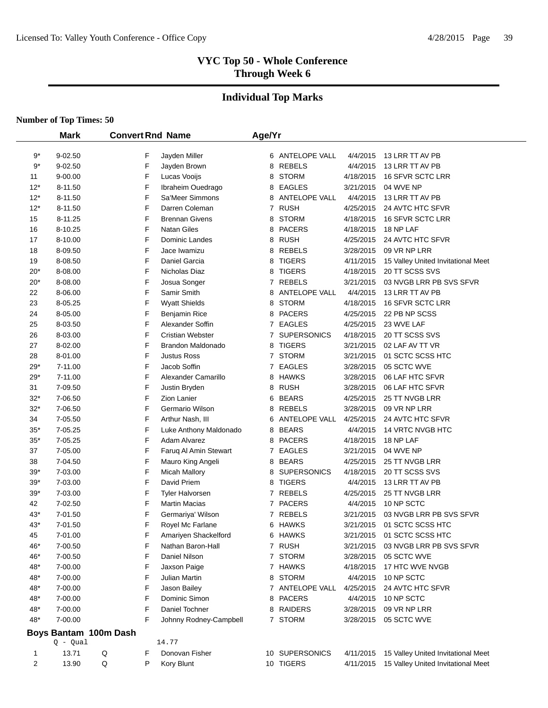# **Individual Top Marks**

|        | <b>Mark</b>           |   |   | <b>Convert Rnd Name</b> | Age/Yr       |                    |           |                                    |
|--------|-----------------------|---|---|-------------------------|--------------|--------------------|-----------|------------------------------------|
| 9*     | $9 - 02.50$           |   | F | Jayden Miller           |              | 6 ANTELOPE VALL    | 4/4/2015  | 13 LRR TT AV PB                    |
| $9*$   | 9-02.50               |   | F | Jayden Brown            | 8            | <b>REBELS</b>      | 4/4/2015  | 13 LRR TT AV PB                    |
| 11     | 9-00.00               |   | F | Lucas Vooijs            | 8            | <b>STORM</b>       | 4/18/2015 | 16 SFVR SCTC LRR                   |
| $12*$  | 8-11.50               |   | F | Ibraheim Ouedrago       | 8            | <b>EAGLES</b>      | 3/21/2015 | 04 WVE NP                          |
| $12*$  | 8-11.50               |   | F | Sa'Meer Simmons         | 8            | ANTELOPE VALL      | 4/4/2015  | 13 LRR TT AV PB                    |
| $12*$  | 8-11.50               |   | F | Darren Coleman          |              | 7 RUSH             | 4/25/2015 | 24 AVTC HTC SFVR                   |
| 15     | 8-11.25               |   | F | <b>Brennan Givens</b>   | 8            | <b>STORM</b>       | 4/18/2015 | 16 SFVR SCTC LRR                   |
| 16     | 8-10.25               |   | F | <b>Natan Giles</b>      | 8            | <b>PACERS</b>      | 4/18/2015 | 18 NP LAF                          |
| 17     | 8-10.00               |   | F | Dominic Landes          | 8            | <b>RUSH</b>        | 4/25/2015 | 24 AVTC HTC SFVR                   |
| 18     | 8-09.50               |   | F | Jace Iwamizu            | 8            | <b>REBELS</b>      | 3/28/2015 | 09 VR NP LRR                       |
| 19     | 8-08.50               |   | F | Daniel Garcia           | 8            | <b>TIGERS</b>      | 4/11/2015 | 15 Valley United Invitational Meet |
| $20*$  | 8-08.00               |   | F | Nicholas Diaz           | 8            | <b>TIGERS</b>      | 4/18/2015 | 20 TT SCSS SVS                     |
| 20*    | 8-08.00               |   | F | Josua Songer            | 7            | <b>REBELS</b>      | 3/21/2015 | 03 NVGB LRR PB SVS SFVR            |
| 22     | 8-06.00               |   | F | Samir Smith             | 8            | ANTELOPE VALL      | 4/4/2015  | 13 LRR TT AV PB                    |
| 23     | 8-05.25               |   | F | <b>Wyatt Shields</b>    | 8            | <b>STORM</b>       | 4/18/2015 | 16 SFVR SCTC LRR                   |
| 24     | 8-05.00               |   | F | <b>Benjamin Rice</b>    | 8            | <b>PACERS</b>      | 4/25/2015 | 22 PB NP SCSS                      |
| 25     | 8-03.50               |   | F | Alexander Soffin        | 7            | <b>EAGLES</b>      | 4/25/2015 | 23 WVE LAF                         |
| 26     | 8-03.00               |   | F | <b>Cristian Webster</b> | 7            | <b>SUPERSONICS</b> | 4/18/2015 | 20 TT SCSS SVS                     |
| 27     | 8-02.00               |   | F | Brandon Maldonado       | 8            | <b>TIGERS</b>      | 3/21/2015 | 02 LAF AV TT VR                    |
| 28     | 8-01.00               |   | F | <b>Justus Ross</b>      | $\mathbf{7}$ | <b>STORM</b>       | 3/21/2015 | 01 SCTC SCSS HTC                   |
| 29*    | 7-11.00               |   | F | Jacob Soffin            |              | 7 EAGLES           | 3/28/2015 | 05 SCTC WVE                        |
| 29*    | 7-11.00               |   | F | Alexander Camarillo     | 8            | <b>HAWKS</b>       | 3/28/2015 | 06 LAF HTC SFVR                    |
| 31     | 7-09.50               |   | F | Justin Bryden           | 8            | <b>RUSH</b>        | 3/28/2015 | 06 LAF HTC SFVR                    |
| $32*$  | 7-06.50               |   | F | <b>Zion Lanier</b>      | 6            | <b>BEARS</b>       | 4/25/2015 | 25 TT NVGB LRR                     |
| $32*$  | 7-06.50               |   | F | Germario Wilson         | 8            | <b>REBELS</b>      | 3/28/2015 | 09 VR NP LRR                       |
| 34     | 7-05.50               |   | F | Arthur Nash, III        | 6            | ANTELOPE VALL      | 4/25/2015 | 24 AVTC HTC SFVR                   |
| $35*$  | 7-05.25               |   | F | Luke Anthony Maldonado  | 8            | <b>BEARS</b>       | 4/4/2015  | 14 VRTC NVGB HTC                   |
| $35^*$ | 7-05.25               |   | F | <b>Adam Alvarez</b>     | 8            | <b>PACERS</b>      | 4/18/2015 | 18 NP LAF                          |
| 37     | 7-05.00               |   | F | Faruq Al Amin Stewart   |              | 7 EAGLES           | 3/21/2015 | 04 WVE NP                          |
| 38     | 7-04.50               |   | F | Mauro King Angeli       | 8            | <b>BEARS</b>       | 4/25/2015 | 25 TT NVGB LRR                     |
| $39*$  | 7-03.00               |   | F | <b>Micah Mallory</b>    | 8            | <b>SUPERSONICS</b> | 4/18/2015 | 20 TT SCSS SVS                     |
| $39*$  | 7-03.00               |   | F | David Priem             | 8            | <b>TIGERS</b>      | 4/4/2015  | 13 LRR TT AV PB                    |
| $39*$  | 7-03.00               |   | F | Tyler Halvorsen         |              | 7 REBELS           | 4/25/2015 | 25 TT NVGB LRR                     |
| 42     | 7-02.50               |   | F | <b>Martin Macias</b>    |              | 7 PACERS           | 4/4/2015  | 10 NP SCTC                         |
| 43*    | 7-01.50               |   | F | Germariya' Wilson       |              | 7 REBELS           | 3/21/2015 | 03 NVGB LRR PB SVS SFVR            |
| 43*    | 7-01.50               |   | F | Royel Mc Farlane        |              | 6 HAWKS            | 3/21/2015 | 01 SCTC SCSS HTC                   |
| 45     | 7-01.00               |   | F | Amariyen Shackelford    |              | 6 HAWKS            | 3/21/2015 | 01 SCTC SCSS HTC                   |
| 46*    | 7-00.50               |   | F | Nathan Baron-Hall       |              | 7 RUSH             | 3/21/2015 | 03 NVGB LRR PB SVS SFVR            |
| 46*    | 7-00.50               |   | F | Daniel Nilson           |              | 7 STORM            | 3/28/2015 | 05 SCTC WVE                        |
| 48*    | 7-00.00               |   | F | Jaxson Paige            |              | 7 HAWKS            | 4/18/2015 | 17 HTC WVE NVGB                    |
| 48*    | 7-00.00               |   | F | Julian Martin           | 8            | <b>STORM</b>       | 4/4/2015  | 10 NP SCTC                         |
| 48*    | 7-00.00               |   | F | Jason Bailey            |              | 7 ANTELOPE VALL    | 4/25/2015 | 24 AVTC HTC SFVR                   |
| 48*    | 7-00.00               |   | F | Dominic Simon           | 8            | <b>PACERS</b>      | 4/4/2015  | 10 NP SCTC                         |
| 48*    | 7-00.00               |   | F | Daniel Tochner          | 8            | <b>RAIDERS</b>     | 3/28/2015 | 09 VR NP LRR                       |
| 48*    | 7-00.00               |   | F | Johnny Rodney-Campbell  | 7            | <b>STORM</b>       | 3/28/2015 | 05 SCTC WVE                        |
|        | Boys Bantam 100m Dash |   |   |                         |              |                    |           |                                    |
|        | $Q - Qual$            |   |   | 14.77                   |              |                    |           |                                    |
| 1      | 13.71                 | Q | F | Donovan Fisher          |              | 10 SUPERSONICS     | 4/11/2015 | 15 Valley United Invitational Meet |
| 2      | 13.90                 | Q | P | Kory Blunt              |              | 10 TIGERS          | 4/11/2015 | 15 Valley United Invitational Meet |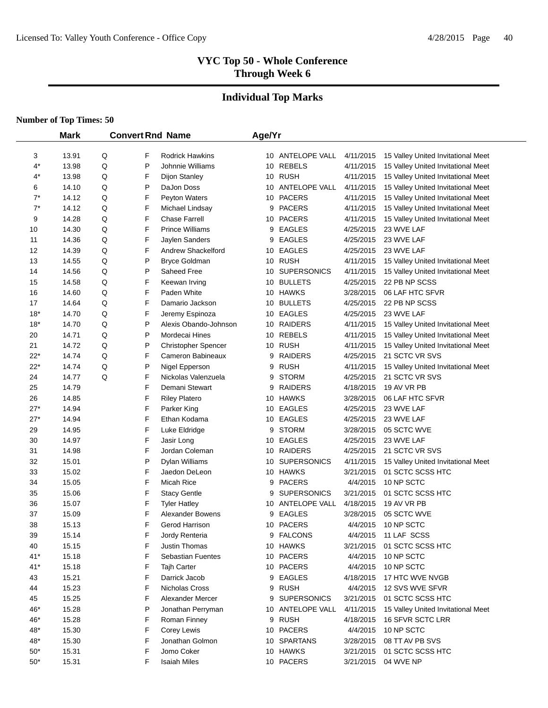# **Individual Top Marks**

|                | <b>Mark</b>    |        | <b>Convert Rnd Name</b> |                                          | Age/Yr |                              |                        |                                    |
|----------------|----------------|--------|-------------------------|------------------------------------------|--------|------------------------------|------------------------|------------------------------------|
|                |                |        |                         |                                          |        |                              |                        |                                    |
| 3              | 13.91          | Q      | F                       | Rodrick Hawkins                          |        | 10 ANTELOPE VALL             | 4/11/2015              | 15 Valley United Invitational Meet |
| 4*             | 13.98          | Q      | P                       | Johnnie Williams                         |        | 10 REBELS<br>10 RUSH         | 4/11/2015              | 15 Valley United Invitational Meet |
| 4*             | 13.98          | Q      | F                       | Dijon Stanley                            |        |                              | 4/11/2015<br>4/11/2015 | 15 Valley United Invitational Meet |
| 6              | 14.10          | Q      | P                       | DaJon Doss                               |        | 10 ANTELOPE VALL             |                        | 15 Valley United Invitational Meet |
| $7^*$<br>$7^*$ | 14.12          | Q<br>Q | F                       | Peyton Waters                            |        | 10 PACERS<br><b>PACERS</b>   | 4/11/2015              | 15 Valley United Invitational Meet |
|                | 14.12          | Q      | F                       | Michael Lindsay                          | 9      |                              | 4/11/2015              | 15 Valley United Invitational Meet |
| 9              | 14.28          | Q      | F<br>F                  | <b>Chase Farrell</b>                     |        | 10 PACERS                    | 4/11/2015<br>4/25/2015 | 15 Valley United Invitational Meet |
| 10             | 14.30          |        |                         | <b>Prince Williams</b>                   | 9      | <b>EAGLES</b>                |                        | 23 WVE LAF                         |
| 11             | 14.36          | Q      | F                       | Jaylen Sanders                           | 9      | <b>EAGLES</b><br>10 EAGLES   | 4/25/2015              | 23 WVE LAF                         |
| 12             | 14.39          | Q      | F                       | <b>Andrew Shackelford</b>                |        |                              | 4/25/2015              | 23 WVE LAF                         |
| 13             | 14.55          | Q      | P                       | Bryce Goldman                            |        | 10 RUSH                      | 4/11/2015              | 15 Valley United Invitational Meet |
| 14             | 14.56<br>14.58 | Q<br>Q | P<br>F                  | Saheed Free                              |        | 10 SUPERSONICS<br>10 BULLETS | 4/11/2015              | 15 Valley United Invitational Meet |
| 15             |                |        | F                       | Keewan Irving                            |        |                              | 4/25/2015              | 22 PB NP SCSS                      |
| 16<br>17       | 14.60<br>14.64 | Q<br>Q | F                       | Paden White<br>Damario Jackson           |        | 10 HAWKS<br>10 BULLETS       | 3/28/2015<br>4/25/2015 | 06 LAF HTC SFVR<br>22 PB NP SCSS   |
|                |                |        |                         |                                          |        |                              |                        | 23 WVE LAF                         |
| $18*$          | 14.70          | Q      | F                       | Jeremy Espinoza<br>Alexis Obando-Johnson |        | 10 EAGLES                    | 4/25/2015              |                                    |
| $18*$          | 14.70          | Q      | P                       |                                          |        | 10 RAIDERS<br>10 REBELS      | 4/11/2015              | 15 Valley United Invitational Meet |
| 20             | 14.71          | Q      | P<br>P                  | Mordecai Hines                           |        |                              | 4/11/2015              | 15 Valley United Invitational Meet |
| 21             | 14.72          | Q      |                         | <b>Christopher Spencer</b>               |        | 10 RUSH                      | 4/11/2015              | 15 Valley United Invitational Meet |
| $22*$          | 14.74          | Q      | F                       | Cameron Babineaux                        | 9      | <b>RAIDERS</b>               | 4/25/2015              | 21 SCTC VR SVS                     |
| $22*$          | 14.74          | Q      | P                       | Nigel Epperson                           | 9      | RUSH                         | 4/11/2015              | 15 Valley United Invitational Meet |
| 24             | 14.77          | Q      | F<br>F                  | Nickolas Valenzuela                      | 9      | STORM                        | 4/25/2015              | 21 SCTC VR SVS                     |
| 25             | 14.79          |        |                         | Demani Stewart                           | 9      | <b>RAIDERS</b>               | 4/18/2015              | 19 AV VR PB                        |
| 26             | 14.85          |        | F                       | <b>Riley Platero</b>                     |        | 10 HAWKS                     | 3/28/2015              | 06 LAF HTC SFVR                    |
| $27*$          | 14.94          |        | F                       | Parker King                              |        | 10 EAGLES                    | 4/25/2015              | 23 WVE LAF                         |
| $27*$          | 14.94          |        | F                       | Ethan Kodama                             |        | 10 EAGLES                    | 4/25/2015              | 23 WVE LAF                         |
| 29             | 14.95          |        | F                       | Luke Eldridge                            | 9      | <b>STORM</b>                 | 3/28/2015              | 05 SCTC WVE                        |
| 30             | 14.97          |        | F                       | Jasir Long                               |        | 10 EAGLES                    | 4/25/2015              | 23 WVE LAF                         |
| 31             | 14.98          |        | F                       | Jordan Coleman                           |        | 10 RAIDERS                   | 4/25/2015              | 21 SCTC VR SVS                     |
| 32             | 15.01          |        | P                       | Dylan Williams                           |        | 10 SUPERSONICS               | 4/11/2015              | 15 Valley United Invitational Meet |
| 33             | 15.02          |        | F                       | Jaedon DeLeon                            |        | 10 HAWKS                     | 3/21/2015              | 01 SCTC SCSS HTC<br>10 NP SCTC     |
| 34             | 15.05          |        | F                       | Micah Rice                               |        | 9 PACERS                     | 4/4/2015               |                                    |
| 35             | 15.06          |        | F                       | <b>Stacy Gentle</b>                      | 9      | <b>SUPERSONICS</b>           | 3/21/2015              | 01 SCTC SCSS HTC                   |
| 36             | 15.07          |        | F                       | <b>Tyler Hatley</b>                      |        | 10 ANTELOPE VALL             | 4/18/2015              | 19 AV VR PB                        |
| 37             | 15.09          |        | F<br>F                  | <b>Alexander Bowens</b>                  | 9      | <b>EAGLES</b>                | 3/28/2015              | 05 SCTC WVE                        |
| 38             | 15.13          |        |                         | Gerod Harrison                           |        | 10 PACERS                    | 4/4/2015               | 10 NP SCTC                         |
| 39             | 15.14          |        | F                       | Jordy Renteria                           |        | 9 FALCONS                    | 4/4/2015               | 11 LAF SCSS                        |
| 40             | 15.15          |        | F                       | Justin Thomas                            |        | 10 HAWKS                     | 3/21/2015              | 01 SCTC SCSS HTC                   |
| $41*$          | 15.18          |        | F                       | <b>Sebastian Fuentes</b>                 |        | 10 PACERS                    | 4/4/2015               | 10 NP SCTC                         |
| $41*$          | 15.18          |        | F                       | Tajh Carter                              |        | 10 PACERS                    | 4/4/2015               | 10 NP SCTC                         |
| 43             | 15.21          |        | F                       | Darrick Jacob                            |        | 9 EAGLES                     | 4/18/2015              | 17 HTC WVE NVGB                    |
| 44             | 15.23          |        | F                       | Nicholas Cross                           |        | 9 RUSH                       | 4/4/2015               | 12 SVS WVE SFVR                    |
| 45             | 15.25          |        | F                       | Alexander Mercer                         |        | 9 SUPERSONICS                | 3/21/2015              | 01 SCTC SCSS HTC                   |
| 46*            | 15.28          |        | P                       | Jonathan Perryman                        |        | 10 ANTELOPE VALL             | 4/11/2015              | 15 Valley United Invitational Meet |
| 46*            | 15.28          |        | F                       | Roman Finney                             |        | 9 RUSH                       | 4/18/2015              | <b>16 SFVR SCTC LRR</b>            |
| 48*            | 15.30          |        | F                       | Corey Lewis                              |        | 10 PACERS                    | 4/4/2015               | 10 NP SCTC                         |
| 48*            | 15.30          |        | F                       | Jonathan Golmon                          |        | 10 SPARTANS                  | 3/28/2015              | 08 TT AV PB SVS                    |
| $50*$          | 15.31          |        | F                       | Jomo Coker                               |        | 10 HAWKS                     | 3/21/2015              | 01 SCTC SCSS HTC                   |
| $50^*$         | 15.31          |        | F                       | <b>Isaiah Miles</b>                      |        | 10 PACERS                    | 3/21/2015              | 04 WVE NP                          |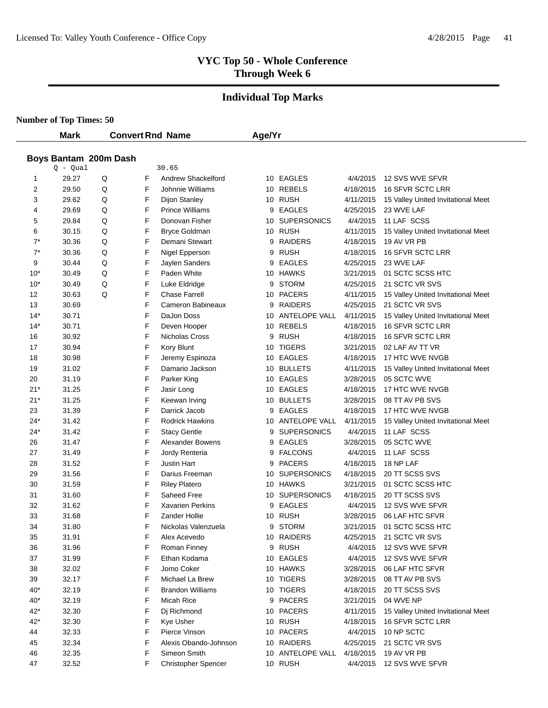# **Individual Top Marks**

|              | <b>Mark</b>                         |   |        | <b>Convert Rnd Name</b>         | Age/Yr |                         |                        |                                                   |
|--------------|-------------------------------------|---|--------|---------------------------------|--------|-------------------------|------------------------|---------------------------------------------------|
|              |                                     |   |        |                                 |        |                         |                        |                                                   |
|              | Boys Bantam 200m Dash<br>$Q - Qual$ |   |        | 30.65                           |        |                         |                        |                                                   |
| $\mathbf{1}$ | 29.27                               | Q | F      | Andrew Shackelford              |        | 10 EAGLES               | 4/4/2015               | 12 SVS WVE SFVR                                   |
| 2            | 29.50                               | Q | F      | Johnnie Williams                |        | 10 REBELS               | 4/18/2015              | 16 SFVR SCTC LRR                                  |
| 3            | 29.62                               | Q | F      | Dijon Stanley                   |        | 10 RUSH                 | 4/11/2015              | 15 Valley United Invitational Meet                |
| 4            | 29.69                               | Q | F      | <b>Prince Williams</b>          | 9      | <b>EAGLES</b>           | 4/25/2015              | 23 WVE LAF                                        |
| 5            | 29.84                               | Q | F      | Donovan Fisher                  | 10     | <b>SUPERSONICS</b>      | 4/4/2015               | 11 LAF SCSS                                       |
| 6            | 30.15                               | Q | F      |                                 |        | 10 RUSH                 | 4/11/2015              |                                                   |
| $7^*$        | 30.36                               | Q | F      | Bryce Goldman<br>Demani Stewart | 9      | <b>RAIDERS</b>          | 4/18/2015              | 15 Valley United Invitational Meet<br>19 AV VR PB |
| $7^*$        | 30.36                               | Q | F      | Nigel Epperson                  |        | 9 RUSH                  | 4/18/2015              | <b>16 SFVR SCTC LRR</b>                           |
| 9            | 30.44                               | Q | F      | Jaylen Sanders                  | 9      | <b>EAGLES</b>           | 4/25/2015              | 23 WVE LAF                                        |
| $10*$        | 30.49                               | Q | F      | Paden White                     |        | 10 HAWKS                | 3/21/2015              | 01 SCTC SCSS HTC                                  |
| $10*$        | 30.49                               | Q | F      | Luke Eldridge                   | 9      | <b>STORM</b>            | 4/25/2015              | 21 SCTC VR SVS                                    |
| 12           | 30.63                               | Q | F      | <b>Chase Farrell</b>            |        | 10 PACERS               | 4/11/2015              | 15 Valley United Invitational Meet                |
|              | 30.69                               |   | F      | Cameron Babineaux               | 9      | RAIDERS                 | 4/25/2015              | 21 SCTC VR SVS                                    |
| 13<br>$14*$  | 30.71                               |   | F      | DaJon Doss                      |        | 10 ANTELOPE VALL        | 4/11/2015              |                                                   |
|              |                                     |   | F      | Deven Hooper                    |        | 10 REBELS               |                        | 15 Valley United Invitational Meet                |
| $14*$        | 30.71<br>30.92                      |   | F      | Nicholas Cross                  | 9      | <b>RUSH</b>             | 4/18/2015              | 16 SFVR SCTC LRR<br>16 SFVR SCTC LRR              |
| 16           |                                     |   | F      |                                 |        | 10 TIGERS               | 4/18/2015<br>3/21/2015 | 02 LAF AV TT VR                                   |
| 17           | 30.94<br>30.98                      |   | F      | Kory Blunt                      |        | 10 EAGLES               |                        | 17 HTC WVE NVGB                                   |
| 18           |                                     |   | F      | Jeremy Espinoza                 |        |                         | 4/18/2015              |                                                   |
| 19           | 31.02                               |   |        | Damario Jackson                 |        | 10 BULLETS<br>10 EAGLES | 4/11/2015              | 15 Valley United Invitational Meet                |
| 20           | 31.19                               |   | F      | Parker King                     |        |                         | 3/28/2015              | 05 SCTC WVE                                       |
| $21*$        | 31.25                               |   | F<br>F | Jasir Long                      |        | 10 EAGLES               | 4/18/2015              | 17 HTC WVE NVGB                                   |
| $21*$        | 31.25                               |   | F      | Keewan Irving                   |        | 10 BULLETS              | 3/28/2015              | 08 TT AV PB SVS                                   |
| 23           | 31.39                               |   |        | Darrick Jacob                   |        | 9 EAGLES                | 4/18/2015              | 17 HTC WVE NVGB                                   |
| $24*$        | 31.42                               |   | F      | <b>Rodrick Hawkins</b>          |        | 10 ANTELOPE VALL        | 4/11/2015              | 15 Valley United Invitational Meet                |
| $24*$        | 31.42                               |   | F      | <b>Stacy Gentle</b>             | 9      | <b>SUPERSONICS</b>      | 4/4/2015               | 11 LAF SCSS                                       |
| 26           | 31.47                               |   | F      | <b>Alexander Bowens</b>         | 9      | <b>EAGLES</b>           | 3/28/2015              | 05 SCTC WVE                                       |
| 27           | 31.49                               |   | F      | Jordy Renteria                  | 9      | <b>FALCONS</b>          | 4/4/2015               | 11 LAF SCSS                                       |
| 28           | 31.52                               |   | F      | Justin Hart                     | 9      | <b>PACERS</b>           | 4/18/2015              | 18 NP LAF                                         |
| 29           | 31.56                               |   | F      | Darius Freeman                  |        | 10 SUPERSONICS          | 4/18/2015              | 20 TT SCSS SVS                                    |
| 30           | 31.59                               |   | F      | <b>Riley Platero</b>            |        | 10 HAWKS                | 3/21/2015              | 01 SCTC SCSS HTC                                  |
| 31           | 31.60                               |   | F      | Saheed Free                     |        | 10 SUPERSONICS          | 4/18/2015              | 20 TT SCSS SVS                                    |
| 32           | 31.62                               |   | F      | <b>Xavarien Perkins</b>         | 9      | <b>EAGLES</b>           | 4/4/2015               | 12 SVS WVE SFVR                                   |
| 33           | 31.68                               |   | F      | Zander Hollie                   |        | 10 RUSH                 | 3/28/2015              | 06 LAF HTC SFVR                                   |
| 34           | 31.80                               |   | F      | Nickolas Valenzuela             | 9      | STORM                   | 3/21/2015              | 01 SCTC SCSS HTC                                  |
| 35           | 31.91                               |   | F      | Alex Acevedo                    |        | 10 RAIDERS              | 4/25/2015              | 21 SCTC VR SVS                                    |
| 36           | 31.96                               |   | F      | Roman Finney                    |        | 9 RUSH                  | 4/4/2015               | 12 SVS WVE SFVR                                   |
| 37           | 31.99                               |   | F      | Ethan Kodama                    |        | 10 EAGLES               | 4/4/2015               | 12 SVS WVE SFVR                                   |
| 38           | 32.02                               |   | F      | Jomo Coker                      |        | 10 HAWKS                | 3/28/2015              | 06 LAF HTC SFVR                                   |
| 39           | 32.17                               |   | F      | Michael La Brew                 |        | 10 TIGERS               | 3/28/2015              | 08 TT AV PB SVS                                   |
| $40*$        | 32.19                               |   | F      | <b>Brandon Williams</b>         |        | 10 TIGERS               | 4/18/2015              | 20 TT SCSS SVS                                    |
| $40*$        | 32.19                               |   | F      | Micah Rice                      |        | 9 PACERS                | 3/21/2015              | 04 WVE NP                                         |
| $42*$        | 32.30                               |   | F      | Dj Richmond                     |        | 10 PACERS               | 4/11/2015              | 15 Valley United Invitational Meet                |
| $42*$        | 32.30                               |   | F      | <b>Kye Usher</b>                |        | 10 RUSH                 | 4/18/2015              | 16 SFVR SCTC LRR                                  |
| 44           | 32.33                               |   | F      | Pierce Vinson                   |        | 10 PACERS               | 4/4/2015               | 10 NP SCTC                                        |
| 45           | 32.34                               |   | F      | Alexis Obando-Johnson           |        | 10 RAIDERS              | 4/25/2015              | 21 SCTC VR SVS                                    |
| 46           | 32.35                               |   | F      | Simeon Smith                    |        | 10 ANTELOPE VALL        | 4/18/2015              | 19 AV VR PB                                       |
| 47           | 32.52                               |   | F      | <b>Christopher Spencer</b>      |        | 10 RUSH                 |                        | 4/4/2015 12 SVS WVE SFVR                          |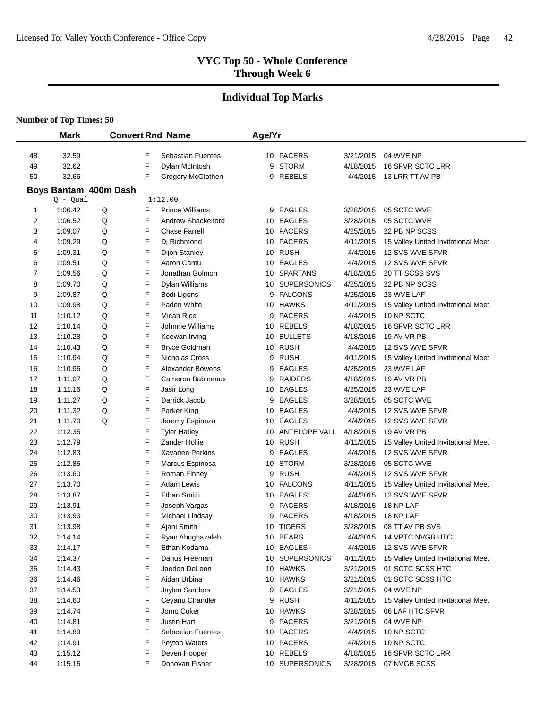# **Individual Top Marks**

|        | <b>Mark</b>                         |   |   | <b>Convert Rnd Name</b>  | Age/Yr   |                  |           |                                    |
|--------|-------------------------------------|---|---|--------------------------|----------|------------------|-----------|------------------------------------|
|        |                                     |   |   |                          |          |                  |           |                                    |
| 48     | 32.59                               |   | F | <b>Sebastian Fuentes</b> |          | 10 PACERS        | 3/21/2015 | 04 WVE NP                          |
| 49     | 32.62                               |   | F | Dylan McIntosh           | 9        | <b>STORM</b>     | 4/18/2015 | 16 SFVR SCTC LRR                   |
| 50     | 32.66                               |   | F | Gregory McGlothen        |          | 9 REBELS         | 4/4/2015  | 13 LRR TT AV PB                    |
|        | Boys Bantam 400m Dash<br>$Q - Qual$ |   |   | 1:12.00                  |          |                  |           |                                    |
| 1      | 1:06.42                             | Q | F | <b>Prince Williams</b>   |          | <b>EAGLES</b>    | 3/28/2015 | 05 SCTC WVE                        |
| 2      | 1:06.52                             | Q | F | Andrew Shackelford       | 9<br>10  | <b>EAGLES</b>    | 3/28/2015 | 05 SCTC WVE                        |
|        | 1:09.07                             | Q | F | <b>Chase Farrell</b>     |          | <b>PACERS</b>    | 4/25/2015 | 22 PB NP SCSS                      |
| 3<br>4 | 1:09.29                             | Q | F | Dj Richmond              | 10<br>10 | <b>PACERS</b>    | 4/11/2015 | 15 Valley United Invitational Meet |
| 5      | 1:09.31                             | Q | F | <b>Dijon Stanley</b>     |          | 10 RUSH          | 4/4/2015  | 12 SVS WVE SFVR                    |
| 6      | 1:09.51                             | Q | F | Aaron Cantu              | 10       | <b>EAGLES</b>    | 4/4/2015  | 12 SVS WVE SFVR                    |
| 7      | 1:09.56                             | Q | F | Jonathan Golmon          |          | 10 SPARTANS      | 4/18/2015 | 20 TT SCSS SVS                     |
| 8      | 1:09.70                             | Q | F | Dylan Williams           |          | 10 SUPERSONICS   | 4/25/2015 | 22 PB NP SCSS                      |
| 9      | 1:09.87                             | Q | F | Bodi Ligons              | 9        | <b>FALCONS</b>   | 4/25/2015 | 23 WVE LAF                         |
| 10     | 1:09.98                             | Q | F | Paden White              |          | 10 HAWKS         | 4/11/2015 | 15 Valley United Invitational Meet |
| 11     | 1:10.12                             | Q | F | Micah Rice               | 9        | <b>PACERS</b>    | 4/4/2015  | 10 NP SCTC                         |
| 12     | 1:10.14                             | Q | F | Johnnie Williams         |          | 10 REBELS        | 4/18/2015 | 16 SFVR SCTC LRR                   |
| 13     | 1:10.28                             | Q | F | Keewan Irving            | 10       | <b>BULLETS</b>   | 4/18/2015 | 19 AV VR PB                        |
| 14     | 1:10.43                             | Q | F | <b>Bryce Goldman</b>     |          | 10 RUSH          | 4/4/2015  | 12 SVS WVE SFVR                    |
| 15     | 1:10.94                             | Q | F | Nicholas Cross           | 9        | <b>RUSH</b>      | 4/11/2015 | 15 Valley United Invitational Meet |
| 16     | 1:10.96                             | Q | F | <b>Alexander Bowens</b>  | 9        | <b>EAGLES</b>    | 4/25/2015 | 23 WVE LAF                         |
| 17     | 1:11.07                             | Q | F | Cameron Babineaux        | 9        | <b>RAIDERS</b>   | 4/18/2015 | 19 AV VR PB                        |
| 18     | 1:11.16                             | Q | F | Jasir Long               |          | 10 EAGLES        | 4/25/2015 | 23 WVE LAF                         |
| 19     | 1:11.27                             | Q | F | Darrick Jacob            | 9        | <b>EAGLES</b>    | 3/28/2015 | 05 SCTC WVE                        |
| 20     | 1:11.32                             | Q | F | Parker King              |          | 10 EAGLES        | 4/4/2015  | 12 SVS WVE SFVR                    |
| 21     | 1:11.70                             | Q | F | Jeremy Espinoza          |          | 10 EAGLES        | 4/4/2015  | 12 SVS WVE SFVR                    |
| 22     | 1:12.35                             |   | F | <b>Tyler Hatley</b>      |          | 10 ANTELOPE VALL | 4/18/2015 | 19 AV VR PB                        |
| 23     | 1:12.79                             |   | F | Zander Hollie            |          | 10 RUSH          | 4/11/2015 | 15 Valley United Invitational Meet |
| 24     | 1:12.83                             |   | F | <b>Xavarien Perkins</b>  | 9        | <b>EAGLES</b>    | 4/4/2015  | 12 SVS WVE SFVR                    |
| 25     | 1:12.85                             |   | F | Marcus Espinosa          | 10       | <b>STORM</b>     | 3/28/2015 | 05 SCTC WVE                        |
| 26     | 1:13.60                             |   | F | Roman Finney             | 9        | <b>RUSH</b>      | 4/4/2015  | 12 SVS WVE SFVR                    |
| 27     | 1:13.70                             |   | F | Adam Lewis               | 10       | <b>FALCONS</b>   | 4/11/2015 | 15 Valley United Invitational Meet |
| 28     | 1:13.87                             |   | F | <b>Ethan Smith</b>       | 10       | <b>EAGLES</b>    | 4/4/2015  | 12 SVS WVE SFVR                    |
| 29     | 1:13.91                             |   | F | Joseph Vargas            | 9        | <b>PACERS</b>    | 4/18/2015 | 18 NP LAF                          |
| 30     | 1:13.93                             |   | F | Michael Lindsay          | 9        | <b>PACERS</b>    | 4/18/2015 | 18 NP LAF                          |
| 31     | 1:13.98                             |   | F | Ajani Smith              |          | 10 TIGERS        | 3/28/2015 | 08 TT AV PB SVS                    |
| 32     | 1:14.14                             |   | F | Ryan Abughazaleh         |          | 10 BEARS         | 4/4/2015  | 14 VRTC NVGB HTC                   |
| 33     | 1:14.17                             |   | F | Ethan Kodama             |          | 10 EAGLES        | 4/4/2015  | 12 SVS WVE SFVR                    |
| 34     | 1:14.37                             |   | F | Darius Freeman           |          | 10 SUPERSONICS   | 4/11/2015 | 15 Valley United Invitational Meet |
| 35     | 1:14.43                             |   | F | Jaedon DeLeon            |          | 10 HAWKS         | 3/21/2015 | 01 SCTC SCSS HTC                   |
| 36     | 1:14.46                             |   | F | Aidan Urbina             |          | 10 HAWKS         | 3/21/2015 | 01 SCTC SCSS HTC                   |
| 37     | 1:14.53                             |   | F | Jaylen Sanders           | 9        | <b>EAGLES</b>    | 3/21/2015 | 04 WVE NP                          |
| 38     | 1:14.60                             |   | F | Ceyanu Chandler          |          | 9 RUSH           | 4/11/2015 | 15 Valley United Invitational Meet |
| 39     | 1:14.74                             |   | F | Jomo Coker               |          | 10 HAWKS         | 3/28/2015 | 06 LAF HTC SFVR                    |
| 40     | 1:14.81                             |   | F | Justin Hart              | 9        | PACERS           | 3/21/2015 | 04 WVE NP                          |
| 41     | 1:14.89                             |   | F | <b>Sebastian Fuentes</b> |          | 10 PACERS        | 4/4/2015  | 10 NP SCTC                         |
| 42     | 1:14.91                             |   | F | Peyton Waters            |          | 10 PACERS        | 4/4/2015  | 10 NP SCTC                         |
| 43     | 1:15.12                             |   | F | Deven Hooper             |          | 10 REBELS        | 4/18/2015 | 16 SFVR SCTC LRR                   |
| 44     | 1:15.15                             |   | F | Donovan Fisher           |          | 10 SUPERSONICS   | 3/28/2015 | 07 NVGB SCSS                       |
|        |                                     |   |   |                          |          |                  |           |                                    |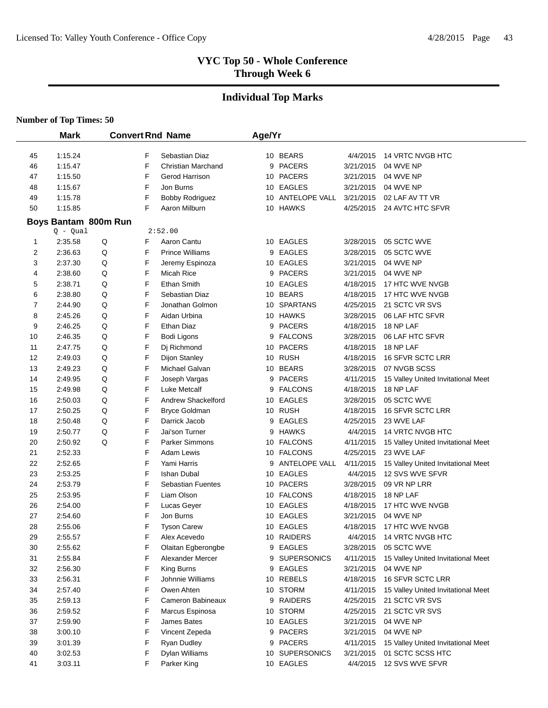# **Individual Top Marks**

|          | <b>Mark</b>          |        |        | <b>Convert Rnd Name</b>               | Age/Yr |                  |                        |                                    |
|----------|----------------------|--------|--------|---------------------------------------|--------|------------------|------------------------|------------------------------------|
|          | 1:15.24              |        | F      | Sebastian Diaz                        |        | 10 BEARS         | 4/4/2015               | <b>14 VRTC NVGB HTC</b>            |
| 45<br>46 | 1:15.47              |        | F      | <b>Christian Marchand</b>             |        | 9 PACERS         | 3/21/2015              | 04 WVE NP                          |
| 47       | 1:15.50              |        | F      | Gerod Harrison                        |        | 10 PACERS        | 3/21/2015              | 04 WVE NP                          |
| 48       | 1:15.67              |        | F      | Jon Burns                             |        | 10 EAGLES        | 3/21/2015              | 04 WVE NP                          |
| 49       | 1:15.78              |        | F      | <b>Bobby Rodriguez</b>                |        | 10 ANTELOPE VALL | 3/21/2015              | 02 LAF AV TT VR                    |
| 50       | 1:15.85              |        | F      | Aaron Milburn                         |        | 10 HAWKS         | 4/25/2015              | 24 AVTC HTC SFVR                   |
|          |                      |        |        |                                       |        |                  |                        |                                    |
|          | Boys Bantam 800m Run |        |        |                                       |        |                  |                        |                                    |
|          | $Q - Qual$           |        |        | 2:52.00                               |        | 10 EAGLES        |                        |                                    |
| 1<br>2   | 2:35.58<br>2:36.63   | Q<br>Q | F<br>F | Aaron Cantu<br><b>Prince Williams</b> |        | 9 EAGLES         | 3/28/2015<br>3/28/2015 | 05 SCTC WVE<br>05 SCTC WVE         |
| 3        | 2:37.30              | Q      | F      | Jeremy Espinoza                       |        | 10 EAGLES        | 3/21/2015              | 04 WVE NP                          |
|          | 2:38.60              | Q      | F      | <b>Micah Rice</b>                     |        | 9 PACERS         | 3/21/2015              | 04 WVE NP                          |
| 4        | 2:38.71              | Q      | F      | <b>Ethan Smith</b>                    |        | 10 EAGLES        | 4/18/2015              | 17 HTC WVE NVGB                    |
| 5<br>6   | 2:38.80              | Q      | F      | Sebastian Diaz                        |        | 10 BEARS         | 4/18/2015              | 17 HTC WVE NVGB                    |
| 7        | 2:44.90              | Q      | F      | Jonathan Golmon                       |        | 10 SPARTANS      | 4/25/2015              | 21 SCTC VR SVS                     |
| 8        | 2:45.26              | Q      | F      | Aidan Urbina                          |        | 10 HAWKS         | 3/28/2015              | 06 LAF HTC SFVR                    |
|          | 2:46.25              | Q      | F      | Ethan Diaz                            |        | 9 PACERS         | 4/18/2015              | 18 NP LAF                          |
| 9        | 2:46.35              | Q      | F      |                                       |        | 9 FALCONS        | 3/28/2015              | 06 LAF HTC SFVR                    |
| 10       | 2:47.75              | Q      | F      | Bodi Ligons                           |        | 10 PACERS        | 4/18/2015              | 18 NP LAF                          |
| 11<br>12 | 2:49.03              | Q      | F      | Dj Richmond<br>Dijon Stanley          |        | 10 RUSH          | 4/18/2015              | <b>16 SFVR SCTC LRR</b>            |
| 13       | 2:49.23              | Q      | F      | Michael Galvan                        |        | 10 BEARS         | 3/28/2015              | 07 NVGB SCSS                       |
| 14       | 2:49.95              | Q      | F      | Joseph Vargas                         |        | 9 PACERS         | 4/11/2015              | 15 Valley United Invitational Meet |
| 15       | 2:49.98              | Q      | F      | Luke Metcalf                          |        | 9 FALCONS        | 4/18/2015              | 18 NP LAF                          |
| 16       | 2:50.03              | Q      | F      | Andrew Shackelford                    |        | 10 EAGLES        | 3/28/2015              | 05 SCTC WVE                        |
| 17       | 2:50.25              | Q      | F      | <b>Bryce Goldman</b>                  |        | 10 RUSH          | 4/18/2015              | 16 SFVR SCTC LRR                   |
| 18       | 2:50.48              | Q      | F      | Darrick Jacob                         |        | 9 EAGLES         | 4/25/2015              | 23 WVE LAF                         |
| 19       | 2:50.77              | Q      | F      | Jai'son Turner                        |        | 9 HAWKS          | 4/4/2015               | 14 VRTC NVGB HTC                   |
| 20       | 2:50.92              | Q      | F      | <b>Parker Simmons</b>                 |        | 10 FALCONS       | 4/11/2015              | 15 Valley United Invitational Meet |
| 21       | 2:52.33              |        | F      | Adam Lewis                            |        | 10 FALCONS       | 4/25/2015              | 23 WVE LAF                         |
| 22       | 2:52.65              |        | F      | Yami Harris                           |        | 9 ANTELOPE VALL  | 4/11/2015              | 15 Valley United Invitational Meet |
| 23       | 2:53.25              |        | F      | Ishan Dubal                           |        | 10 EAGLES        | 4/4/2015               | 12 SVS WVE SFVR                    |
| 24       | 2:53.79              |        | F      | <b>Sebastian Fuentes</b>              |        | 10 PACERS        | 3/28/2015              | 09 VR NP LRR                       |
| 25       | 2:53.95              |        | F      | Liam Olson                            |        | 10 FALCONS       | 4/18/2015              | 18 NP LAF                          |
| 26       | 2:54.00              |        | F      | Lucas Geyer                           |        | 10 EAGLES        | 4/18/2015              | 17 HTC WVE NVGB                    |
| 27       | 2:54.60              |        | F      | Jon Burns                             |        | 10 EAGLES        | 3/21/2015              | 04 WVE NP                          |
| 28       | 2:55.06              |        | F      | <b>Tyson Carew</b>                    |        | 10 EAGLES        | 4/18/2015              | 17 HTC WVE NVGB                    |
| 29       | 2:55.57              |        | F      | Alex Acevedo                          |        | 10 RAIDERS       | 4/4/2015               | 14 VRTC NVGB HTC                   |
| 30       | 2:55.62              |        | F      | Olaitan Egberongbe                    |        | 9 EAGLES         | 3/28/2015              | 05 SCTC WVE                        |
| 31       | 2:55.84              |        | F      | Alexander Mercer                      |        | 9 SUPERSONICS    | 4/11/2015              | 15 Valley United Invitational Meet |
| 32       | 2:56.30              |        | F      | King Burns                            |        | 9 EAGLES         | 3/21/2015              | 04 WVE NP                          |
| 33       | 2:56.31              |        | F      | Johnnie Williams                      |        | 10 REBELS        | 4/18/2015              | 16 SFVR SCTC LRR                   |
| 34       | 2:57.40              |        | F      | Owen Ahten                            |        | 10 STORM         | 4/11/2015              | 15 Valley United Invitational Meet |
| 35       | 2:59.13              |        | F      | Cameron Babineaux                     |        | 9 RAIDERS        | 4/25/2015              | 21 SCTC VR SVS                     |
| 36       | 2:59.52              |        | F      | Marcus Espinosa                       |        | 10 STORM         | 4/25/2015              | 21 SCTC VR SVS                     |
| 37       | 2:59.90              |        | F      | James Bates                           |        | 10 EAGLES        | 3/21/2015              | 04 WVE NP                          |
| 38       | 3:00.10              |        | F      | Vincent Zepeda                        |        | 9 PACERS         | 3/21/2015              | 04 WVE NP                          |
| 39       | 3:01.39              |        | F      | <b>Ryan Dudley</b>                    |        | 9 PACERS         | 4/11/2015              | 15 Valley United Invitational Meet |
| 40       | 3:02.53              |        | F      | Dylan Williams                        |        | 10 SUPERSONICS   | 3/21/2015              | 01 SCTC SCSS HTC                   |
| 41       | 3:03.11              |        | F      | Parker King                           |        | 10 EAGLES        | 4/4/2015               | 12 SVS WVE SFVR                    |
|          |                      |        |        |                                       |        |                  |                        |                                    |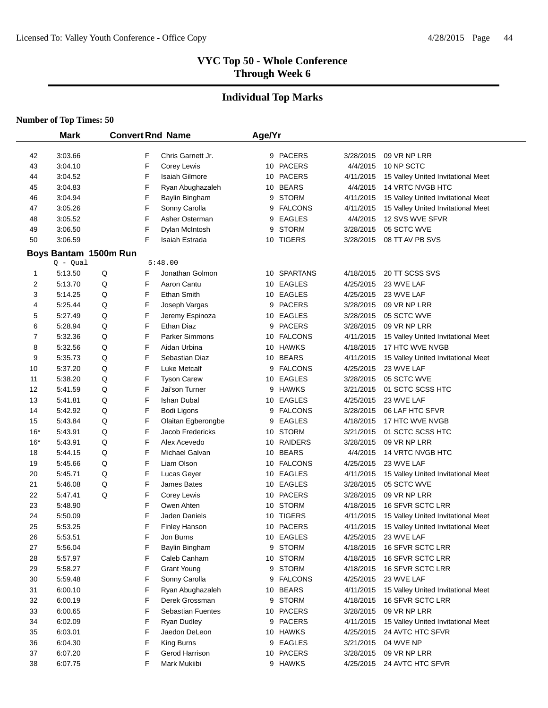# **Individual Top Marks**

|       | <b>Mark</b>                         |   |   | <b>Convert Rnd Name</b>  | Age/Yr |                |           |                                    |  |
|-------|-------------------------------------|---|---|--------------------------|--------|----------------|-----------|------------------------------------|--|
| 42    | 3:03.66                             |   | F | Chris Garnett Jr.        |        | 9 PACERS       | 3/28/2015 | 09 VR NP LRR                       |  |
| 43    | 3:04.10                             |   | F | Corey Lewis              |        | 10 PACERS      | 4/4/2015  | 10 NP SCTC                         |  |
| 44    | 3:04.52                             |   | F | <b>Isaiah Gilmore</b>    |        | 10 PACERS      | 4/11/2015 | 15 Valley United Invitational Meet |  |
| 45    | 3:04.83                             |   | F | Ryan Abughazaleh         |        | 10 BEARS       | 4/4/2015  | <b>14 VRTC NVGB HTC</b>            |  |
| 46    | 3:04.94                             |   | F | Baylin Bingham           | 9      | <b>STORM</b>   | 4/11/2015 | 15 Valley United Invitational Meet |  |
| 47    | 3:05.26                             |   | F | Sonny Carolla            | 9      | <b>FALCONS</b> | 4/11/2015 | 15 Valley United Invitational Meet |  |
| 48    | 3:05.52                             |   | F | Asher Osterman           | 9      | <b>EAGLES</b>  | 4/4/2015  | 12 SVS WVE SFVR                    |  |
| 49    | 3:06.50                             |   | F | Dylan McIntosh           | 9      | <b>STORM</b>   | 3/28/2015 | 05 SCTC WVE                        |  |
| 50    | 3:06.59                             |   | F | Isaiah Estrada           |        | 10 TIGERS      | 3/28/2015 | 08 TT AV PB SVS                    |  |
|       |                                     |   |   |                          |        |                |           |                                    |  |
|       | Boys Bantam 1500m Run<br>$Q - Qual$ |   |   | 5:48.00                  |        |                |           |                                    |  |
| 1     | 5:13.50                             | Q | F | Jonathan Golmon          |        | 10 SPARTANS    | 4/18/2015 | 20 TT SCSS SVS                     |  |
| 2     | 5:13.70                             | Q | F | Aaron Cantu              |        | 10 EAGLES      | 4/25/2015 | 23 WVE LAF                         |  |
| 3     | 5:14.25                             | Q | F | Ethan Smith              |        | 10 EAGLES      | 4/25/2015 | 23 WVE LAF                         |  |
| 4     | 5:25.44                             | Q | F | Joseph Vargas            | 9      | <b>PACERS</b>  | 3/28/2015 | 09 VR NP LRR                       |  |
| 5     | 5:27.49                             | Q | F | Jeremy Espinoza          |        | 10 EAGLES      | 3/28/2015 | 05 SCTC WVE                        |  |
| 6     | 5:28.94                             | Q | F | Ethan Diaz               |        | 9 PACERS       | 3/28/2015 | 09 VR NP LRR                       |  |
| 7     | 5:32.36                             | Q | F | <b>Parker Simmons</b>    |        | 10 FALCONS     | 4/11/2015 | 15 Valley United Invitational Meet |  |
| 8     | 5:32.56                             | Q | F | Aidan Urbina             |        | 10 HAWKS       | 4/18/2015 | 17 HTC WVE NVGB                    |  |
| 9     | 5:35.73                             | Q | F | Sebastian Diaz           |        | 10 BEARS       | 4/11/2015 | 15 Valley United Invitational Meet |  |
| 10    | 5:37.20                             | Q | F | Luke Metcalf             | 9      | <b>FALCONS</b> | 4/25/2015 | 23 WVE LAF                         |  |
| 11    | 5:38.20                             | Q | F | <b>Tyson Carew</b>       |        | 10 EAGLES      | 3/28/2015 | 05 SCTC WVE                        |  |
| 12    | 5:41.59                             | Q | F | Jai'son Turner           |        | 9 HAWKS        | 3/21/2015 | 01 SCTC SCSS HTC                   |  |
| 13    | 5:41.81                             | Q | F | <b>Ishan Dubal</b>       |        | 10 EAGLES      | 4/25/2015 | 23 WVE LAF                         |  |
| 14    | 5:42.92                             | Q | F | Bodi Ligons              | 9      | <b>FALCONS</b> | 3/28/2015 | 06 LAF HTC SFVR                    |  |
| 15    | 5:43.84                             | Q | F | Olaitan Egberongbe       | 9      | <b>EAGLES</b>  | 4/18/2015 | 17 HTC WVE NVGB                    |  |
| $16*$ | 5:43.91                             | Q | F | Jacob Fredericks         |        | 10 STORM       | 3/21/2015 | 01 SCTC SCSS HTC                   |  |
| $16*$ | 5:43.91                             | Q | F | Alex Acevedo             |        | 10 RAIDERS     | 3/28/2015 | 09 VR NP LRR                       |  |
| 18    | 5:44.15                             | Q | F | Michael Galvan           |        | 10 BEARS       | 4/4/2015  | 14 VRTC NVGB HTC                   |  |
| 19    | 5:45.66                             | Q | F | Liam Olson               |        | 10 FALCONS     | 4/25/2015 | 23 WVE LAF                         |  |
| 20    | 5:45.71                             | Q | F | Lucas Geyer              |        | 10 EAGLES      | 4/11/2015 | 15 Valley United Invitational Meet |  |
| 21    | 5:46.08                             | Q | F | James Bates              |        | 10 EAGLES      | 3/28/2015 | 05 SCTC WVE                        |  |
| 22    | 5:47.41                             | Q | F | Corey Lewis              |        | 10 PACERS      | 3/28/2015 | 09 VR NP LRR                       |  |
| 23    | 5:48.90                             |   | F | Owen Ahten               |        | 10 STORM       | 4/18/2015 | 16 SFVR SCTC LRR                   |  |
| 24    | 5:50.09                             |   | F | Jaden Daniels            |        | 10 TIGERS      | 4/11/2015 | 15 Valley United Invitational Meet |  |
| 25    | 5:53.25                             |   | F | <b>Finley Hanson</b>     |        | 10 PACERS      | 4/11/2015 | 15 Valley United Invitational Meet |  |
| 26    | 5:53.51                             |   | F | Jon Burns                |        | 10 EAGLES      | 4/25/2015 | 23 WVE LAF                         |  |
| 27    | 5:56.04                             |   | F | Baylin Bingham           |        | 9 STORM        | 4/18/2015 | 16 SFVR SCTC LRR                   |  |
| 28    | 5:57.97                             |   | F | Caleb Canham             |        | 10 STORM       | 4/18/2015 | 16 SFVR SCTC LRR                   |  |
| 29    | 5:58.27                             |   | F | <b>Grant Young</b>       |        | 9 STORM        | 4/18/2015 | 16 SFVR SCTC LRR                   |  |
| 30    | 5:59.48                             |   | F | Sonny Carolla            |        | 9 FALCONS      | 4/25/2015 | 23 WVE LAF                         |  |
| 31    | 6:00.10                             |   | F | Ryan Abughazaleh         |        | 10 BEARS       | 4/11/2015 | 15 Valley United Invitational Meet |  |
| 32    | 6:00.19                             |   | F | Derek Grossman           |        | 9 STORM        | 4/18/2015 | 16 SFVR SCTC LRR                   |  |
| 33    | 6:00.65                             |   | F | <b>Sebastian Fuentes</b> |        | 10 PACERS      | 3/28/2015 | 09 VR NP LRR                       |  |
| 34    | 6:02.09                             |   | F | Ryan Dudley              |        | 9 PACERS       | 4/11/2015 | 15 Valley United Invitational Meet |  |
| 35    | 6:03.01                             |   | F | Jaedon DeLeon            |        | 10 HAWKS       | 4/25/2015 | 24 AVTC HTC SFVR                   |  |
| 36    | 6:04.30                             |   | F | King Burns               |        | 9 EAGLES       | 3/21/2015 | 04 WVE NP                          |  |
| 37    | 6:07.20                             |   | F | Gerod Harrison           |        | 10 PACERS      | 3/28/2015 | 09 VR NP LRR                       |  |
| 38    | 6:07.75                             |   | F | Mark Mukiibi             |        | 9 HAWKS        | 4/25/2015 | 24 AVTC HTC SFVR                   |  |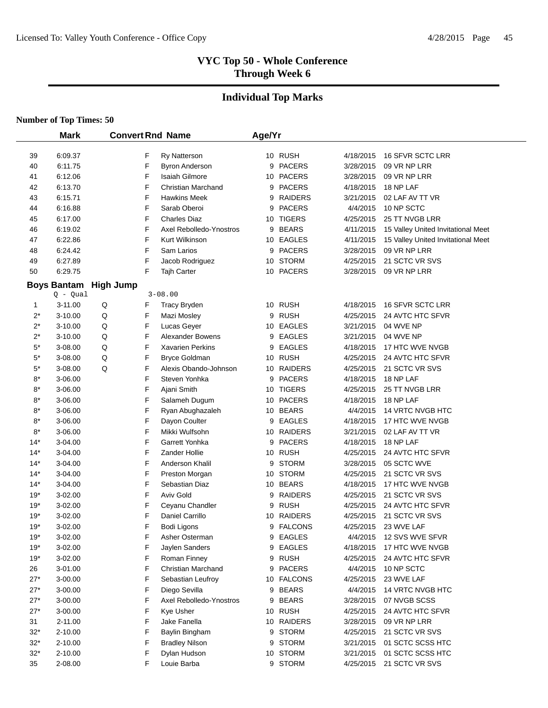# **Individual Top Marks**

|                       | <b>Mark</b>        |                  |        | <b>Convert Rnd Name</b>                      | Age/Yr |                       |                        |                                    |  |
|-----------------------|--------------------|------------------|--------|----------------------------------------------|--------|-----------------------|------------------------|------------------------------------|--|
|                       | 6:09.37            |                  | F      |                                              |        | 10 RUSH               | 4/18/2015              | 16 SFVR SCTC LRR                   |  |
| 39<br>40              | 6:11.75            |                  | F      | <b>Ry Natterson</b><br><b>Byron Anderson</b> | 9      | <b>PACERS</b>         | 3/28/2015              | 09 VR NP LRR                       |  |
| 41                    | 6:12.06            |                  | F      | <b>Isaiah Gilmore</b>                        |        | 10 PACERS             | 3/28/2015              | 09 VR NP LRR                       |  |
| 42                    | 6:13.70            |                  | F      | <b>Christian Marchand</b>                    | 9      | <b>PACERS</b>         | 4/18/2015              | 18 NP LAF                          |  |
| 43                    | 6:15.71            |                  | F      | <b>Hawkins Meek</b>                          | 9      | <b>RAIDERS</b>        | 3/21/2015              | 02 LAF AV TT VR                    |  |
| 44                    | 6:16.88            |                  | F      | Sarab Oberoi                                 | 9      | <b>PACERS</b>         | 4/4/2015               | 10 NP SCTC                         |  |
| 45                    | 6:17.00            |                  | F      | <b>Charles Diaz</b>                          |        | 10 TIGERS             | 4/25/2015              | 25 TT NVGB LRR                     |  |
| 46                    | 6:19.02            |                  | F      | Axel Rebolledo-Ynostros                      | 9      | <b>BEARS</b>          | 4/11/2015              | 15 Valley United Invitational Meet |  |
| 47                    | 6:22.86            |                  | F      | Kurt Wilkinson                               |        | 10 EAGLES             | 4/11/2015              | 15 Valley United Invitational Meet |  |
| 48                    | 6:24.42            |                  | F      | Sam Larios                                   | 9      | <b>PACERS</b>         | 3/28/2015              | 09 VR NP LRR                       |  |
| 49                    | 6:27.89            |                  | F      | Jacob Rodriguez                              | 10     | <b>STORM</b>          | 4/25/2015              | 21 SCTC VR SVS                     |  |
| 50                    | 6:29.75            |                  | F      | Tajh Carter                                  | 10     | <b>PACERS</b>         | 3/28/2015              | 09 VR NP LRR                       |  |
|                       | <b>Boys Bantam</b> | <b>High Jump</b> |        |                                              |        |                       |                        |                                    |  |
|                       | $Q - Qual$         |                  |        | $3 - 08.00$                                  |        |                       |                        |                                    |  |
| 1                     | $3 - 11.00$        | Q                | F      | <b>Tracy Bryden</b>                          |        | 10 RUSH               | 4/18/2015              | 16 SFVR SCTC LRR                   |  |
| $2^*$                 | 3-10.00            | Q                | F      | Mazi Mosley                                  | 9      | <b>RUSH</b>           | 4/25/2015              | 24 AVTC HTC SFVR                   |  |
| $2^*$                 | 3-10.00            | Q                | F      | Lucas Geyer                                  |        | 10 EAGLES             | 3/21/2015              | 04 WVE NP                          |  |
| $2^*$                 | 3-10.00            | Q                | F      | <b>Alexander Bowens</b>                      | 9      | <b>EAGLES</b>         | 3/21/2015              | 04 WVE NP                          |  |
| $5^\star$             | 3-08.00            | Q                | F      | Xavarien Perkins                             | 9      | <b>EAGLES</b>         | 4/18/2015              | 17 HTC WVE NVGB                    |  |
| $5^\star$             | 3-08.00            | Q                | F      | <b>Bryce Goldman</b>                         |        | 10 RUSH               | 4/25/2015              | 24 AVTC HTC SFVR                   |  |
| $5^\star$             | 3-08.00            | Q                | F      | Alexis Obando-Johnson                        | 10     | <b>RAIDERS</b>        | 4/25/2015              | 21 SCTC VR SVS                     |  |
| $8*$                  | 3-06.00            |                  | F      | Steven Yonhka                                | 9      | <b>PACERS</b>         | 4/18/2015              | 18 NP LAF                          |  |
| $8*$                  | 3-06.00            |                  | F      | Ajani Smith                                  | 10     | <b>TIGERS</b>         | 4/25/2015              | 25 TT NVGB LRR                     |  |
| $8*$                  | 3-06.00            |                  | F      | Salameh Dugum                                |        | 10 PACERS             | 4/18/2015              | 18 NP LAF                          |  |
| $8^\star$             | 3-06.00            |                  | F      | Ryan Abughazaleh                             |        | 10 BEARS              | 4/4/2015               | 14 VRTC NVGB HTC                   |  |
| $8^\star$             | 3-06.00            |                  | F      | Dayon Coulter                                | 9      | <b>EAGLES</b>         | 4/18/2015              | 17 HTC WVE NVGB                    |  |
| $8^\star$             | 3-06.00            |                  | F      | Mikki Wulfsohn                               |        | 10 RAIDERS            | 3/21/2015              | 02 LAF AV TT VR                    |  |
| $14*$                 | 3-04.00            |                  | F      | Garrett Yonhka                               | 9      | <b>PACERS</b>         | 4/18/2015              | 18 NP LAF                          |  |
| $14*$                 | 3-04.00            |                  | F      | Zander Hollie                                | 10     | RUSH                  | 4/25/2015              | 24 AVTC HTC SFVR                   |  |
| $14*$                 | 3-04.00            |                  | F      | Anderson Khalil                              | 9      | <b>STORM</b>          | 3/28/2015              | 05 SCTC WVE                        |  |
| 14*                   | 3-04.00            |                  | F      | Preston Morgan                               | 10     | <b>STORM</b>          | 4/25/2015              | 21 SCTC VR SVS                     |  |
| $14*$                 | 3-04.00            |                  | F      | Sebastian Diaz                               | 10     | <b>BEARS</b>          | 4/18/2015              | 17 HTC WVE NVGB                    |  |
| 19*                   | 3-02.00            |                  | F      | <b>Aviv Gold</b>                             | 9      | <b>RAIDERS</b>        | 4/25/2015              | 21 SCTC VR SVS                     |  |
| $19*$                 | 3-02.00            |                  | F      | Ceyanu Chandler                              | 9      | <b>RUSH</b>           | 4/25/2015              | 24 AVTC HTC SFVR                   |  |
| $19*$                 | 3-02.00            |                  | F      | Daniel Carrillo                              | 10     | <b>RAIDERS</b>        | 4/25/2015              | 21 SCTC VR SVS                     |  |
| $19*$                 | 3-02.00            |                  | F      | Bodi Ligons                                  | 9      | <b>FALCONS</b>        | 4/25/2015              | 23 WVE LAF                         |  |
| $19*$                 | 3-02.00            |                  | F      | Asher Osterman                               | 9      | <b>EAGLES</b>         | 4/4/2015               | 12 SVS WVE SFVR                    |  |
| $19*$                 | 3-02.00            |                  | F      | Jaylen Sanders                               |        | 9 EAGLES              | 4/18/2015              | 17 HTC WVE NVGB                    |  |
| $19*$                 | 3-02.00            |                  | F      | Roman Finney                                 | 9      | RUSH                  | 4/25/2015              | 24 AVTC HTC SFVR                   |  |
| 26                    | 3-01.00            |                  | F      | Christian Marchand                           | 9      | <b>PACERS</b>         | 4/4/2015               | 10 NP SCTC                         |  |
| $27*$                 | 3-00.00            |                  | F      | Sebastian Leufroy                            |        | 10 FALCONS            | 4/25/2015              | 23 WVE LAF                         |  |
| $27*$                 | 3-00.00            |                  | F      | Diego Sevilla                                |        | 9 BEARS               | 4/4/2015               | 14 VRTC NVGB HTC                   |  |
| $27*$                 | 3-00.00            |                  | F      | Axel Rebolledo-Ynostros                      | 9      | <b>BEARS</b>          | 3/28/2015              | 07 NVGB SCSS                       |  |
| $27*$                 | 3-00.00            |                  | F      | Kye Usher                                    |        | 10 RUSH<br>10 RAIDERS | 4/25/2015              | 24 AVTC HTC SFVR                   |  |
| 31                    | $2 - 11.00$        |                  | F<br>F | Jake Fanella                                 |        |                       | 3/28/2015              | 09 VR NP LRR<br>21 SCTC VR SVS     |  |
| $32*$                 | 2-10.00<br>2-10.00 |                  | F      | Baylin Bingham                               |        | 9 STORM<br>9 STORM    | 4/25/2015              | 01 SCTC SCSS HTC                   |  |
| $32*$<br>$32^{\star}$ | 2-10.00            |                  | F      | <b>Bradley Nilson</b><br>Dylan Hudson        |        | 10 STORM              | 3/21/2015<br>3/21/2015 | 01 SCTC SCSS HTC                   |  |
| 35                    | 2-08.00            |                  | F      | Louie Barba                                  |        | 9 STORM               | 4/25/2015              | 21 SCTC VR SVS                     |  |
|                       |                    |                  |        |                                              |        |                       |                        |                                    |  |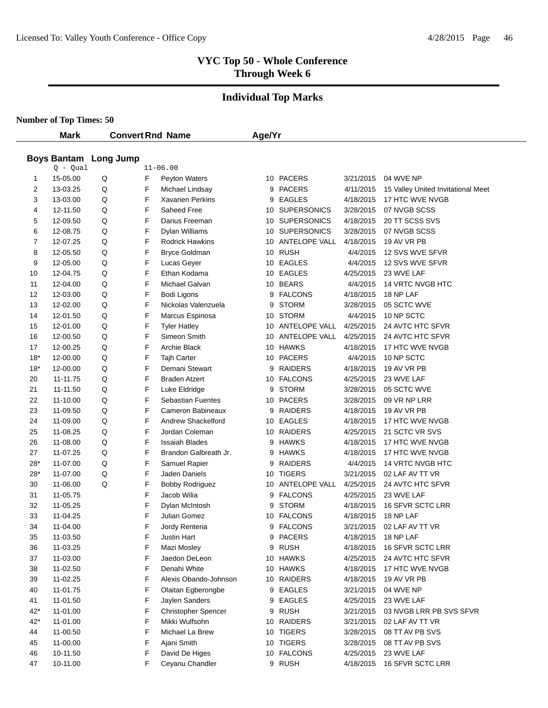# **Individual Top Marks**

|       | <b>Mark</b>                                |   |   | <b>Convert Rnd Name</b>    | Age/Yr |                  |           |                                    |
|-------|--------------------------------------------|---|---|----------------------------|--------|------------------|-----------|------------------------------------|
|       |                                            |   |   |                            |        |                  |           |                                    |
|       | <b>Boys Bantam Long Jump</b><br>$Q - Qual$ |   |   | $11 - 06.00$               |        |                  |           |                                    |
| 1     | 15-05.00                                   | Q | F | Peyton Waters              |        | 10 PACERS        | 3/21/2015 | 04 WVE NP                          |
| 2     | 13-03.25                                   | Q | F | Michael Lindsay            |        | 9 PACERS         | 4/11/2015 | 15 Valley United Invitational Meet |
| 3     | 13-03.00                                   | Q | F | <b>Xavarien Perkins</b>    | 9      | EAGLES           | 4/18/2015 | 17 HTC WVE NVGB                    |
| 4     | 12-11.50                                   | Q | F | Saheed Free                |        | 10 SUPERSONICS   | 3/28/2015 | 07 NVGB SCSS                       |
| 5     | 12-09.50                                   | Q | F | Darius Freeman             |        | 10 SUPERSONICS   | 4/18/2015 | 20 TT SCSS SVS                     |
| 6     | 12-08.75                                   | Q | F | Dylan Williams             |        | 10 SUPERSONICS   | 3/28/2015 | 07 NVGB SCSS                       |
| 7     | 12-07.25                                   | Q | F | <b>Rodrick Hawkins</b>     |        | 10 ANTELOPE VALL | 4/18/2015 | 19 AV VR PB                        |
| 8     | 12-05.50                                   | Q | F | <b>Bryce Goldman</b>       |        | 10 RUSH          | 4/4/2015  | 12 SVS WVE SFVR                    |
| 9     | 12-05.00                                   | Q | F | Lucas Geyer                |        | 10 EAGLES        | 4/4/2015  | 12 SVS WVE SFVR                    |
| 10    | 12-04.75                                   | Q | F | Ethan Kodama               |        | 10 EAGLES        | 4/25/2015 | 23 WVE LAF                         |
| 11    | 12-04.00                                   | Q | F | Michael Galvan             |        | 10 BEARS         | 4/4/2015  | 14 VRTC NVGB HTC                   |
| 12    | 12-03.00                                   | Q | F | Bodi Ligons                |        | 9 FALCONS        | 4/18/2015 | 18 NP LAF                          |
| 13    | 12-02.00                                   | Q | F | Nickolas Valenzuela        | 9      | <b>STORM</b>     | 3/28/2015 | 05 SCTC WVE                        |
| 14    | 12-01.50                                   | Q | F | Marcus Espinosa            |        | 10 STORM         | 4/4/2015  | 10 NP SCTC                         |
| 15    | 12-01.00                                   | Q | F | <b>Tyler Hatley</b>        |        | 10 ANTELOPE VALL | 4/25/2015 | 24 AVTC HTC SFVR                   |
| 16    | 12-00.50                                   | Q | F | Simeon Smith               |        | 10 ANTELOPE VALL | 4/25/2015 | 24 AVTC HTC SFVR                   |
| 17    | 12-00.25                                   | Q | F | Archie Black               |        | 10 HAWKS         | 4/18/2015 | 17 HTC WVE NVGB                    |
| $18*$ | 12-00.00                                   | Q | F | Tajh Carter                |        | 10 PACERS        | 4/4/2015  | 10 NP SCTC                         |
| $18*$ | 12-00.00                                   | Q | F | Demani Stewart             | 9      | RAIDERS          | 4/18/2015 | 19 AV VR PB                        |
| 20    | 11-11.75                                   | Q | F | <b>Braden Atzert</b>       |        | 10 FALCONS       | 4/25/2015 | 23 WVE LAF                         |
| 21    | 11-11.50                                   | Q | F | Luke Eldridge              | 9      | <b>STORM</b>     | 3/28/2015 | 05 SCTC WVE                        |
| 22    | 11-10.00                                   | Q | F | <b>Sebastian Fuentes</b>   |        | 10 PACERS        | 3/28/2015 | 09 VR NP LRR                       |
| 23    | 11-09.50                                   | Q | F | Cameron Babineaux          |        | 9 RAIDERS        | 4/18/2015 | 19 AV VR PB                        |
| 24    | 11-09.00                                   | Q | F | Andrew Shackelford         |        | 10 EAGLES        | 4/18/2015 | 17 HTC WVE NVGB                    |
| 25    | 11-08.25                                   | Q | F | Jordan Coleman             |        | 10 RAIDERS       | 4/25/2015 | 21 SCTC VR SVS                     |
| 26    | 11-08.00                                   | Q | F | <b>Issaiah Blades</b>      | 9      | <b>HAWKS</b>     | 4/18/2015 | 17 HTC WVE NVGB                    |
| 27    | 11-07.25                                   | Q | F | Brandon Galbreath Jr.      |        | 9 HAWKS          | 4/18/2015 | 17 HTC WVE NVGB                    |
| 28*   | 11-07.00                                   | Q | F | Samuel Rapier              | 9      | RAIDERS          | 4/4/2015  | 14 VRTC NVGB HTC                   |
| 28*   | 11-07.00                                   | Q | F | Jaden Daniels              |        | 10 TIGERS        | 3/21/2015 | 02 LAF AV TT VR                    |
| 30    | 11-06.00                                   | Q | F | <b>Bobby Rodriguez</b>     |        | 10 ANTELOPE VALL | 4/25/2015 | 24 AVTC HTC SFVR                   |
| 31    | 11-05.75                                   |   | F | Jacob Wilia                |        | 9 FALCONS        | 4/25/2015 | 23 WVE LAF                         |
| 32    | 11-05.25                                   |   | F | Dylan McIntosh             | 9      | <b>STORM</b>     | 4/18/2015 | 16 SFVR SCTC LRR                   |
| 33    | 11-04.25                                   |   | F | Julian Gomez               |        | 10 FALCONS       | 4/18/2015 | 18 NP LAF                          |
| 34    | 11-04.00                                   |   | F | Jordy Renteria             |        | 9 FALCONS        | 3/21/2015 | 02 LAF AV TT VR                    |
| 35    | 11-03.50                                   |   | F | Justin Hart                |        | 9 PACERS         | 4/18/2015 | 18 NP LAF                          |
| 36    | 11-03.25                                   |   | F | Mazi Mosley                |        | 9 RUSH           | 4/18/2015 | 16 SFVR SCTC LRR                   |
| 37    | 11-03.00                                   |   | F | Jaedon DeLeon              |        | 10 HAWKS         | 4/25/2015 | 24 AVTC HTC SFVR                   |
| 38    | 11-02.50                                   |   | F | Denahi White               |        | 10 HAWKS         | 4/18/2015 | 17 HTC WVE NVGB                    |
| 39    | 11-02.25                                   |   | F | Alexis Obando-Johnson      |        | 10 RAIDERS       | 4/18/2015 | 19 AV VR PB                        |
| 40    | 11-01.75                                   |   | F | Olaitan Egberongbe         |        | 9 EAGLES         | 3/21/2015 | 04 WVE NP                          |
| 41    | 11-01.50                                   |   | F | Jaylen Sanders             | 9      | <b>EAGLES</b>    | 4/25/2015 | 23 WVE LAF                         |
| $42*$ | 11-01.00                                   |   | F | <b>Christopher Spencer</b> |        | 9 RUSH           | 3/21/2015 | 03 NVGB LRR PB SVS SFVR            |
| $42*$ | 11-01.00                                   |   | F | Mikki Wulfsohn             |        | 10 RAIDERS       | 3/21/2015 | 02 LAF AV TT VR                    |
| 44    | 11-00.50                                   |   | F | Michael La Brew            |        | 10 TIGERS        | 3/28/2015 | 08 TT AV PB SVS                    |
| 45    | 11-00.00                                   |   | F | Ajani Smith                |        | 10 TIGERS        | 3/28/2015 | 08 TT AV PB SVS                    |
| 46    | 10-11.50                                   |   | F | David De Higes             |        | 10 FALCONS       | 4/25/2015 | 23 WVE LAF                         |
| 47    | 10-11.00                                   |   | F | Ceyanu Chandler            |        | 9 RUSH           | 4/18/2015 | 16 SFVR SCTC LRR                   |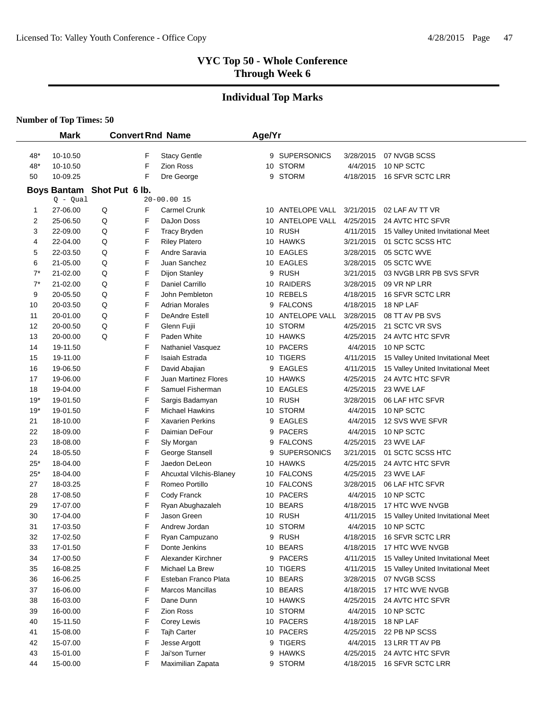# **Individual Top Marks**

|       | <b>Mark</b>                |   |   | <b>Convert Rnd Name</b>     | Age/Yr |                    |           |                                    |
|-------|----------------------------|---|---|-----------------------------|--------|--------------------|-----------|------------------------------------|
|       |                            |   |   |                             |        |                    |           |                                    |
| 48*   | 10-10.50                   |   | F | <b>Stacy Gentle</b>         |        | 9 SUPERSONICS      | 3/28/2015 | 07 NVGB SCSS                       |
| 48*   | 10-10.50                   |   | F | Zion Ross                   |        | 10 STORM           | 4/4/2015  | 10 NP SCTC                         |
| 50    | 10-09.25                   |   | F | Dre George                  |        | 9 STORM            | 4/18/2015 | 16 SFVR SCTC LRR                   |
|       | Boys Bantam Shot Put 6 lb. |   |   |                             |        |                    |           |                                    |
|       | $Q - Qual$                 |   |   | $20 - 00.0015$              |        |                    |           |                                    |
| 1     | 27-06.00                   | Q | F | <b>Carmel Crunk</b>         |        | 10 ANTELOPE VALL   | 3/21/2015 | 02 LAF AV TT VR                    |
| 2     | 25-06.50                   | Q | F | DaJon Doss                  |        | 10 ANTELOPE VALL   | 4/25/2015 | 24 AVTC HTC SFVR                   |
| 3     | 22-09.00                   | Q | F | <b>Tracy Bryden</b>         |        | 10 RUSH            | 4/11/2015 | 15 Valley United Invitational Meet |
| 4     | 22-04.00                   | Q | F | <b>Riley Platero</b>        |        | 10 HAWKS           | 3/21/2015 | 01 SCTC SCSS HTC                   |
| 5     | 22-03.50                   | Q | F | Andre Saravia               |        | 10 EAGLES          | 3/28/2015 | 05 SCTC WVE                        |
| 6     | 21-05.00                   | Q | F | Juan Sanchez                |        | 10 EAGLES          | 3/28/2015 | 05 SCTC WVE                        |
| $7^*$ | 21-02.00                   | Q | F | Dijon Stanley               |        | 9 RUSH             | 3/21/2015 | 03 NVGB LRR PB SVS SFVR            |
| $7^*$ | 21-02.00                   | Q | F | Daniel Carrillo             |        | 10 RAIDERS         | 3/28/2015 | 09 VR NP LRR                       |
| 9     | 20-05.50                   | Q | F | John Pembleton              |        | 10 REBELS          | 4/18/2015 | 16 SFVR SCTC LRR                   |
| 10    | 20-03.50                   | Q | F | <b>Adrian Morales</b>       | 9      | <b>FALCONS</b>     | 4/18/2015 | 18 NP LAF                          |
| 11    | 20-01.00                   | Q | F | <b>DeAndre Estell</b>       |        | 10 ANTELOPE VALL   | 3/28/2015 | 08 TT AV PB SVS                    |
| 12    | 20-00.50                   | Q | F | Glenn Fujii                 |        | 10 STORM           | 4/25/2015 | 21 SCTC VR SVS                     |
| 13    | 20-00.00                   | Q | F | Paden White                 |        | 10 HAWKS           | 4/25/2015 | 24 AVTC HTC SFVR                   |
| 14    | 19-11.50                   |   | F | <b>Nathaniel Vasquez</b>    |        | 10 PACERS          | 4/4/2015  | 10 NP SCTC                         |
| 15    | 19-11.00                   |   | F | Isaiah Estrada              |        | 10 TIGERS          | 4/11/2015 | 15 Valley United Invitational Meet |
| 16    | 19-06.50                   |   | F | David Abajian               | 9      | <b>EAGLES</b>      | 4/11/2015 | 15 Valley United Invitational Meet |
| 17    | 19-06.00                   |   | F | <b>Juan Martinez Flores</b> |        | 10 HAWKS           | 4/25/2015 | 24 AVTC HTC SFVR                   |
| 18    | 19-04.00                   |   | F | Samuel Fisherman            |        | 10 EAGLES          | 4/25/2015 | 23 WVE LAF                         |
| $19*$ | 19-01.50                   |   | F | Sargis Badamyan             |        | 10 RUSH            | 3/28/2015 | 06 LAF HTC SFVR                    |
| $19*$ | 19-01.50                   |   | F | <b>Michael Hawkins</b>      |        | 10 STORM           | 4/4/2015  | 10 NP SCTC                         |
| 21    | 18-10.00                   |   | F | <b>Xavarien Perkins</b>     |        | 9 EAGLES           | 4/4/2015  | 12 SVS WVE SFVR                    |
| 22    | 18-09.00                   |   | F | Daimian DeFour              |        | 9 PACERS           | 4/4/2015  | 10 NP SCTC                         |
| 23    | 18-08.00                   |   | F | Sly Morgan                  |        | 9 FALCONS          | 4/25/2015 | 23 WVE LAF                         |
| 24    | 18-05.50                   |   | F | George Stansell             | 9      | <b>SUPERSONICS</b> | 3/21/2015 | 01 SCTC SCSS HTC                   |
| $25*$ | 18-04.00                   |   | F | Jaedon DeLeon               |        | 10 HAWKS           | 4/25/2015 | 24 AVTC HTC SFVR                   |
| $25*$ | 18-04.00                   |   | F | Ahcuxtal Vilchis-Blaney     |        | 10 FALCONS         | 4/25/2015 | 23 WVE LAF                         |
| 27    | 18-03.25                   |   | F | Romeo Portillo              |        | 10 FALCONS         | 3/28/2015 | 06 LAF HTC SFVR                    |
| 28    | 17-08.50                   |   | F | Cody Franck                 |        | 10 PACERS          | 4/4/2015  | 10 NP SCTC                         |
| 29    | 17-07.00                   |   | F | Ryan Abughazaleh            |        | 10 BEARS           | 4/18/2015 | 17 HTC WVE NVGB                    |
| 30    | 17-04.00                   |   | F | Jason Green                 |        | 10 RUSH            | 4/11/2015 | 15 Valley United Invitational Meet |
| 31    | 17-03.50                   |   | F | Andrew Jordan               |        | 10 STORM           | 4/4/2015  | 10 NP SCTC                         |
| 32    | 17-02.50                   |   | F | Ryan Campuzano              |        | 9 RUSH             | 4/18/2015 | 16 SFVR SCTC LRR                   |
| 33    | 17-01.50                   |   | F | Donte Jenkins               |        | 10 BEARS           | 4/18/2015 | 17 HTC WVE NVGB                    |
| 34    | 17-00.50                   |   | F | Alexander Kirchner          |        | 9 PACERS           | 4/11/2015 | 15 Valley United Invitational Meet |
| 35    | 16-08.25                   |   | F | Michael La Brew             |        | 10 TIGERS          | 4/11/2015 | 15 Valley United Invitational Meet |
| 36    | 16-06.25                   |   | F | Esteban Franco Plata        |        | 10 BEARS           | 3/28/2015 | 07 NVGB SCSS                       |
| 37    | 16-06.00                   |   | F | <b>Marcos Mancillas</b>     |        | 10 BEARS           | 4/18/2015 | 17 HTC WVE NVGB                    |
| 38    | 16-03.00                   |   | F | Dane Dunn                   |        | 10 HAWKS           | 4/25/2015 | 24 AVTC HTC SFVR                   |
| 39    | 16-00.00                   |   | F | Zion Ross                   |        | 10 STORM           | 4/4/2015  | 10 NP SCTC                         |
| 40    | 15-11.50                   |   | F | Corey Lewis                 |        | 10 PACERS          | 4/18/2015 | 18 NP LAF                          |
| 41    | 15-08.00                   |   | F | Tajh Carter                 |        | 10 PACERS          | 4/25/2015 | 22 PB NP SCSS                      |
| 42    | 15-07.00                   |   | F | Jesse Argott                |        | 9 TIGERS           | 4/4/2015  | 13 LRR TT AV PB                    |
| 43    | 15-01.00                   |   | F | Jai'son Turner              |        | 9 HAWKS            | 4/25/2015 | 24 AVTC HTC SFVR                   |
| 44    | 15-00.00                   |   | F | Maximilian Zapata           |        | 9 STORM            | 4/18/2015 | 16 SFVR SCTC LRR                   |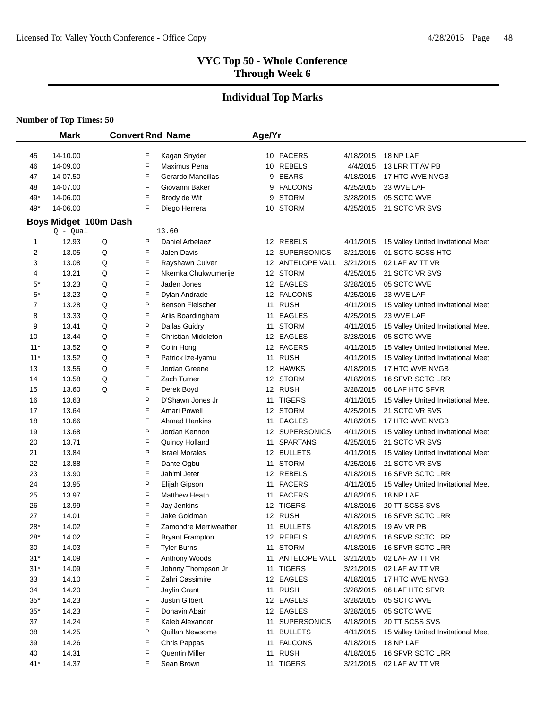# **Individual Top Marks**

|                         | <b>Mark</b>    |                       |        | <b>Convert Rnd Name</b>            | Age/Yr |                              |                        |                                                        |
|-------------------------|----------------|-----------------------|--------|------------------------------------|--------|------------------------------|------------------------|--------------------------------------------------------|
|                         |                |                       |        |                                    |        |                              |                        |                                                        |
| 45                      | 14-10.00       |                       | F      | Kagan Snyder                       |        | 10 PACERS                    | 4/18/2015              | 18 NP LAF                                              |
| 46                      | 14-09.00       |                       | F      | Maximus Pena                       |        | 10 REBELS                    | 4/4/2015               | 13 LRR TT AV PB                                        |
| 47                      | 14-07.50       |                       | F<br>F | Gerardo Mancillas                  | 9      | <b>BEARS</b>                 | 4/18/2015<br>4/25/2015 | 17 HTC WVE NVGB                                        |
| 48                      | 14-07.00       |                       |        | Giovanni Baker                     | 9      | <b>FALCONS</b>               |                        | 23 WVE LAF                                             |
| 49*                     | 14-06.00       |                       | F<br>F | Brody de Wit                       | 9      | <b>STORM</b>                 | 3/28/2015              | 05 SCTC WVE                                            |
| 49*                     | 14-06.00       |                       |        | Diego Herrera                      |        | 10 STORM                     | 4/25/2015              | 21 SCTC VR SVS                                         |
|                         |                | Boys Midget 100m Dash |        |                                    |        |                              |                        |                                                        |
|                         | $Q - Qual$     |                       |        | 13.60                              |        |                              |                        |                                                        |
| 1                       | 12.93          | Q                     | P<br>F | Daniel Arbelaez                    |        | 12 REBELS<br>12 SUPERSONICS  | 4/11/2015              | 15 Valley United Invitational Meet<br>01 SCTC SCSS HTC |
| $\overline{\mathbf{c}}$ | 13.05          | Q                     | F      | <b>Jalen Davis</b>                 |        |                              | 3/21/2015              |                                                        |
| 3                       | 13.08          | Q                     | F      | Rayshawn Culver                    |        | 12 ANTELOPE VALL<br>12 STORM | 3/21/2015              | 02 LAF AV TT VR<br>21 SCTC VR SVS                      |
| 4<br>$5^*$              | 13.21<br>13.23 | Q<br>Q                | F      | Nkemka Chukwumerije<br>Jaden Jones |        | 12 EAGLES                    | 4/25/2015<br>3/28/2015 | 05 SCTC WVE                                            |
| $5^*$                   | 13.23          | Q                     | F      |                                    |        | 12 FALCONS                   | 4/25/2015              | 23 WVE LAF                                             |
| 7                       | 13.28          | Q                     | P      | Dylan Andrade<br>Benson Fleischer  |        | 11 RUSH                      | 4/11/2015              |                                                        |
| 8                       | 13.33          | Q                     | F      | Arlis Boardingham                  |        | 11 EAGLES                    | 4/25/2015              | 15 Valley United Invitational Meet<br>23 WVE LAF       |
| 9                       | 13.41          | Q                     | P      | <b>Dallas Guidry</b>               |        | 11 STORM                     | 4/11/2015              | 15 Valley United Invitational Meet                     |
| 10                      | 13.44          | Q                     | F      | Christian Middleton                |        | 12 EAGLES                    | 3/28/2015              | 05 SCTC WVE                                            |
| $11*$                   | 13.52          | Q                     | P      | Colin Hong                         |        | 12 PACERS                    | 4/11/2015              | 15 Valley United Invitational Meet                     |
| $11*$                   | 13.52          | Q                     | P      | Patrick Ize-Iyamu                  |        | 11 RUSH                      | 4/11/2015              | 15 Valley United Invitational Meet                     |
| 13                      | 13.55          | Q                     | F      | Jordan Greene                      |        | 12 HAWKS                     | 4/18/2015              | 17 HTC WVE NVGB                                        |
| 14                      | 13.58          | Q                     | F      | Zach Turner                        |        | 12 STORM                     | 4/18/2015              | 16 SFVR SCTC LRR                                       |
| 15                      | 13.60          | Q                     | F      | Derek Boyd                         |        | 12 RUSH                      | 3/28/2015              | 06 LAF HTC SFVR                                        |
| 16                      | 13.63          |                       | P      | D'Shawn Jones Jr                   | 11     | <b>TIGERS</b>                | 4/11/2015              | 15 Valley United Invitational Meet                     |
| 17                      | 13.64          |                       | F      | Amari Powell                       |        | 12 STORM                     | 4/25/2015              | 21 SCTC VR SVS                                         |
| 18                      | 13.66          |                       | F      | <b>Ahmad Hankins</b>               |        | 11 EAGLES                    | 4/18/2015              | 17 HTC WVE NVGB                                        |
| 19                      | 13.68          |                       | P      | Jordan Kennon                      |        | 12 SUPERSONICS               | 4/11/2015              | 15 Valley United Invitational Meet                     |
| 20                      | 13.71          |                       | F      | Quincy Holland                     |        | 11 SPARTANS                  | 4/25/2015              | 21 SCTC VR SVS                                         |
| 21                      | 13.84          |                       | P      | <b>Israel Morales</b>              |        | 12 BULLETS                   | 4/11/2015              | 15 Valley United Invitational Meet                     |
| 22                      | 13.88          |                       | F      | Dante Ogbu                         |        | 11 STORM                     | 4/25/2015              | 21 SCTC VR SVS                                         |
| 23                      | 13.90          |                       | F      | Jah'mi Jeter                       |        | 12 REBELS                    | 4/18/2015              | 16 SFVR SCTC LRR                                       |
| 24                      | 13.95          |                       | P      | Elijah Gipson                      |        | 11 PACERS                    | 4/11/2015              | 15 Valley United Invitational Meet                     |
| 25                      | 13.97          |                       | F      | <b>Matthew Heath</b>               |        | 11 PACERS                    | 4/18/2015              | 18 NP LAF                                              |
| 26                      | 13.99          |                       | F      | Jay Jenkins                        |        | 12 TIGERS                    | 4/18/2015              | 20 TT SCSS SVS                                         |
| 27                      | 14.01          |                       | F      | Jake Goldman                       |        | 12 RUSH                      | 4/18/2015              | 16 SFVR SCTC LRR                                       |
| $28*$                   | 14.02          |                       | F      | Zamondre Merriweather              |        | 11 BULLETS                   | 4/18/2015              | 19 AV VR PB                                            |
| $28*$                   | 14.02          |                       | F      | <b>Bryant Frampton</b>             |        | 12 REBELS                    | 4/18/2015              | 16 SFVR SCTC LRR                                       |
| 30                      | 14.03          |                       | F      | <b>Tyler Burns</b>                 |        | 11 STORM                     | 4/18/2015              | 16 SFVR SCTC LRR                                       |
| $31*$                   | 14.09          |                       | F      | Anthony Woods                      |        | 11 ANTELOPE VALL             | 3/21/2015              | 02 LAF AV TT VR                                        |
| $31*$                   | 14.09          |                       | F      | Johnny Thompson Jr                 |        | 11 TIGERS                    | 3/21/2015              | 02 LAF AV TT VR                                        |
| 33                      | 14.10          |                       | F      | Zahri Cassimire                    |        | 12 EAGLES                    | 4/18/2015              | 17 HTC WVE NVGB                                        |
| 34                      | 14.20          |                       | F      | Jaylin Grant                       |        | 11 RUSH                      | 3/28/2015              | 06 LAF HTC SFVR                                        |
| $35*$                   | 14.23          |                       | F      | Justin Gilbert                     |        | 12 EAGLES                    | 3/28/2015              | 05 SCTC WVE                                            |
| $35*$                   | 14.23          |                       | F      | Donavin Abair                      |        | 12 EAGLES                    | 3/28/2015              | 05 SCTC WVE                                            |
| 37                      | 14.24          |                       | F      | Kaleb Alexander                    |        | 11 SUPERSONICS               | 4/18/2015              | 20 TT SCSS SVS                                         |
| 38                      | 14.25          |                       | P      | Quillan Newsome                    |        | 11 BULLETS                   | 4/11/2015              | 15 Valley United Invitational Meet                     |
| 39                      | 14.26          |                       | F      | Chris Pappas                       |        | 11 FALCONS                   | 4/18/2015              | 18 NP LAF                                              |
| 40                      | 14.31          |                       | F      | <b>Quentin Miller</b>              |        | 11 RUSH                      | 4/18/2015              | 16 SFVR SCTC LRR                                       |
| $41*$                   | 14.37          |                       | F      | Sean Brown                         |        | 11 TIGERS                    | 3/21/2015              | 02 LAF AV TT VR                                        |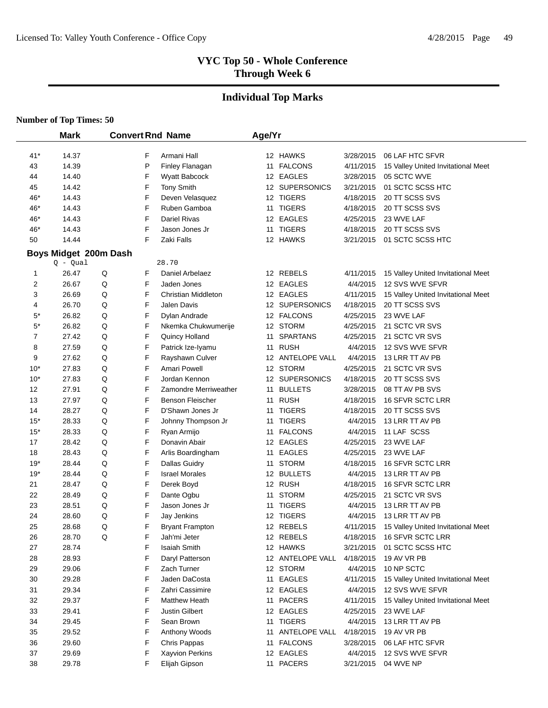# **Individual Top Marks**

|             | <b>Mark</b>                         |   |        | <b>Convert Rnd Name</b>              | Age/Yr |                             |                        |                                                       |
|-------------|-------------------------------------|---|--------|--------------------------------------|--------|-----------------------------|------------------------|-------------------------------------------------------|
|             |                                     |   |        |                                      |        |                             |                        |                                                       |
| $41*$       | 14.37<br>14.39                      |   | F<br>P | Armani Hall                          |        | 12 HAWKS<br>11 FALCONS      | 3/28/2015<br>4/11/2015 | 06 LAF HTC SFVR<br>15 Valley United Invitational Meet |
| 43          |                                     |   | F      | Finley Flanagan<br>Wyatt Babcock     |        |                             |                        |                                                       |
| 44          | 14.40<br>14.42                      |   | F      |                                      |        | 12 EAGLES<br>12 SUPERSONICS | 3/28/2015<br>3/21/2015 | 05 SCTC WVE<br>01 SCTC SCSS HTC                       |
| 45          |                                     |   | F      | <b>Tony Smith</b><br>Deven Velasquez |        | 12 TIGERS                   |                        |                                                       |
| 46*         | 14.43<br>14.43                      |   | F      | Ruben Gamboa                         |        | 11 TIGERS                   | 4/18/2015              | 20 TT SCSS SVS<br>20 TT SCSS SVS                      |
| 46*<br>46*  | 14.43                               |   | F      | <b>Dariel Rivas</b>                  |        | 12 EAGLES                   | 4/18/2015              | 23 WVE LAF                                            |
| 46*         | 14.43                               |   | F      | Jason Jones Jr                       |        | 11 TIGERS                   | 4/25/2015<br>4/18/2015 | 20 TT SCSS SVS                                        |
| 50          | 14.44                               |   | F      | Zaki Falls                           |        | 12 HAWKS                    | 3/21/2015              | 01 SCTC SCSS HTC                                      |
|             |                                     |   |        |                                      |        |                             |                        |                                                       |
|             | Boys Midget 200m Dash<br>$Q - Qual$ |   |        | 28.70                                |        |                             |                        |                                                       |
| 1           | 26.47                               | Q | F      | Daniel Arbelaez                      |        | 12 REBELS                   | 4/11/2015              | 15 Valley United Invitational Meet                    |
| 2           | 26.67                               | Q | F      | Jaden Jones                          |        | 12 EAGLES                   | 4/4/2015               | 12 SVS WVE SFVR                                       |
| 3           | 26.69                               | Q | F      | Christian Middleton                  |        | 12 EAGLES                   | 4/11/2015              | 15 Valley United Invitational Meet                    |
| 4           | 26.70                               | Q | F      | <b>Jalen Davis</b>                   |        | 12 SUPERSONICS              | 4/18/2015              | 20 TT SCSS SVS                                        |
| $5^*$       | 26.82                               | Q | F      | Dylan Andrade                        |        | 12 FALCONS                  | 4/25/2015              | 23 WVE LAF                                            |
| $5^{\star}$ | 26.82                               | Q | F      | Nkemka Chukwumerije                  |        | 12 STORM                    | 4/25/2015              | 21 SCTC VR SVS                                        |
| 7           | 27.42                               | Q | F      | Quincy Holland                       | 11     | <b>SPARTANS</b>             | 4/25/2015              | 21 SCTC VR SVS                                        |
| 8           | 27.59                               | Q | F      | Patrick Ize-Iyamu                    |        | 11 RUSH                     | 4/4/2015               | 12 SVS WVE SFVR                                       |
| 9           | 27.62                               | Q | F      | Rayshawn Culver                      |        | 12 ANTELOPE VALL            | 4/4/2015               | 13 LRR TT AV PB                                       |
| $10*$       | 27.83                               | Q | F      | <b>Amari Powell</b>                  |        | 12 STORM                    | 4/25/2015              | 21 SCTC VR SVS                                        |
| $10*$       | 27.83                               | Q | F      | Jordan Kennon                        |        | 12 SUPERSONICS              | 4/18/2015              | 20 TT SCSS SVS                                        |
| 12          | 27.91                               | Q | F      | Zamondre Merriweather                | 11     | <b>BULLETS</b>              | 3/28/2015              | 08 TT AV PB SVS                                       |
| 13          | 27.97                               | Q | F      | Benson Fleischer                     | 11     | <b>RUSH</b>                 | 4/18/2015              | 16 SFVR SCTC LRR                                      |
| 14          | 28.27                               | Q | F      | D'Shawn Jones Jr                     | 11     | <b>TIGERS</b>               | 4/18/2015              | 20 TT SCSS SVS                                        |
| $15*$       | 28.33                               | Q | F      | Johnny Thompson Jr                   | 11     | <b>TIGERS</b>               | 4/4/2015               | 13 LRR TT AV PB                                       |
| $15*$       | 28.33                               | Q | F      | Ryan Armijo                          |        | 11 FALCONS                  | 4/4/2015               | 11 LAF SCSS                                           |
| 17          | 28.42                               | Q | F      | Donavin Abair                        |        | 12 EAGLES                   | 4/25/2015              | 23 WVE LAF                                            |
| 18          | 28.43                               | Q | F      | Arlis Boardingham                    |        | 11 EAGLES                   | 4/25/2015              | 23 WVE LAF                                            |
| $19*$       | 28.44                               | Q | F      | <b>Dallas Guidry</b>                 |        | 11 STORM                    | 4/18/2015              | 16 SFVR SCTC LRR                                      |
| 19*         | 28.44                               | Q | F      | <b>Israel Morales</b>                |        | 12 BULLETS                  | 4/4/2015               | 13 LRR TT AV PB                                       |
| 21          | 28.47                               | Q | F      | Derek Boyd                           |        | 12 RUSH                     | 4/18/2015              | 16 SFVR SCTC LRR                                      |
| 22          | 28.49                               | Q | F      | Dante Ogbu                           | 11     | <b>STORM</b>                | 4/25/2015              | 21 SCTC VR SVS                                        |
| 23          | 28.51                               | Q | F      | Jason Jones Jr                       |        | 11 TIGERS                   | 4/4/2015               | 13 LRR TT AV PB                                       |
| 24          | 28.60                               | Q | F      | Jay Jenkins                          |        | 12 TIGERS                   | 4/4/2015               | 13 LRR TT AV PB                                       |
| 25          | 28.68                               | Q | F      | <b>Bryant Frampton</b>               |        | 12 REBELS                   | 4/11/2015              | 15 Valley United Invitational Meet                    |
| 26          | 28.70                               | Q | F      | Jah'mi Jeter                         |        | 12 REBELS                   | 4/18/2015              | 16 SFVR SCTC LRR                                      |
| 27          | 28.74                               |   | F      | <b>Isaiah Smith</b>                  |        | 12 HAWKS                    | 3/21/2015              | 01 SCTC SCSS HTC                                      |
| 28          | 28.93                               |   | F      | Daryl Patterson                      |        | 12 ANTELOPE VALL            | 4/18/2015              | 19 AV VR PB                                           |
| 29          | 29.06                               |   | F      | Zach Turner                          |        | 12 STORM                    | 4/4/2015               | 10 NP SCTC                                            |
| 30          | 29.28                               |   | F      | Jaden DaCosta                        |        | 11 EAGLES                   | 4/11/2015              | 15 Valley United Invitational Meet                    |
| 31          | 29.34                               |   | F      | Zahri Cassimire                      |        | 12 EAGLES                   | 4/4/2015               | 12 SVS WVE SFVR                                       |
| 32          | 29.37                               |   | F      | Matthew Heath                        |        | 11 PACERS                   | 4/11/2015              | 15 Valley United Invitational Meet                    |
| 33          | 29.41                               |   | F      | Justin Gilbert                       |        | 12 EAGLES                   | 4/25/2015              | 23 WVE LAF                                            |
| 34          | 29.45                               |   | F      | Sean Brown                           |        | 11 TIGERS                   | 4/4/2015               | 13 LRR TT AV PB                                       |
| 35          | 29.52                               |   | F      | Anthony Woods                        |        | 11 ANTELOPE VALL            | 4/18/2015              | 19 AV VR PB                                           |
| 36          | 29.60                               |   | F      | Chris Pappas                         |        | 11 FALCONS                  | 3/28/2015              | 06 LAF HTC SFVR                                       |
| 37          | 29.69                               |   | F      | Xayvion Perkins                      |        | 12 EAGLES                   | 4/4/2015               | 12 SVS WVE SFVR                                       |
| 38          | 29.78                               |   | F      | Elijah Gipson                        |        | 11 PACERS                   | 3/21/2015              | 04 WVE NP                                             |
|             |                                     |   |        |                                      |        |                             |                        |                                                       |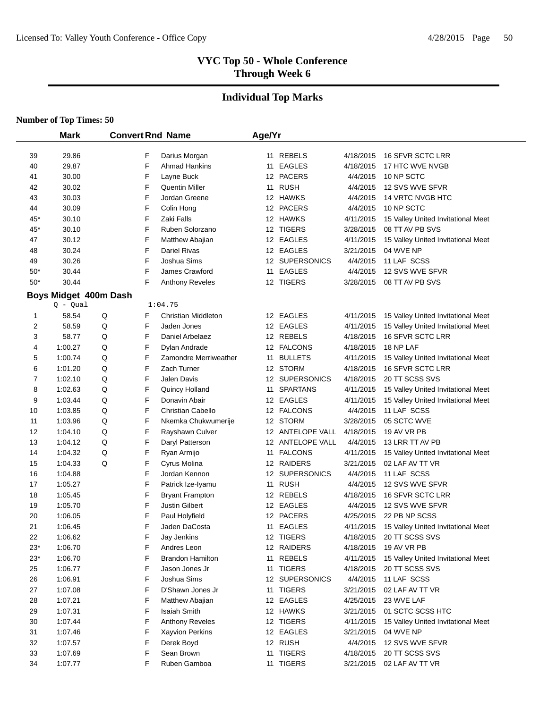#### **Individual Top Marks**

|       | <b>Mark</b>           | <b>Convert Rnd Name</b> |                         | Age/Yr |                  |           |                                    |
|-------|-----------------------|-------------------------|-------------------------|--------|------------------|-----------|------------------------------------|
| 39    | 29.86                 | F                       | Darius Morgan           |        | 11 REBELS        | 4/18/2015 | 16 SFVR SCTC LRR                   |
| 40    | 29.87                 | F                       | <b>Ahmad Hankins</b>    |        | 11 EAGLES        | 4/18/2015 | 17 HTC WVE NVGB                    |
| 41    | 30.00                 | F                       | Layne Buck              |        | 12 PACERS        | 4/4/2015  | 10 NP SCTC                         |
| 42    | 30.02                 | F                       | <b>Quentin Miller</b>   |        | 11 RUSH          | 4/4/2015  | 12 SVS WVE SFVR                    |
| 43    | 30.03                 | F                       | Jordan Greene           |        | 12 HAWKS         | 4/4/2015  | 14 VRTC NVGB HTC                   |
| 44    | 30.09                 | F                       | Colin Hong              |        | 12 PACERS        | 4/4/2015  | 10 NP SCTC                         |
| 45*   | 30.10                 | F                       | Zaki Falls              |        | 12 HAWKS         | 4/11/2015 | 15 Valley United Invitational Meet |
| 45*   | 30.10                 | F                       | Ruben Solorzano         |        | 12 TIGERS        | 3/28/2015 | 08 TT AV PB SVS                    |
| 47    | 30.12                 | F                       | Matthew Abajian         |        | 12 EAGLES        | 4/11/2015 | 15 Valley United Invitational Meet |
| 48    | 30.24                 | F                       | <b>Dariel Rivas</b>     |        | 12 EAGLES        | 3/21/2015 | 04 WVE NP                          |
| 49    | 30.26                 | F                       | Joshua Sims             |        | 12 SUPERSONICS   | 4/4/2015  | 11 LAF SCSS                        |
| $50*$ | 30.44                 | F                       | James Crawford          |        | 11 EAGLES        | 4/4/2015  | 12 SVS WVE SFVR                    |
| $50*$ | 30.44                 | F                       | <b>Anthony Reveles</b>  |        | 12 TIGERS        | 3/28/2015 | 08 TT AV PB SVS                    |
|       | Boys Midget 400m Dash |                         |                         |        |                  |           |                                    |
|       | Q - Qual              |                         | 1:04.75                 |        |                  |           |                                    |
| 1     | 58.54                 | Q<br>F                  | Christian Middleton     |        | 12 EAGLES        | 4/11/2015 | 15 Valley United Invitational Meet |
| 2     | 58.59                 | F<br>Q                  | Jaden Jones             |        | 12 EAGLES        | 4/11/2015 | 15 Valley United Invitational Meet |
| 3     | 58.77                 | F<br>Q                  | Daniel Arbelaez         |        | 12 REBELS        | 4/18/2015 | 16 SFVR SCTC LRR                   |
| 4     | 1:00.27               | F<br>Q                  | Dylan Andrade           |        | 12 FALCONS       | 4/18/2015 | 18 NP LAF                          |
| 5     | 1:00.74               | F<br>Q                  | Zamondre Merriweather   | 11     | <b>BULLETS</b>   | 4/11/2015 | 15 Valley United Invitational Meet |
| 6     | 1:01.20               | Q<br>F                  | Zach Turner             |        | 12 STORM         | 4/18/2015 | 16 SFVR SCTC LRR                   |
| 7     | 1:02.10               | Q<br>F                  | Jalen Davis             |        | 12 SUPERSONICS   | 4/18/2015 | 20 TT SCSS SVS                     |
| 8     | 1:02.63               | F<br>Q                  | Quincy Holland          |        | 11 SPARTANS      | 4/11/2015 | 15 Valley United Invitational Meet |
| 9     | 1:03.44               | F<br>Q                  | Donavin Abair           |        | 12 EAGLES        | 4/11/2015 | 15 Valley United Invitational Meet |
| 10    | 1:03.85               | F<br>Q                  | Christian Cabello       |        | 12 FALCONS       | 4/4/2015  | 11 LAF SCSS                        |
| 11    | 1:03.96               | F<br>Q                  | Nkemka Chukwumerije     |        | 12 STORM         | 3/28/2015 | 05 SCTC WVE                        |
| 12    | 1:04.10               | F<br>Q                  | Rayshawn Culver         |        | 12 ANTELOPE VALL | 4/18/2015 | 19 AV VR PB                        |
| 13    | 1:04.12               | F<br>Q                  | Daryl Patterson         |        | 12 ANTELOPE VALL | 4/4/2015  | 13 LRR TT AV PB                    |
| 14    | 1:04.32               | F<br>Q                  | Ryan Armijo             |        | 11 FALCONS       | 4/11/2015 | 15 Valley United Invitational Meet |
| 15    | 1:04.33               | F<br>Q                  | Cyrus Molina            |        | 12 RAIDERS       | 3/21/2015 | 02 LAF AV TT VR                    |
| 16    | 1:04.88               | F                       | Jordan Kennon           |        | 12 SUPERSONICS   | 4/4/2015  | 11 LAF SCSS                        |
| 17    | 1:05.27               | F                       | Patrick Ize-Iyamu       |        | 11 RUSH          | 4/4/2015  | 12 SVS WVE SFVR                    |
| 18    | 1:05.45               | F                       | <b>Bryant Frampton</b>  |        | 12 REBELS        | 4/18/2015 | 16 SFVR SCTC LRR                   |
| 19    | 1:05.70               | F                       | <b>Justin Gilbert</b>   |        | 12 EAGLES        | 4/4/2015  | 12 SVS WVE SFVR                    |
| 20    | 1:06.05               | F                       | Paul Holyfield          |        | 12 PACERS        | 4/25/2015 | 22 PB NP SCSS                      |
| 21    | 1:06.45               | F                       | Jaden DaCosta           |        | 11 EAGLES        | 4/11/2015 | 15 Valley United Invitational Meet |
| 22    | 1:06.62               | F                       | Jay Jenkins             |        | 12 TIGERS        | 4/18/2015 | 20 TT SCSS SVS                     |
| $23*$ | 1:06.70               | F                       | Andres Leon             |        | 12 RAIDERS       | 4/18/2015 | 19 AV VR PB                        |
| 23*   | 1:06.70               | F                       | <b>Brandon Hamilton</b> |        | 11 REBELS        | 4/11/2015 | 15 Valley United Invitational Meet |
| 25    | 1:06.77               | F                       | Jason Jones Jr          |        | 11 TIGERS        | 4/18/2015 | 20 TT SCSS SVS                     |
| 26    | 1:06.91               | F                       | Joshua Sims             |        | 12 SUPERSONICS   | 4/4/2015  | 11 LAF SCSS                        |
| 27    | 1:07.08               | F                       | D'Shawn Jones Jr        |        | 11 TIGERS        | 3/21/2015 | 02 LAF AV TT VR                    |
| 28    | 1:07.21               | F                       | Matthew Abajian         |        | 12 EAGLES        | 4/25/2015 | 23 WVE LAF                         |
| 29    | 1:07.31               | F                       | <b>Isaiah Smith</b>     |        | 12 HAWKS         | 3/21/2015 | 01 SCTC SCSS HTC                   |
| 30    | 1:07.44               | F                       | Anthony Reveles         |        | 12 TIGERS        | 4/11/2015 | 15 Valley United Invitational Meet |
| 31    | 1:07.46               | F                       | <b>Xayvion Perkins</b>  |        | 12 EAGLES        | 3/21/2015 | 04 WVE NP                          |
| 32    | 1:07.57               | F                       | Derek Boyd              |        | 12 RUSH          | 4/4/2015  | 12 SVS WVE SFVR                    |
| 33    | 1:07.69               | F                       | Sean Brown              |        | 11 TIGERS        | 4/18/2015 | 20 TT SCSS SVS                     |
| 34    | 1:07.77               | F                       | Ruben Gamboa            |        | 11 TIGERS        | 3/21/2015 | 02 LAF AV TT VR                    |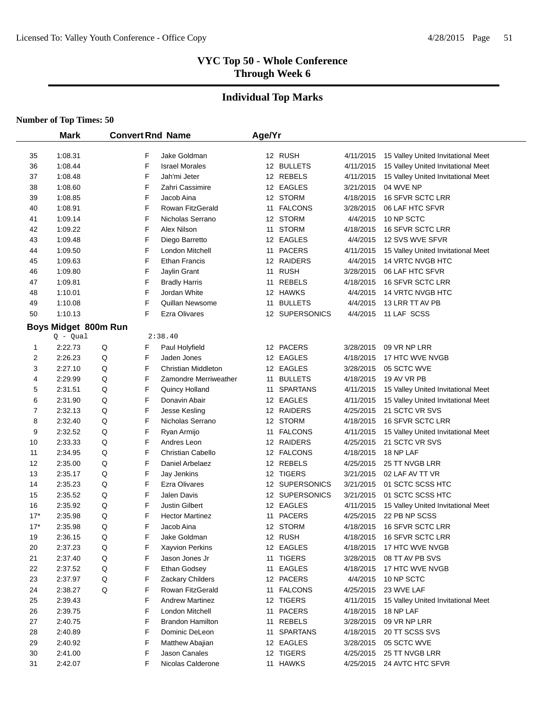# **Individual Top Marks**

|       | <b>Mark</b>          | <b>Convert Rnd Name</b> |   |                          | Age/Yr |                 |           |                                    |
|-------|----------------------|-------------------------|---|--------------------------|--------|-----------------|-----------|------------------------------------|
| 35    | 1:08.31              |                         | F | Jake Goldman             |        | 12 RUSH         | 4/11/2015 | 15 Valley United Invitational Meet |
| 36    | 1:08.44              |                         | F | <b>Israel Morales</b>    |        | 12 BULLETS      | 4/11/2015 | 15 Valley United Invitational Meet |
| 37    | 1:08.48              |                         | F | Jah'mi Jeter             |        | 12 REBELS       | 4/11/2015 | 15 Valley United Invitational Meet |
| 38    | 1:08.60              |                         | F | Zahri Cassimire          |        | 12 EAGLES       | 3/21/2015 | 04 WVE NP                          |
| 39    | 1:08.85              |                         | F | Jacob Aina               |        | 12 STORM        | 4/18/2015 | 16 SFVR SCTC LRR                   |
| 40    | 1:08.91              |                         | F | Rowan FitzGerald         |        | 11 FALCONS      | 3/28/2015 | 06 LAF HTC SFVR                    |
| 41    | 1:09.14              |                         | F | Nicholas Serrano         |        | 12 STORM        | 4/4/2015  | 10 NP SCTC                         |
| 42    | 1:09.22              |                         | F | Alex Nilson              | 11     | <b>STORM</b>    | 4/18/2015 | 16 SFVR SCTC LRR                   |
| 43    | 1:09.48              |                         | F | Diego Barretto           |        | 12 EAGLES       | 4/4/2015  | 12 SVS WVE SFVR                    |
| 44    | 1:09.50              |                         | F | London Mitchell          |        | 11 PACERS       | 4/11/2015 | 15 Valley United Invitational Meet |
| 45    | 1:09.63              |                         | F | Ethan Francis            |        | 12 RAIDERS      | 4/4/2015  | 14 VRTC NVGB HTC                   |
| 46    | 1:09.80              |                         | F | Jaylin Grant             |        | 11 RUSH         | 3/28/2015 | 06 LAF HTC SFVR                    |
| 47    | 1:09.81              |                         | F | <b>Bradly Harris</b>     |        | 11 REBELS       | 4/18/2015 | 16 SFVR SCTC LRR                   |
| 48    | 1:10.01              |                         | F | Jordan White             |        | 12 HAWKS        | 4/4/2015  | 14 VRTC NVGB HTC                   |
| 49    | 1:10.08              |                         | F | Quillan Newsome          |        | 11 BULLETS      | 4/4/2015  | 13 LRR TT AV PB                    |
| 50    | 1:10.13              |                         | F | <b>Ezra Olivares</b>     |        | 12 SUPERSONICS  | 4/4/2015  | 11 LAF SCSS                        |
|       | Boys Midget 800m Run |                         |   |                          |        |                 |           |                                    |
|       | $Q - Qual$           |                         |   | 2:38.40                  |        |                 |           |                                    |
| 1     | 2:22.73              | Q                       | F | Paul Holyfield           |        | 12 PACERS       | 3/28/2015 | 09 VR NP LRR                       |
| 2     | 2:26.23              | Q                       | F | Jaden Jones              |        | 12 EAGLES       | 4/18/2015 | 17 HTC WVE NVGB                    |
| 3     | 2:27.10              | Q                       | F | Christian Middleton      |        | 12 EAGLES       | 3/28/2015 | 05 SCTC WVE                        |
| 4     | 2:29.99              | Q                       | F | Zamondre Merriweather    |        | 11 BULLETS      | 4/18/2015 | 19 AV VR PB                        |
| 5     | 2:31.51              | Q                       | F | Quincy Holland           | 11     | <b>SPARTANS</b> | 4/11/2015 | 15 Valley United Invitational Meet |
| 6     | 2:31.90              | Q                       | F | Donavin Abair            |        | 12 EAGLES       | 4/11/2015 | 15 Valley United Invitational Meet |
| 7     | 2:32.13              | Q                       | F | Jesse Kesling            |        | 12 RAIDERS      | 4/25/2015 | 21 SCTC VR SVS                     |
| 8     | 2:32.40              | Q                       | F | Nicholas Serrano         |        | 12 STORM        | 4/18/2015 | 16 SFVR SCTC LRR                   |
| 9     | 2:32.52              | Q                       | F | Ryan Armijo              |        | 11 FALCONS      | 4/11/2015 | 15 Valley United Invitational Meet |
| 10    | 2:33.33              | Q                       | F | Andres Leon              |        | 12 RAIDERS      | 4/25/2015 | 21 SCTC VR SVS                     |
| 11    | 2:34.95              | Q                       | F | <b>Christian Cabello</b> |        | 12 FALCONS      | 4/18/2015 | 18 NP LAF                          |
| 12    | 2:35.00              | Q                       | F | Daniel Arbelaez          |        | 12 REBELS       | 4/25/2015 | 25 TT NVGB LRR                     |
| 13    | 2:35.17              | Q                       | F | Jay Jenkins              |        | 12 TIGERS       | 3/21/2015 | 02 LAF AV TT VR                    |
| 14    | 2:35.23              | Q                       | F | <b>Ezra Olivares</b>     |        | 12 SUPERSONICS  | 3/21/2015 | 01 SCTC SCSS HTC                   |
| 15    | 2:35.52              | Q                       | F | <b>Jalen Davis</b>       |        | 12 SUPERSONICS  | 3/21/2015 | 01 SCTC SCSS HTC                   |
| 16    | 2:35.92              | Q                       | F | <b>Justin Gilbert</b>    |        | 12 EAGLES       | 4/11/2015 | 15 Valley United Invitational Meet |
| $17*$ | 2:35.98              | Q                       | F | <b>Hector Martinez</b>   | 11     | <b>PACERS</b>   | 4/25/2015 | 22 PB NP SCSS                      |
| $17*$ | 2:35.98              | Q                       | F | Jacob Aina               |        | 12 STORM        | 4/18/2015 | 16 SFVR SCTC LRR                   |
| 19    | 2:36.15              | Q                       | F | Jake Goldman             |        | 12 RUSH         | 4/18/2015 | 16 SFVR SCTC LRR                   |
| 20    | 2:37.23              | Q                       | F | <b>Xayvion Perkins</b>   |        | 12 EAGLES       | 4/18/2015 | 17 HTC WVE NVGB                    |
| 21    | 2:37.40              | Q                       | F | Jason Jones Jr           |        | 11 TIGERS       | 3/28/2015 | 08 TT AV PB SVS                    |
| 22    | 2:37.52              | Q                       | F | Ethan Godsey             |        | 11 EAGLES       | 4/18/2015 | 17 HTC WVE NVGB                    |
| 23    | 2:37.97              | Q                       | F | Zackary Childers         |        | 12 PACERS       | 4/4/2015  | 10 NP SCTC                         |
| 24    | 2:38.27              | Q                       | F | Rowan FitzGerald         |        | 11 FALCONS      | 4/25/2015 | 23 WVE LAF                         |
| 25    | 2:39.43              |                         | F | Andrew Martinez          |        | 12 TIGERS       | 4/11/2015 | 15 Valley United Invitational Meet |
| 26    | 2:39.75              |                         | F | London Mitchell          |        | 11 PACERS       | 4/18/2015 | 18 NP LAF                          |
| 27    | 2:40.75              |                         | F | <b>Brandon Hamilton</b>  |        | 11 REBELS       | 3/28/2015 | 09 VR NP LRR                       |
| 28    | 2:40.89              |                         | F | Dominic DeLeon           |        | 11 SPARTANS     | 4/18/2015 | 20 TT SCSS SVS                     |
| 29    | 2:40.92              |                         | F | Matthew Abajian          |        | 12 EAGLES       | 3/28/2015 | 05 SCTC WVE                        |
| 30    | 2:41.00              |                         | F | Jason Canales            |        | 12 TIGERS       | 4/25/2015 | 25 TT NVGB LRR                     |
| 31    | 2:42.07              |                         | F | Nicolas Calderone        |        | 11 HAWKS        | 4/25/2015 | 24 AVTC HTC SFVR                   |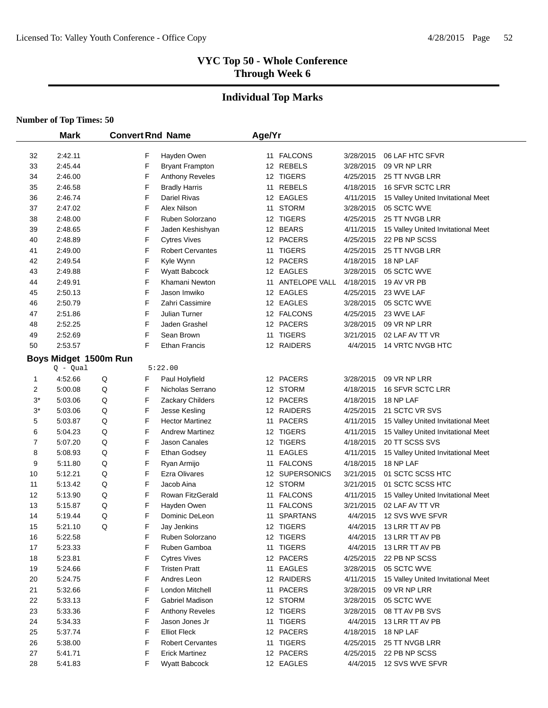# **Individual Top Marks**

|       | <b>Mark</b> |                       |        | <b>Convert Rnd Name</b>              | Age/Yr |                  |           |                                    |
|-------|-------------|-----------------------|--------|--------------------------------------|--------|------------------|-----------|------------------------------------|
|       |             |                       |        |                                      |        |                  |           |                                    |
| 32    | 2:42.11     |                       | F<br>F | Hayden Owen                          |        | 11 FALCONS       | 3/28/2015 | 06 LAF HTC SFVR                    |
| 33    | 2:45.44     |                       |        | <b>Bryant Frampton</b>               |        | 12 REBELS        | 3/28/2015 | 09 VR NP LRR                       |
| 34    | 2:46.00     |                       | F<br>F | Anthony Reveles                      |        | 12 TIGERS        | 4/25/2015 | 25 TT NVGB LRR                     |
| 35    | 2:46.58     |                       |        | <b>Bradly Harris</b><br>Dariel Rivas |        | 11 REBELS        | 4/18/2015 | 16 SFVR SCTC LRR                   |
| 36    | 2:46.74     |                       | F      |                                      |        | 12 EAGLES        | 4/11/2015 | 15 Valley United Invitational Meet |
| 37    | 2:47.02     |                       | F<br>F | Alex Nilson                          |        | 11 STORM         | 3/28/2015 | 05 SCTC WVE                        |
| 38    | 2:48.00     |                       |        | Ruben Solorzano                      |        | 12 TIGERS        | 4/25/2015 | 25 TT NVGB LRR                     |
| 39    | 2:48.65     |                       | F      | Jaden Keshishyan                     |        | 12 BEARS         | 4/11/2015 | 15 Valley United Invitational Meet |
| 40    | 2:48.89     |                       | F<br>F | <b>Cytres Vives</b>                  |        | 12 PACERS        | 4/25/2015 | 22 PB NP SCSS<br>25 TT NVGB LRR    |
| 41    | 2:49.00     |                       |        | <b>Robert Cervantes</b>              |        | 11 TIGERS        | 4/25/2015 |                                    |
| 42    | 2:49.54     |                       | F      | Kyle Wynn                            |        | 12 PACERS        | 4/18/2015 | 18 NP LAF                          |
| 43    | 2:49.88     |                       | F      | <b>Wyatt Babcock</b>                 |        | 12 EAGLES        | 3/28/2015 | 05 SCTC WVE                        |
| 44    | 2:49.91     |                       | F      | Khamani Newton                       |        | 11 ANTELOPE VALL | 4/18/2015 | 19 AV VR PB                        |
| 45    | 2:50.13     |                       | F      | Jason Imwiko                         |        | 12 EAGLES        | 4/25/2015 | 23 WVE LAF                         |
| 46    | 2:50.79     |                       | F      | Zahri Cassimire                      |        | 12 EAGLES        | 3/28/2015 | 05 SCTC WVE                        |
| 47    | 2:51.86     |                       | F      | Julian Turner                        |        | 12 FALCONS       | 4/25/2015 | 23 WVE LAF                         |
| 48    | 2:52.25     |                       | F      | Jaden Grashel                        |        | 12 PACERS        | 3/28/2015 | 09 VR NP LRR                       |
| 49    | 2:52.69     |                       | F      | Sean Brown                           |        | 11 TIGERS        | 3/21/2015 | 02 LAF AV TT VR                    |
| 50    | 2:53.57     |                       | F      | <b>Ethan Francis</b>                 |        | 12 RAIDERS       | 4/4/2015  | 14 VRTC NVGB HTC                   |
|       |             | Boys Midget 1500m Run |        |                                      |        |                  |           |                                    |
|       | $Q - Qual$  |                       |        | 5:22.00                              |        |                  |           |                                    |
| 1     | 4:52.66     | Q                     | F      | Paul Holyfield                       |        | 12 PACERS        | 3/28/2015 | 09 VR NP LRR                       |
| 2     | 5:00.08     | Q                     | F      | Nicholas Serrano                     |        | 12 STORM         | 4/18/2015 | 16 SFVR SCTC LRR                   |
| $3^*$ | 5:03.06     | Q                     | F      | Zackary Childers                     |        | 12 PACERS        | 4/18/2015 | 18 NP LAF                          |
| $3^*$ | 5:03.06     | Q                     | F      | Jesse Kesling                        |        | 12 RAIDERS       | 4/25/2015 | 21 SCTC VR SVS                     |
| 5     | 5:03.87     | Q                     | F      | <b>Hector Martinez</b>               |        | 11 PACERS        | 4/11/2015 | 15 Valley United Invitational Meet |
| 6     | 5:04.23     | Q                     | F      | <b>Andrew Martinez</b>               |        | 12 TIGERS        | 4/11/2015 | 15 Valley United Invitational Meet |
| 7     | 5:07.20     | Q                     | F      | Jason Canales                        |        | 12 TIGERS        | 4/18/2015 | 20 TT SCSS SVS                     |
| 8     | 5:08.93     | Q                     | F      | Ethan Godsey                         | 11     | <b>EAGLES</b>    | 4/11/2015 | 15 Valley United Invitational Meet |
| 9     | 5:11.80     | Q                     | F      | Ryan Armijo                          |        | 11 FALCONS       | 4/18/2015 | 18 NP LAF                          |
| 10    | 5:12.21     | Q                     | F      | <b>Ezra Olivares</b>                 |        | 12 SUPERSONICS   | 3/21/2015 | 01 SCTC SCSS HTC                   |
| 11    | 5:13.42     | Q                     | F      | Jacob Aina                           |        | 12 STORM         | 3/21/2015 | 01 SCTC SCSS HTC                   |
| 12    | 5:13.90     | Q                     | F      | Rowan FitzGerald                     | 11     | <b>FALCONS</b>   | 4/11/2015 | 15 Valley United Invitational Meet |
| 13    | 5:15.87     | Q                     | F      | Hayden Owen                          | 11     | <b>FALCONS</b>   | 3/21/2015 | 02 LAF AV TT VR                    |
| 14    | 5:19.44     | Q                     | F      | Dominic DeLeon                       | 11     | <b>SPARTANS</b>  | 4/4/2015  | 12 SVS WVE SFVR                    |
| 15    | 5:21.10     | Q                     | F      | Jay Jenkins                          |        | 12 TIGERS        | 4/4/2015  | 13 LRR TT AV PB                    |
| 16    | 5:22.58     |                       | F      | Ruben Solorzano                      |        | 12 TIGERS        | 4/4/2015  | 13 LRR TT AV PB                    |
| 17    | 5:23.33     |                       | F      | Ruben Gamboa                         |        | 11 TIGERS        | 4/4/2015  | 13 LRR TT AV PB                    |
| 18    | 5:23.81     |                       | F      | <b>Cytres Vives</b>                  |        | 12 PACERS        | 4/25/2015 | 22 PB NP SCSS                      |
| 19    | 5:24.66     |                       | F      | <b>Tristen Pratt</b>                 |        | 11 EAGLES        | 3/28/2015 | 05 SCTC WVE                        |
| 20    | 5:24.75     |                       | F      | Andres Leon                          |        | 12 RAIDERS       | 4/11/2015 | 15 Valley United Invitational Meet |
| 21    | 5:32.66     |                       | F      | London Mitchell                      |        | 11 PACERS        | 3/28/2015 | 09 VR NP LRR                       |
| 22    | 5:33.13     |                       | F      | Gabriel Madison                      |        | 12 STORM         | 3/28/2015 | 05 SCTC WVE                        |
| 23    | 5:33.36     |                       | F      | Anthony Reveles                      |        | 12 TIGERS        | 3/28/2015 | 08 TT AV PB SVS                    |
| 24    | 5:34.33     |                       | F      | Jason Jones Jr                       |        | 11 TIGERS        | 4/4/2015  | 13 LRR TT AV PB                    |
| 25    | 5:37.74     |                       | F      | <b>Elliot Fleck</b>                  |        | 12 PACERS        | 4/18/2015 | 18 NP LAF                          |
| 26    | 5:38.00     |                       | F      | <b>Robert Cervantes</b>              |        | 11 TIGERS        | 4/25/2015 | 25 TT NVGB LRR                     |
| 27    | 5:41.71     |                       | F      | <b>Erick Martinez</b>                |        | 12 PACERS        | 4/25/2015 | 22 PB NP SCSS                      |
| 28    | 5:41.83     |                       | F      | Wyatt Babcock                        |        | 12 EAGLES        | 4/4/2015  | 12 SVS WVE SFVR                    |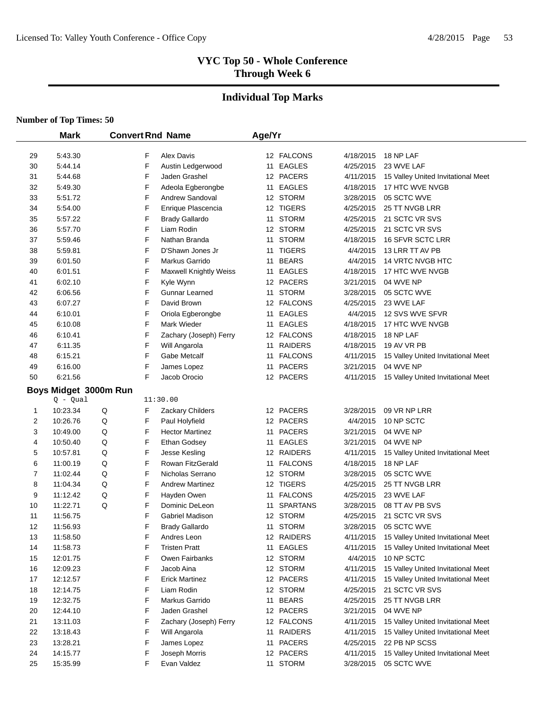# **Individual Top Marks**

|          | <b>Mark</b>           |   |   | <b>Convert Rnd Name</b>             | Age/Yr |                 |           |                                    |  |
|----------|-----------------------|---|---|-------------------------------------|--------|-----------------|-----------|------------------------------------|--|
| 29       | 5:43.30               |   | F | <b>Alex Davis</b>                   |        | 12 FALCONS      | 4/18/2015 | 18 NP LAF                          |  |
| 30       | 5:44.14               |   | F | Austin Ledgerwood                   |        | 11 EAGLES       | 4/25/2015 | 23 WVE LAF                         |  |
| 31       | 5:44.68               |   | F | Jaden Grashel                       |        | 12 PACERS       | 4/11/2015 | 15 Valley United Invitational Meet |  |
| 32       | 5:49.30               |   | F | Adeola Egberongbe                   |        | 11 EAGLES       | 4/18/2015 | 17 HTC WVE NVGB                    |  |
| 33       | 5:51.72               |   | F | Andrew Sandoval                     |        | 12 STORM        | 3/28/2015 | 05 SCTC WVE                        |  |
| 34       | 5:54.00               |   | F | Enrique Plascencia                  |        | 12 TIGERS       | 4/25/2015 | 25 TT NVGB LRR                     |  |
|          | 5:57.22               |   | F |                                     |        | 11 STORM        | 4/25/2015 | 21 SCTC VR SVS                     |  |
| 35<br>36 | 5:57.70               |   | F | <b>Brady Gallardo</b><br>Liam Rodin |        | 12 STORM        | 4/25/2015 | 21 SCTC VR SVS                     |  |
| 37       | 5:59.46               |   | F | Nathan Branda                       |        | 11 STORM        | 4/18/2015 | 16 SFVR SCTC LRR                   |  |
| 38       | 5:59.81               |   | F | D'Shawn Jones Jr                    |        | 11 TIGERS       | 4/4/2015  | 13 LRR TT AV PB                    |  |
| 39       | 6:01.50               |   | F | Markus Garrido                      |        | 11 BEARS        | 4/4/2015  | 14 VRTC NVGB HTC                   |  |
|          |                       |   | F |                                     |        | 11 EAGLES       |           | 17 HTC WVE NVGB                    |  |
| 40       | 6:01.51               |   | F | <b>Maxwell Knightly Weiss</b>       |        | 12 PACERS       | 4/18/2015 |                                    |  |
| 41       | 6:02.10               |   | F | Kyle Wynn                           |        |                 | 3/21/2015 | 04 WVE NP                          |  |
| 42       | 6:06.56               |   | F | Gunnar Learned                      |        | 11 STORM        | 3/28/2015 | 05 SCTC WVE                        |  |
| 43       | 6:07.27               |   |   | David Brown                         |        | 12 FALCONS      | 4/25/2015 | 23 WVE LAF                         |  |
| 44       | 6:10.01               |   | F | Oriola Egberongbe                   |        | 11 EAGLES       | 4/4/2015  | 12 SVS WVE SFVR                    |  |
| 45       | 6:10.08               |   | F | Mark Wieder                         |        | 11 EAGLES       | 4/18/2015 | 17 HTC WVE NVGB                    |  |
| 46       | 6:10.41               |   | F | Zachary (Joseph) Ferry              |        | 12 FALCONS      | 4/18/2015 | 18 NP LAF                          |  |
| 47       | 6:11.35               |   | F | Will Angarola                       |        | 11 RAIDERS      | 4/18/2015 | 19 AV VR PB                        |  |
| 48       | 6:15.21               |   | F | Gabe Metcalf                        |        | 11 FALCONS      | 4/11/2015 | 15 Valley United Invitational Meet |  |
| 49       | 6:16.00               |   | F | James Lopez                         |        | 11 PACERS       | 3/21/2015 | 04 WVE NP                          |  |
| 50       | 6:21.56               |   | F | Jacob Orocio                        |        | 12 PACERS       | 4/11/2015 | 15 Valley United Invitational Meet |  |
|          | Boys Midget 3000m Run |   |   |                                     |        |                 |           |                                    |  |
|          | $Q - Qual$            |   |   | 11:30.00                            |        |                 |           |                                    |  |
| 1        | 10:23.34              | Q | F | <b>Zackary Childers</b>             |        | 12 PACERS       | 3/28/2015 | 09 VR NP LRR                       |  |
| 2        | 10:26.76              | Q | F | Paul Holyfield                      |        | 12 PACERS       | 4/4/2015  | 10 NP SCTC                         |  |
| 3        | 10:49.00              | Q | F | <b>Hector Martinez</b>              |        | 11 PACERS       | 3/21/2015 | 04 WVE NP                          |  |
| 4        | 10:50.40              | Q | F | Ethan Godsey                        |        | 11 EAGLES       | 3/21/2015 | 04 WVE NP                          |  |
| 5        | 10:57.81              | Q | F | Jesse Kesling                       |        | 12 RAIDERS      | 4/11/2015 | 15 Valley United Invitational Meet |  |
| 6        | 11:00.19              | Q | F | Rowan FitzGerald                    |        | 11 FALCONS      | 4/18/2015 | 18 NP LAF                          |  |
| 7        | 11:02.44              | Q | F | Nicholas Serrano                    |        | 12 STORM        | 3/28/2015 | 05 SCTC WVE                        |  |
| 8        | 11:04.34              | Q | F | <b>Andrew Martinez</b>              |        | 12 TIGERS       | 4/25/2015 | 25 TT NVGB LRR                     |  |
| 9        | 11:12.42              | Q | F | Hayden Owen                         |        | 11 FALCONS      | 4/25/2015 | 23 WVE LAF                         |  |
| 10       | 11:22.71              | Q | F | Dominic DeLeon                      | 11     | <b>SPARTANS</b> | 3/28/2015 | 08 TT AV PB SVS                    |  |
| 11       | 11:56.75              |   | F | Gabriel Madison                     |        | 12 STORM        | 4/25/2015 | 21 SCTC VR SVS                     |  |
| 12       | 11:56.93              |   | F | <b>Brady Gallardo</b>               |        | 11 STORM        | 3/28/2015 | 05 SCTC WVE                        |  |
| 13       | 11:58.50              |   | F | Andres Leon                         |        | 12 RAIDERS      | 4/11/2015 | 15 Valley United Invitational Meet |  |
| 14       | 11:58.73              |   | F | <b>Tristen Pratt</b>                |        | 11 EAGLES       | 4/11/2015 | 15 Valley United Invitational Meet |  |
| 15       | 12:01.75              |   | F | Owen Fairbanks                      |        | 12 STORM        | 4/4/2015  | 10 NP SCTC                         |  |
| 16       | 12:09.23              |   | F | Jacob Aina                          |        | 12 STORM        | 4/11/2015 | 15 Valley United Invitational Meet |  |
| 17       | 12:12.57              |   | F | <b>Erick Martinez</b>               |        | 12 PACERS       | 4/11/2015 | 15 Valley United Invitational Meet |  |
| 18       | 12:14.75              |   | F | Liam Rodin                          |        | 12 STORM        | 4/25/2015 | 21 SCTC VR SVS                     |  |
| 19       | 12:32.75              |   | F | Markus Garrido                      |        | 11 BEARS        | 4/25/2015 | 25 TT NVGB LRR                     |  |
| 20       | 12:44.10              |   | F | Jaden Grashel                       |        | 12 PACERS       | 3/21/2015 | 04 WVE NP                          |  |
| 21       | 13:11.03              |   | F | Zachary (Joseph) Ferry              |        | 12 FALCONS      | 4/11/2015 | 15 Valley United Invitational Meet |  |
| 22       | 13:18.43              |   | F | Will Angarola                       |        | 11 RAIDERS      | 4/11/2015 | 15 Valley United Invitational Meet |  |
| 23       | 13:28.21              |   | F | James Lopez                         |        | 11 PACERS       | 4/25/2015 | 22 PB NP SCSS                      |  |
| 24       | 14:15.77              |   | F | Joseph Morris                       |        | 12 PACERS       | 4/11/2015 | 15 Valley United Invitational Meet |  |
| 25       | 15:35.99              |   | F | Evan Valdez                         |        | 11 STORM        | 3/28/2015 | 05 SCTC WVE                        |  |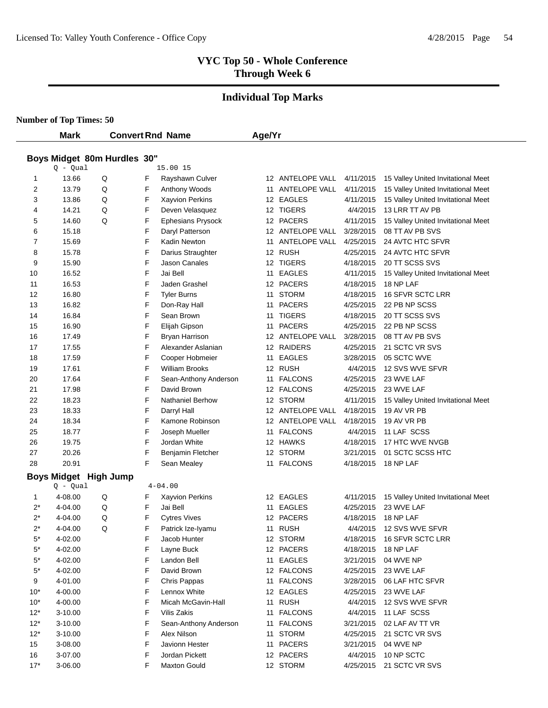# **Individual Top Marks**

**Number of Top Times: 50**

 $\overline{\phantom{a}}$ 

|           | <b>Convert Rnd Name</b><br><b>Mark</b> |                              | Age/Yr |                          |  |                  |           |                                    |  |
|-----------|----------------------------------------|------------------------------|--------|--------------------------|--|------------------|-----------|------------------------------------|--|
|           |                                        |                              |        |                          |  |                  |           |                                    |  |
|           |                                        | Boys Midget 80m Hurdles 30"  |        |                          |  |                  |           |                                    |  |
|           | $Q - Qual$                             |                              |        | 15.00 15                 |  |                  |           |                                    |  |
| 1         | 13.66                                  | Q                            | F      | Rayshawn Culver          |  | 12 ANTELOPE VALL | 4/11/2015 | 15 Valley United Invitational Meet |  |
| 2         | 13.79                                  | Q                            | F      | Anthony Woods            |  | 11 ANTELOPE VALL | 4/11/2015 | 15 Valley United Invitational Meet |  |
| 3         | 13.86                                  | Q                            | F      | Xayvion Perkins          |  | 12 EAGLES        | 4/11/2015 | 15 Valley United Invitational Meet |  |
| 4         | 14.21                                  | Q                            | F      | Deven Velasquez          |  | 12 TIGERS        | 4/4/2015  | 13 LRR TT AV PB                    |  |
| 5         | 14.60                                  | Q                            | F      | <b>Ephesians Prysock</b> |  | 12 PACERS        | 4/11/2015 | 15 Valley United Invitational Meet |  |
| 6         | 15.18                                  |                              | F      | Daryl Patterson          |  | 12 ANTELOPE VALL | 3/28/2015 | 08 TT AV PB SVS                    |  |
| 7         | 15.69                                  |                              | F      | Kadin Newton             |  | 11 ANTELOPE VALL | 4/25/2015 | 24 AVTC HTC SFVR                   |  |
| 8         | 15.78                                  |                              | F      | Darius Straughter        |  | 12 RUSH          | 4/25/2015 | 24 AVTC HTC SFVR                   |  |
| 9         | 15.90                                  |                              | F      | Jason Canales            |  | 12 TIGERS        | 4/18/2015 | 20 TT SCSS SVS                     |  |
| 10        | 16.52                                  |                              | F      | Jai Bell                 |  | 11 EAGLES        | 4/11/2015 | 15 Valley United Invitational Meet |  |
| 11        | 16.53                                  |                              | F      | Jaden Grashel            |  | 12 PACERS        | 4/18/2015 | 18 NP LAF                          |  |
| 12        | 16.80                                  |                              | F      | <b>Tyler Burns</b>       |  | 11 STORM         | 4/18/2015 | 16 SFVR SCTC LRR                   |  |
| 13        | 16.82                                  |                              | F      | Don-Ray Hall             |  | 11 PACERS        | 4/25/2015 | 22 PB NP SCSS                      |  |
| 14        | 16.84                                  |                              | F      | Sean Brown               |  | 11 TIGERS        | 4/18/2015 | 20 TT SCSS SVS                     |  |
| 15        | 16.90                                  |                              | F      | Elijah Gipson            |  | 11 PACERS        | 4/25/2015 | 22 PB NP SCSS                      |  |
| 16        | 17.49                                  |                              | F      | <b>Bryan Harrison</b>    |  | 12 ANTELOPE VALL | 3/28/2015 | 08 TT AV PB SVS                    |  |
| 17        | 17.55                                  |                              | F      | Alexander Aslanian       |  | 12 RAIDERS       | 4/25/2015 | 21 SCTC VR SVS                     |  |
| 18        | 17.59                                  |                              | F      | Cooper Hobmeier          |  | 11 EAGLES        | 3/28/2015 | 05 SCTC WVE                        |  |
| 19        | 17.61                                  |                              | F      | <b>William Brooks</b>    |  | 12 RUSH          | 4/4/2015  | 12 SVS WVE SFVR                    |  |
| 20        | 17.64                                  |                              | F      | Sean-Anthony Anderson    |  | 11 FALCONS       | 4/25/2015 | 23 WVE LAF                         |  |
| 21        | 17.98                                  |                              | F      | David Brown              |  | 12 FALCONS       | 4/25/2015 | 23 WVE LAF                         |  |
| 22        | 18.23                                  |                              | F      | <b>Nathaniel Berhow</b>  |  | 12 STORM         | 4/11/2015 | 15 Valley United Invitational Meet |  |
| 23        | 18.33                                  |                              | F      | Darryl Hall              |  | 12 ANTELOPE VALL | 4/18/2015 | 19 AV VR PB                        |  |
| 24        | 18.34                                  |                              | F      | Kamone Robinson          |  | 12 ANTELOPE VALL | 4/18/2015 | 19 AV VR PB                        |  |
| 25        | 18.77                                  |                              | F      | Joseph Mueller           |  | 11 FALCONS       | 4/4/2015  | 11 LAF SCSS                        |  |
| 26        | 19.75                                  |                              | F      | Jordan White             |  | 12 HAWKS         | 4/18/2015 | 17 HTC WVE NVGB                    |  |
| 27        | 20.26                                  |                              | F      | Benjamin Fletcher        |  | 12 STORM         | 3/21/2015 | 01 SCTC SCSS HTC                   |  |
| 28        | 20.91                                  |                              | F      | Sean Mealey              |  | 11 FALCONS       | 4/18/2015 | 18 NP LAF                          |  |
|           |                                        | <b>Boys Midget High Jump</b> |        |                          |  |                  |           |                                    |  |
|           | $Q - Qual$                             |                              |        | $4 - 04.00$              |  |                  |           |                                    |  |
| 1         | 4-08.00                                | Q                            | F      | Xayvion Perkins          |  | 12 EAGLES        | 4/11/2015 | 15 Valley United Invitational Meet |  |
| $2^*$     | 4-04.00                                | Q                            | F      | Jai Bell                 |  | 11 EAGLES        | 4/25/2015 | 23 WVE LAF                         |  |
| $2^*$     | 4-04.00                                | Q                            | F      | <b>Cytres Vives</b>      |  | 12 PACERS        | 4/18/2015 | 18 NP LAF                          |  |
| $2^*$     | 4-04.00                                | Q                            | F      | Patrick Ize-Iyamu        |  | 11 RUSH          |           | 4/4/2015 12 SVS WVE SFVR           |  |
| $5^*$     | 4-02.00                                |                              | F      | Jacob Hunter             |  | 12 STORM         | 4/18/2015 | 16 SFVR SCTC LRR                   |  |
| $5^\star$ | 4-02.00                                |                              | F      | Layne Buck               |  | 12 PACERS        | 4/18/2015 | 18 NP LAF                          |  |
| $5^*$     | 4-02.00                                |                              | F      | Landon Bell              |  | 11 EAGLES        | 3/21/2015 | 04 WVE NP                          |  |
| $5^\star$ | 4-02.00                                |                              | F      | David Brown              |  | 12 FALCONS       | 4/25/2015 | 23 WVE LAF                         |  |
| 9         | 4-01.00                                |                              | F      | Chris Pappas             |  | 11 FALCONS       | 3/28/2015 | 06 LAF HTC SFVR                    |  |
| $10*$     | 4-00.00                                |                              | F      | Lennox White             |  | 12 EAGLES        | 4/25/2015 | 23 WVE LAF                         |  |
| $10*$     | 4-00.00                                |                              | F      | Micah McGavin-Hall       |  | 11 RUSH          | 4/4/2015  | 12 SVS WVE SFVR                    |  |
| $12*$     | 3-10.00                                |                              | F      | Vilis Zakis              |  | 11 FALCONS       | 4/4/2015  | 11 LAF SCSS                        |  |
| $12*$     | 3-10.00                                |                              | F      | Sean-Anthony Anderson    |  | 11 FALCONS       | 3/21/2015 | 02 LAF AV TT VR                    |  |
| $12*$     | 3-10.00                                |                              | F      | Alex Nilson              |  | 11 STORM         | 4/25/2015 | 21 SCTC VR SVS                     |  |
| 15        | 3-08.00                                |                              | F      | Javionn Hester           |  | 11 PACERS        | 3/21/2015 | 04 WVE NP                          |  |
| 16        | 3-07.00                                |                              | F      | Jordan Pickett           |  | 12 PACERS        | 4/4/2015  | 10 NP SCTC                         |  |
| $17*$     | 3-06.00                                |                              | F      | <b>Maxton Gould</b>      |  | 12 STORM         | 4/25/2015 | 21 SCTC VR SVS                     |  |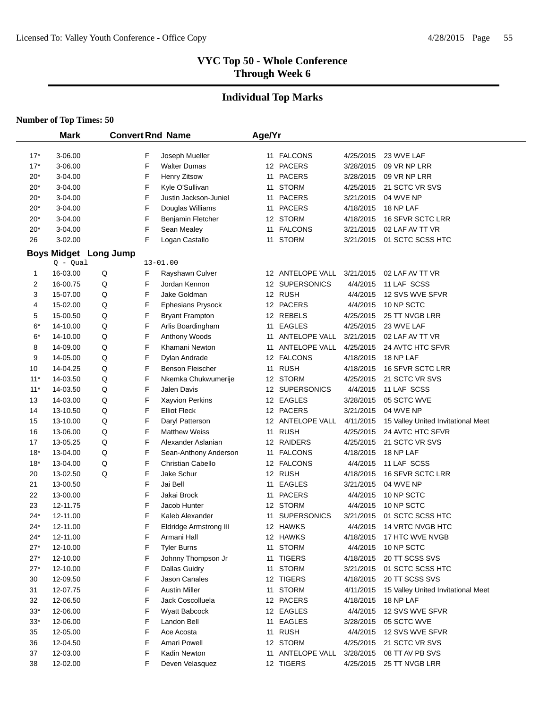# **Individual Top Marks**

|       | <b>Mark</b> |                              |   | <b>Convert Rnd Name</b>               | Age/Yr |                    |                        |                                    |
|-------|-------------|------------------------------|---|---------------------------------------|--------|--------------------|------------------------|------------------------------------|
| $17*$ | 3-06.00     |                              | F |                                       |        | 11 FALCONS         |                        | 23 WVE LAF                         |
| $17*$ | 3-06.00     |                              | F | Joseph Mueller<br><b>Walter Dumas</b> |        | 12 PACERS          | 4/25/2015<br>3/28/2015 | 09 VR NP LRR                       |
| $20*$ | 3-04.00     |                              | F | Henry Zitsow                          |        | 11 PACERS          | 3/28/2015              | 09 VR NP LRR                       |
| $20*$ | 3-04.00     |                              | F | Kyle O'Sullivan                       |        | 11 STORM           | 4/25/2015              | 21 SCTC VR SVS                     |
| $20*$ | 3-04.00     |                              | F | Justin Jackson-Juniel                 |        | 11 PACERS          | 3/21/2015              | 04 WVE NP                          |
| 20*   | 3-04.00     |                              | F | Douglas Williams                      |        | 11 PACERS          | 4/18/2015              | 18 NP LAF                          |
| 20*   | $3 - 04.00$ |                              | F | Benjamin Fletcher                     |        | 12 STORM           | 4/18/2015              | 16 SFVR SCTC LRR                   |
| $20*$ | 3-04.00     |                              | F | Sean Mealey                           | 11     | <b>FALCONS</b>     | 3/21/2015              | 02 LAF AV TT VR                    |
| 26    | 3-02.00     |                              | F | Logan Castallo                        | 11     | <b>STORM</b>       | 3/21/2015              | 01 SCTC SCSS HTC                   |
|       |             |                              |   |                                       |        |                    |                        |                                    |
|       | $Q - Qual$  | <b>Boys Midget Long Jump</b> |   | $13 - 01.00$                          |        |                    |                        |                                    |
| 1     | 16-03.00    | Q                            | F | Rayshawn Culver                       |        | 12 ANTELOPE VALL   | 3/21/2015              | 02 LAF AV TT VR                    |
| 2     | 16-00.75    | Q                            | F | Jordan Kennon                         |        | 12 SUPERSONICS     | 4/4/2015               | 11 LAF SCSS                        |
| 3     | 15-07.00    | Q                            | F | Jake Goldman                          |        | 12 RUSH            | 4/4/2015               | 12 SVS WVE SFVR                    |
| 4     | 15-02.00    | Q                            | F | Ephesians Prysock                     |        | 12 PACERS          | 4/4/2015               | 10 NP SCTC                         |
| 5     | 15-00.50    | Q                            | F | <b>Bryant Frampton</b>                |        | 12 REBELS          | 4/25/2015              | 25 TT NVGB LRR                     |
| $6*$  | 14-10.00    | Q                            | F | Arlis Boardingham                     |        | 11 EAGLES          | 4/25/2015              | 23 WVE LAF                         |
| $6*$  | 14-10.00    | Q                            | F | Anthony Woods                         |        | 11 ANTELOPE VALL   | 3/21/2015              | 02 LAF AV TT VR                    |
| 8     | 14-09.00    | Q                            | F | Khamani Newton                        |        | 11 ANTELOPE VALL   | 4/25/2015              | 24 AVTC HTC SFVR                   |
| 9     | 14-05.00    | Q                            | F | Dylan Andrade                         |        | 12 FALCONS         | 4/18/2015              | 18 NP LAF                          |
| 10    | 14-04.25    | Q                            | F | <b>Benson Fleischer</b>               |        | 11 RUSH            | 4/18/2015              | <b>16 SFVR SCTC LRR</b>            |
| $11*$ | 14-03.50    | Q                            | F | Nkemka Chukwumerije                   |        | 12 STORM           | 4/25/2015              | 21 SCTC VR SVS                     |
| $11*$ | 14-03.50    | Q                            | F | Jalen Davis                           |        | 12 SUPERSONICS     | 4/4/2015               | 11 LAF SCSS                        |
| 13    | 14-03.00    | Q                            | F | Xayvion Perkins                       |        | 12 EAGLES          | 3/28/2015              | 05 SCTC WVE                        |
| 14    | 13-10.50    | Q                            | F | <b>Elliot Fleck</b>                   |        | 12 PACERS          | 3/21/2015              | 04 WVE NP                          |
| 15    | 13-10.00    | Q                            | F | Daryl Patterson                       |        | 12 ANTELOPE VALL   | 4/11/2015              | 15 Valley United Invitational Meet |
| 16    | 13-06.00    | Q                            | F | <b>Matthew Weiss</b>                  |        | 11 RUSH            | 4/25/2015              | 24 AVTC HTC SFVR                   |
| 17    | 13-05.25    | Q                            | F | Alexander Aslanian                    |        | 12 RAIDERS         | 4/25/2015              | 21 SCTC VR SVS                     |
| $18*$ | 13-04.00    | Q                            | F | Sean-Anthony Anderson                 |        | 11 FALCONS         | 4/18/2015              | 18 NP LAF                          |
| $18*$ | 13-04.00    | Q                            | F | <b>Christian Cabello</b>              |        | 12 FALCONS         | 4/4/2015               | 11 LAF SCSS                        |
| 20    | 13-02.50    | Q                            | F | Jake Schur                            |        | 12 RUSH            | 4/18/2015              | 16 SFVR SCTC LRR                   |
| 21    | 13-00.50    |                              | F | Jai Bell                              | 11     | EAGLES             | 3/21/2015              | 04 WVE NP                          |
| 22    | 13-00.00    |                              | F | Jakai Brock                           | 11     | <b>PACERS</b>      | 4/4/2015               | 10 NP SCTC                         |
| 23    | 12-11.75    |                              | F | Jacob Hunter                          |        | 12 STORM           | 4/4/2015               | 10 NP SCTC                         |
| $24*$ | 12-11.00    |                              | F | Kaleb Alexander                       | 11     | <b>SUPERSONICS</b> | 3/21/2015              | 01 SCTC SCSS HTC                   |
| $24*$ | 12-11.00    |                              | F | <b>Eldridge Armstrong III</b>         |        | 12 HAWKS           | 4/4/2015               | 14 VRTC NVGB HTC                   |
| 24*   | 12-11.00    |                              | F | Armani Hall                           |        | 12 HAWKS           | 4/18/2015              | 17 HTC WVE NVGB                    |
| $27*$ | 12-10.00    |                              | F | <b>Tyler Burns</b>                    |        | 11 STORM           | 4/4/2015               | 10 NP SCTC                         |
| $27*$ | 12-10.00    |                              | F | Johnny Thompson Jr                    | 11     | <b>TIGERS</b>      | 4/18/2015              | 20 TT SCSS SVS                     |
| $27*$ | 12-10.00    |                              | F | <b>Dallas Guidry</b>                  |        | 11 STORM           | 3/21/2015              | 01 SCTC SCSS HTC                   |
| 30    | 12-09.50    |                              | F | Jason Canales                         |        | 12 TIGERS          | 4/18/2015              | 20 TT SCSS SVS                     |
| 31    | 12-07.75    |                              | F | <b>Austin Miller</b>                  |        | 11 STORM           | 4/11/2015              | 15 Valley United Invitational Meet |
| 32    | 12-06.50    |                              | F | Jack Coscolluela                      |        | 12 PACERS          | 4/18/2015              | 18 NP LAF                          |
| $33*$ | 12-06.00    |                              | F | <b>Wyatt Babcock</b>                  |        | 12 EAGLES          | 4/4/2015               | 12 SVS WVE SFVR                    |
| $33*$ | 12-06.00    |                              | F | Landon Bell                           |        | 11 EAGLES          | 3/28/2015              | 05 SCTC WVE                        |
| 35    | 12-05.00    |                              | F | Ace Acosta                            |        | 11 RUSH            | 4/4/2015               | 12 SVS WVE SFVR                    |
| 36    | 12-04.50    |                              | F | Amari Powell                          |        | 12 STORM           | 4/25/2015              | 21 SCTC VR SVS                     |
| 37    | 12-03.00    |                              | F | Kadin Newton                          |        | 11 ANTELOPE VALL   | 3/28/2015              | 08 TT AV PB SVS                    |
| 38    | 12-02.00    |                              | F | Deven Velasquez                       |        | 12 TIGERS          | 4/25/2015              | 25 TT NVGB LRR                     |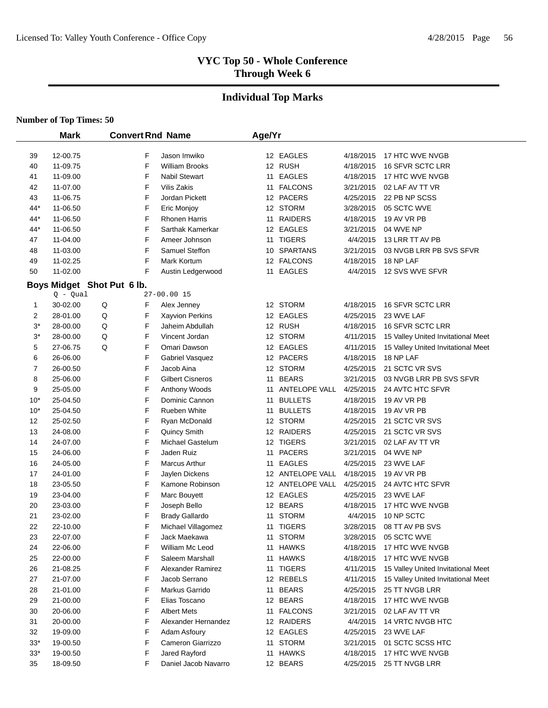# **Individual Top Marks**

#### **Number of Top Times: 50**

 $\overline{\phantom{0}}$ 

|                | <b>Mark</b>          | <b>Convert Rnd Name</b>    |                         | Age/Yr |                  |                        |                                    |
|----------------|----------------------|----------------------------|-------------------------|--------|------------------|------------------------|------------------------------------|
|                | 12-00.75             | F                          | Jason Imwiko            |        | 12 EAGLES        |                        | 17 HTC WVE NVGB                    |
| 39<br>40       | 11-09.75             | F                          | William Brooks          |        | 12 RUSH          | 4/18/2015<br>4/18/2015 | 16 SFVR SCTC LRR                   |
| 41             | 11-09.00             | F                          | Nabil Stewart           |        | 11 EAGLES        | 4/18/2015              | 17 HTC WVE NVGB                    |
| 42             | 11-07.00             | F                          | <b>Vilis Zakis</b>      |        | 11 FALCONS       | 3/21/2015              | 02 LAF AV TT VR                    |
| 43             | 11-06.75             | F                          | Jordan Pickett          |        | 12 PACERS        | 4/25/2015              | 22 PB NP SCSS                      |
| $44*$          | 11-06.50             | F                          | Eric Monjoy             |        | 12 STORM         | 3/28/2015              | 05 SCTC WVE                        |
| $44*$          |                      | F                          | <b>Rhonen Harris</b>    |        | <b>RAIDERS</b>   |                        | 19 AV VR PB                        |
| $44*$          | 11-06.50<br>11-06.50 | F                          | Sarthak Kamerkar        | 11     | 12 EAGLES        | 4/18/2015<br>3/21/2015 | 04 WVE NP                          |
| 47             | 11-04.00             | F                          | Ameer Johnson           |        | 11 TIGERS        | 4/4/2015               | 13 LRR TT AV PB                    |
| 48             | 11-03.00             | F                          | Samuel Steffon          |        | 10 SPARTANS      | 3/21/2015              | 03 NVGB LRR PB SVS SFVR            |
| 49             | 11-02.25             | F                          | Mark Kortum             |        | 12 FALCONS       | 4/18/2015              | 18 NP LAF                          |
| 50             | 11-02.00             | F                          | Austin Ledgerwood       | 11     | <b>EAGLES</b>    | 4/4/2015               | 12 SVS WVE SFVR                    |
|                |                      |                            |                         |        |                  |                        |                                    |
|                | $Q - Qual$           | Boys Midget Shot Put 6 lb. | 27-00.00 15             |        |                  |                        |                                    |
| 1              | 30-02.00             | Q<br>F                     | Alex Jenney             |        | 12 STORM         | 4/18/2015              | 16 SFVR SCTC LRR                   |
| $\overline{c}$ | 28-01.00             | F<br>Q                     | <b>Xayvion Perkins</b>  |        | 12 EAGLES        | 4/25/2015              | 23 WVE LAF                         |
| $3^*$          | 28-00.00             | F<br>Q                     | Jaheim Abdullah         |        | 12 RUSH          | 4/18/2015              | 16 SFVR SCTC LRR                   |
| $3^*$          | 28-00.00             | Q<br>F                     | Vincent Jordan          |        | 12 STORM         | 4/11/2015              | 15 Valley United Invitational Meet |
| 5              | 27-06.75             | Q<br>F                     | Omari Dawson            |        | 12 EAGLES        | 4/11/2015              | 15 Valley United Invitational Meet |
| 6              | 26-06.00             | F                          | Gabriel Vasquez         |        | 12 PACERS        | 4/18/2015              | 18 NP LAF                          |
| 7              | 26-00.50             | F                          | Jacob Aina              |        | 12 STORM         | 4/25/2015              | 21 SCTC VR SVS                     |
| 8              | 25-06.00             | F                          | <b>Gilbert Cisneros</b> | 11     | <b>BEARS</b>     | 3/21/2015              | 03 NVGB LRR PB SVS SFVR            |
| 9              | 25-05.00             | F                          | Anthony Woods           | 11     | ANTELOPE VALL    | 4/25/2015              | 24 AVTC HTC SFVR                   |
| $10*$          | 25-04.50             | F                          | Dominic Cannon          | 11     | <b>BULLETS</b>   | 4/18/2015              | 19 AV VR PB                        |
| $10*$          | 25-04.50             | F                          | Rueben White            | 11     | <b>BULLETS</b>   | 4/18/2015              | 19 AV VR PB                        |
| 12             | 25-02.50             | F                          | Ryan McDonald           |        | 12 STORM         | 4/25/2015              | 21 SCTC VR SVS                     |
| 13             | 24-08.00             | F                          | Quincy Smith            |        | 12 RAIDERS       | 4/25/2015              | 21 SCTC VR SVS                     |
| 14             | 24-07.00             | F                          | <b>Michael Gastelum</b> |        | 12 TIGERS        | 3/21/2015              | 02 LAF AV TT VR                    |
| 15             | 24-06.00             | F                          | Jaden Ruiz              | 11     | <b>PACERS</b>    | 3/21/2015              | 04 WVE NP                          |
| 16             | 24-05.00             | F                          | Marcus Arthur           | 11     | <b>EAGLES</b>    | 4/25/2015              | 23 WVE LAF                         |
| 17             | 24-01.00             | F                          | Jaylen Dickens          |        | 12 ANTELOPE VALL | 4/18/2015              | 19 AV VR PB                        |
| 18             | 23-05.50             | F                          | Kamone Robinson         |        | 12 ANTELOPE VALL | 4/25/2015              | 24 AVTC HTC SFVR                   |
| 19             | 23-04.00             | F                          | Marc Bouyett            |        | 12 EAGLES        | 4/25/2015              | 23 WVE LAF                         |
| 20             | 23-03.00             | F                          | Joseph Bello            |        | 12 BEARS         | 4/18/2015              | 17 HTC WVE NVGB                    |
| 21             | 23-02.00             | F                          | <b>Brady Gallardo</b>   | 11     | <b>STORM</b>     | 4/4/2015               | 10 NP SCTC                         |
| 22             | 22-10.00             | F                          | Michael Villagomez      |        | 11 TIGERS        | 3/28/2015              | 08 TT AV PB SVS                    |
| 23             | 22-07.00             | F                          | Jack Maekawa            |        | 11 STORM         | 3/28/2015              | 05 SCTC WVE                        |
| 24             | 22-06.00             | F                          | William Mc Leod         |        | 11 HAWKS         | 4/18/2015              | 17 HTC WVE NVGB                    |
| 25             | 22-00.00             | F                          | Saleem Marshall         |        | 11 HAWKS         | 4/18/2015              | 17 HTC WVE NVGB                    |
| 26             | 21-08.25             | F                          | Alexander Ramirez       |        | 11 TIGERS        | 4/11/2015              | 15 Valley United Invitational Meet |
| 27             | 21-07.00             | F                          | Jacob Serrano           |        | 12 REBELS        | 4/11/2015              | 15 Valley United Invitational Meet |
| 28             | 21-01.00             | F                          | Markus Garrido          |        | 11 BEARS         | 4/25/2015              | 25 TT NVGB LRR                     |
| 29             | 21-00.00             | F                          | Elias Toscano           |        | 12 BEARS         | 4/18/2015              | 17 HTC WVE NVGB                    |
| 30             | 20-06.00             | F                          | <b>Albert Mets</b>      |        | 11 FALCONS       | 3/21/2015              | 02 LAF AV TT VR                    |
| 31             | 20-00.00             | F                          | Alexander Hernandez     |        | 12 RAIDERS       | 4/4/2015               | 14 VRTC NVGB HTC                   |
| 32             | 19-09.00             | F                          | Adam Asfoury            |        | 12 EAGLES        | 4/25/2015              | 23 WVE LAF                         |
| $33*$          | 19-00.50             | F                          | Cameron Giarrizzo       |        | 11 STORM         | 3/21/2015              | 01 SCTC SCSS HTC                   |
| $33*$          | 19-00.50             | F                          | Jared Rayford           |        | 11 HAWKS         | 4/18/2015              | 17 HTC WVE NVGB                    |
| 35             | 18-09.50             | F                          | Daniel Jacob Navarro    |        | 12 BEARS         | 4/25/2015              | 25 TT NVGB LRR                     |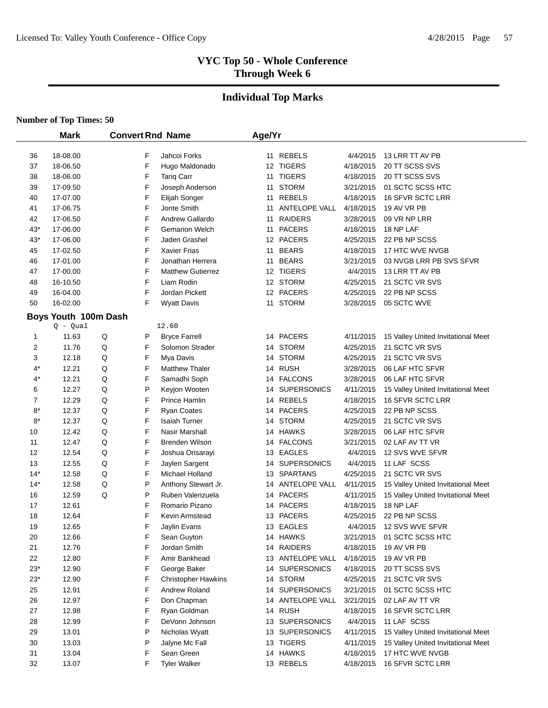# **Individual Top Marks**

|       | <b>Mark</b>          |   |   | <b>Convert Rnd Name</b>    | Age/Yr |                  |           |                                    |
|-------|----------------------|---|---|----------------------------|--------|------------------|-----------|------------------------------------|
|       |                      |   |   |                            |        |                  |           |                                    |
| 36    | 18-08.00             |   | F | Jahcoi Forks               |        | 11 REBELS        | 4/4/2015  | 13 LRR TT AV PB                    |
| 37    | 18-06.50             |   | F | Hugo Maldonado             |        | 12 TIGERS        | 4/18/2015 | 20 TT SCSS SVS                     |
| 38    | 18-06.00             |   | F | <b>Tariq Carr</b>          |        | 11 TIGERS        | 4/18/2015 | 20 TT SCSS SVS                     |
| 39    | 17-09.50             |   | F | Joseph Anderson            |        | 11 STORM         | 3/21/2015 | 01 SCTC SCSS HTC                   |
| 40    | 17-07.00             |   | F | Elijah Songer              |        | 11 REBELS        | 4/18/2015 | 16 SFVR SCTC LRR                   |
| 41    | 17-06.75             |   | F | Jonte Smith                |        | 11 ANTELOPE VALL | 4/18/2015 | 19 AV VR PB                        |
| 42    | 17-06.50             |   | F | Andrew Gallardo            |        | 11 RAIDERS       | 3/28/2015 | 09 VR NP LRR                       |
| $43*$ | 17-06.00             |   | F | <b>Gemarion Welch</b>      |        | 11 PACERS        | 4/18/2015 | 18 NP LAF                          |
| $43*$ | 17-06.00             |   | F | Jaden Grashel              |        | 12 PACERS        | 4/25/2015 | 22 PB NP SCSS                      |
| 45    | 17-02.50             |   | F | <b>Xavier Frias</b>        |        | 11 BEARS         | 4/18/2015 | 17 HTC WVE NVGB                    |
| 46    | 17-01.00             |   | F | Jonathan Herrera           |        | 11 BEARS         | 3/21/2015 | 03 NVGB LRR PB SVS SFVR            |
| 47    | 17-00.00             |   | F | <b>Matthew Gutierrez</b>   |        | 12 TIGERS        | 4/4/2015  | 13 LRR TT AV PB                    |
| 48    | 16-10.50             |   | F | Liam Rodin                 |        | 12 STORM         | 4/25/2015 | 21 SCTC VR SVS                     |
| 49    | 16-04.00             |   | F | Jordan Pickett             |        | 12 PACERS        | 4/25/2015 | 22 PB NP SCSS                      |
| 50    | 16-02.00             |   | F | <b>Wyatt Davis</b>         |        | 11 STORM         | 3/28/2015 | 05 SCTC WVE                        |
|       | Boys Youth 100m Dash |   |   |                            |        |                  |           |                                    |
|       | $Q - Qual$           |   |   | 12.60                      |        |                  |           |                                    |
| 1     | 11.63                | Q | P | <b>Bryce Farrell</b>       |        | 14 PACERS        | 4/11/2015 | 15 Valley United Invitational Meet |
| 2     | 11.76                | Q | F | Solomon Strader            |        | 14 STORM         | 4/25/2015 | 21 SCTC VR SVS                     |
| 3     | 12.18                | Q | F | Mya Davis                  |        | 14 STORM         | 4/25/2015 | 21 SCTC VR SVS                     |
| $4^*$ | 12.21                | Q | F | <b>Matthew Thaler</b>      |        | 14 RUSH          | 3/28/2015 | 06 LAF HTC SFVR                    |
| 4*    | 12.21                | Q | F | Samadhi Soph               |        | 14 FALCONS       | 3/28/2015 | 06 LAF HTC SFVR                    |
| 6     | 12.27                | Q | P | Keyjon Wooten              |        | 14 SUPERSONICS   | 4/11/2015 | 15 Valley United Invitational Meet |
| 7     | 12.29                | Q | F | Prince Hamlin              |        | 14 REBELS        | 4/18/2015 | 16 SFVR SCTC LRR                   |
| $8*$  | 12.37                | Q | F | Ryan Coates                |        | 14 PACERS        | 4/25/2015 | 22 PB NP SCSS                      |
| $8*$  | 12.37                | Q | F | <b>Isaiah Turner</b>       |        | 14 STORM         | 4/25/2015 | 21 SCTC VR SVS                     |
| 10    | 12.42                | Q | F | Nasir Marshall             |        | 14 HAWKS         | 3/28/2015 | 06 LAF HTC SFVR                    |
| 11    | 12.47                | Q | F | Brenden Wilson             |        | 14 FALCONS       | 3/21/2015 | 02 LAF AV TT VR                    |
| 12    | 12.54                | Q | F | Joshua Orisarayi           |        | 13 EAGLES        | 4/4/2015  | 12 SVS WVE SFVR                    |
| 13    | 12.55                | Q | F | Jaylen Sargent             |        | 14 SUPERSONICS   | 4/4/2015  | 11 LAF SCSS                        |
| 14*   | 12.58                | Q | F | Michael Holland            |        | 13 SPARTANS      | 4/25/2015 | 21 SCTC VR SVS                     |
| 14*   | 12.58                | Q | P | Anthony Stewart Jr.        |        | 14 ANTELOPE VALL | 4/11/2015 | 15 Valley United Invitational Meet |
| 16    | 12.59                | Q | P | Ruben Valenzuela           |        | 14 PACERS        | 4/11/2015 | 15 Valley United Invitational Meet |
| 17    | 12.61                |   | F | Romario Pizano             |        | 14 PACERS        | 4/18/2015 | 18 NP LAF                          |
| 18    | 12.64                |   | F | Kevin Armstead             |        | 13 PACERS        | 4/25/2015 | 22 PB NP SCSS                      |
| 19    | 12.65                |   | F | Jaylin Evans               |        | 13 EAGLES        | 4/4/2015  | 12 SVS WVE SFVR                    |
| 20    | 12.66                |   | F | Sean Guyton                |        | 14 HAWKS         | 3/21/2015 | 01 SCTC SCSS HTC                   |
| 21    | 12.76                |   | F | Jordan Smith               |        | 14 RAIDERS       | 4/18/2015 | 19 AV VR PB                        |
| 22    | 12.80                |   | F | Amir Bankhead              |        | 13 ANTELOPE VALL | 4/18/2015 | 19 AV VR PB                        |
| $23*$ | 12.90                |   | F | George Baker               |        | 14 SUPERSONICS   | 4/18/2015 | 20 TT SCSS SVS                     |
| $23*$ | 12.90                |   | F | <b>Christopher Hawkins</b> |        | 14 STORM         | 4/25/2015 | 21 SCTC VR SVS                     |
| 25    | 12.91                |   | F | Andrew Roland              |        | 14 SUPERSONICS   | 3/21/2015 | 01 SCTC SCSS HTC                   |
| 26    | 12.97                |   | F | Don Chapman                |        | 14 ANTELOPE VALL | 3/21/2015 | 02 LAF AV TT VR                    |
| 27    | 12.98                |   | F | Ryan Goldman               |        | 14 RUSH          | 4/18/2015 | <b>16 SFVR SCTC LRR</b>            |
| 28    | 12.99                |   | F | DeVonn Johnson             |        | 13 SUPERSONICS   | 4/4/2015  | 11 LAF SCSS                        |
| 29    | 13.01                |   | P | Nicholas Wyatt             |        | 13 SUPERSONICS   | 4/11/2015 | 15 Valley United Invitational Meet |
| 30    | 13.03                |   | P | Jalyne Mc Fall             |        | 13 TIGERS        | 4/11/2015 | 15 Valley United Invitational Meet |
| 31    | 13.04                |   | F | Sean Green                 |        | 14 HAWKS         | 4/18/2015 | 17 HTC WVE NVGB                    |
| 32    | 13.07                |   | F | <b>Tyler Walker</b>        |        | 13 REBELS        | 4/18/2015 | 16 SFVR SCTC LRR                   |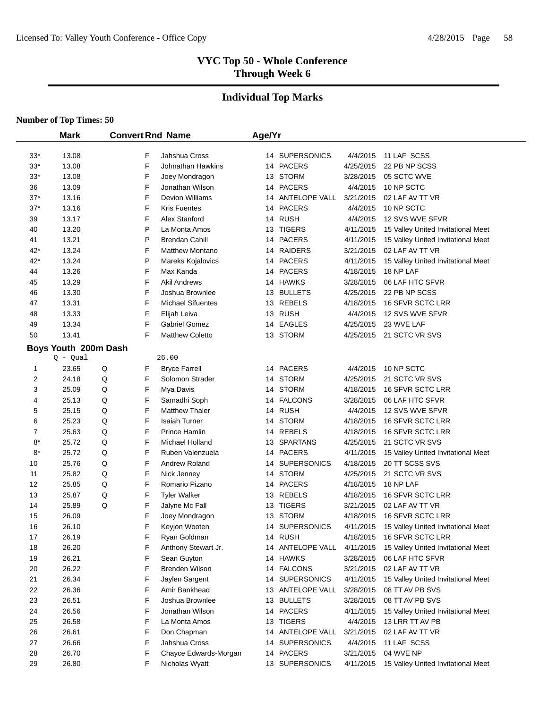#### **Individual Top Marks**

#### **Number of Top Times: 50**

 $\overline{\phantom{0}}$ 

|                         | <b>Mark</b>          | <b>Convert Rnd Name</b> |   |                          | Age/Yr |  |                  |           |                                    |
|-------------------------|----------------------|-------------------------|---|--------------------------|--------|--|------------------|-----------|------------------------------------|
|                         |                      |                         |   |                          |        |  |                  |           |                                    |
| $33*$                   | 13.08                |                         | F | Jahshua Cross            |        |  | 14 SUPERSONICS   | 4/4/2015  | 11 LAF SCSS                        |
| $33*$                   | 13.08                |                         | F | Johnathan Hawkins        |        |  | 14 PACERS        | 4/25/2015 | 22 PB NP SCSS                      |
| $33*$                   | 13.08                |                         | F | Joey Mondragon           |        |  | 13 STORM         | 3/28/2015 | 05 SCTC WVE                        |
| 36                      | 13.09                |                         | F | Jonathan Wilson          |        |  | 14 PACERS        | 4/4/2015  | 10 NP SCTC                         |
| $37*$                   | 13.16                |                         | F | <b>Devion Williams</b>   |        |  | 14 ANTELOPE VALL | 3/21/2015 | 02 LAF AV TT VR                    |
| $37*$                   | 13.16                |                         | F | <b>Kris Fuentes</b>      |        |  | 14 PACERS        | 4/4/2015  | 10 NP SCTC                         |
| 39                      | 13.17                |                         | F | Alex Stanford            |        |  | 14 RUSH          | 4/4/2015  | 12 SVS WVE SFVR                    |
| 40                      | 13.20                |                         | P | La Monta Amos            |        |  | 13 TIGERS        | 4/11/2015 | 15 Valley United Invitational Meet |
| 41                      | 13.21                |                         | P | <b>Brendan Cahill</b>    |        |  | 14 PACERS        | 4/11/2015 | 15 Valley United Invitational Meet |
| $42*$                   | 13.24                |                         | F | <b>Matthew Montano</b>   |        |  | 14 RAIDERS       | 3/21/2015 | 02 LAF AV TT VR                    |
| $42*$                   | 13.24                |                         | P | Mareks Kojalovics        |        |  | 14 PACERS        | 4/11/2015 | 15 Valley United Invitational Meet |
| 44                      | 13.26                |                         | F | Max Kanda                |        |  | 14 PACERS        | 4/18/2015 | 18 NP LAF                          |
| 45                      | 13.29                |                         | F | <b>Akil Andrews</b>      |        |  | 14 HAWKS         | 3/28/2015 | 06 LAF HTC SFVR                    |
| 46                      | 13.30                |                         | F | Joshua Brownlee          |        |  | 13 BULLETS       | 4/25/2015 | 22 PB NP SCSS                      |
| 47                      | 13.31                |                         | F | <b>Michael Sifuentes</b> |        |  | 13 REBELS        | 4/18/2015 | 16 SFVR SCTC LRR                   |
| 48                      | 13.33                |                         | F | Elijah Leiva             |        |  | 13 RUSH          | 4/4/2015  | 12 SVS WVE SFVR                    |
| 49                      | 13.34                |                         | F | Gabriel Gomez            |        |  | 14 EAGLES        | 4/25/2015 | 23 WVE LAF                         |
| 50                      | 13.41                |                         | F | <b>Matthew Coletto</b>   |        |  | 13 STORM         | 4/25/2015 | 21 SCTC VR SVS                     |
|                         | Boys Youth 200m Dash |                         |   |                          |        |  |                  |           |                                    |
|                         | $Q - Qual$           |                         |   | 26.00                    |        |  |                  |           |                                    |
| $\mathbf{1}$            | 23.65                | Q                       | F | <b>Bryce Farrell</b>     |        |  | 14 PACERS        | 4/4/2015  | 10 NP SCTC                         |
| $\overline{\mathbf{c}}$ | 24.18                | Q                       | F | Solomon Strader          |        |  | 14 STORM         | 4/25/2015 | 21 SCTC VR SVS                     |
| 3                       | 25.09                | Q                       | F | Mya Davis                |        |  | 14 STORM         | 4/18/2015 | 16 SFVR SCTC LRR                   |
| 4                       | 25.13                | Q                       | F | Samadhi Soph             |        |  | 14 FALCONS       | 3/28/2015 | 06 LAF HTC SFVR                    |
| 5                       | 25.15                | Q                       | F | <b>Matthew Thaler</b>    |        |  | 14 RUSH          | 4/4/2015  | 12 SVS WVE SFVR                    |
| 6                       | 25.23                | Q                       | F | <b>Isaiah Turner</b>     |        |  | 14 STORM         | 4/18/2015 | 16 SFVR SCTC LRR                   |
| 7                       | 25.63                | Q                       | F | Prince Hamlin            |        |  | 14 REBELS        | 4/18/2015 | 16 SFVR SCTC LRR                   |
| $8*$                    | 25.72                | Q                       | F | Michael Holland          |        |  | 13 SPARTANS      | 4/25/2015 | 21 SCTC VR SVS                     |
| $8*$                    | 25.72                | Q                       | F | Ruben Valenzuela         |        |  | 14 PACERS        | 4/11/2015 | 15 Valley United Invitational Meet |
| 10                      | 25.76                | Q                       | F | Andrew Roland            |        |  | 14 SUPERSONICS   | 4/18/2015 | 20 TT SCSS SVS                     |
| 11                      | 25.82                | Q                       | F | Nick Jenney              |        |  | 14 STORM         | 4/25/2015 | 21 SCTC VR SVS                     |
| 12                      | 25.85                | Q                       | F | Romario Pizano           |        |  | 14 PACERS        | 4/18/2015 | 18 NP LAF                          |
| 13                      | 25.87                | Q                       | F | <b>Tyler Walker</b>      |        |  | 13 REBELS        | 4/18/2015 | <b>16 SFVR SCTC LRR</b>            |
| 14                      | 25.89                | Q                       | F | Jalyne Mc Fall           |        |  | 13 TIGERS        | 3/21/2015 | 02 LAF AV TT VR                    |
| 15                      | 26.09                |                         | F | Joey Mondragon           |        |  | 13 STORM         | 4/18/2015 | 16 SFVR SCTC LRR                   |
| 16                      | 26.10                |                         | F | Keyjon Wooten            |        |  | 14 SUPERSONICS   | 4/11/2015 | 15 Valley United Invitational Meet |
| 17                      | 26.19                |                         | F | Ryan Goldman             |        |  | 14 RUSH          | 4/18/2015 | 16 SFVR SCTC LRR                   |
| 18                      | 26.20                |                         | F | Anthony Stewart Jr.      |        |  | 14 ANTELOPE VALL | 4/11/2015 | 15 Valley United Invitational Meet |
| 19                      | 26.21                |                         | F | Sean Guyton              |        |  | 14 HAWKS         | 3/28/2015 | 06 LAF HTC SFVR                    |
| 20                      | 26.22                |                         | F | Brenden Wilson           |        |  | 14 FALCONS       | 3/21/2015 | 02 LAF AV TT VR                    |
| 21                      | 26.34                |                         | F | Jaylen Sargent           |        |  | 14 SUPERSONICS   | 4/11/2015 | 15 Valley United Invitational Meet |
| 22                      | 26.36                |                         | F | Amir Bankhead            |        |  | 13 ANTELOPE VALL | 3/28/2015 | 08 TT AV PB SVS                    |
| 23                      | 26.51                |                         | F | Joshua Brownlee          |        |  | 13 BULLETS       | 3/28/2015 | 08 TT AV PB SVS                    |
| 24                      | 26.56                |                         | F | Jonathan Wilson          |        |  | 14 PACERS        | 4/11/2015 | 15 Valley United Invitational Meet |
| 25                      | 26.58                |                         | F | La Monta Amos            |        |  | 13 TIGERS        | 4/4/2015  | 13 LRR TT AV PB                    |
| 26                      | 26.61                |                         | F | Don Chapman              |        |  | 14 ANTELOPE VALL | 3/21/2015 | 02 LAF AV TT VR                    |
| 27                      | 26.66                |                         | F | Jahshua Cross            |        |  | 14 SUPERSONICS   | 4/4/2015  | 11 LAF SCSS                        |
| 28                      | 26.70                |                         | F | Chayce Edwards-Morgan    |        |  | 14 PACERS        | 3/21/2015 | 04 WVE NP                          |
| 29                      | 26.80                |                         | F | Nicholas Wyatt           |        |  | 13 SUPERSONICS   | 4/11/2015 | 15 Valley United Invitational Meet |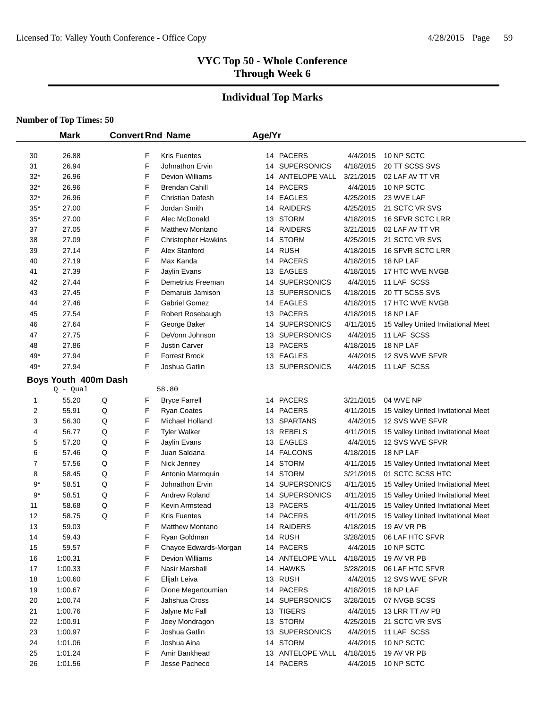#### **Individual Top Marks**

|                         | <b>Mark</b>          |   |        | <b>Convert Rnd Name</b>                         | Age/Yr |                             |                        |                                    |
|-------------------------|----------------------|---|--------|-------------------------------------------------|--------|-----------------------------|------------------------|------------------------------------|
|                         |                      |   |        |                                                 |        |                             |                        |                                    |
| 30<br>31                | 26.88<br>26.94       |   | F<br>F | <b>Kris Fuentes</b><br>Johnathon Ervin          |        | 14 PACERS<br>14 SUPERSONICS | 4/4/2015<br>4/18/2015  | 10 NP SCTC<br>20 TT SCSS SVS       |
|                         |                      |   | F      |                                                 |        |                             |                        |                                    |
| $32*$<br>$32*$          | 26.96<br>26.96       |   | F      | <b>Devion Williams</b><br><b>Brendan Cahill</b> | 14     | ANTELOPE VALL<br>14 PACERS  | 3/21/2015<br>4/4/2015  | 02 LAF AV TT VR<br>10 NP SCTC      |
|                         |                      |   | F      |                                                 |        | 14 EAGLES                   |                        | 23 WVE LAF                         |
| $32*$<br>$35*$          | 26.96<br>27.00       |   | F      | <b>Christian Dafesh</b><br>Jordan Smith         |        | RAIDERS                     | 4/25/2015              | 21 SCTC VR SVS                     |
| $35*$                   | 27.00                |   | F      | Alec McDonald                                   | 14     | 13 STORM                    | 4/25/2015              | 16 SFVR SCTC LRR                   |
| 37                      | 27.05                |   | F      | <b>Matthew Montano</b>                          | 14     | <b>RAIDERS</b>              | 4/18/2015<br>3/21/2015 | 02 LAF AV TT VR                    |
| 38                      | 27.09                |   | F      | <b>Christopher Hawkins</b>                      | 14     | <b>STORM</b>                | 4/25/2015              | 21 SCTC VR SVS                     |
| 39                      | 27.14                |   | F      | Alex Stanford                                   | 14     | RUSH                        | 4/18/2015              | 16 SFVR SCTC LRR                   |
| 40                      | 27.19                |   | F      | Max Kanda                                       | 14     | <b>PACERS</b>               | 4/18/2015              | 18 NP LAF                          |
| 41                      | 27.39                |   | F      | Jaylin Evans                                    |        | 13 EAGLES                   | 4/18/2015              | 17 HTC WVE NVGB                    |
| 42                      | 27.44                |   | F      | Demetrius Freeman                               |        | 14 SUPERSONICS              | 4/4/2015               | 11 LAF SCSS                        |
| 43                      | 27.45                |   | F      | Demaruis Jamison                                |        | 13 SUPERSONICS              | 4/18/2015              | 20 TT SCSS SVS                     |
| 44                      | 27.46                |   | F      | <b>Gabriel Gomez</b>                            |        | 14 EAGLES                   | 4/18/2015              | 17 HTC WVE NVGB                    |
| 45                      | 27.54                |   | F      | Robert Rosebaugh                                |        | 13 PACERS                   | 4/18/2015              | 18 NP LAF                          |
| 46                      | 27.64                |   | F      | George Baker                                    |        | 14 SUPERSONICS              | 4/11/2015              | 15 Valley United Invitational Meet |
| 47                      | 27.75                |   | F      | DeVonn Johnson                                  |        | 13 SUPERSONICS              | 4/4/2015               | 11 LAF SCSS                        |
| 48                      | 27.86                |   | F      | <b>Justin Carver</b>                            |        | 13 PACERS                   | 4/18/2015              | 18 NP LAF                          |
| 49*                     | 27.94                |   | F      | <b>Forrest Brock</b>                            |        | 13 EAGLES                   | 4/4/2015               | 12 SVS WVE SFVR                    |
| 49*                     | 27.94                |   | F      | Joshua Gatlin                                   |        | 13 SUPERSONICS              | 4/4/2015               | 11 LAF SCSS                        |
|                         |                      |   |        |                                                 |        |                             |                        |                                    |
|                         | Boys Youth 400m Dash |   |        | 58.80                                           |        |                             |                        |                                    |
| 1                       | $Q - Qual$<br>55.20  | Q | F      | <b>Bryce Farrell</b>                            |        | 14 PACERS                   | 3/21/2015              | 04 WVE NP                          |
| $\overline{\mathbf{c}}$ | 55.91                | Q | F      | <b>Ryan Coates</b>                              |        | 14 PACERS                   | 4/11/2015              | 15 Valley United Invitational Meet |
| 3                       | 56.30                | Q | F      | Michael Holland                                 |        | 13 SPARTANS                 | 4/4/2015               | 12 SVS WVE SFVR                    |
| 4                       | 56.77                | Q | F      | <b>Tyler Walker</b>                             |        | 13 REBELS                   | 4/11/2015              | 15 Valley United Invitational Meet |
| 5                       | 57.20                | Q | F      | Jaylin Evans                                    |        | 13 EAGLES                   | 4/4/2015               | 12 SVS WVE SFVR                    |
| 6                       | 57.46                | Q | F      | Juan Saldana                                    |        | 14 FALCONS                  | 4/18/2015              | 18 NP LAF                          |
| 7                       | 57.56                | Q | F      | Nick Jenney                                     | 14     | STORM                       | 4/11/2015              | 15 Valley United Invitational Meet |
| 8                       | 58.45                | Q | F      | Antonio Marroquin                               |        | 14 STORM                    | 3/21/2015              | 01 SCTC SCSS HTC                   |
| 9*                      | 58.51                | Q | F      | Johnathon Ervin                                 |        | 14 SUPERSONICS              | 4/11/2015              | 15 Valley United Invitational Meet |
| $9*$                    | 58.51                | Q | F      | Andrew Roland                                   | 14     | <b>SUPERSONICS</b>          | 4/11/2015              | 15 Valley United Invitational Meet |
| 11                      | 58.68                | Q | F      | <b>Kevin Armstead</b>                           | 13     | <b>PACERS</b>               | 4/11/2015              | 15 Valley United Invitational Meet |
| 12                      | 58.75                | Q | F      | <b>Kris Fuentes</b>                             | 14     | <b>PACERS</b>               | 4/11/2015              | 15 Valley United Invitational Meet |
| 13                      | 59.03                |   | F      | <b>Matthew Montano</b>                          |        | 14 RAIDERS                  | 4/18/2015              | 19 AV VR PB                        |
| 14                      | 59.43                |   | F      | Ryan Goldman                                    |        | 14 RUSH                     | 3/28/2015              | 06 LAF HTC SFVR                    |
| 15                      | 59.57                |   | F      | Chayce Edwards-Morgan                           |        | 14 PACERS                   | 4/4/2015               | 10 NP SCTC                         |
| 16                      | 1:00.31              |   | F      | <b>Devion Williams</b>                          |        | 14 ANTELOPE VALL            | 4/18/2015              | 19 AV VR PB                        |
| 17                      | 1:00.33              |   | F      | Nasir Marshall                                  |        | 14 HAWKS                    | 3/28/2015              | 06 LAF HTC SFVR                    |
| 18                      | 1:00.60              |   | F      | Elijah Leiva                                    |        | 13 RUSH                     | 4/4/2015               | 12 SVS WVE SFVR                    |
| 19                      | 1:00.67              |   | F      | Dione Megertoumian                              |        | 14 PACERS                   | 4/18/2015              | 18 NP LAF                          |
| 20                      | 1:00.74              |   | F      | Jahshua Cross                                   |        | 14 SUPERSONICS              | 3/28/2015              | 07 NVGB SCSS                       |
| 21                      | 1:00.76              |   | F      | Jalyne Mc Fall                                  |        | 13 TIGERS                   | 4/4/2015               | 13 LRR TT AV PB                    |
| 22                      | 1:00.91              |   | F      | Joey Mondragon                                  |        | 13 STORM                    | 4/25/2015              | 21 SCTC VR SVS                     |
| 23                      | 1:00.97              |   | F      | Joshua Gatlin                                   |        | 13 SUPERSONICS              | 4/4/2015               | 11 LAF SCSS                        |
| 24                      | 1:01.06              |   | F      | Joshua Aina                                     |        | 14 STORM                    | 4/4/2015               | 10 NP SCTC                         |
| 25                      | 1:01.24              |   | F      | Amir Bankhead                                   |        | 13 ANTELOPE VALL            | 4/18/2015              | 19 AV VR PB                        |
| 26                      | 1:01.56              |   | F      | Jesse Pacheco                                   |        | 14 PACERS                   | 4/4/2015               | 10 NP SCTC                         |
|                         |                      |   |        |                                                 |        |                             |                        |                                    |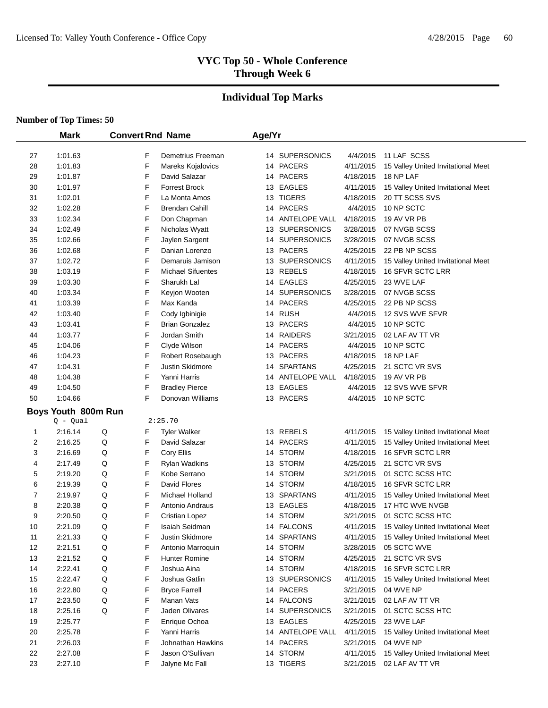# **Individual Top Marks**

|    | <b>Mark</b>         |   |   | <b>Convert Rnd Name</b>  | Age/Yr |                    |           |                                    |
|----|---------------------|---|---|--------------------------|--------|--------------------|-----------|------------------------------------|
| 27 | 1:01.63             |   | F | Demetrius Freeman        |        | 14 SUPERSONICS     | 4/4/2015  | 11 LAF SCSS                        |
| 28 | 1:01.83             |   | F | Mareks Kojalovics        |        | 14 PACERS          | 4/11/2015 | 15 Valley United Invitational Meet |
| 29 | 1:01.87             |   | F | David Salazar            |        | 14 PACERS          | 4/18/2015 | 18 NP LAF                          |
| 30 | 1:01.97             |   | F | <b>Forrest Brock</b>     |        | 13 EAGLES          | 4/11/2015 | 15 Valley United Invitational Meet |
| 31 | 1:02.01             |   | F | La Monta Amos            |        | 13 TIGERS          | 4/18/2015 | 20 TT SCSS SVS                     |
| 32 | 1:02.28             |   | F | <b>Brendan Cahill</b>    |        | 14 PACERS          | 4/4/2015  | 10 NP SCTC                         |
| 33 | 1:02.34             |   | F | Don Chapman              |        | 14 ANTELOPE VALL   | 4/18/2015 | 19 AV VR PB                        |
| 34 | 1:02.49             |   | F | Nicholas Wyatt           | 13     | <b>SUPERSONICS</b> | 3/28/2015 | 07 NVGB SCSS                       |
| 35 | 1:02.66             |   | F | Jaylen Sargent           | 14     | <b>SUPERSONICS</b> | 3/28/2015 | 07 NVGB SCSS                       |
| 36 | 1:02.68             |   | F | Danian Lorenzo           | 13     | <b>PACERS</b>      | 4/25/2015 | 22 PB NP SCSS                      |
| 37 | 1:02.72             |   | F | Demaruis Jamison         | 13     | <b>SUPERSONICS</b> | 4/11/2015 | 15 Valley United Invitational Meet |
| 38 | 1:03.19             |   | F | <b>Michael Sifuentes</b> | 13     | REBELS             | 4/18/2015 | 16 SFVR SCTC LRR                   |
| 39 | 1:03.30             |   | F | Sharukh Lal              |        | 14 EAGLES          | 4/25/2015 | 23 WVE LAF                         |
| 40 | 1:03.34             |   | F | Keyjon Wooten            |        | 14 SUPERSONICS     | 3/28/2015 | 07 NVGB SCSS                       |
| 41 | 1:03.39             |   | F | Max Kanda                |        | 14 PACERS          | 4/25/2015 | 22 PB NP SCSS                      |
| 42 | 1:03.40             |   | F | Cody Igbinigie           |        | 14 RUSH            | 4/4/2015  | 12 SVS WVE SFVR                    |
| 43 | 1:03.41             |   | F | <b>Brian Gonzalez</b>    |        | 13 PACERS          | 4/4/2015  | 10 NP SCTC                         |
| 44 | 1:03.77             |   | F | Jordan Smith             |        | 14 RAIDERS         | 3/21/2015 | 02 LAF AV TT VR                    |
| 45 | 1:04.06             |   | F | Clyde Wilson             |        | 14 PACERS          | 4/4/2015  | 10 NP SCTC                         |
| 46 | 1:04.23             |   | F | Robert Rosebaugh         | 13     | <b>PACERS</b>      | 4/18/2015 | 18 NP LAF                          |
| 47 | 1:04.31             |   | F | Justin Skidmore          |        | 14 SPARTANS        | 4/25/2015 | 21 SCTC VR SVS                     |
| 48 | 1:04.38             |   | F | Yanni Harris             |        | 14 ANTELOPE VALL   | 4/18/2015 | 19 AV VR PB                        |
| 49 | 1:04.50             |   | F | <b>Bradley Pierce</b>    |        | 13 EAGLES          | 4/4/2015  | 12 SVS WVE SFVR                    |
| 50 | 1:04.66             |   | F | Donovan Williams         |        | 13 PACERS          | 4/4/2015  | 10 NP SCTC                         |
|    | Boys Youth 800m Run |   |   |                          |        |                    |           |                                    |
|    | $Q - Qual$          |   |   | 2:25.70                  |        |                    |           |                                    |
| 1  | 2:16.14             | Q | F | <b>Tyler Walker</b>      |        | 13 REBELS          | 4/11/2015 | 15 Valley United Invitational Meet |
| 2  | 2:16.25             | Q | F | David Salazar            |        | 14 PACERS          | 4/11/2015 | 15 Valley United Invitational Meet |
| 3  | 2:16.69             | Q | F | Cory Ellis               |        | 14 STORM           | 4/18/2015 | 16 SFVR SCTC LRR                   |
| 4  | 2:17.49             | Q | F | <b>Rylan Wadkins</b>     | 13     | <b>STORM</b>       | 4/25/2015 | 21 SCTC VR SVS                     |
| 5  | 2:19.20             | Q | F | Kobe Serrano             |        | 14 STORM           | 3/21/2015 | 01 SCTC SCSS HTC                   |
| 6  | 2:19.39             | Q | F | David Flores             |        | 14 STORM           | 4/18/2015 | 16 SFVR SCTC LRR                   |
| 7  | 2:19.97             | Q | F | Michael Holland          | 13     | <b>SPARTANS</b>    | 4/11/2015 | 15 Valley United Invitational Meet |
| 8  | 2:20.38             | Q | F | Antonio Andraus          | 13     | <b>EAGLES</b>      | 4/18/2015 | 17 HTC WVE NVGB                    |
| 9  | 2:20.50             | Q | F | <b>Cristian Lopez</b>    | 14     | <b>STORM</b>       | 3/21/2015 | 01 SCTC SCSS HTC                   |
| 10 | 2:21.09             | Q | F | Isaiah Seidman           |        | 14 FALCONS         | 4/11/2015 | 15 Valley United Invitational Meet |
| 11 | 2:21.33             | Q | F | Justin Skidmore          |        | 14 SPARTANS        | 4/11/2015 | 15 Valley United Invitational Meet |
| 12 | 2:21.51             | Q | F | Antonio Marroquin        |        | 14 STORM           | 3/28/2015 | 05 SCTC WVE                        |
| 13 | 2:21.52             | Q | F | <b>Hunter Romine</b>     |        | 14 STORM           | 4/25/2015 | 21 SCTC VR SVS                     |
| 14 | 2:22.41             | Q | F | Joshua Aina              |        | 14 STORM           | 4/18/2015 | 16 SFVR SCTC LRR                   |
| 15 | 2:22.47             | Q | F | Joshua Gatlin            |        | 13 SUPERSONICS     | 4/11/2015 | 15 Valley United Invitational Meet |
| 16 | 2:22.80             | Q | F | <b>Bryce Farrell</b>     |        | 14 PACERS          | 3/21/2015 | 04 WVE NP                          |
| 17 | 2:23.50             | Q | F | Manan Vats               |        | 14 FALCONS         | 3/21/2015 | 02 LAF AV TT VR                    |
| 18 | 2:25.16             | Q | F | Jaden Olivares           |        | 14 SUPERSONICS     | 3/21/2015 | 01 SCTC SCSS HTC                   |
| 19 | 2:25.77             |   | F | Enrique Ochoa            |        | 13 EAGLES          | 4/25/2015 | 23 WVE LAF                         |
| 20 | 2:25.78             |   | F | Yanni Harris             |        | 14 ANTELOPE VALL   | 4/11/2015 | 15 Valley United Invitational Meet |
| 21 | 2:26.03             |   | F | Johnathan Hawkins        |        | 14 PACERS          | 3/21/2015 | 04 WVE NP                          |
| 22 | 2:27.08             |   | F | Jason O'Sullivan         |        | 14 STORM           | 4/11/2015 | 15 Valley United Invitational Meet |
| 23 | 2:27.10             |   | F | Jalyne Mc Fall           |        | 13 TIGERS          | 3/21/2015 | 02 LAF AV TT VR                    |
|    |                     |   |   |                          |        |                    |           |                                    |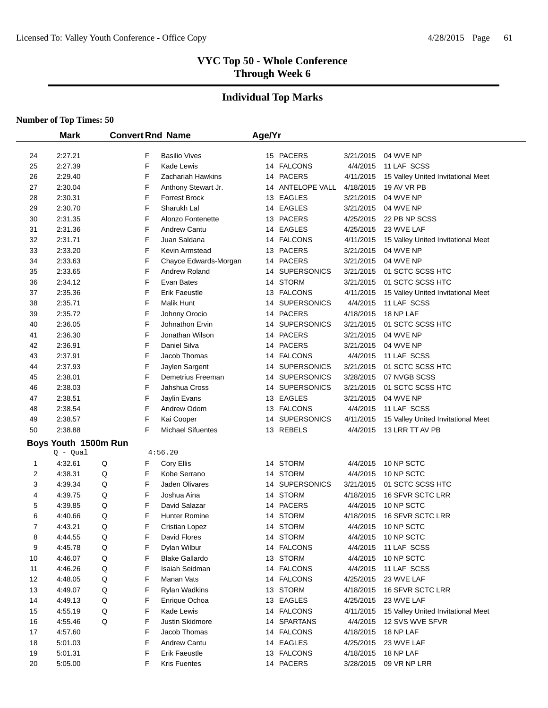# **Individual Top Marks**

|    | <b>Mark</b>          |   |   | <b>Convert Rnd Name</b>  | Age/Yr |                  |           |                                    |
|----|----------------------|---|---|--------------------------|--------|------------------|-----------|------------------------------------|
| 24 | 2:27.21              |   | F | <b>Basilio Vives</b>     |        | 15 PACERS        | 3/21/2015 | 04 WVE NP                          |
| 25 | 2:27.39              |   | F | Kade Lewis               |        | 14 FALCONS       | 4/4/2015  | 11 LAF SCSS                        |
| 26 | 2:29.40              |   | F | Zachariah Hawkins        |        | 14 PACERS        | 4/11/2015 | 15 Valley United Invitational Meet |
| 27 | 2:30.04              |   | F | Anthony Stewart Jr.      |        | 14 ANTELOPE VALL | 4/18/2015 | 19 AV VR PB                        |
| 28 | 2:30.31              |   | F | <b>Forrest Brock</b>     |        | 13 EAGLES        | 3/21/2015 | 04 WVE NP                          |
| 29 | 2:30.70              |   | F | Sharukh Lal              |        | 14 EAGLES        | 3/21/2015 | 04 WVE NP                          |
| 30 | 2:31.35              |   | F | Alonzo Fontenette        |        | 13 PACERS        | 4/25/2015 | 22 PB NP SCSS                      |
| 31 | 2:31.36              |   | F | Andrew Cantu             |        | 14 EAGLES        | 4/25/2015 | 23 WVE LAF                         |
| 32 | 2:31.71              |   | F | Juan Saldana             |        | 14 FALCONS       | 4/11/2015 | 15 Valley United Invitational Meet |
| 33 | 2:33.20              |   | F | Kevin Armstead           |        | 13 PACERS        | 3/21/2015 | 04 WVE NP                          |
| 34 | 2:33.63              |   | F | Chayce Edwards-Morgan    |        | 14 PACERS        | 3/21/2015 | 04 WVE NP                          |
| 35 | 2:33.65              |   | F | Andrew Roland            |        | 14 SUPERSONICS   | 3/21/2015 | 01 SCTC SCSS HTC                   |
| 36 | 2:34.12              |   | F | Evan Bates               |        | 14 STORM         | 3/21/2015 | 01 SCTC SCSS HTC                   |
| 37 | 2:35.36              |   | F | Erik Faeustle            |        | 13 FALCONS       | 4/11/2015 | 15 Valley United Invitational Meet |
| 38 | 2:35.71              |   | F | <b>Malik Hunt</b>        |        | 14 SUPERSONICS   | 4/4/2015  | 11 LAF SCSS                        |
| 39 | 2:35.72              |   | F | Johnny Orocio            |        | 14 PACERS        | 4/18/2015 | 18 NP LAF                          |
| 40 | 2:36.05              |   | F | Johnathon Ervin          |        | 14 SUPERSONICS   | 3/21/2015 | 01 SCTC SCSS HTC                   |
| 41 | 2:36.30              |   | F | Jonathan Wilson          |        | 14 PACERS        | 3/21/2015 | 04 WVE NP                          |
| 42 | 2:36.91              |   | F | Daniel Silva             |        | 14 PACERS        | 3/21/2015 | 04 WVE NP                          |
| 43 | 2:37.91              |   | F | Jacob Thomas             |        | 14 FALCONS       | 4/4/2015  | 11 LAF SCSS                        |
| 44 | 2:37.93              |   | F | Jaylen Sargent           |        | 14 SUPERSONICS   | 3/21/2015 | 01 SCTC SCSS HTC                   |
| 45 | 2:38.01              |   | F | Demetrius Freeman        |        | 14 SUPERSONICS   | 3/28/2015 | 07 NVGB SCSS                       |
| 46 | 2:38.03              |   | F | Jahshua Cross            |        | 14 SUPERSONICS   | 3/21/2015 | 01 SCTC SCSS HTC                   |
| 47 | 2:38.51              |   | F | Jaylin Evans             |        | 13 EAGLES        | 3/21/2015 | 04 WVE NP                          |
| 48 | 2:38.54              |   | F | Andrew Odom              |        | 13 FALCONS       | 4/4/2015  | 11 LAF SCSS                        |
| 49 | 2:38.57              |   | F | Kai Cooper               |        | 14 SUPERSONICS   | 4/11/2015 | 15 Valley United Invitational Meet |
| 50 | 2:38.88              |   | F | <b>Michael Sifuentes</b> |        | 13 REBELS        | 4/4/2015  | 13 LRR TT AV PB                    |
|    | Boys Youth 1500m Run |   |   |                          |        |                  |           |                                    |
|    | Q - Qual             |   |   | 4:56.20                  |        |                  |           |                                    |
| 1  | 4:32.61              | Q | F | Cory Ellis               |        | 14 STORM         | 4/4/2015  | 10 NP SCTC                         |
| 2  | 4:38.31              | Q | F | Kobe Serrano             |        | 14 STORM         | 4/4/2015  | 10 NP SCTC                         |
| 3  | 4:39.34              | Q | F | Jaden Olivares           |        | 14 SUPERSONICS   | 3/21/2015 | 01 SCTC SCSS HTC                   |
| 4  | 4:39.75              | Q | F | Joshua Aina              |        | 14 STORM         | 4/18/2015 | 16 SFVR SCTC LRR                   |
| 5  | 4:39.85              | Q | F | David Salazar            | 14     | <b>PACERS</b>    | 4/4/2015  | 10 NP SCTC                         |
| 6  | 4:40.66              | Q | F | <b>Hunter Romine</b>     | 14     | <b>STORM</b>     | 4/18/2015 | <b>16 SFVR SCTC LRR</b>            |
| 7  | 4:43.21              | Q | F | <b>Cristian Lopez</b>    |        | 14 STORM         | 4/4/2015  | 10 NP SCTC                         |
| 8  | 4:44.55              | Q | F | David Flores             |        | 14 STORM         | 4/4/2015  | 10 NP SCTC                         |
| 9  | 4:45.78              | Q | F | Dylan Wilbur             |        | 14 FALCONS       | 4/4/2015  | 11 LAF SCSS                        |
| 10 | 4:46.07              | Q | F | <b>Blake Gallardo</b>    |        | 13 STORM         | 4/4/2015  | 10 NP SCTC                         |
| 11 | 4:46.26              | Q | F | Isaiah Seidman           |        | 14 FALCONS       | 4/4/2015  | 11 LAF SCSS                        |
| 12 | 4:48.05              | Q | F | Manan Vats               |        | 14 FALCONS       | 4/25/2015 | 23 WVE LAF                         |
| 13 | 4:49.07              | Q | F | <b>Rylan Wadkins</b>     |        | 13 STORM         | 4/18/2015 | 16 SFVR SCTC LRR                   |
| 14 | 4:49.13              | Q | F | Enrique Ochoa            |        | 13 EAGLES        | 4/25/2015 | 23 WVE LAF                         |
| 15 | 4:55.19              | Q | F | Kade Lewis               |        | 14 FALCONS       | 4/11/2015 | 15 Valley United Invitational Meet |
| 16 | 4:55.46              | Q | F | Justin Skidmore          |        | 14 SPARTANS      | 4/4/2015  | 12 SVS WVE SFVR                    |
| 17 | 4:57.60              |   | F | Jacob Thomas             |        | 14 FALCONS       | 4/18/2015 | 18 NP LAF                          |
| 18 | 5:01.03              |   | F | Andrew Cantu             |        | 14 EAGLES        | 4/25/2015 | 23 WVE LAF                         |
| 19 | 5:01.31              |   | F | Erik Faeustle            |        | 13 FALCONS       | 4/18/2015 | 18 NP LAF                          |
| 20 | 5:05.00              |   | F | <b>Kris Fuentes</b>      |        | 14 PACERS        | 3/28/2015 | 09 VR NP LRR                       |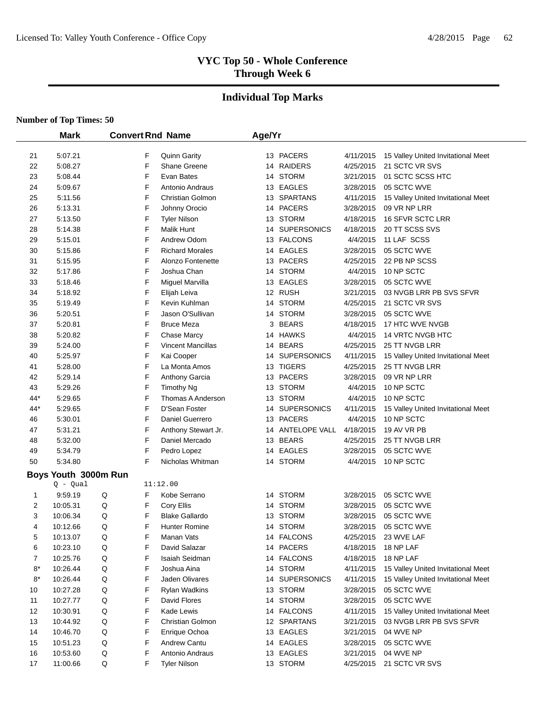# **Individual Top Marks**

|      | <b>Mark</b>          |   |   | <b>Convert Rnd Name</b>  | Age/Yr |                  |           |                                    |
|------|----------------------|---|---|--------------------------|--------|------------------|-----------|------------------------------------|
| 21   | 5:07.21              |   | F | <b>Quinn Garity</b>      |        | 13 PACERS        | 4/11/2015 | 15 Valley United Invitational Meet |
| 22   | 5:08.27              |   | F | Shane Greene             |        | 14 RAIDERS       | 4/25/2015 | 21 SCTC VR SVS                     |
| 23   | 5:08.44              |   | F | Evan Bates               |        | 14 STORM         | 3/21/2015 | 01 SCTC SCSS HTC                   |
| 24   | 5:09.67              |   | F | Antonio Andraus          |        | 13 EAGLES        | 3/28/2015 | 05 SCTC WVE                        |
| 25   | 5:11.56              |   | F | <b>Christian Golmon</b>  |        | 13 SPARTANS      | 4/11/2015 | 15 Valley United Invitational Meet |
| 26   | 5:13.31              |   | F | Johnny Orocio            |        | 14 PACERS        | 3/28/2015 | 09 VR NP LRR                       |
| 27   | 5:13.50              |   | F | Tyler Nilson             |        | 13 STORM         | 4/18/2015 | 16 SFVR SCTC LRR                   |
| 28   | 5:14.38              |   | F | <b>Malik Hunt</b>        |        | 14 SUPERSONICS   | 4/18/2015 | 20 TT SCSS SVS                     |
| 29   | 5:15.01              |   | F | Andrew Odom              |        | 13 FALCONS       | 4/4/2015  | 11 LAF SCSS                        |
| 30   | 5:15.86              |   | F | <b>Richard Morales</b>   |        | 14 EAGLES        | 3/28/2015 | 05 SCTC WVE                        |
| 31   | 5:15.95              |   | F | Alonzo Fontenette        |        | 13 PACERS        | 4/25/2015 | 22 PB NP SCSS                      |
| 32   | 5:17.86              |   | F | Joshua Chan              |        | 14 STORM         | 4/4/2015  | 10 NP SCTC                         |
| 33   | 5:18.46              |   | F | Miguel Marvilla          |        | 13 EAGLES        | 3/28/2015 | 05 SCTC WVE                        |
| 34   | 5:18.92              |   | F | Elijah Leiva             |        | 12 RUSH          | 3/21/2015 | 03 NVGB LRR PB SVS SFVR            |
| 35   | 5:19.49              |   | F | Kevin Kuhlman            |        | 14 STORM         | 4/25/2015 | 21 SCTC VR SVS                     |
| 36   | 5:20.51              |   | F | Jason O'Sullivan         |        | 14 STORM         | 3/28/2015 | 05 SCTC WVE                        |
| 37   | 5:20.81              |   | F | <b>Bruce Meza</b>        | 3      | <b>BEARS</b>     | 4/18/2015 | 17 HTC WVE NVGB                    |
| 38   | 5:20.82              |   | F | Chase Marcy              |        | 14 HAWKS         | 4/4/2015  | 14 VRTC NVGB HTC                   |
| 39   | 5:24.00              |   | F | <b>Vincent Mancillas</b> |        | 14 BEARS         | 4/25/2015 | 25 TT NVGB LRR                     |
| 40   | 5:25.97              |   | F | Kai Cooper               |        | 14 SUPERSONICS   | 4/11/2015 | 15 Valley United Invitational Meet |
| 41   | 5:28.00              |   | F | La Monta Amos            |        | 13 TIGERS        | 4/25/2015 | 25 TT NVGB LRR                     |
| 42   | 5:29.14              |   | F | Anthony Garcia           |        | 13 PACERS        | 3/28/2015 | 09 VR NP LRR                       |
| 43   | 5:29.26              |   | F | Timothy Ng               |        | 13 STORM         | 4/4/2015  | 10 NP SCTC                         |
| 44*  | 5:29.65              |   | F | Thomas A Anderson        |        | 13 STORM         | 4/4/2015  | 10 NP SCTC                         |
| 44*  | 5:29.65              |   | F | D'Sean Foster            |        | 14 SUPERSONICS   | 4/11/2015 | 15 Valley United Invitational Meet |
| 46   | 5:30.01              |   | F | Daniel Guerrero          |        | 13 PACERS        | 4/4/2015  | 10 NP SCTC                         |
| 47   | 5:31.21              |   | F | Anthony Stewart Jr.      |        | 14 ANTELOPE VALL | 4/18/2015 | 19 AV VR PB                        |
| 48   | 5:32.00              |   | F | Daniel Mercado           |        | 13 BEARS         | 4/25/2015 | 25 TT NVGB LRR                     |
| 49   | 5:34.79              |   | F | Pedro Lopez              |        | 14 EAGLES        | 3/28/2015 | 05 SCTC WVE                        |
| 50   | 5:34.80              |   | F | Nicholas Whitman         |        | 14 STORM         | 4/4/2015  | 10 NP SCTC                         |
|      |                      |   |   |                          |        |                  |           |                                    |
|      | Boys Youth 3000m Run |   |   |                          |        |                  |           |                                    |
|      | $Q - Qual$           |   |   | 11:12.00                 |        |                  |           |                                    |
| 1    | 9:59.19              | Q | F | Kobe Serrano             |        | 14 STORM         | 3/28/2015 | 05 SCTC WVE                        |
| 2    | 10:05.31             | Q | F | Cory Ellis               | 14     | <b>STORM</b>     | 3/28/2015 | 05 SCTC WVE                        |
| 3    | 10:06.34             | Q | F | <b>Blake Gallardo</b>    |        | 13 STORM         | 3/28/2015 | 05 SCTC WVE                        |
| 4    | 10:12.66             | Q | F | Hunter Romine            |        | 14 STORM         | 3/28/2015 | 05 SCTC WVE                        |
| 5    | 10:13.07             | Q | F | Manan Vats               |        | 14 FALCONS       | 4/25/2015 | 23 WVE LAF                         |
| 6    | 10:23.10             | Q | F | David Salazar            |        | 14 PACERS        | 4/18/2015 | 18 NP LAF                          |
| 7    | 10:25.76             | Q | F | Isaiah Seidman           |        | 14 FALCONS       | 4/18/2015 | 18 NP LAF                          |
| $8*$ | 10:26.44             | Q | F | Joshua Aina              |        | 14 STORM         | 4/11/2015 | 15 Valley United Invitational Meet |
| $8*$ | 10:26.44             | Q | F | Jaden Olivares           |        | 14 SUPERSONICS   | 4/11/2015 | 15 Valley United Invitational Meet |
| 10   | 10:27.28             | Q | F | Rylan Wadkins            |        | 13 STORM         | 3/28/2015 | 05 SCTC WVE                        |
| 11   | 10:27.77             | Q | F | David Flores             |        | 14 STORM         | 3/28/2015 | 05 SCTC WVE                        |
| 12   | 10:30.91             | Q | F | Kade Lewis               |        | 14 FALCONS       | 4/11/2015 | 15 Valley United Invitational Meet |
| 13   | 10:44.92             | Q | F | Christian Golmon         |        | 12 SPARTANS      | 3/21/2015 | 03 NVGB LRR PB SVS SFVR            |
| 14   | 10:46.70             | Q | F | Enrique Ochoa            |        | 13 EAGLES        | 3/21/2015 | 04 WVE NP                          |
| 15   | 10:51.23             | Q | F | Andrew Cantu             |        | 14 EAGLES        | 3/28/2015 | 05 SCTC WVE                        |
| 16   | 10:53.60             | Q | F | Antonio Andraus          |        | 13 EAGLES        | 3/21/2015 | 04 WVE NP                          |
| 17   | 11:00.66             | Q | F | <b>Tyler Nilson</b>      |        | 13 STORM         | 4/25/2015 | 21 SCTC VR SVS                     |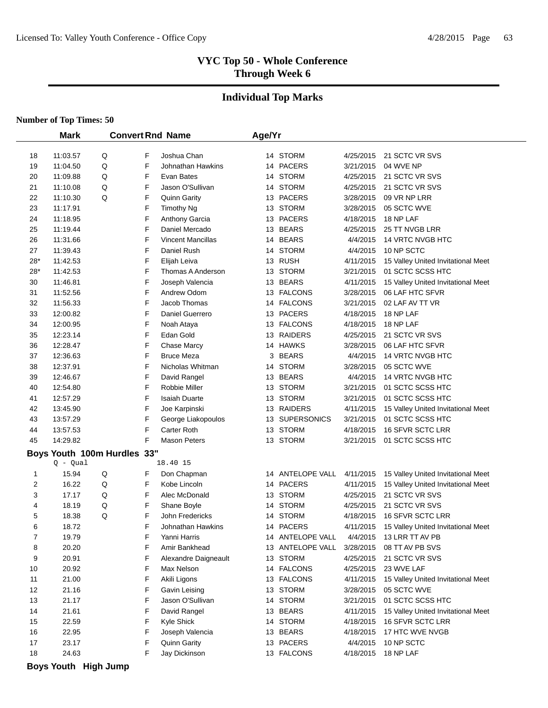#### **Individual Top Marks**

|                         | <b>Mark</b>                 |   |   | <b>Convert Rnd Name</b>  | Age/Yr |                  |           |                                    |
|-------------------------|-----------------------------|---|---|--------------------------|--------|------------------|-----------|------------------------------------|
| 18                      | 11:03.57                    | Q | F | Joshua Chan              |        | 14 STORM         | 4/25/2015 | 21 SCTC VR SVS                     |
| 19                      | 11:04.50                    | Q | F | Johnathan Hawkins        | 14     | PACERS           | 3/21/2015 | 04 WVE NP                          |
| 20                      | 11:09.88                    | Q | F | Evan Bates               | 14     | <b>STORM</b>     | 4/25/2015 | 21 SCTC VR SVS                     |
| 21                      | 11:10.08                    | Q | F | Jason O'Sullivan         |        | 14 STORM         | 4/25/2015 | 21 SCTC VR SVS                     |
| 22                      | 11:10.30                    | Q | F | <b>Quinn Garity</b>      |        | 13 PACERS        | 3/28/2015 | 09 VR NP LRR                       |
| 23                      | 11:17.91                    |   | F | <b>Timothy Ng</b>        |        | 13 STORM         | 3/28/2015 | 05 SCTC WVE                        |
| 24                      | 11:18.95                    |   | F | Anthony Garcia           |        | 13 PACERS        | 4/18/2015 | 18 NP LAF                          |
| 25                      | 11:19.44                    |   | F | Daniel Mercado           |        | 13 BEARS         | 4/25/2015 | 25 TT NVGB LRR                     |
| 26                      | 11:31.66                    |   | F | <b>Vincent Mancillas</b> |        | 14 BEARS         | 4/4/2015  | 14 VRTC NVGB HTC                   |
| 27                      | 11:39.43                    |   | F | Daniel Rush              | 14     | <b>STORM</b>     | 4/4/2015  | 10 NP SCTC                         |
| 28*                     | 11:42.53                    |   | F | Elijah Leiva             |        | 13 RUSH          | 4/11/2015 | 15 Valley United Invitational Meet |
| $28*$                   | 11:42.53                    |   | F | Thomas A Anderson        | 13     | <b>STORM</b>     | 3/21/2015 | 01 SCTC SCSS HTC                   |
| 30                      | 11:46.81                    |   | F | Joseph Valencia          |        | 13 BEARS         | 4/11/2015 | 15 Valley United Invitational Meet |
| 31                      | 11:52.56                    |   | F | Andrew Odom              |        | 13 FALCONS       | 3/28/2015 | 06 LAF HTC SFVR                    |
| 32                      | 11:56.33                    |   | F | Jacob Thomas             |        | 14 FALCONS       | 3/21/2015 | 02 LAF AV TT VR                    |
| 33                      | 12:00.82                    |   | F | Daniel Guerrero          | 13     | <b>PACERS</b>    | 4/18/2015 | 18 NP LAF                          |
| 34                      | 12:00.95                    |   | F | Noah Ataya               | 13     | <b>FALCONS</b>   | 4/18/2015 | 18 NP LAF                          |
| 35                      | 12:23.14                    |   | F | Edan Gold                | 13     | <b>RAIDERS</b>   | 4/25/2015 | 21 SCTC VR SVS                     |
| 36                      | 12:28.47                    |   | F | Chase Marcy              |        | 14 HAWKS         | 3/28/2015 | 06 LAF HTC SFVR                    |
| 37                      |                             |   | F | <b>Bruce Meza</b>        | 3      | <b>BEARS</b>     | 4/4/2015  | <b>14 VRTC NVGB HTC</b>            |
| 38                      | 12:36.63                    |   | F | Nicholas Whitman         |        | <b>STORM</b>     |           | 05 SCTC WVE                        |
|                         | 12:37.91                    |   |   |                          | 14     |                  | 3/28/2015 |                                    |
| 39                      | 12:46.67                    |   | F | David Rangel             |        | 13 BEARS         | 4/4/2015  | 14 VRTC NVGB HTC                   |
| 40                      | 12:54.80                    |   | F | Robbie Miller            |        | 13 STORM         | 3/21/2015 | 01 SCTC SCSS HTC                   |
| 41                      | 12:57.29                    |   | F | <b>Isaiah Duarte</b>     |        | 13 STORM         | 3/21/2015 | 01 SCTC SCSS HTC                   |
| 42                      | 13:45.90                    |   | F | Joe Karpinski            | 13     | RAIDERS          | 4/11/2015 | 15 Valley United Invitational Meet |
| 43                      | 13:57.29                    |   | F | George Liakopoulos       |        | 13 SUPERSONICS   | 3/21/2015 | 01 SCTC SCSS HTC                   |
| 44                      | 13:57.53                    |   | F | Carter Roth              |        | 13 STORM         | 4/18/2015 | 16 SFVR SCTC LRR                   |
| 45                      | 14:29.82                    |   | F | <b>Mason Peters</b>      |        | 13 STORM         | 3/21/2015 | 01 SCTC SCSS HTC                   |
|                         | Boys Youth 100m Hurdles 33" |   |   |                          |        |                  |           |                                    |
|                         | $Q - Qual$                  |   |   | 18.40 15                 |        |                  |           |                                    |
| 1                       |                             |   |   |                          |        | ANTELOPE VALL    |           |                                    |
|                         | 15.94                       | Q | F | Don Chapman              | 14     |                  | 4/11/2015 | 15 Valley United Invitational Meet |
| $\overline{\mathbf{c}}$ | 16.22                       | Q | F | Kobe Lincoln             | 14     | <b>PACERS</b>    | 4/11/2015 | 15 Valley United Invitational Meet |
| 3                       | 17.17                       | Q | F | Alec McDonald            | 13     | <b>STORM</b>     | 4/25/2015 | 21 SCTC VR SVS                     |
| 4                       | 18.19                       | Q | F | Shane Boyle              | 14     | <b>STORM</b>     | 4/25/2015 | 21 SCTC VR SVS                     |
| 5                       | 18.38                       | Q | F | John Fredericks          | 14     | <b>STORM</b>     | 4/18/2015 | <b>16 SFVR SCTC LRR</b>            |
| 6                       | 18.72                       |   | F | Johnathan Hawkins        |        | 14 PACERS        | 4/11/2015 | 15 Valley United Invitational Meet |
| 7                       | 19.79                       |   | F | Yanni Harris             |        | 14 ANTELOPE VALL | 4/4/2015  | 13 LRR TT AV PB                    |
| 8                       | 20.20                       |   | F | Amir Bankhead            |        | 13 ANTELOPE VALL | 3/28/2015 | 08 TT AV PB SVS                    |
| 9                       | 20.91                       |   | F | Alexandre Daigneault     |        | 13 STORM         | 4/25/2015 | 21 SCTC VR SVS                     |
| 10                      | 20.92                       |   | F | Max Nelson               |        | 14 FALCONS       | 4/25/2015 | 23 WVE LAF                         |
| 11                      | 21.00                       |   | F | Akili Ligons             |        | 13 FALCONS       | 4/11/2015 | 15 Valley United Invitational Meet |
| 12                      | 21.16                       |   | F | Gavin Leising            |        | 13 STORM         | 3/28/2015 | 05 SCTC WVE                        |
| 13                      | 21.17                       |   | F | Jason O'Sullivan         |        | 14 STORM         | 3/21/2015 | 01 SCTC SCSS HTC                   |
| 14                      | 21.61                       |   | F | David Rangel             |        | 13 BEARS         | 4/11/2015 | 15 Valley United Invitational Meet |
| 15                      | 22.59                       |   | F | Kyle Shick               |        | 14 STORM         | 4/18/2015 | 16 SFVR SCTC LRR                   |
| 16                      | 22.95                       |   | F | Joseph Valencia          |        | 13 BEARS         | 4/18/2015 | 17 HTC WVE NVGB                    |
| 17                      | 23.17                       |   | F | Quinn Garity             |        | 13 PACERS        | 4/4/2015  | 10 NP SCTC                         |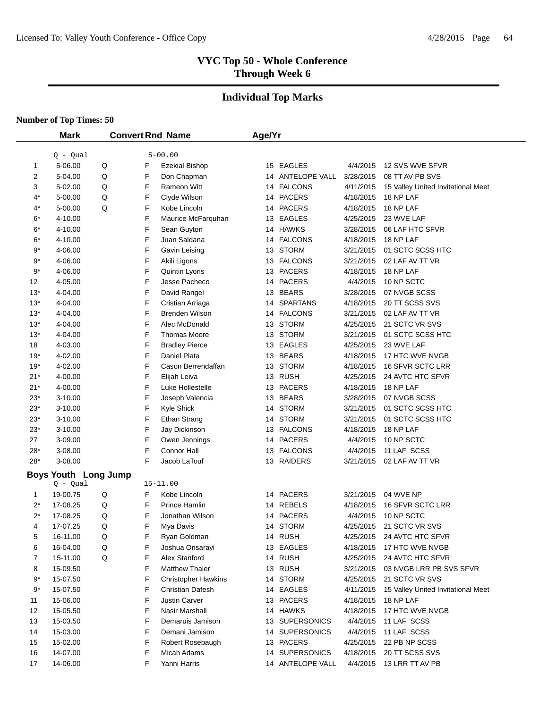# **Individual Top Marks**

|           | <b>Mark</b>                 |   |   | <b>Convert Rnd Name</b>    | Age/Yr |                  |           |                                    |
|-----------|-----------------------------|---|---|----------------------------|--------|------------------|-----------|------------------------------------|
|           | $Q - Qual$                  |   |   | $5 - 00.00$                |        |                  |           |                                    |
| 1         | 5-06.00                     | Q | F | <b>Ezekial Bishop</b>      |        | 15 EAGLES        | 4/4/2015  | 12 SVS WVE SFVR                    |
| 2         | 5-04.00                     | Q | F | Don Chapman                |        | 14 ANTELOPE VALL | 3/28/2015 | 08 TT AV PB SVS                    |
| 3         | 5-02.00                     | Q | F | Rameon Witt                |        | 14 FALCONS       | 4/11/2015 | 15 Valley United Invitational Meet |
| 4*        | 5-00.00                     | Q | F | Clyde Wilson               |        | 14 PACERS        | 4/18/2015 | 18 NP LAF                          |
| $4^*$     | 5-00.00                     | Q | F | Kobe Lincoln               |        | 14 PACERS        | 4/18/2015 | 18 NP LAF                          |
| $6*$      | 4-10.00                     |   | F | Maurice McFarquhan         |        | 13 EAGLES        | 4/25/2015 | 23 WVE LAF                         |
| $6*$      | 4-10.00                     |   | F | Sean Guyton                |        | 14 HAWKS         | 3/28/2015 | 06 LAF HTC SFVR                    |
| 6*        | 4-10.00                     |   | F | Juan Saldana               |        | 14 FALCONS       | 4/18/2015 | 18 NP LAF                          |
| $9*$      | 4-06.00                     |   | F | Gavin Leising              |        | 13 STORM         | 3/21/2015 | 01 SCTC SCSS HTC                   |
| $9^\star$ | 4-06.00                     |   | F | Akili Ligons               |        | 13 FALCONS       | 3/21/2015 | 02 LAF AV TT VR                    |
| $9^\star$ | 4-06.00                     |   | F | Quintin Lyons              |        | 13 PACERS        | 4/18/2015 | 18 NP LAF                          |
| 12        | 4-05.00                     |   | F | Jesse Pacheco              |        | 14 PACERS        | 4/4/2015  | 10 NP SCTC                         |
| $13*$     | 4-04.00                     |   | F | David Rangel               |        | 13 BEARS         | 3/28/2015 | 07 NVGB SCSS                       |
| $13*$     | 4-04.00                     |   | F | Cristian Arriaga           |        | 14 SPARTANS      | 4/18/2015 | 20 TT SCSS SVS                     |
| $13*$     | 4-04.00                     |   | F | <b>Brenden Wilson</b>      |        | 14 FALCONS       | 3/21/2015 | 02 LAF AV TT VR                    |
| $13*$     | 4-04.00                     |   | F | Alec McDonald              |        | 13 STORM         | 4/25/2015 | 21 SCTC VR SVS                     |
| $13*$     | 4-04.00                     |   | F | <b>Thomas Moore</b>        |        | 13 STORM         | 3/21/2015 | 01 SCTC SCSS HTC                   |
| 18        | 4-03.00                     |   | F | <b>Bradley Pierce</b>      |        | 13 EAGLES        | 4/25/2015 | 23 WVE LAF                         |
| 19*       | 4-02.00                     |   | F | Daniel Plata               |        | 13 BEARS         | 4/18/2015 | 17 HTC WVE NVGB                    |
| 19*       | 4-02.00                     |   | F | Cason Berrendaffan         |        | 13 STORM         | 4/18/2015 | 16 SFVR SCTC LRR                   |
| $21*$     | 4-00.00                     |   | F | Elijah Leiva               |        | 13 RUSH          | 4/25/2015 | 24 AVTC HTC SFVR                   |
| $21*$     | 4-00.00                     |   | F | Luke Hollestelle           |        | 13 PACERS        | 4/18/2015 | 18 NP LAF                          |
| $23*$     | 3-10.00                     |   | F | Joseph Valencia            |        | 13 BEARS         | 3/28/2015 | 07 NVGB SCSS                       |
| $23*$     | 3-10.00                     |   | F | Kyle Shick                 |        | 14 STORM         | 3/21/2015 | 01 SCTC SCSS HTC                   |
| $23*$     | 3-10.00                     |   | F | <b>Ethan Strang</b>        |        | 14 STORM         | 3/21/2015 | 01 SCTC SCSS HTC                   |
| $23*$     | 3-10.00                     |   | F | Jay Dickinson              |        | 13 FALCONS       | 4/18/2015 | 18 NP LAF                          |
| 27        | 3-09.00                     |   | F | Owen Jennings              |        | 14 PACERS        | 4/4/2015  | 10 NP SCTC                         |
| $28*$     | 3-08.00                     |   | F | Connor Hall                |        | 13 FALCONS       | 4/4/2015  | 11 LAF SCSS                        |
| $28*$     | 3-08.00                     |   | F | Jacob LaTouf               |        | 13 RAIDERS       | 3/21/2015 | 02 LAF AV TT VR                    |
|           | <b>Boys Youth Long Jump</b> |   |   |                            |        |                  |           |                                    |
|           | $Q - Qual$                  |   |   | $15 - 11.00$               |        |                  |           |                                    |
| 1         | 19-00.75                    | Q | F | Kobe Lincoln               |        | 14 PACERS        | 3/21/2015 | 04 WVE NP                          |
| $2^*$     | 17-08.25                    | Q | F | Prince Hamlin              |        | 14 REBELS        | 4/18/2015 | 16 SFVR SCTC LRR                   |
| $2^*$     | 17-08.25                    | Q | F | Jonathan Wilson            |        | 14 PACERS        | 4/4/2015  | 10 NP SCTC                         |
| 4         | 17-07.25                    | Q | F | Mya Davis                  |        | 14 STORM         | 4/25/2015 | 21 SCTC VR SVS                     |
| 5         | 16-11.00                    | Q | F | Ryan Goldman               |        | 14 RUSH          | 4/25/2015 | 24 AVTC HTC SFVR                   |
| 6         | 16-04.00                    | Q | F | Joshua Orisarayi           |        | 13 EAGLES        | 4/18/2015 | 17 HTC WVE NVGB                    |
| 7         | 15-11.00                    | Q | F | Alex Stanford              |        | 14 RUSH          | 4/25/2015 | 24 AVTC HTC SFVR                   |
| 8         | 15-09.50                    |   | F | <b>Matthew Thaler</b>      |        | 13 RUSH          | 3/21/2015 | 03 NVGB LRR PB SVS SFVR            |
| $9*$      | 15-07.50                    |   | F | <b>Christopher Hawkins</b> |        | 14 STORM         | 4/25/2015 | 21 SCTC VR SVS                     |
| 9*        | 15-07.50                    |   | F | <b>Christian Dafesh</b>    |        | 14 EAGLES        | 4/11/2015 | 15 Valley United Invitational Meet |
| 11        | 15-06.00                    |   | F | <b>Justin Carver</b>       |        | 13 PACERS        | 4/18/2015 | 18 NP LAF                          |
| 12        | 15-05.50                    |   | F | Nasir Marshall             |        | 14 HAWKS         | 4/18/2015 | 17 HTC WVE NVGB                    |
| 13        | 15-03.50                    |   | F | Demaruis Jamison           |        | 13 SUPERSONICS   | 4/4/2015  | 11 LAF SCSS                        |
| 14        | 15-03.00                    |   | F | Demani Jamison             |        | 14 SUPERSONICS   | 4/4/2015  | 11 LAF SCSS                        |
| 15        | 15-02.00                    |   | F | Robert Rosebaugh           |        | 13 PACERS        | 4/25/2015 | 22 PB NP SCSS                      |
| 16        | 14-07.00                    |   | F | Micah Adams                |        | 14 SUPERSONICS   | 4/18/2015 | 20 TT SCSS SVS                     |
| 17        | 14-06.00                    |   | F | Yanni Harris               |        | 14 ANTELOPE VALL | 4/4/2015  | 13 LRR TT AV PB                    |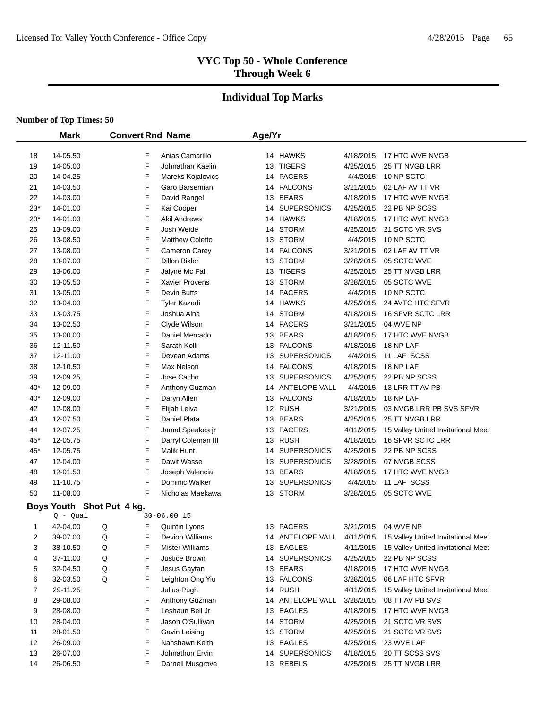# **Individual Top Marks**

|             | <b>Mark</b>               | <b>Convert Rnd Name</b> |                        | Age/Yr |                  |           |                                    |
|-------------|---------------------------|-------------------------|------------------------|--------|------------------|-----------|------------------------------------|
| 18          | 14-05.50                  | F                       | Anias Camarillo        |        | 14 HAWKS         | 4/18/2015 | 17 HTC WVE NVGB                    |
| 19          | 14-05.00                  | F                       | Johnathan Kaelin       |        | 13 TIGERS        | 4/25/2015 | 25 TT NVGB LRR                     |
| 20          | 14-04.25                  | F                       | Mareks Kojalovics      |        | 14 PACERS        | 4/4/2015  | 10 NP SCTC                         |
| 21          | 14-03.50                  | F                       | Garo Barsemian         |        | 14 FALCONS       | 3/21/2015 | 02 LAF AV TT VR                    |
| 22          | 14-03.00                  | F                       | David Rangel           |        | 13 BEARS         | 4/18/2015 | 17 HTC WVE NVGB                    |
| 23*         | 14-01.00                  | F                       | Kai Cooper             |        | 14 SUPERSONICS   | 4/25/2015 | 22 PB NP SCSS                      |
| 23*         | 14-01.00                  | F                       | <b>Akil Andrews</b>    |        | 14 HAWKS         | 4/18/2015 | 17 HTC WVE NVGB                    |
| 25          | 13-09.00                  | F                       | Josh Weide             |        | 14 STORM         | 4/25/2015 | 21 SCTC VR SVS                     |
| 26          | 13-08.50                  | F                       | <b>Matthew Coletto</b> |        | 13 STORM         | 4/4/2015  | 10 NP SCTC                         |
| 27          | 13-08.00                  | F                       | Cameron Carey          |        | 14 FALCONS       | 3/21/2015 | 02 LAF AV TT VR                    |
| 28          | 13-07.00                  | F                       | <b>Dillon Bixler</b>   |        | 13 STORM         | 3/28/2015 | 05 SCTC WVE                        |
| 29          | 13-06.00                  | F                       | Jalyne Mc Fall         |        | 13 TIGERS        | 4/25/2015 | 25 TT NVGB LRR                     |
| 30          | 13-05.50                  | F                       | Xavier Provens         |        | 13 STORM         | 3/28/2015 | 05 SCTC WVE                        |
| 31          | 13-05.00                  | F                       | Devin Butts            |        | 14 PACERS        | 4/4/2015  | 10 NP SCTC                         |
| 32          | 13-04.00                  | F                       | <b>Tyler Kazadi</b>    |        | 14 HAWKS         | 4/25/2015 | 24 AVTC HTC SFVR                   |
| 33          | 13-03.75                  | F                       | Joshua Aina            |        | 14 STORM         | 4/18/2015 | <b>16 SFVR SCTC LRR</b>            |
| 34          | 13-02.50                  | F                       | Clyde Wilson           |        | 14 PACERS        | 3/21/2015 | 04 WVE NP                          |
| 35          | 13-00.00                  | F                       | Daniel Mercado         |        | 13 BEARS         | 4/18/2015 | 17 HTC WVE NVGB                    |
| 36          | 12-11.50                  | F                       | Sarath Kolli           |        | 13 FALCONS       | 4/18/2015 | 18 NP LAF                          |
| 37          | 12-11.00                  | F                       | Devean Adams           |        | 13 SUPERSONICS   | 4/4/2015  | 11 LAF SCSS                        |
| 38          | 12-10.50                  | F                       | Max Nelson             |        | 14 FALCONS       | 4/18/2015 | 18 NP LAF                          |
| 39          | 12-09.25                  | F                       | Jose Cacho             |        | 13 SUPERSONICS   | 4/25/2015 | 22 PB NP SCSS                      |
| 40*         | 12-09.00                  | F                       | Anthony Guzman         |        | 14 ANTELOPE VALL | 4/4/2015  | 13 LRR TT AV PB                    |
| 40*         | 12-09.00                  | F                       | Daryn Allen            |        | 13 FALCONS       | 4/18/2015 | 18 NP LAF                          |
| 42          | 12-08.00                  | F                       | Elijah Leiva           |        | 12 RUSH          | 3/21/2015 | 03 NVGB LRR PB SVS SFVR            |
| 43          | 12-07.50                  | F                       | Daniel Plata           |        | 13 BEARS         | 4/25/2015 | 25 TT NVGB LRR                     |
| 44          | 12-07.25                  | F                       | Jamal Speakes jr       |        | 13 PACERS        | 4/11/2015 | 15 Valley United Invitational Meet |
| 45*         | 12-05.75                  | F                       | Darryl Coleman III     |        | 13 RUSH          | 4/18/2015 | 16 SFVR SCTC LRR                   |
| 45*         | 12-05.75                  | F                       | Malik Hunt             |        | 14 SUPERSONICS   | 4/25/2015 | 22 PB NP SCSS                      |
| 47          | 12-04.00                  | F                       | Dawit Wasse            |        | 13 SUPERSONICS   | 3/28/2015 | 07 NVGB SCSS                       |
| 48          | 12-01.50                  | F                       | Joseph Valencia        |        | 13 BEARS         | 4/18/2015 | 17 HTC WVE NVGB                    |
| 49          | 11-10.75                  | F                       | Dominic Walker         |        | 13 SUPERSONICS   | 4/4/2015  | 11 LAF SCSS                        |
| 50          | 11-08.00                  | F                       | Nicholas Maekawa       |        | 13 STORM         | 3/28/2015 | 05 SCTC WVE                        |
|             | Boys Youth Shot Put 4 kg. |                         |                        |        |                  |           |                                    |
|             | Q - Qual                  |                         | $30 - 06.0015$         |        |                  |           |                                    |
| $\mathbf 1$ | 42-04.00                  | Q<br>F                  | Quintin Lyons          |        | 13 PACERS        | 3/21/2015 | 04 WVE NP                          |
| 2           | 39-07.00                  | F<br>Q                  | Devion Williams        |        | 14 ANTELOPE VALL | 4/11/2015 | 15 Valley United Invitational Meet |
| 3           | 38-10.50                  | F<br>Q                  | <b>Mister Williams</b> |        | 13 EAGLES        | 4/11/2015 | 15 Valley United Invitational Meet |
| 4           | 37-11.00                  | F<br>Q                  | Justice Brown          |        | 14 SUPERSONICS   | 4/25/2015 | 22 PB NP SCSS                      |
| 5           | 32-04.50                  | F<br>Q                  | Jesus Gaytan           |        | 13 BEARS         | 4/18/2015 | 17 HTC WVE NVGB                    |
| 6           | 32-03.50                  | F<br>Q                  | Leighton Ong Yiu       |        | 13 FALCONS       | 3/28/2015 | 06 LAF HTC SFVR                    |
| 7           | 29-11.25                  | F                       | Julius Pugh            |        | 14 RUSH          | 4/11/2015 | 15 Valley United Invitational Meet |
| 8           | 29-08.00                  | F                       | Anthony Guzman         |        | 14 ANTELOPE VALL | 3/28/2015 | 08 TT AV PB SVS                    |
| 9           | 28-08.00                  | F                       | Leshaun Bell Jr        |        | 13 EAGLES        | 4/18/2015 | 17 HTC WVE NVGB                    |
| 10          | 28-04.00                  | F                       | Jason O'Sullivan       |        | 14 STORM         | 4/25/2015 | 21 SCTC VR SVS                     |
| 11          | 28-01.50                  | F                       | Gavin Leising          |        | 13 STORM         | 4/25/2015 | 21 SCTC VR SVS                     |
| 12          | 26-09.00                  | F                       | Nahshawn Keith         |        | 13 EAGLES        | 4/25/2015 | 23 WVE LAF                         |
| 13          | 26-07.00                  | F                       | Johnathon Ervin        |        | 14 SUPERSONICS   | 4/18/2015 | 20 TT SCSS SVS                     |
| 14          | 26-06.50                  | F                       | Darnell Musgrove       |        | 13 REBELS        | 4/25/2015 | 25 TT NVGB LRR                     |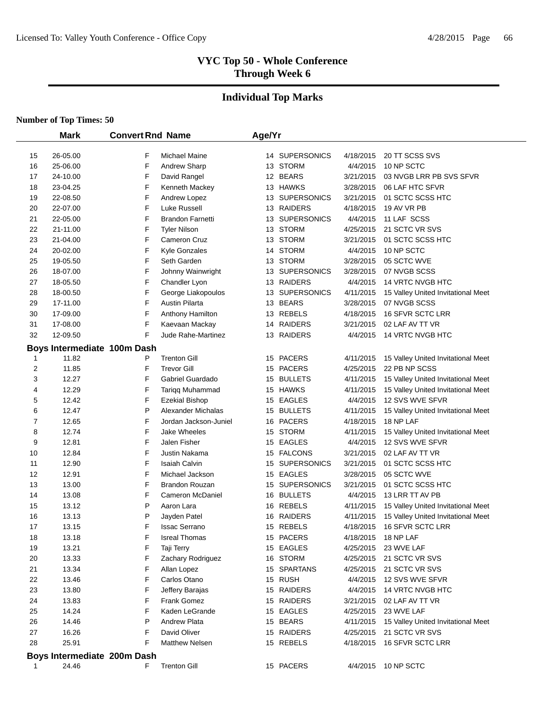# **Individual Top Marks**

|          | <b>Mark</b>                 | <b>Convert Rnd Name</b> |                                | Age/Yr   |                      |                        |                                                                          |
|----------|-----------------------------|-------------------------|--------------------------------|----------|----------------------|------------------------|--------------------------------------------------------------------------|
|          |                             |                         |                                |          |                      |                        |                                                                          |
| 15       | 26-05.00                    | F                       | <b>Michael Maine</b>           |          | 14 SUPERSONICS       | 4/18/2015              | 20 TT SCSS SVS                                                           |
| 16       | 25-06.00                    | F                       | <b>Andrew Sharp</b>            |          | 13 STORM             | 4/4/2015               | 10 NP SCTC                                                               |
| 17       | 24-10.00                    | F                       | David Rangel                   |          | 12 BEARS             | 3/21/2015              | 03 NVGB LRR PB SVS SFVR                                                  |
| 18       | 23-04.25                    | F                       | Kenneth Mackey                 |          | 13 HAWKS             | 3/28/2015              | 06 LAF HTC SFVR                                                          |
| 19       | 22-08.50                    | F                       | Andrew Lopez                   |          | 13 SUPERSONICS       | 3/21/2015              | 01 SCTC SCSS HTC                                                         |
| 20       | 22-07.00                    | F                       | Luke Russell                   | 13       | RAIDERS              | 4/18/2015              | 19 AV VR PB                                                              |
| 21       | 22-05.00                    | F                       | <b>Brandon Farnetti</b>        | 13       | <b>SUPERSONICS</b>   | 4/4/2015               | 11 LAF SCSS                                                              |
| 22       | 21-11.00                    | F                       | <b>Tyler Nilson</b>            | 13       | STORM                | 4/25/2015              | 21 SCTC VR SVS                                                           |
| 23       | 21-04.00                    | F                       | Cameron Cruz                   | 13       | <b>STORM</b>         | 3/21/2015              | 01 SCTC SCSS HTC                                                         |
| 24       | 20-02.00                    | F                       | <b>Kyle Gonzales</b>           | 14       | <b>STORM</b>         | 4/4/2015               | 10 NP SCTC                                                               |
| 25       | 19-05.50                    | F                       | Seth Garden                    | 13       | <b>STORM</b>         | 3/28/2015              | 05 SCTC WVE                                                              |
| 26       | 18-07.00                    | F                       | Johnny Wainwright              | 13       | <b>SUPERSONICS</b>   | 3/28/2015              | 07 NVGB SCSS                                                             |
| 27       | 18-05.50                    | F                       | Chandler Lyon                  | 13       | <b>RAIDERS</b>       | 4/4/2015               | 14 VRTC NVGB HTC                                                         |
| 28       | 18-00.50                    | F                       | George Liakopoulos             | 13       | <b>SUPERSONICS</b>   | 4/11/2015              | 15 Valley United Invitational Meet                                       |
| 29       | 17-11.00                    | F                       | <b>Austin Pilarta</b>          | 13       | <b>BEARS</b>         | 3/28/2015              | 07 NVGB SCSS                                                             |
| 30       | 17-09.00                    | F                       | Anthony Hamilton               | 13       | <b>REBELS</b>        | 4/18/2015              | 16 SFVR SCTC LRR                                                         |
| 31       | 17-08.00                    | F                       | Kaevaan Mackay                 | 14       | <b>RAIDERS</b>       | 3/21/2015              | 02 LAF AV TT VR                                                          |
| 32       | 12-09.50                    | F                       | Jude Rahe-Martinez             |          | 13 RAIDERS           | 4/4/2015               | 14 VRTC NVGB HTC                                                         |
|          | Boys Intermediate 100m Dash |                         |                                |          |                      |                        |                                                                          |
| 1        | 11.82                       | P                       | <b>Trenton Gill</b>            |          | 15 PACERS            | 4/11/2015              | 15 Valley United Invitational Meet                                       |
| 2        | 11.85                       | F                       | <b>Trevor Gill</b>             | 15       | <b>PACERS</b>        | 4/25/2015              | 22 PB NP SCSS                                                            |
| 3        | 12.27                       | F                       | Gabriel Guardado               | 15       | <b>BULLETS</b>       | 4/11/2015              | 15 Valley United Invitational Meet                                       |
| 4        | 12.29                       | F                       | Tariqq Muhammad                |          | 15 HAWKS             | 4/11/2015              | 15 Valley United Invitational Meet                                       |
| 5        | 12.42                       | F                       | <b>Ezekial Bishop</b>          |          | 15 EAGLES            | 4/4/2015               | 12 SVS WVE SFVR                                                          |
| 6        | 12.47                       | P                       | Alexander Michalas             | 15       | <b>BULLETS</b>       | 4/11/2015              | 15 Valley United Invitational Meet                                       |
| 7        | 12.65                       | F                       | Jordan Jackson-Juniel          | 16       | <b>PACERS</b>        | 4/18/2015              | 18 NP LAF                                                                |
| 8        | 12.74                       | F                       | <b>Jake Wheeles</b>            | 15       | <b>STORM</b>         | 4/11/2015              | 15 Valley United Invitational Meet                                       |
| 9        | 12.81                       | F                       | Jalen Fisher                   | 15       | <b>EAGLES</b>        | 4/4/2015               | 12 SVS WVE SFVR                                                          |
| 10       | 12.84                       | F                       | Justin Nakama                  | 15       | <b>FALCONS</b>       | 3/21/2015              | 02 LAF AV TT VR                                                          |
| 11       | 12.90                       | F                       | <b>Isaiah Calvin</b>           | 15       | <b>SUPERSONICS</b>   | 3/21/2015              | 01 SCTC SCSS HTC                                                         |
| 12       | 12.91                       | F                       | Michael Jackson                |          | 15 EAGLES            | 3/28/2015              | 05 SCTC WVE                                                              |
| 13       | 13.00                       | F                       | <b>Brandon Rouzan</b>          | 15       | <b>SUPERSONICS</b>   | 3/21/2015              | 01 SCTC SCSS HTC<br>13 LRR TT AV PB                                      |
| 14       | 13.08<br>13.12              | F<br>P                  | Cameron McDaniel<br>Aaron Lara |          | 16 BULLETS<br>REBELS | 4/4/2015               |                                                                          |
| 15<br>16 | 13.13                       | P                       | Jayden Patel                   | 16<br>16 | RAIDERS              | 4/11/2015<br>4/11/2015 | 15 Valley United Invitational Meet<br>15 Valley United Invitational Meet |
| 17       | 13.15                       | F                       | <b>Issac Serrano</b>           |          | 15 REBELS            | 4/18/2015              | <b>16 SFVR SCTC LRR</b>                                                  |
| 18       | 13.18                       | F                       | <b>Isreal Thomas</b>           |          | 15 PACERS            | 4/18/2015              | 18 NP LAF                                                                |
| 19       | 13.21                       | F                       | Taji Terry                     |          | 15 EAGLES            | 4/25/2015              | 23 WVE LAF                                                               |
| 20       | 13.33                       | F                       | Zachary Rodriguez              |          | 16 STORM             | 4/25/2015              | 21 SCTC VR SVS                                                           |
| 21       | 13.34                       | F                       | Allan Lopez                    |          | 15 SPARTANS          | 4/25/2015              | 21 SCTC VR SVS                                                           |
| 22       | 13.46                       | F                       | Carlos Otano                   |          | 15 RUSH              | 4/4/2015               | 12 SVS WVE SFVR                                                          |
| 23       | 13.80                       | F                       | Jeffery Barajas                |          | 15 RAIDERS           | 4/4/2015               | 14 VRTC NVGB HTC                                                         |
| 24       | 13.83                       | F                       | <b>Frank Gomez</b>             |          | 15 RAIDERS           | 3/21/2015              | 02 LAF AV TT VR                                                          |
| 25       | 14.24                       | F                       | Kaden LeGrande                 |          | 15 EAGLES            | 4/25/2015              | 23 WVE LAF                                                               |
| 26       | 14.46                       | P                       | <b>Andrew Plata</b>            |          | 15 BEARS             | 4/11/2015              | 15 Valley United Invitational Meet                                       |
| 27       | 16.26                       | F                       | David Oliver                   |          | 15 RAIDERS           | 4/25/2015              | 21 SCTC VR SVS                                                           |
| 28       | 25.91                       | F                       | <b>Matthew Nelsen</b>          |          | 15 REBELS            | 4/18/2015              | <b>16 SFVR SCTC LRR</b>                                                  |
|          |                             |                         |                                |          |                      |                        |                                                                          |
|          | Boys Intermediate 200m Dash |                         |                                |          |                      |                        |                                                                          |
| 1        | 24.46                       | F                       | <b>Trenton Gill</b>            |          | 15 PACERS            | 4/4/2015               | 10 NP SCTC                                                               |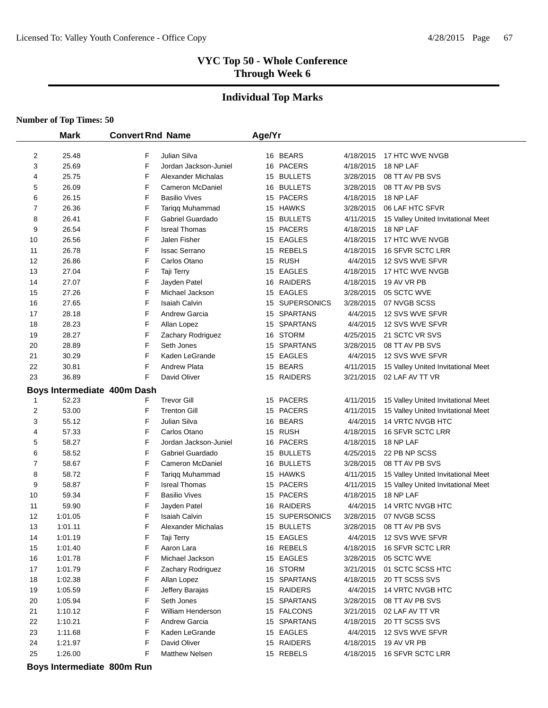#### **Individual Top Marks**

#### **Number of Top Times: 50**

 $\overline{\phantom{0}}$ 

|                | <b>Mark</b> | <b>Convert Rnd Name</b>     |                       | Age/Yr |                |           |                                    |
|----------------|-------------|-----------------------------|-----------------------|--------|----------------|-----------|------------------------------------|
|                |             |                             |                       |        |                |           |                                    |
| $\overline{c}$ | 25.48       | F                           | Julian Silva          |        | 16 BEARS       | 4/18/2015 | 17 HTC WVE NVGB                    |
| 3              | 25.69       | F                           | Jordan Jackson-Juniel |        | 16 PACERS      | 4/18/2015 | 18 NP LAF                          |
| 4              | 25.75       | F                           | Alexander Michalas    |        | 15 BULLETS     | 3/28/2015 | 08 TT AV PB SVS                    |
| 5              | 26.09       | F                           | Cameron McDaniel      |        | 16 BULLETS     | 3/28/2015 | 08 TT AV PB SVS                    |
| 6              | 26.15       | F                           | <b>Basilio Vives</b>  |        | 15 PACERS      | 4/18/2015 | 18 NP LAF                          |
| 7              | 26.36       | F                           | Tariqq Muhammad       |        | 15 HAWKS       | 3/28/2015 | 06 LAF HTC SFVR                    |
| 8              | 26.41       | F                           | Gabriel Guardado      |        | 15 BULLETS     | 4/11/2015 | 15 Valley United Invitational Meet |
| 9              | 26.54       | F                           | <b>Isreal Thomas</b>  |        | 15 PACERS      | 4/18/2015 | 18 NP LAF                          |
| 10             | 26.56       | F                           | Jalen Fisher          |        | 15 EAGLES      | 4/18/2015 | 17 HTC WVE NVGB                    |
| 11             | 26.78       | F                           | <b>Issac Serrano</b>  |        | 15 REBELS      | 4/18/2015 | 16 SFVR SCTC LRR                   |
| 12             | 26.86       | F                           | Carlos Otano          |        | 15 RUSH        | 4/4/2015  | 12 SVS WVE SFVR                    |
| 13             | 27.04       | F                           | Taji Terry            |        | 15 EAGLES      | 4/18/2015 | 17 HTC WVE NVGB                    |
| 14             | 27.07       | F                           | Jayden Patel          |        | 16 RAIDERS     | 4/18/2015 | 19 AV VR PB                        |
| 15             | 27.26       | F                           | Michael Jackson       |        | 15 EAGLES      | 3/28/2015 | 05 SCTC WVE                        |
| 16             | 27.65       | F                           | Isaiah Calvin         |        | 15 SUPERSONICS | 3/28/2015 | 07 NVGB SCSS                       |
| 17             | 28.18       | F                           | <b>Andrew Garcia</b>  |        | 15 SPARTANS    | 4/4/2015  | 12 SVS WVE SFVR                    |
| 18             | 28.23       | F                           | Allan Lopez           |        | 15 SPARTANS    | 4/4/2015  | 12 SVS WVE SFVR                    |
| 19             | 28.27       | F                           | Zachary Rodriguez     |        | 16 STORM       | 4/25/2015 | 21 SCTC VR SVS                     |
| 20             | 28.89       | F                           | Seth Jones            |        | 15 SPARTANS    | 3/28/2015 | 08 TT AV PB SVS                    |
| 21             | 30.29       | F                           | Kaden LeGrande        |        | 15 EAGLES      | 4/4/2015  | 12 SVS WVE SFVR                    |
| 22             | 30.81       | F                           | <b>Andrew Plata</b>   |        | 15 BEARS       | 4/11/2015 | 15 Valley United Invitational Meet |
| 23             | 36.89       | F                           | David Oliver          |        | 15 RAIDERS     | 3/21/2015 | 02 LAF AV TT VR                    |
|                |             | Boys Intermediate 400m Dash |                       |        |                |           |                                    |
| 1              | 52.23       | F                           | <b>Trevor Gill</b>    |        | 15 PACERS      | 4/11/2015 | 15 Valley United Invitational Meet |
| 2              | 53.00       | F                           | <b>Trenton Gill</b>   |        | 15 PACERS      | 4/11/2015 | 15 Valley United Invitational Meet |
| 3              | 55.12       | F                           | Julian Silva          |        | 16 BEARS       | 4/4/2015  | 14 VRTC NVGB HTC                   |
| 4              | 57.33       | F                           | Carlos Otano          |        | 15 RUSH        | 4/18/2015 | 16 SFVR SCTC LRR                   |
| 5              | 58.27       | F                           | Jordan Jackson-Juniel |        | 16 PACERS      | 4/18/2015 | 18 NP LAF                          |
| 6              | 58.52       | F                           | Gabriel Guardado      |        | 15 BULLETS     | 4/25/2015 | 22 PB NP SCSS                      |
| 7              | 58.67       | F                           | Cameron McDaniel      |        | 16 BULLETS     | 3/28/2015 | 08 TT AV PB SVS                    |
| 8              | 58.72       | F                           | Tariqq Muhammad       |        | 15 HAWKS       | 4/11/2015 | 15 Valley United Invitational Meet |
| 9              | 58.87       | F                           | <b>Isreal Thomas</b>  |        | 15 PACERS      | 4/11/2015 | 15 Valley United Invitational Meet |
| 10             | 59.34       | F                           | <b>Basilio Vives</b>  |        | 15 PACERS      | 4/18/2015 | 18 NP LAF                          |
| 11             | 59.90       | F                           | Jayden Patel          |        | 16 RAIDERS     | 4/4/2015  | 14 VRTC NVGB HTC                   |
| 12             | 1:01.05     | F                           | <b>Isaiah Calvin</b>  |        | 15 SUPERSONICS | 3/28/2015 | 07 NVGB SCSS                       |
| 13             | 1:01.11     | F                           | Alexander Michalas    |        | 15 BULLETS     | 3/28/2015 | 08 TT AV PB SVS                    |
| 14             | 1:01.19     | F                           | Taji Terry            |        | 15 EAGLES      | 4/4/2015  | 12 SVS WVE SFVR                    |
| 15             | 1:01.40     | F                           | Aaron Lara            |        | 16 REBELS      | 4/18/2015 | 16 SFVR SCTC LRR                   |
| 16             | 1:01.78     | F                           | Michael Jackson       |        | 15 EAGLES      | 3/28/2015 | 05 SCTC WVE                        |
| 17             | 1:01.79     | F                           | Zachary Rodriguez     |        | 16 STORM       | 3/21/2015 | 01 SCTC SCSS HTC                   |
| 18             | 1:02.38     | F                           | Allan Lopez           |        | 15 SPARTANS    | 4/18/2015 | 20 TT SCSS SVS                     |
| 19             | 1:05.59     | F                           | Jeffery Barajas       |        | 15 RAIDERS     | 4/4/2015  | 14 VRTC NVGB HTC                   |
| 20             | 1:05.94     | F                           | Seth Jones            |        | 15 SPARTANS    | 3/28/2015 | 08 TT AV PB SVS                    |
| 21             | 1:10.12     | F                           | William Henderson     |        | 15 FALCONS     | 3/21/2015 | 02 LAF AV TT VR                    |
| 22             | 1:10.21     | F                           | Andrew Garcia         |        | 15 SPARTANS    | 4/18/2015 | 20 TT SCSS SVS                     |
| 23             | 1:11.68     | F                           | Kaden LeGrande        |        | 15 EAGLES      | 4/4/2015  | 12 SVS WVE SFVR                    |
| 24             | 1:21.97     | F                           | David Oliver          |        | 15 RAIDERS     | 4/18/2015 | 19 AV VR PB                        |
| 25             | 1:26.00     | F                           | <b>Matthew Nelsen</b> |        | 15 REBELS      | 4/18/2015 | 16 SFVR SCTC LRR                   |

**Boys Intermediate 800m Run**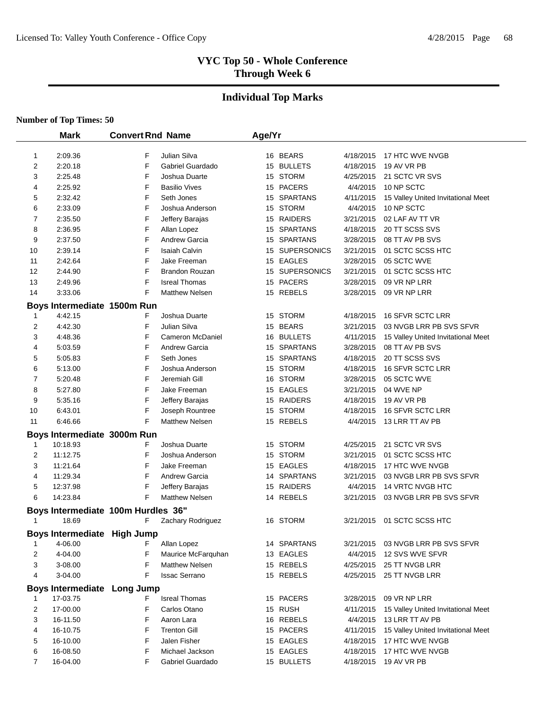# **Individual Top Marks**

|    | <b>Mark</b>                        | <b>Convert Rnd Name</b> |                         | Age/Yr |                |           |                                    |
|----|------------------------------------|-------------------------|-------------------------|--------|----------------|-----------|------------------------------------|
|    |                                    |                         |                         |        |                |           |                                    |
| 1  | 2:09.36                            | F                       | Julian Silva            |        | 16 BEARS       | 4/18/2015 | 17 HTC WVE NVGB                    |
| 2  | 2:20.18                            | F                       | Gabriel Guardado        |        | 15 BULLETS     | 4/18/2015 | 19 AV VR PB                        |
| 3  | 2:25.48                            | F                       | Joshua Duarte           |        | 15 STORM       | 4/25/2015 | 21 SCTC VR SVS                     |
| 4  | 2:25.92                            | F                       | <b>Basilio Vives</b>    |        | 15 PACERS      | 4/4/2015  | 10 NP SCTC                         |
| 5  | 2:32.42                            | F                       | Seth Jones              |        | 15 SPARTANS    | 4/11/2015 | 15 Valley United Invitational Meet |
| 6  | 2:33.09                            | F                       | Joshua Anderson         |        | 15 STORM       | 4/4/2015  | 10 NP SCTC                         |
| 7  | 2:35.50                            | F                       | Jeffery Barajas         |        | 15 RAIDERS     | 3/21/2015 | 02 LAF AV TT VR                    |
| 8  | 2:36.95                            | F                       | Allan Lopez             |        | 15 SPARTANS    | 4/18/2015 | 20 TT SCSS SVS                     |
| 9  | 2:37.50                            | F                       | <b>Andrew Garcia</b>    |        | 15 SPARTANS    | 3/28/2015 | 08 TT AV PB SVS                    |
| 10 | 2:39.14                            | F                       | <b>Isaiah Calvin</b>    |        | 15 SUPERSONICS | 3/21/2015 | 01 SCTC SCSS HTC                   |
| 11 | 2:42.64                            | F                       | Jake Freeman            |        | 15 EAGLES      | 3/28/2015 | 05 SCTC WVE                        |
| 12 | 2:44.90                            | F                       | <b>Brandon Rouzan</b>   |        | 15 SUPERSONICS | 3/21/2015 | 01 SCTC SCSS HTC                   |
| 13 | 2:49.96                            | F                       | <b>Isreal Thomas</b>    |        | 15 PACERS      | 3/28/2015 | 09 VR NP LRR                       |
| 14 | 3:33.06                            | F                       | <b>Matthew Nelsen</b>   |        | 15 REBELS      | 3/28/2015 | 09 VR NP LRR                       |
|    | Boys Intermediate 1500m Run        |                         |                         |        |                |           |                                    |
| 1  | 4:42.15                            | F                       | Joshua Duarte           |        | 15 STORM       | 4/18/2015 | <b>16 SFVR SCTC LRR</b>            |
| 2  | 4:42.30                            | F                       | Julian Silva            |        | 15 BEARS       | 3/21/2015 | 03 NVGB LRR PB SVS SFVR            |
| 3  | 4:48.36                            | F                       | <b>Cameron McDaniel</b> |        | 16 BULLETS     | 4/11/2015 | 15 Valley United Invitational Meet |
| 4  | 5:03.59                            | F                       | <b>Andrew Garcia</b>    |        | 15 SPARTANS    | 3/28/2015 | 08 TT AV PB SVS                    |
| 5  | 5:05.83                            | F                       | Seth Jones              |        | 15 SPARTANS    | 4/18/2015 | 20 TT SCSS SVS                     |
| 6  | 5:13.00                            | F                       | Joshua Anderson         |        | 15 STORM       | 4/18/2015 | 16 SFVR SCTC LRR                   |
| 7  | 5:20.48                            | F                       | Jeremiah Gill           |        | 16 STORM       | 3/28/2015 | 05 SCTC WVE                        |
| 8  | 5:27.80                            | F                       | Jake Freeman            |        | 15 EAGLES      | 3/21/2015 | 04 WVE NP                          |
| 9  | 5:35.16                            | F                       | Jeffery Barajas         |        | 15 RAIDERS     | 4/18/2015 | 19 AV VR PB                        |
| 10 | 6:43.01                            | F                       | Joseph Rountree         |        | 15 STORM       | 4/18/2015 | 16 SFVR SCTC LRR                   |
| 11 | 6:46.66                            | F                       | <b>Matthew Nelsen</b>   |        | 15 REBELS      | 4/4/2015  | 13 LRR TT AV PB                    |
|    | Boys Intermediate 3000m Run        |                         |                         |        |                |           |                                    |
| 1  | 10:18.93                           | F                       | Joshua Duarte           |        | 15 STORM       | 4/25/2015 | 21 SCTC VR SVS                     |
| 2  | 11:12.75                           | F                       | Joshua Anderson         |        | 15 STORM       | 3/21/2015 | 01 SCTC SCSS HTC                   |
| 3  | 11:21.64                           | F                       | Jake Freeman            |        | 15 EAGLES      | 4/18/2015 | 17 HTC WVE NVGB                    |
| 4  | 11:29.34                           | F                       | <b>Andrew Garcia</b>    |        | 14 SPARTANS    | 3/21/2015 | 03 NVGB LRR PB SVS SFVR            |
| 5  | 12:37.98                           | F                       | Jeffery Barajas         |        | 15 RAIDERS     | 4/4/2015  | 14 VRTC NVGB HTC                   |
| 6  | 14:23.84                           | F                       | <b>Matthew Nelsen</b>   |        | 14 REBELS      | 3/21/2015 | 03 NVGB LRR PB SVS SFVR            |
|    | Boys Intermediate 100m Hurdles 36" |                         |                         |        |                |           |                                    |
| 1  | 18.69                              | F                       | Zachary Rodriguez       |        | 16 STORM       | 3/21/2015 | 01 SCTC SCSS HTC                   |
|    | Boys Intermediate High Jump        |                         |                         |        |                |           |                                    |
| 1  | 4-06.00                            | F                       | Allan Lopez             |        | 14 SPARTANS    | 3/21/2015 | 03 NVGB LRR PB SVS SFVR            |
| 2  | 4-04.00                            | F                       | Maurice McFarquhan      |        | 13 EAGLES      | 4/4/2015  | 12 SVS WVE SFVR                    |
| 3  | 3-08.00                            | F                       | <b>Matthew Nelsen</b>   |        | 15 REBELS      | 4/25/2015 | 25 TT NVGB LRR                     |
| 4  | 3-04.00                            | F                       | <b>Issac Serrano</b>    |        | 15 REBELS      | 4/25/2015 | 25 TT NVGB LRR                     |
|    |                                    |                         |                         |        |                |           |                                    |
|    | Boys Intermediate Long Jump        |                         |                         |        |                |           |                                    |
| 1  | 17-03.75                           | F                       | <b>Isreal Thomas</b>    |        | 15 PACERS      | 3/28/2015 | 09 VR NP LRR                       |
| 2  | 17-00.00                           | F                       | Carlos Otano            |        | 15 RUSH        | 4/11/2015 | 15 Valley United Invitational Meet |
| 3  | 16-11.50                           | F                       | Aaron Lara              |        | 16 REBELS      | 4/4/2015  | 13 LRR TT AV PB                    |
| 4  | 16-10.75                           | F                       | <b>Trenton Gill</b>     |        | 15 PACERS      | 4/11/2015 | 15 Valley United Invitational Meet |
| 5  | 16-10.00                           | F                       | Jalen Fisher            |        | 15 EAGLES      | 4/18/2015 | 17 HTC WVE NVGB                    |
| 6  | 16-08.50                           | F                       | Michael Jackson         |        | 15 EAGLES      | 4/18/2015 | 17 HTC WVE NVGB                    |
| 7  | 16-04.00                           | F                       | Gabriel Guardado        |        | 15 BULLETS     | 4/18/2015 | 19 AV VR PB                        |